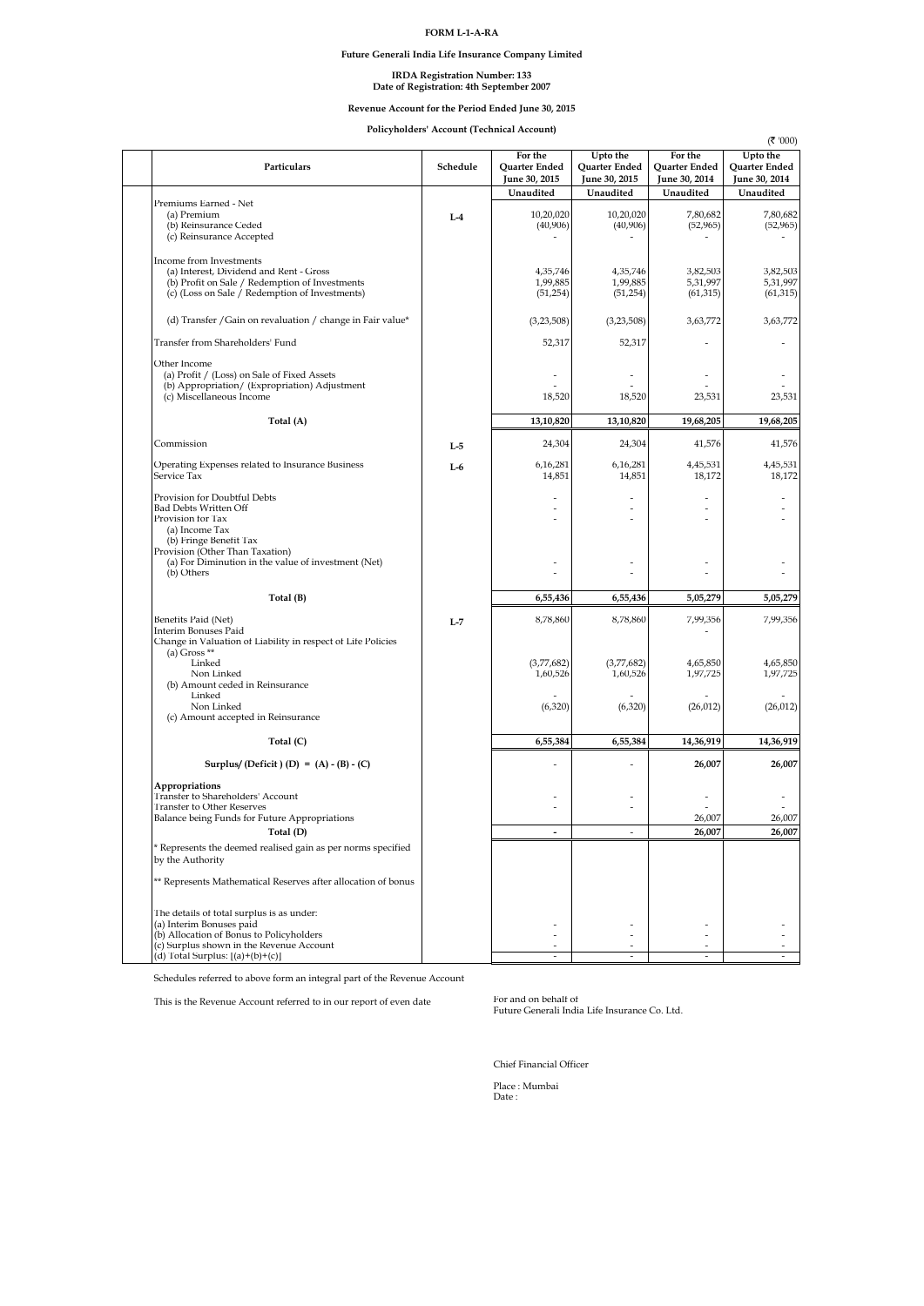## **FORM L-1-A-RA**

**Future Generali India Life Insurance Company Limited**

# IRDA Registration Number: 133<br>Date of Registration: 4th September 2007

# **Revenue Account for the Period Ended June 30, 2015**

**Policyholders' Account (Technical Account)**

| Particulars                                                                                                                                                            | Schedule | For the<br>Quarter Ended<br>June 30, 2015 | Upto the<br>Quarter Ended<br>June 30, 2015         | For the<br><b>Ouarter Ended</b><br>June 30, 2014 | (₹ '000)<br>Upto the<br>Quarter Ended<br>June 30, 2014 |
|------------------------------------------------------------------------------------------------------------------------------------------------------------------------|----------|-------------------------------------------|----------------------------------------------------|--------------------------------------------------|--------------------------------------------------------|
|                                                                                                                                                                        |          | Unaudited                                 | Unaudited                                          | Unaudited                                        | Unaudited                                              |
| Premiums Earned - Net<br>(a) Premium<br>(b) Reinsurance Ceded<br>(c) Reinsurance Accepted                                                                              | $L-4$    | 10,20,020<br>(40,906)                     | 10,20,020<br>(40,906)                              | 7,80,682<br>(52, 965)                            | 7,80,682<br>(52, 965)                                  |
| Income from Investments<br>(a) Interest, Dividend and Rent - Gross<br>(b) Profit on Sale / Redemption of Investments<br>(c) (Loss on Sale / Redemption of Investments) |          | 4,35,746<br>1,99,885<br>(51, 254)         | 4,35,746<br>1,99,885<br>(51, 254)                  | 3,82,503<br>5,31,997<br>(61, 315)                | 3,82,503<br>5,31,997<br>(61, 315)                      |
| (d) Transfer / Gain on revaluation / change in Fair value*                                                                                                             |          | (3,23,508)                                | (3,23,508)                                         | 3,63,772                                         | 3,63,772                                               |
| Transfer from Shareholders' Fund                                                                                                                                       |          | 52,317                                    | 52,317                                             | ٠                                                |                                                        |
| Other Income<br>(a) Profit / (Loss) on Sale of Fixed Assets<br>(b) Appropriation/ (Expropriation) Adjustment<br>(c) Miscellaneous Income                               |          | $\overline{\phantom{a}}$<br>18,520        | $\overline{\phantom{a}}$<br>18,520                 | $\overline{a}$<br>23,531                         | 23,531                                                 |
| Total (A)                                                                                                                                                              |          | 13,10,820                                 | 13,10,820                                          | 19,68,205                                        | 19,68,205                                              |
| Commission                                                                                                                                                             | $L-5$    | 24,304                                    | 24,304                                             | 41.576                                           | 41,576                                                 |
| Operating Expenses related to Insurance Business<br>Service Tax                                                                                                        | $L-6$    | 6,16,281<br>14,851                        | 6,16,281<br>14,851                                 | 4,45,531<br>18,172                               | 4,45,531<br>18.172                                     |
| Provision for Doubtful Debts<br><b>Bad Debts Written Off</b><br>Provision for Tax<br>(a) Income Tax<br>(b) Fringe Benefit Tax                                          |          | $\overline{a}$<br>$\overline{a}$          | $\overline{a}$<br>$\overline{a}$<br>$\overline{a}$ | L,<br>$\overline{a}$<br>٠                        |                                                        |
| Provision (Other Than Taxation)<br>(a) For Diminution in the value of investment (Net)<br>(b) Others                                                                   |          | J.                                        |                                                    |                                                  |                                                        |
| Total (B)                                                                                                                                                              |          | 6,55,436                                  | 6,55,436                                           | 5,05,279                                         | 5,05,279                                               |
| Benefits Paid (Net)<br>Interim Bonuses Paid<br>Change in Valuation of Liability in respect of Life Policies                                                            | $L-7$    | 8,78,860                                  | 8,78,860                                           | 7,99,356                                         | 7,99,356                                               |
| (a) Gross $**$<br>Linked<br>Non Linked<br>(b) Amount ceded in Reinsurance                                                                                              |          | (3,77,682)<br>1,60,526                    | (3,77,682)<br>1,60,526                             | 4,65,850<br>1,97,725                             | 4,65,850<br>1,97,725                                   |
| Linked<br>Non Linked<br>(c) Amount accepted in Reinsurance                                                                                                             |          | (6, 320)                                  | (6, 320)                                           | (26, 012)                                        | (26, 012)                                              |
| Total $(C)$                                                                                                                                                            |          | 6,55,384                                  | 6,55,384                                           | 14,36,919                                        | 14,36,919                                              |
| Surplus/(Deficit) (D) = $(A) - (B) - (C)$                                                                                                                              |          |                                           | L.                                                 | 26,007                                           | 26,007                                                 |
| Appropriations<br>Transfer to Shareholders' Account<br><b>Transfer to Other Reserves</b>                                                                               |          | $\overline{a}$<br>L,                      | $\overline{a}$                                     | L,                                               |                                                        |
| Balance being Funds for Future Appropriations<br>Total (D)                                                                                                             |          |                                           |                                                    | 26,007<br>26.007                                 | 26,007<br>26.007                                       |
| * Represents the deemed realised gain as per norms specified<br>by the Authority                                                                                       |          |                                           |                                                    |                                                  |                                                        |
| ** Represents Mathematical Reserves after allocation of bonus                                                                                                          |          |                                           |                                                    |                                                  |                                                        |
| The details of total surplus is as under:<br>(a) Interim Bonuses paid<br>(b) Allocation of Bonus to Policyholders                                                      |          |                                           |                                                    |                                                  |                                                        |
| (c) Surplus shown in the Revenue Account<br>(d) Total Surplus: $[(a)+(b)+(c)]$                                                                                         |          |                                           |                                                    |                                                  |                                                        |

Schedules referred to above form an integral part of the Revenue Account

This is the Revenue Account referred to in our report of even date

For and on behalf of<br>Future Generali India Life Insurance Co. Ltd.

Chief Financial Officer

Place : Mumbai Date :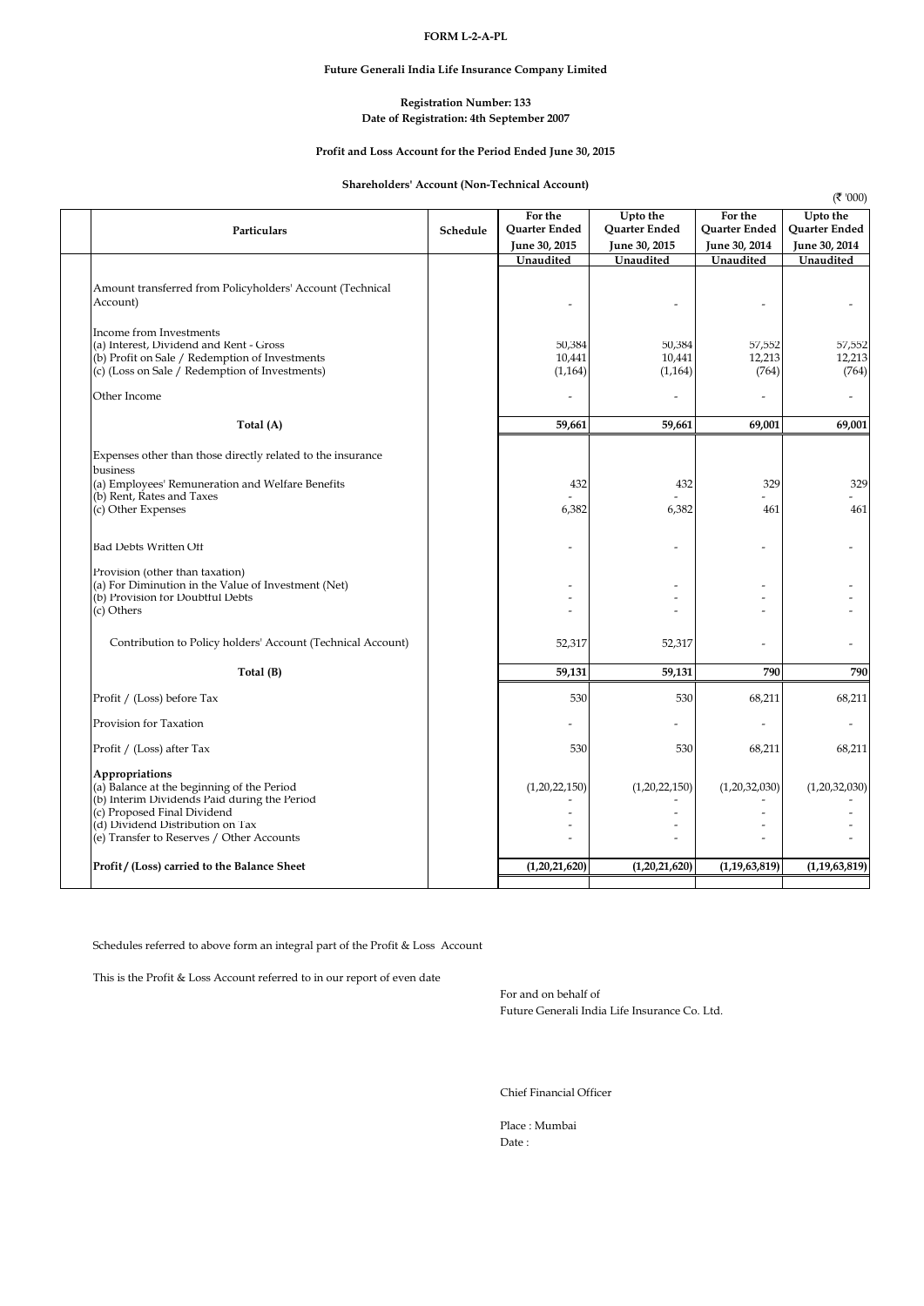## **FORM L-2-A-PL**

## **Future Generali India Life Insurance Company Limited**

# **Date of Registration: 4th September 2007 Registration Number: 133**

## **Profit and Loss Account for the Period Ended June 30, 2015**

# **Shareholders' Account (Non-Technical Account)**

|                                                                                                                                                                                                                              |          |                                           |                                            |                                           | (7'000)                                    |
|------------------------------------------------------------------------------------------------------------------------------------------------------------------------------------------------------------------------------|----------|-------------------------------------------|--------------------------------------------|-------------------------------------------|--------------------------------------------|
| Particulars                                                                                                                                                                                                                  | Schedule | For the<br>Quarter Ended<br>June 30, 2015 | Upto the<br>Quarter Ended<br>June 30, 2015 | For the<br>Quarter Ended<br>June 30, 2014 | Upto the<br>Quarter Ended<br>June 30, 2014 |
|                                                                                                                                                                                                                              |          | Unaudited                                 | Unaudited                                  | Unaudited                                 | Unaudited                                  |
| Amount transferred from Policyholders' Account (Technical<br>Account)                                                                                                                                                        |          |                                           |                                            |                                           |                                            |
| Income from Investments<br>(a) Interest, Dividend and Rent - Gross<br>(b) Profit on Sale / Redemption of Investments<br>(c) (Loss on Sale / Redemption of Investments)                                                       |          | 50,384<br>10,441<br>(1, 164)              | 50,384<br>10,441<br>(1, 164)               | 57,552<br>12,213<br>(764)                 | 57,552<br>12,213<br>(764)                  |
| Other Income                                                                                                                                                                                                                 |          |                                           |                                            |                                           |                                            |
| Total (A)                                                                                                                                                                                                                    |          | 59,661                                    | 59,661                                     | 69,001                                    | 69,001                                     |
| Expenses other than those directly related to the insurance<br>business<br>(a) Employees' Remuneration and Welfare Benefits<br>(b) Rent, Rates and Taxes<br>(c) Other Expenses                                               |          | 432<br>6,382                              | 432<br>6,382                               | 329<br>461                                | 329<br>461                                 |
| Bad Debts Written Off                                                                                                                                                                                                        |          |                                           |                                            |                                           |                                            |
| Provision (other than taxation)<br>(a) For Diminution in the Value of Investment (Net)<br>(b) Provision for Doubtful Debts<br>(c) Others                                                                                     |          |                                           |                                            |                                           |                                            |
| Contribution to Policy holders' Account (Technical Account)                                                                                                                                                                  |          | 52,317                                    | 52,317                                     |                                           |                                            |
| Total (B)                                                                                                                                                                                                                    |          | 59,131                                    | 59,131                                     | 790                                       | 790                                        |
| Profit / (Loss) before Tax                                                                                                                                                                                                   |          | 530                                       | 530                                        | 68,211                                    | 68,211                                     |
| Provision for Taxation                                                                                                                                                                                                       |          |                                           |                                            |                                           |                                            |
| Profit / (Loss) after Tax                                                                                                                                                                                                    |          | 530                                       | 530                                        | 68,211                                    | 68,211                                     |
| Appropriations<br>(a) Balance at the beginning of the Period<br>(b) Interim Dividends Paid during the Period<br>(c) Proposed Final Dividend<br>(d) Dividend Distribution on Tax<br>(e) Transfer to Reserves / Other Accounts |          | (1,20,22,150)                             | (1,20,22,150)                              | (1,20,32,030)                             | (1,20,32,030)                              |
| Profit / (Loss) carried to the Balance Sheet                                                                                                                                                                                 |          | (1,20,21,620)                             | (1,20,21,620)                              | (1, 19, 63, 819)                          | (1, 19, 63, 819)                           |
|                                                                                                                                                                                                                              |          |                                           |                                            |                                           |                                            |

Schedules referred to above form an integral part of the Profit & Loss Account

This is the Profit & Loss Account referred to in our report of even date

For and on behalf of Future Generali India Life Insurance Co. Ltd.

Chief Financial Officer

Place : Mumbai Date :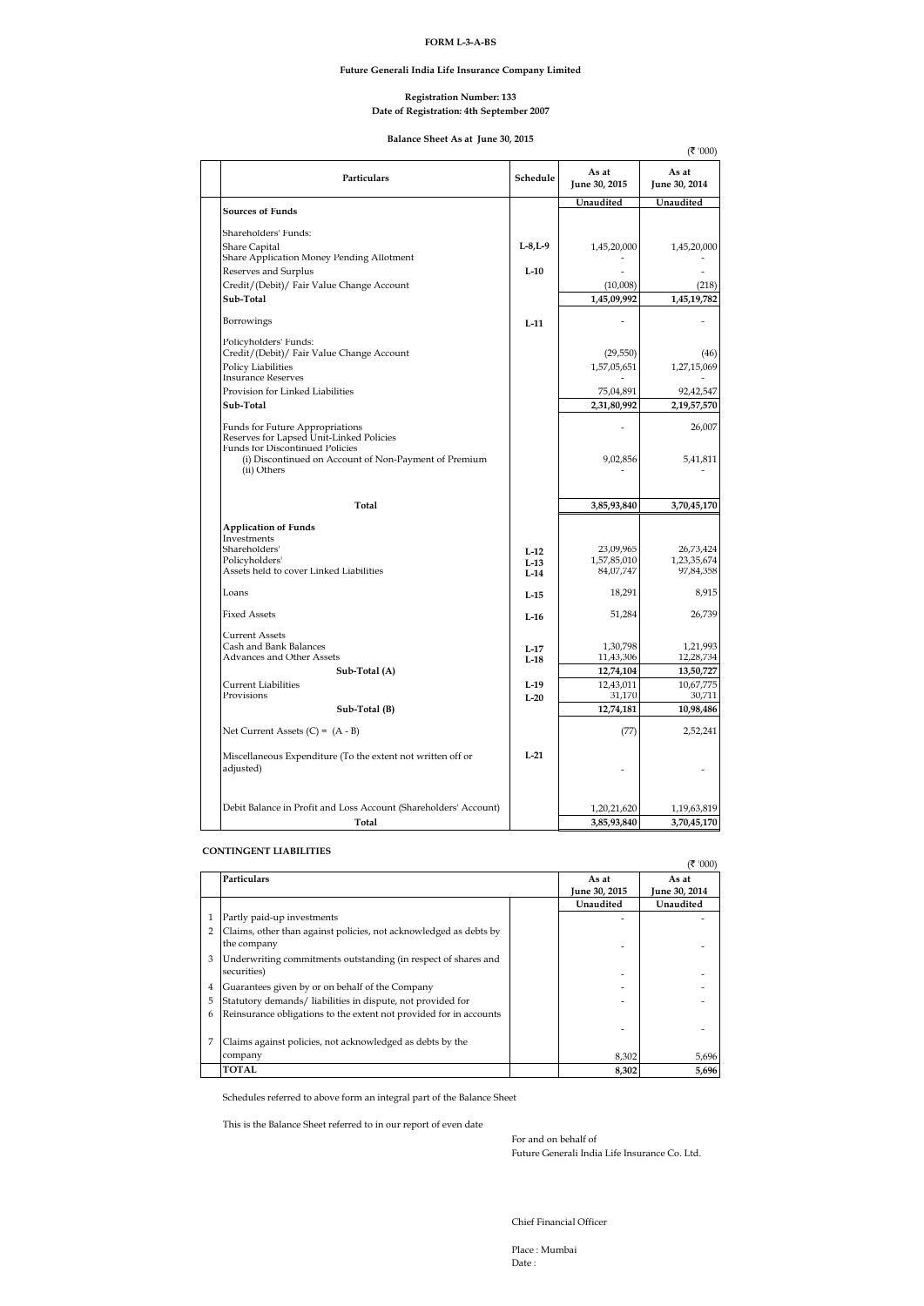## **FORM L-3-A-BS**

### **Future Generali India Life Insurance Company Limited**

#### **Date of Registration: 4th September 2007 Registration Number: 133**

**Balance Sheet As at June 30, 2015**

|                                                                             |                  |                        | (₹ '000)               |
|-----------------------------------------------------------------------------|------------------|------------------------|------------------------|
| Particulars                                                                 | Schedule         | As at<br>June 30, 2015 | As at<br>June 30, 2014 |
|                                                                             |                  | Unaudited              | Unaudited              |
| <b>Sources of Funds</b>                                                     |                  |                        |                        |
| Shareholders' Funds:                                                        |                  |                        |                        |
| <b>Share Capital</b>                                                        | $L-8, L-9$       | 1,45,20,000            | 1,45,20,000            |
| Share Application Money Pending Allotment<br>Reserves and Surplus           | $L-10$           |                        |                        |
| Credit/(Debit)/ Fair Value Change Account                                   |                  | (10,008)               | (218)                  |
| Sub-Total                                                                   |                  | 1,45,09,992            | 1,45,19,782            |
|                                                                             |                  |                        |                        |
| Borrowings                                                                  | $L-11$           |                        |                        |
| Policyholders' Funds:                                                       |                  |                        |                        |
| Credit/(Debit)/ Fair Value Change Account                                   |                  | (29, 550)              | (46)                   |
| <b>Policy Liabilities</b><br><b>Insurance Reserves</b>                      |                  | 1,57,05,651            | 1,27,15,069            |
| Provision for Linked Liabilities                                            |                  | 75,04,891              | 92,42,547              |
| Sub-Total                                                                   |                  | 2,31,80,992            | 2,19,57,570            |
|                                                                             |                  |                        |                        |
| Funds for Future Appropriations<br>Reserves for Lapsed Unit-Linked Policies |                  |                        | 26,007                 |
| <b>Funds for Discontinued Policies</b>                                      |                  |                        |                        |
| (i) Discontinued on Account of Non-Payment of Premium                       |                  | 9,02,856               | 5,41,811               |
| (ii) Others                                                                 |                  |                        |                        |
|                                                                             |                  |                        |                        |
| Total                                                                       |                  | 3,85,93,840            | 3,70,45,170            |
| <b>Application of Funds</b>                                                 |                  |                        |                        |
| Investments<br>Shareholders'                                                |                  | 23,09,965              | 26,73,424              |
| Policyholders'                                                              | $L-12$<br>$L-13$ | 1,57,85,010            | 1,23,35,674            |
| Assets held to cover Linked Liabilities                                     | $I - 14$         | 84,07,747              | 97,84,358              |
| Loans                                                                       | $L-15$           | 18,291                 | 8,915                  |
|                                                                             |                  |                        |                        |
| <b>Fixed Assets</b>                                                         | $L-16$           | 51,284                 | 26,739                 |
| <b>Current Assets</b>                                                       |                  |                        |                        |
| Cash and Bank Balances                                                      | $L-17$           | 1,30,798               | 1,21,993               |
| Advances and Other Assets<br>Sub-Total (A)                                  | $L-18$           | 11,43,306<br>12,74,104 | 12,28,734<br>13,50,727 |
| <b>Current Liabilities</b>                                                  | $L-19$           | 12,43,011              | 10,67,775              |
| Provisions                                                                  | $I - 20$         | 31,170                 | 30,711                 |
| Sub-Total (B)                                                               |                  | 12,74,181              | 10,98,486              |
| Net Current Assets (C) = $(A - B)$                                          |                  | (77)                   | 2,52,241               |
|                                                                             |                  |                        |                        |
| Miscellaneous Expenditure (To the extent not written off or                 | $L-21$           |                        |                        |
| adjusted)                                                                   |                  |                        |                        |
|                                                                             |                  |                        |                        |
| Debit Balance in Profit and Loss Account (Shareholders' Account)            |                  | 1,20,21,620            | 1,19,63,819            |
| Total                                                                       |                  | 3,85,93,840            | 3,70,45,170            |
|                                                                             |                  |                        |                        |

### **CONTINGENT LIABILITIES**

|   |                                                                                  |                      | (₹ '000)      |
|---|----------------------------------------------------------------------------------|----------------------|---------------|
|   | <b>Particulars</b>                                                               | As at                | As at         |
|   |                                                                                  | <b>June 30, 2015</b> | June 30, 2014 |
|   |                                                                                  | Unaudited            | Unaudited     |
|   | Partly paid-up investments                                                       |                      |               |
|   | Claims, other than against policies, not acknowledged as debts by<br>the company |                      |               |
| 3 | Underwriting commitments outstanding (in respect of shares and<br>securities)    |                      |               |
| 4 | Guarantees given by or on behalf of the Company                                  |                      |               |
| 5 | Statutory demands/ liabilities in dispute, not provided for                      |                      |               |
| 6 | Reinsurance obligations to the extent not provided for in accounts               |                      |               |
|   |                                                                                  |                      |               |
|   | Claims against policies, not acknowledged as debts by the                        |                      |               |
|   | company                                                                          | 8,302                | 5,696         |
|   | <b>TOTAL</b>                                                                     | 8,302                | 5,696         |

Schedules referred to above form an integral part of the Balance Sheet

This is the Balance Sheet referred to in our report of even date

For and on behalf of Future Generali India Life Insurance Co. Ltd.

Chief Financial Officer

Place : Mumbai Date :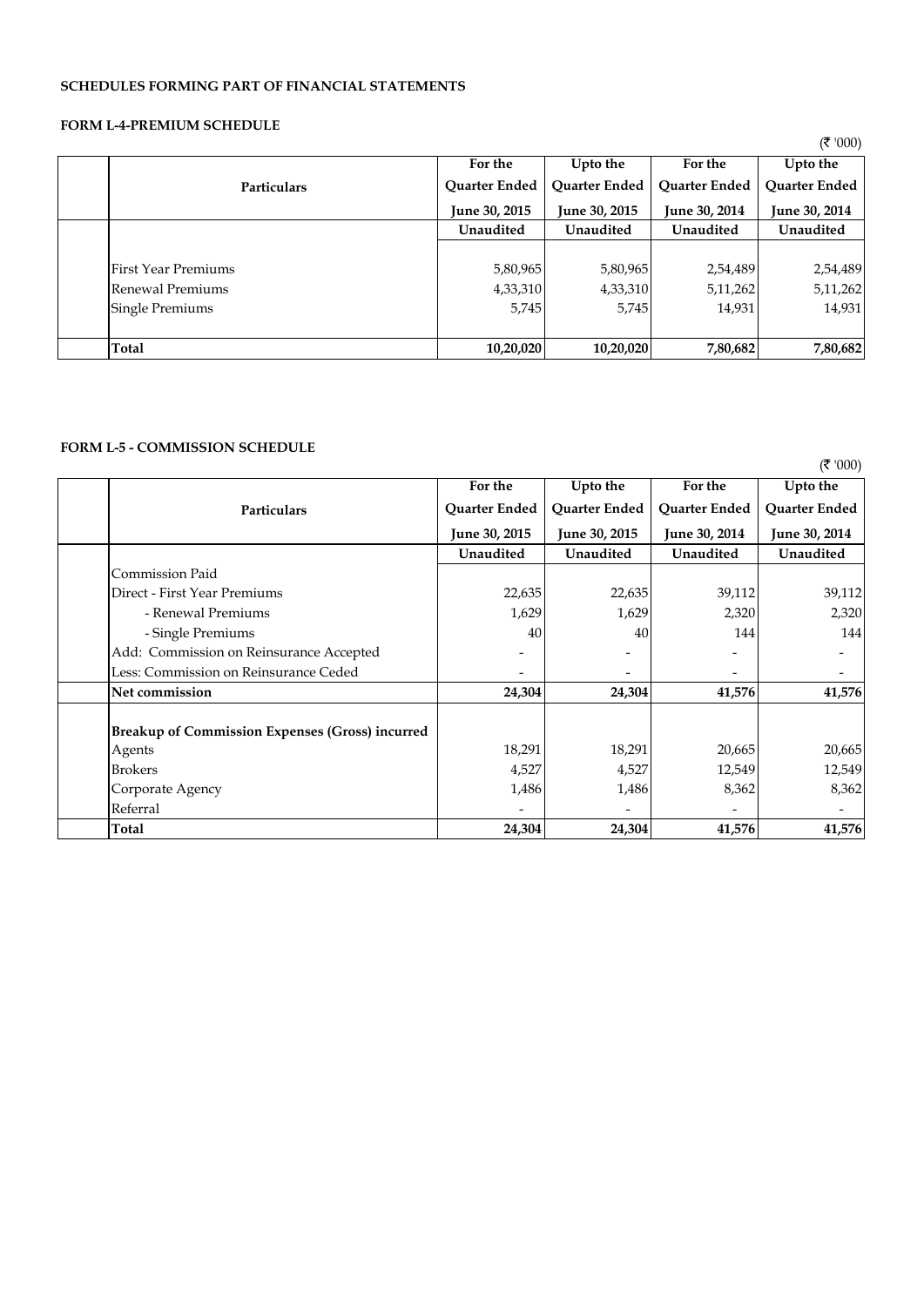# **SCHEDULES FORMING PART OF FINANCIAL STATEMENTS**

# **FORM L-4-PREMIUM SCHEDULE**

|                 |                     |                      |                      |                      | (7'000)              |
|-----------------|---------------------|----------------------|----------------------|----------------------|----------------------|
|                 |                     | For the              | Upto the             | For the              | Upto the             |
|                 | <b>Particulars</b>  | <b>Ouarter Ended</b> | <b>Ouarter Ended</b> | <b>Ouarter Ended</b> | <b>Ouarter Ended</b> |
|                 |                     | <b>June 30, 2015</b> | <b>June 30, 2015</b> | June 30, 2014        | June 30, 2014        |
|                 |                     | Unaudited            | Unaudited            | Unaudited            | Unaudited            |
|                 |                     |                      |                      |                      |                      |
|                 | First Year Premiums | 5,80,965             | 5,80,965             | 2,54,489             | 2,54,489             |
|                 | Renewal Premiums    | 4,33,310             | 4,33,310             | 5,11,262             | 5,11,262             |
| Single Premiums |                     | 5,745                | 5,745                | 14,931               | 14,931               |
|                 |                     |                      |                      |                      |                      |
| Total           |                     | 10,20,020            | 10,20,020            | 7,80,682             | 7,80,682             |

# **FORM L-5 - COMMISSION SCHEDULE**

|                                                        | For the              | Upto the      | For the       | Upto the      |
|--------------------------------------------------------|----------------------|---------------|---------------|---------------|
| Particulars                                            | Quarter Ended        | Quarter Ended | Quarter Ended | Quarter Ended |
|                                                        | <b>June 30, 2015</b> | June 30, 2015 | June 30, 2014 | June 30, 2014 |
|                                                        | Unaudited            | Unaudited     | Unaudited     | Unaudited     |
| <b>Commission Paid</b>                                 |                      |               |               |               |
| Direct - First Year Premiums                           | 22,635               | 22,635        | 39,112        | 39,112        |
| - Renewal Premiums                                     | 1,629                | 1,629         | 2,320         | 2,320         |
| - Single Premiums                                      | 40                   | 40            | 144           | 144           |
| Add: Commission on Reinsurance Accepted                |                      |               |               | -             |
| Less: Commission on Reinsurance Ceded                  |                      |               |               |               |
| Net commission                                         | 24,304               | 24,304        | 41,576        | 41,576        |
|                                                        |                      |               |               |               |
| <b>Breakup of Commission Expenses (Gross) incurred</b> |                      |               |               |               |
| Agents                                                 | 18,291               | 18,291        | 20,665        | 20,665        |
| <b>Brokers</b>                                         | 4,527                | 4,527         | 12,549        | 12,549        |
| Corporate Agency                                       | 1,486                | 1,486         | 8,362         | 8,362         |
| Referral                                               |                      |               |               |               |
| Total                                                  | 24,304               | 24,304        | 41,576        | 41,576        |

 $($ ₹ '000)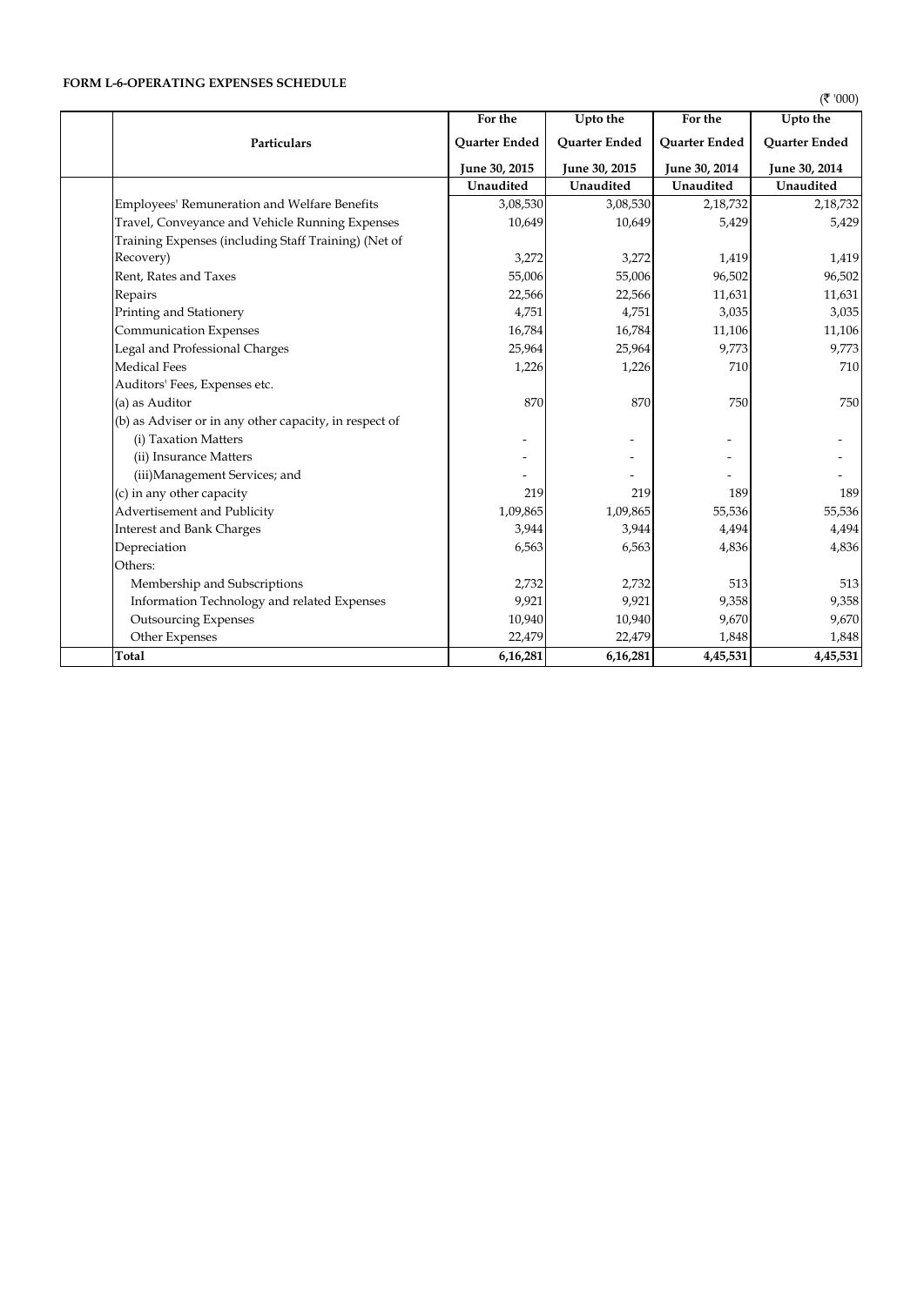# **FORM L-6-OPERATING EXPENSES SCHEDULE**

 $($ ₹ '000)

|                                                        | For the       | Upto the             | For the       | Upto the             |
|--------------------------------------------------------|---------------|----------------------|---------------|----------------------|
| Particulars                                            | Quarter Ended | <b>Ouarter Ended</b> | Quarter Ended | <b>Ouarter Ended</b> |
|                                                        | June 30, 2015 | June 30, 2015        | June 30, 2014 | June 30, 2014        |
|                                                        | Unaudited     | Unaudited            | Unaudited     | Unaudited            |
| <b>Employees' Remuneration and Welfare Benefits</b>    | 3,08,530      | 3,08,530             | 2,18,732      | 2,18,732             |
| Travel, Conveyance and Vehicle Running Expenses        | 10,649        | 10,649               | 5,429         | 5,429                |
| Training Expenses (including Staff Training) (Net of   |               |                      |               |                      |
| Recovery)                                              | 3,272         | 3,272                | 1,419         | 1,419                |
| Rent, Rates and Taxes                                  | 55,006        | 55,006               | 96,502        | 96,502               |
| Repairs                                                | 22,566        | 22,566               | 11,631        | 11,631               |
| Printing and Stationery                                | 4,751         | 4,751                | 3,035         | 3,035                |
| <b>Communication Expenses</b>                          | 16,784        | 16,784               | 11,106        | 11,106               |
| Legal and Professional Charges                         | 25,964        | 25,964               | 9,773         | 9,773                |
| <b>Medical Fees</b>                                    | 1,226         | 1,226                | 710           | 710                  |
| Auditors' Fees, Expenses etc.                          |               |                      |               |                      |
| (a) as Auditor                                         | 870           | 870                  | 750           | 750                  |
| (b) as Adviser or in any other capacity, in respect of |               |                      |               |                      |
| (i) Taxation Matters                                   |               |                      |               |                      |
| (ii) Insurance Matters                                 |               |                      |               |                      |
| (iii) Management Services; and                         |               |                      |               |                      |
| (c) in any other capacity                              | 219           | 219                  | 189           | 189                  |
| Advertisement and Publicity                            | 1,09,865      | 1,09,865             | 55,536        | 55,536               |
| <b>Interest and Bank Charges</b>                       | 3,944         | 3,944                | 4,494         | 4,494                |
| Depreciation                                           | 6,563         | 6,563                | 4,836         | 4,836                |
| Others:                                                |               |                      |               |                      |
| Membership and Subscriptions                           | 2,732         | 2,732                | 513           | 513                  |
| Information Technology and related Expenses            | 9,921         | 9,921                | 9,358         | 9,358                |
| <b>Outsourcing Expenses</b>                            | 10,940        | 10,940               | 9,670         | 9,670                |
| Other Expenses                                         | 22,479        | 22,479               | 1,848         | 1,848                |
| Total                                                  | 6,16,281      | 6,16,281             | 4,45,531      | 4,45,531             |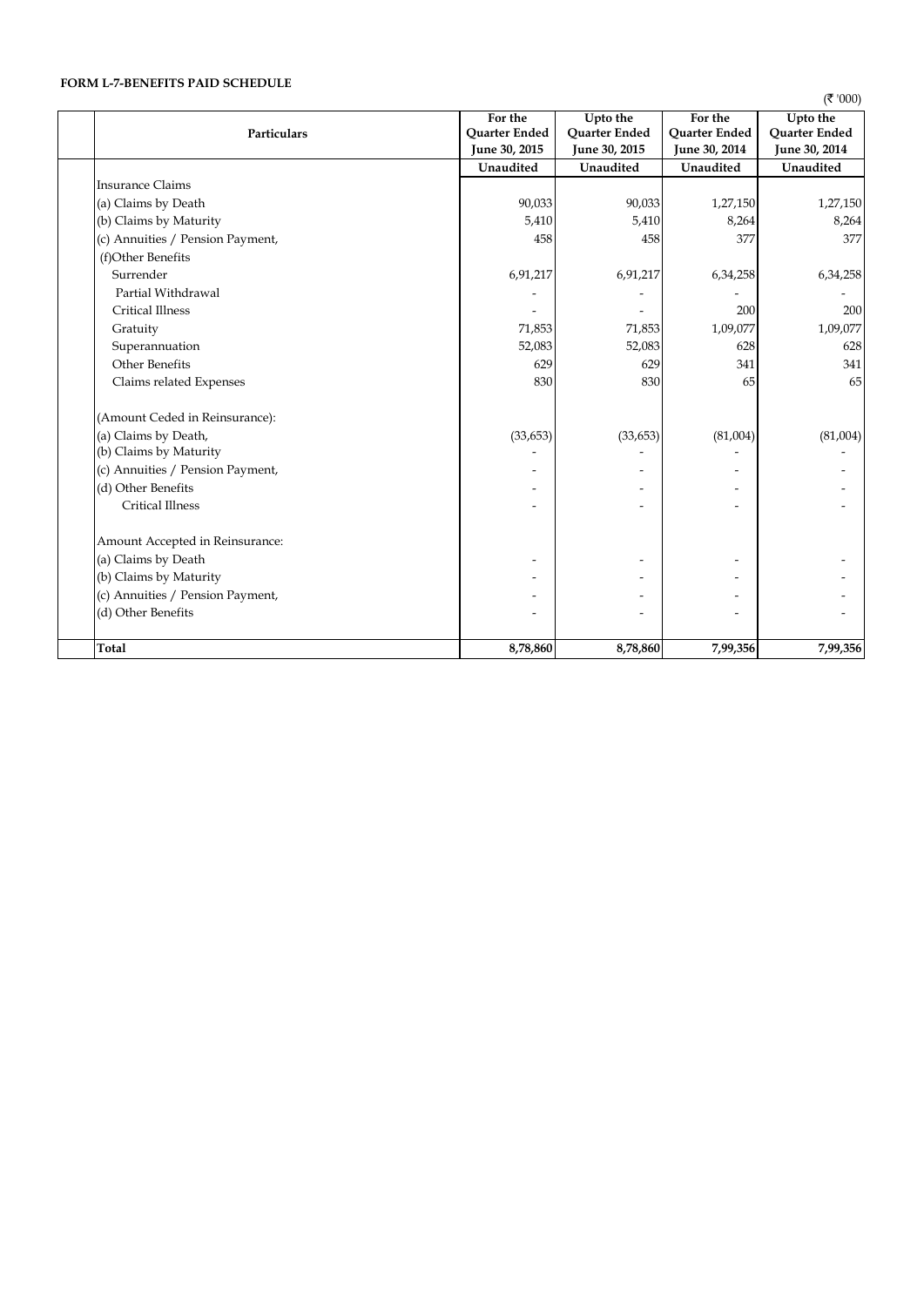# **FORM L-7-BENEFITS PAID SCHEDULE**

 $($ ₹'000)

|                                  | For the       | Upto the      | For the              | Upto the      |
|----------------------------------|---------------|---------------|----------------------|---------------|
| Particulars                      | Quarter Ended | Quarter Ended | <b>Quarter Ended</b> | Quarter Ended |
|                                  | June 30, 2015 | June 30, 2015 | June 30, 2014        | June 30, 2014 |
|                                  | Unaudited     | Unaudited     | Unaudited            | Unaudited     |
| <b>Insurance Claims</b>          |               |               |                      |               |
| (a) Claims by Death              | 90,033        | 90,033        | 1,27,150             | 1,27,150      |
| (b) Claims by Maturity           | 5,410         | 5,410         | 8,264                | 8,264         |
| (c) Annuities / Pension Payment, | 458           | 458           | 377                  | 377           |
| (f)Other Benefits                |               |               |                      |               |
| Surrender                        | 6,91,217      | 6,91,217      | 6,34,258             | 6,34,258      |
| Partial Withdrawal               |               |               |                      |               |
| <b>Critical Illness</b>          |               |               | 200                  | 200           |
| Gratuity                         | 71,853        | 71,853        | 1,09,077             | 1,09,077      |
| Superannuation                   | 52,083        | 52,083        | 628                  | 628           |
| <b>Other Benefits</b>            | 629           | 629           | 341                  | 341           |
| Claims related Expenses          | 830           | 830           | 65                   | 65            |
| (Amount Ceded in Reinsurance):   |               |               |                      |               |
| (a) Claims by Death,             | (33, 653)     | (33, 653)     | (81,004)             | (81,004)      |
| (b) Claims by Maturity           |               |               |                      |               |
| (c) Annuities / Pension Payment, |               |               |                      |               |
| (d) Other Benefits               |               |               |                      |               |
| <b>Critical Illness</b>          |               |               |                      |               |
| Amount Accepted in Reinsurance:  |               |               |                      |               |
| (a) Claims by Death              |               |               |                      |               |
| (b) Claims by Maturity           |               |               |                      |               |
| (c) Annuities / Pension Payment, |               |               |                      |               |
| (d) Other Benefits               |               |               |                      |               |
| Total                            | 8,78,860      | 8,78,860      | 7,99,356             | 7,99,356      |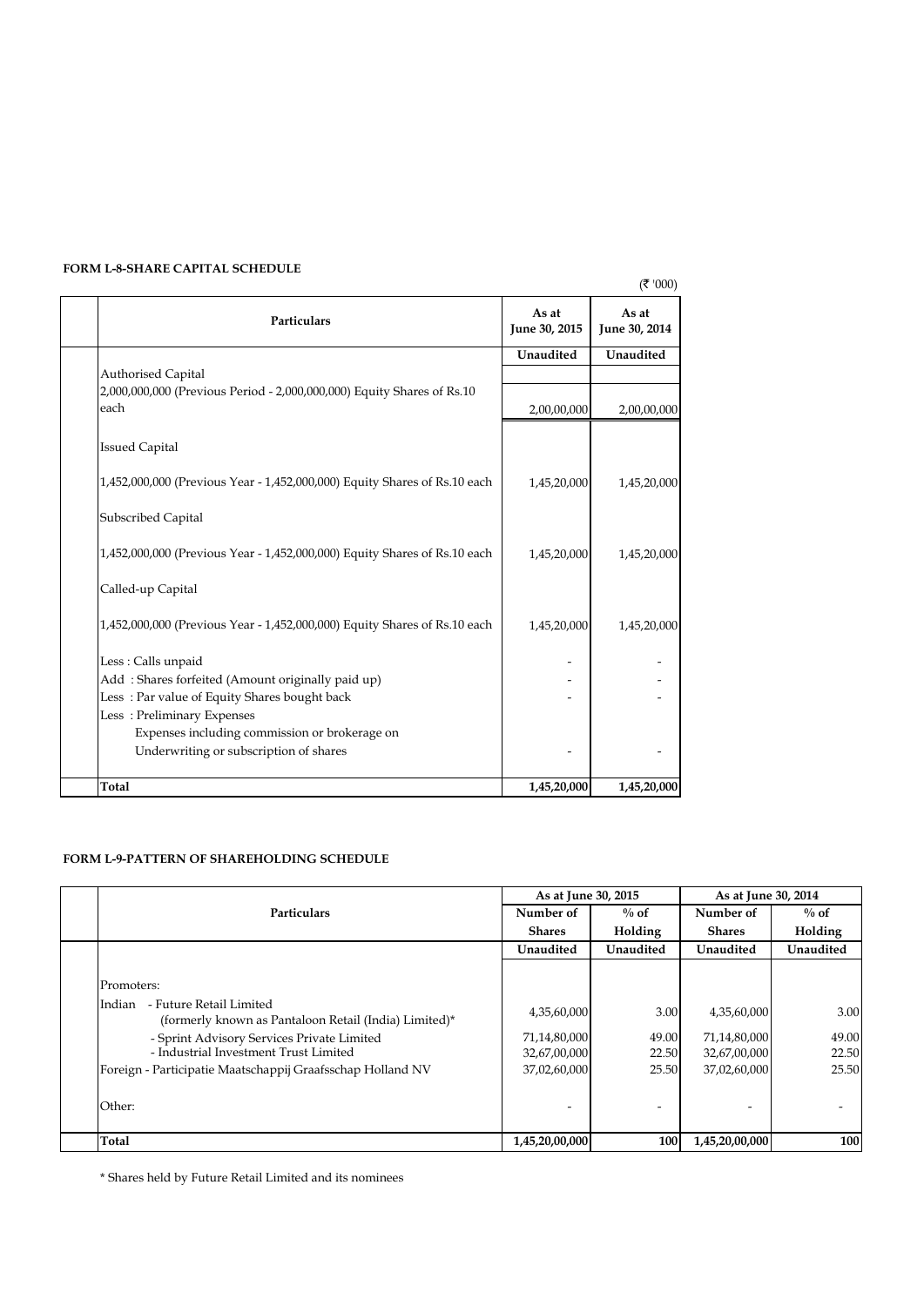# **FORM L-8-SHARE CAPITAL SCHEDULE**

|                                                                                |                        | ( ₹ '000)              |
|--------------------------------------------------------------------------------|------------------------|------------------------|
| <b>Particulars</b>                                                             | As at<br>June 30, 2015 | As at<br>June 30, 2014 |
|                                                                                | Unaudited              | Unaudited              |
| Authorised Capital                                                             |                        |                        |
| 2,000,000,000 (Previous Period - 2,000,000,000) Equity Shares of Rs.10<br>each | 2,00,00,000            | 2,00,00,000            |
| <b>Issued Capital</b>                                                          |                        |                        |
| 1,452,000,000 (Previous Year - 1,452,000,000) Equity Shares of Rs.10 each      | 1,45,20,000            | 1,45,20,000            |
| Subscribed Capital                                                             |                        |                        |
| 1,452,000,000 (Previous Year - 1,452,000,000) Equity Shares of Rs.10 each      | 1,45,20,000            | 1,45,20,000            |
| Called-up Capital                                                              |                        |                        |
| 1,452,000,000 (Previous Year - 1,452,000,000) Equity Shares of Rs.10 each      | 1,45,20,000            | 1,45,20,000            |
| Less: Calls unpaid                                                             |                        |                        |
| Add: Shares forfeited (Amount originally paid up)                              |                        |                        |
| Less: Par value of Equity Shares bought back                                   |                        |                        |
| Less: Preliminary Expenses                                                     |                        |                        |
| Expenses including commission or brokerage on                                  |                        |                        |
| Underwriting or subscription of shares                                         |                        |                        |
| Total                                                                          | 1,45,20,000            | 1,45,20,000            |

# **FORM L-9-PATTERN OF SHAREHOLDING SCHEDULE**

|                                                                                            | As at June 30, 2015 |                          | As at June 30, 2014 |           |
|--------------------------------------------------------------------------------------------|---------------------|--------------------------|---------------------|-----------|
| <b>Particulars</b>                                                                         | Number of           | $\%$ of                  | Number of           | $\%$ of   |
|                                                                                            | <b>Shares</b>       | Holding                  | <b>Shares</b>       | Holding   |
|                                                                                            | Unaudited           | Unaudited                | Unaudited           | Unaudited |
|                                                                                            |                     |                          |                     |           |
| Promoters:                                                                                 |                     |                          |                     |           |
| - Future Retail Limited<br>Indian<br>(formerly known as Pantaloon Retail (India) Limited)* | 4,35,60,000         | 3.00                     | 4,35,60,000         | 3.00      |
| - Sprint Advisory Services Private Limited                                                 | 71,14,80,000        | 49.00                    | 71,14,80,000        | 49.00     |
| - Industrial Investment Trust Limited                                                      | 32,67,00,000        | 22.50                    | 32,67,00,000        | 22.50     |
| Foreign - Participatie Maatschappij Graafsschap Holland NV                                 | 37,02,60,000        | 25.50                    | 37,02,60,000        | 25.50     |
|                                                                                            |                     |                          |                     |           |
| Other:                                                                                     | ۰                   | $\overline{\phantom{0}}$ | ۰                   |           |
|                                                                                            |                     |                          |                     |           |
| Total                                                                                      | 1,45,20,00,000      | 100                      | 1,45,20,00,000      | 100       |

\* Shares held by Future Retail Limited and its nominees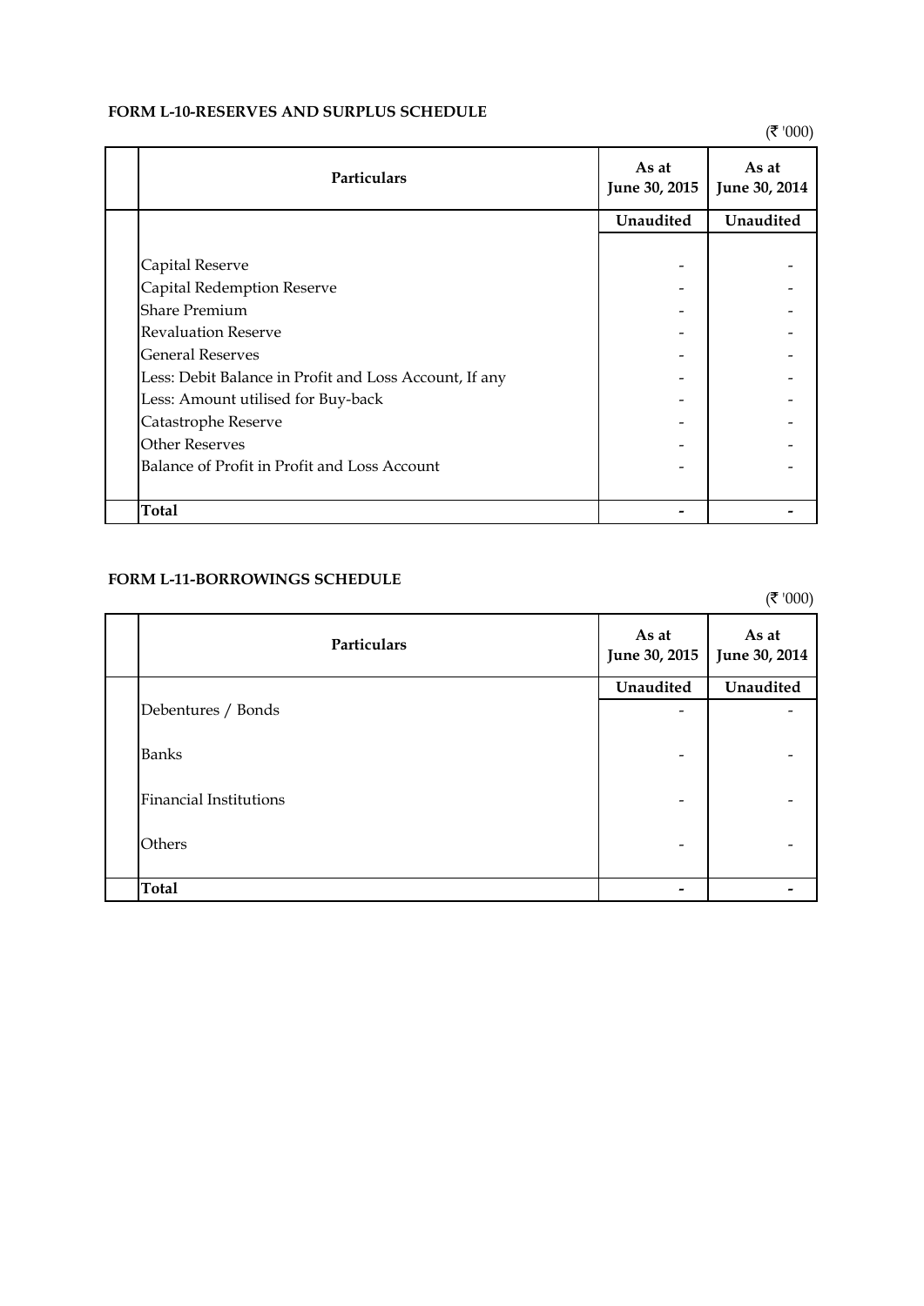# **FORM L-10-RESERVES AND SURPLUS SCHEDULE**

 $($ ₹'000)

| <b>Particulars</b>                                     | As at<br>June 30, 2015 | As at<br>June 30, 2014 |
|--------------------------------------------------------|------------------------|------------------------|
|                                                        | Unaudited              | Unaudited              |
|                                                        |                        |                        |
| Capital Reserve                                        |                        |                        |
| Capital Redemption Reserve                             |                        |                        |
| <b>Share Premium</b>                                   |                        |                        |
| <b>Revaluation Reserve</b>                             |                        |                        |
| <b>General Reserves</b>                                |                        |                        |
| Less: Debit Balance in Profit and Loss Account, If any |                        |                        |
| Less: Amount utilised for Buy-back                     |                        |                        |
| Catastrophe Reserve                                    |                        |                        |
| <b>Other Reserves</b>                                  |                        |                        |
| Balance of Profit in Profit and Loss Account           |                        |                        |
|                                                        |                        |                        |
| <b>Total</b>                                           |                        |                        |

# **FORM L-11-BORROWINGS SCHEDULE**

 $($ ₹'000)

| Particulars                   | As at<br>June 30, 2015       | As at<br>June 30, 2014 |
|-------------------------------|------------------------------|------------------------|
|                               | Unaudited                    | Unaudited              |
| Debentures / Bonds            | -                            |                        |
| <b>Banks</b>                  | $\qquad \qquad \blacksquare$ |                        |
| <b>Financial Institutions</b> | $\qquad \qquad \blacksquare$ |                        |
| Others                        | $\qquad \qquad \blacksquare$ |                        |
| <b>Total</b>                  | -                            |                        |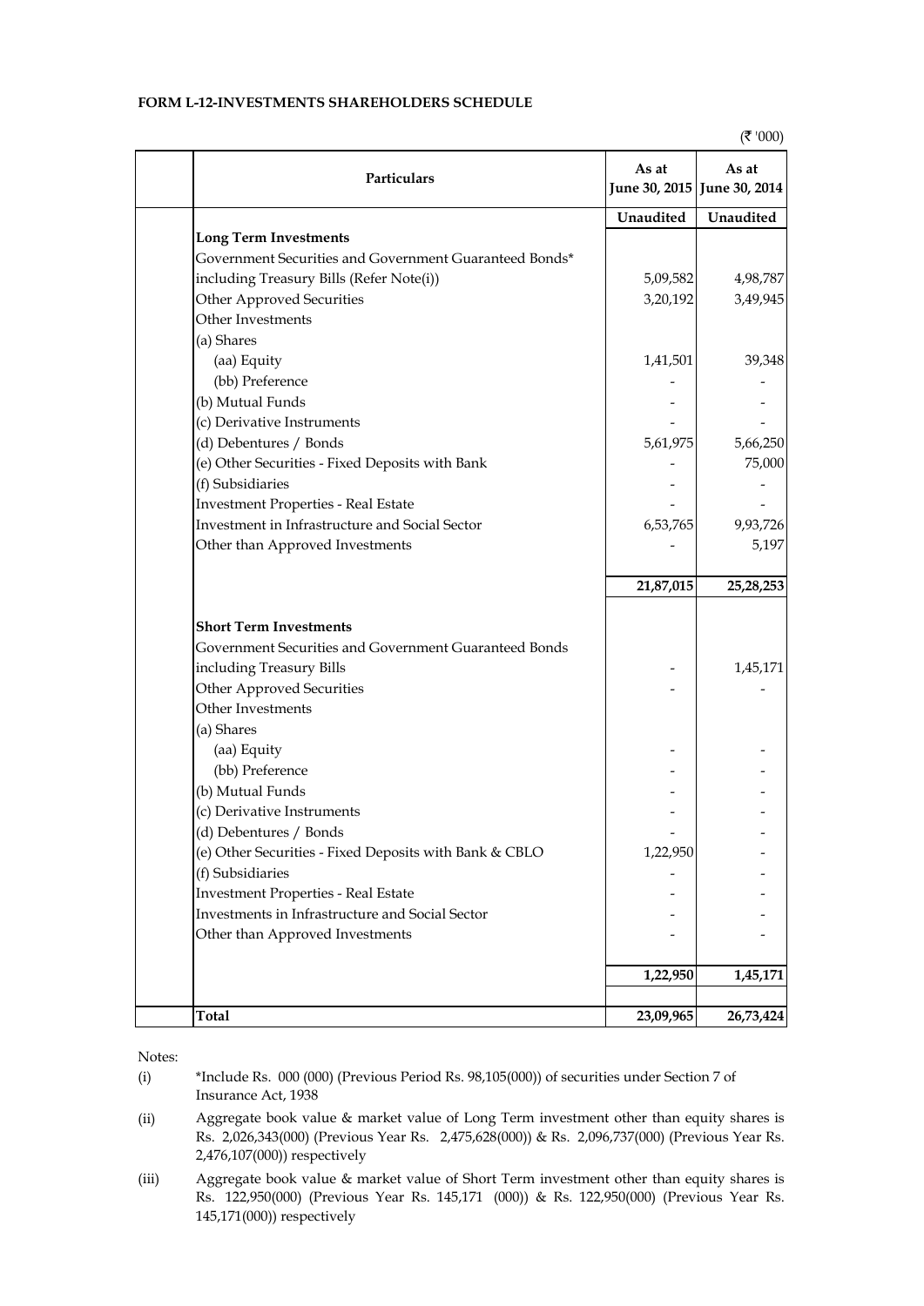# **FORM L-12-INVESTMENTS SHAREHOLDERS SCHEDULE**

| Particulars                                            | As at     | As at<br>June 30, 2015 June 30, 2014 |
|--------------------------------------------------------|-----------|--------------------------------------|
|                                                        | Unaudited | Unaudited                            |
| <b>Long Term Investments</b>                           |           |                                      |
| Government Securities and Government Guaranteed Bonds* |           |                                      |
| including Treasury Bills (Refer Note(i))               | 5,09,582  | 4,98,787                             |
| Other Approved Securities                              | 3,20,192  | 3,49,945                             |
| Other Investments                                      |           |                                      |
| (a) Shares                                             |           |                                      |
| (aa) Equity                                            | 1,41,501  | 39,348                               |
| (bb) Preference                                        |           |                                      |
| (b) Mutual Funds                                       |           |                                      |
| (c) Derivative Instruments                             |           |                                      |
| (d) Debentures / Bonds                                 | 5,61,975  | 5,66,250                             |
| (e) Other Securities - Fixed Deposits with Bank        |           | 75,000                               |
| (f) Subsidiaries                                       |           |                                      |
| <b>Investment Properties - Real Estate</b>             |           |                                      |
| Investment in Infrastructure and Social Sector         | 6,53,765  | 9,93,726                             |
| Other than Approved Investments                        |           | 5,197                                |
|                                                        | 21,87,015 | 25, 28, 253                          |
| <b>Short Term Investments</b>                          |           |                                      |
| Government Securities and Government Guaranteed Bonds  |           |                                      |
| including Treasury Bills                               |           | 1,45,171                             |
| Other Approved Securities                              |           |                                      |
| Other Investments                                      |           |                                      |
| (a) Shares                                             |           |                                      |
| (aa) Equity                                            |           |                                      |
| (bb) Preference                                        |           |                                      |
| (b) Mutual Funds                                       |           |                                      |
| (c) Derivative Instruments                             |           |                                      |
| (d) Debentures / Bonds                                 |           |                                      |
| (e) Other Securities - Fixed Deposits with Bank & CBLO | 1,22,950  |                                      |
| (f) Subsidiaries                                       |           |                                      |
| <b>Investment Properties - Real Estate</b>             |           |                                      |
| Investments in Infrastructure and Social Sector        |           |                                      |
| Other than Approved Investments                        |           |                                      |
|                                                        | 1,22,950  | 1,45,171                             |
|                                                        |           |                                      |
| Total                                                  | 23,09,965 | 26,73,424                            |

Notes:

(i) \*Include Rs. 000 (000) (Previous Period Rs. 98,105(000)) of securities under Section 7 of Insurance Act, 1938

(ii) Aggregate book value & market value of Long Term investment other than equity shares is Rs. 2,026,343(000) (Previous Year Rs. 2,475,628(000)) & Rs. 2,096,737(000) (Previous Year Rs. 2,476,107(000)) respectively

(iii) Aggregate book value & market value of Short Term investment other than equity shares is Rs. 122,950(000) (Previous Year Rs. 145,171 (000)) & Rs. 122,950(000) (Previous Year Rs. 145,171(000)) respectively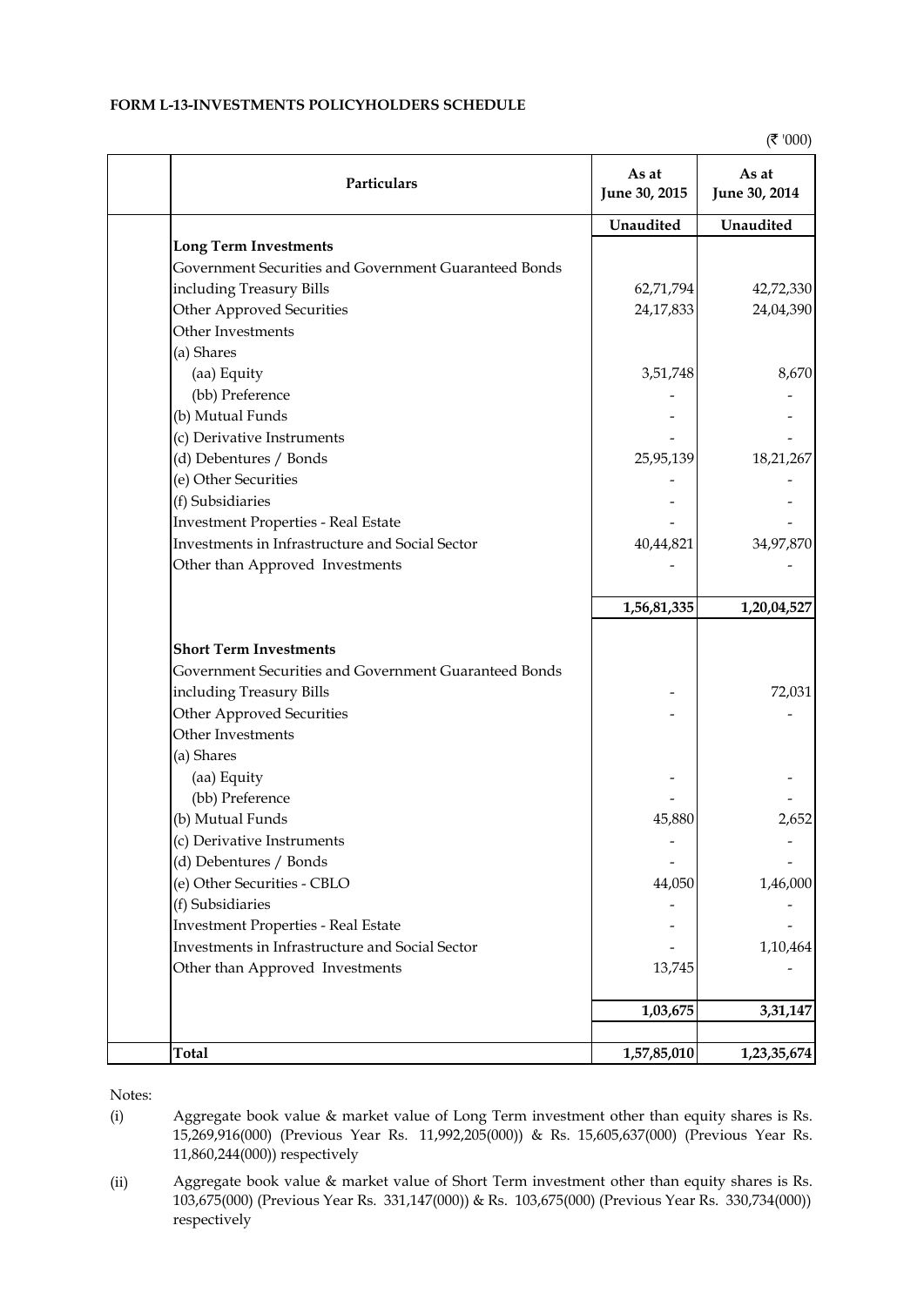# **FORM L-13-INVESTMENTS POLICYHOLDERS SCHEDULE**

 $($ ₹ '000)

| Particulars                                           | As at<br>June 30, 2015 | As at<br>June 30, 2014 |
|-------------------------------------------------------|------------------------|------------------------|
|                                                       | Unaudited              | Unaudited              |
| <b>Long Term Investments</b>                          |                        |                        |
| Government Securities and Government Guaranteed Bonds |                        |                        |
| including Treasury Bills                              | 62,71,794              | 42,72,330              |
| Other Approved Securities                             | 24,17,833              | 24,04,390              |
| Other Investments                                     |                        |                        |
| (a) Shares                                            |                        |                        |
| (aa) Equity                                           | 3,51,748               | 8,670                  |
| (bb) Preference                                       |                        |                        |
| (b) Mutual Funds                                      |                        |                        |
| (c) Derivative Instruments                            |                        |                        |
| (d) Debentures / Bonds                                | 25,95,139              | 18,21,267              |
| (e) Other Securities                                  |                        |                        |
| (f) Subsidiaries                                      |                        |                        |
| <b>Investment Properties - Real Estate</b>            |                        |                        |
| Investments in Infrastructure and Social Sector       | 40,44,821              | 34,97,870              |
| Other than Approved Investments                       |                        |                        |
|                                                       | 1,56,81,335            | 1,20,04,527            |
| <b>Short Term Investments</b>                         |                        |                        |
| Government Securities and Government Guaranteed Bonds |                        |                        |
| including Treasury Bills                              |                        | 72,031                 |
| Other Approved Securities                             |                        |                        |
| Other Investments                                     |                        |                        |
| (a) Shares                                            |                        |                        |
| (aa) Equity                                           |                        |                        |
| (bb) Preference                                       |                        |                        |
| (b) Mutual Funds                                      | 45,880                 | 2,652                  |
| (c) Derivative Instruments                            |                        |                        |
| (d) Debentures / Bonds                                |                        |                        |
| (e) Other Securities - CBLO                           | 44,050                 | 1,46,000               |
| (f) Subsidiaries                                      |                        |                        |
| <b>Investment Properties - Real Estate</b>            |                        |                        |
| Investments in Infrastructure and Social Sector       |                        | 1,10,464               |
| Other than Approved Investments                       | 13,745                 |                        |
|                                                       | 1,03,675               | 3,31,147               |
| <b>Total</b>                                          | 1,57,85,010            | 1,23,35,674            |

Notes:

(i) Aggregate book value & market value of Long Term investment other than equity shares is Rs. 15,269,916(000) (Previous Year Rs. 11,992,205(000)) & Rs. 15,605,637(000) (Previous Year Rs. 11,860,244(000)) respectively

(ii) Aggregate book value & market value of Short Term investment other than equity shares is Rs. 103,675(000) (Previous Year Rs. 331,147(000)) & Rs. 103,675(000) (Previous Year Rs. 330,734(000)) respectively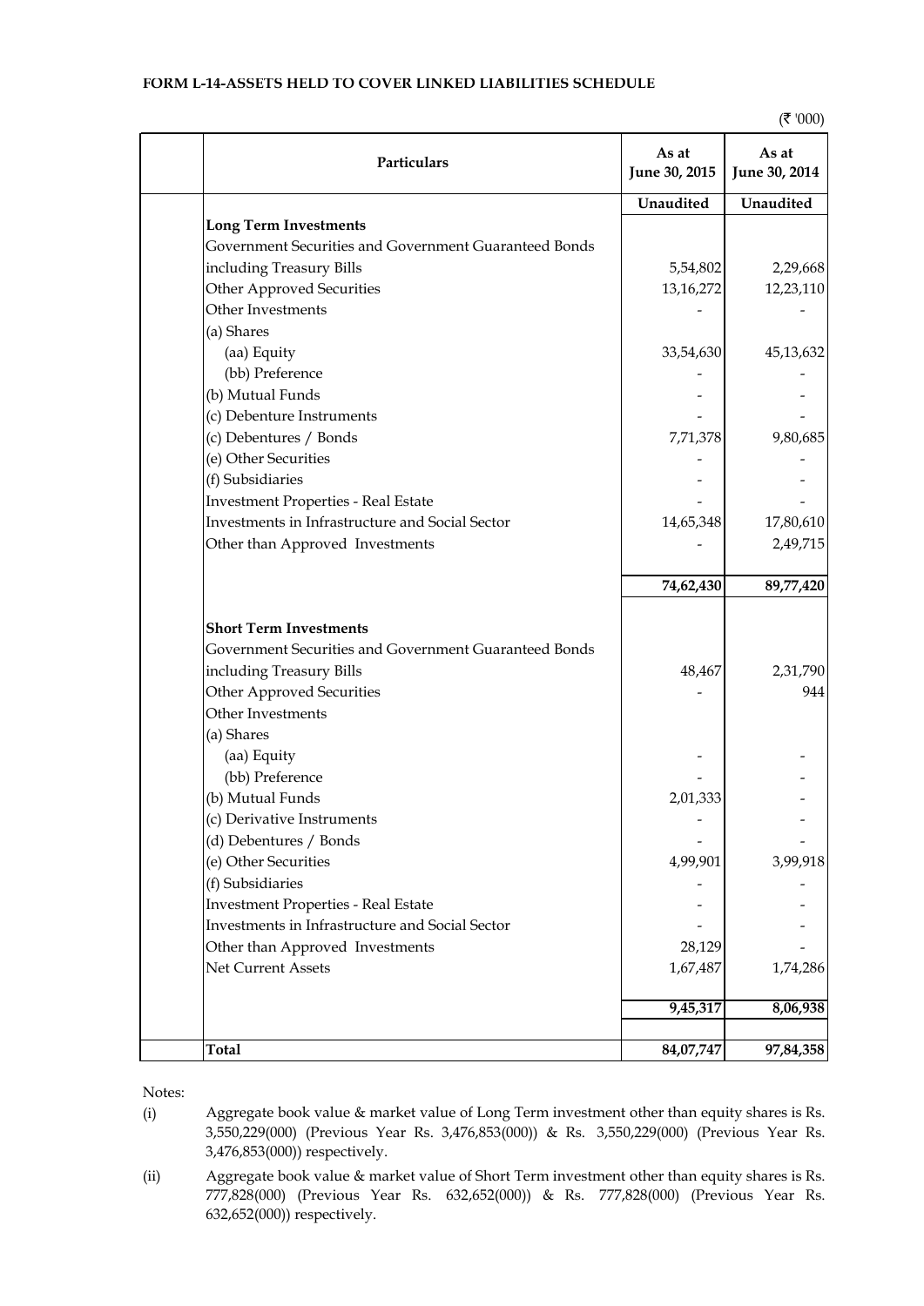# **FORM L-14-ASSETS HELD TO COVER LINKED LIABILITIES SCHEDULE**

| Particulars                                           | As at<br>June 30, 2015 | As at<br>June 30, 2014 |
|-------------------------------------------------------|------------------------|------------------------|
|                                                       | Unaudited              | Unaudited              |
| <b>Long Term Investments</b>                          |                        |                        |
| Government Securities and Government Guaranteed Bonds |                        |                        |
| including Treasury Bills                              | 5,54,802               | 2,29,668               |
| Other Approved Securities                             | 13,16,272              | 12,23,110              |
| Other Investments                                     |                        |                        |
| (a) Shares                                            |                        |                        |
| (aa) Equity                                           | 33,54,630              | 45,13,632              |
| (bb) Preference                                       |                        |                        |
| (b) Mutual Funds                                      |                        |                        |
| (c) Debenture Instruments                             |                        |                        |
| (c) Debentures / Bonds                                | 7,71,378               | 9,80,685               |
| (e) Other Securities                                  |                        |                        |
| (f) Subsidiaries                                      |                        |                        |
| <b>Investment Properties - Real Estate</b>            |                        |                        |
| Investments in Infrastructure and Social Sector       | 14,65,348              | 17,80,610              |
| Other than Approved Investments                       |                        | 2,49,715               |
|                                                       | 74,62,430              | 89,77,420              |
| <b>Short Term Investments</b>                         |                        |                        |
| Government Securities and Government Guaranteed Bonds |                        |                        |
| including Treasury Bills                              | 48,467                 | 2,31,790               |
| Other Approved Securities                             |                        | 944                    |
| Other Investments                                     |                        |                        |
| (a) Shares                                            |                        |                        |
| (aa) Equity                                           |                        |                        |
| (bb) Preference                                       |                        |                        |
| (b) Mutual Funds                                      | 2,01,333               |                        |
| (c) Derivative Instruments                            |                        |                        |
| (d) Debentures / Bonds                                |                        |                        |
| (e) Other Securities                                  | 4,99,901               | 3,99,918               |
| (f) Subsidiaries                                      |                        |                        |
| <b>Investment Properties - Real Estate</b>            |                        |                        |
| Investments in Infrastructure and Social Sector       |                        |                        |
| Other than Approved Investments                       | 28,129                 |                        |
| Net Current Assets                                    | 1,67,487               | 1,74,286               |
|                                                       | 9,45,317               | 8,06,938               |
|                                                       |                        |                        |
| <b>Total</b>                                          | 84,07,747              | 97,84,358              |

Notes:

(i) Aggregate book value & market value of Long Term investment other than equity shares is Rs. 3,550,229(000) (Previous Year Rs. 3,476,853(000)) & Rs. 3,550,229(000) (Previous Year Rs. 3,476,853(000)) respectively.

(ii) Aggregate book value & market value of Short Term investment other than equity shares is Rs. 777,828(000) (Previous Year Rs. 632,652(000)) & Rs. 777,828(000) (Previous Year Rs. 632,652(000)) respectively.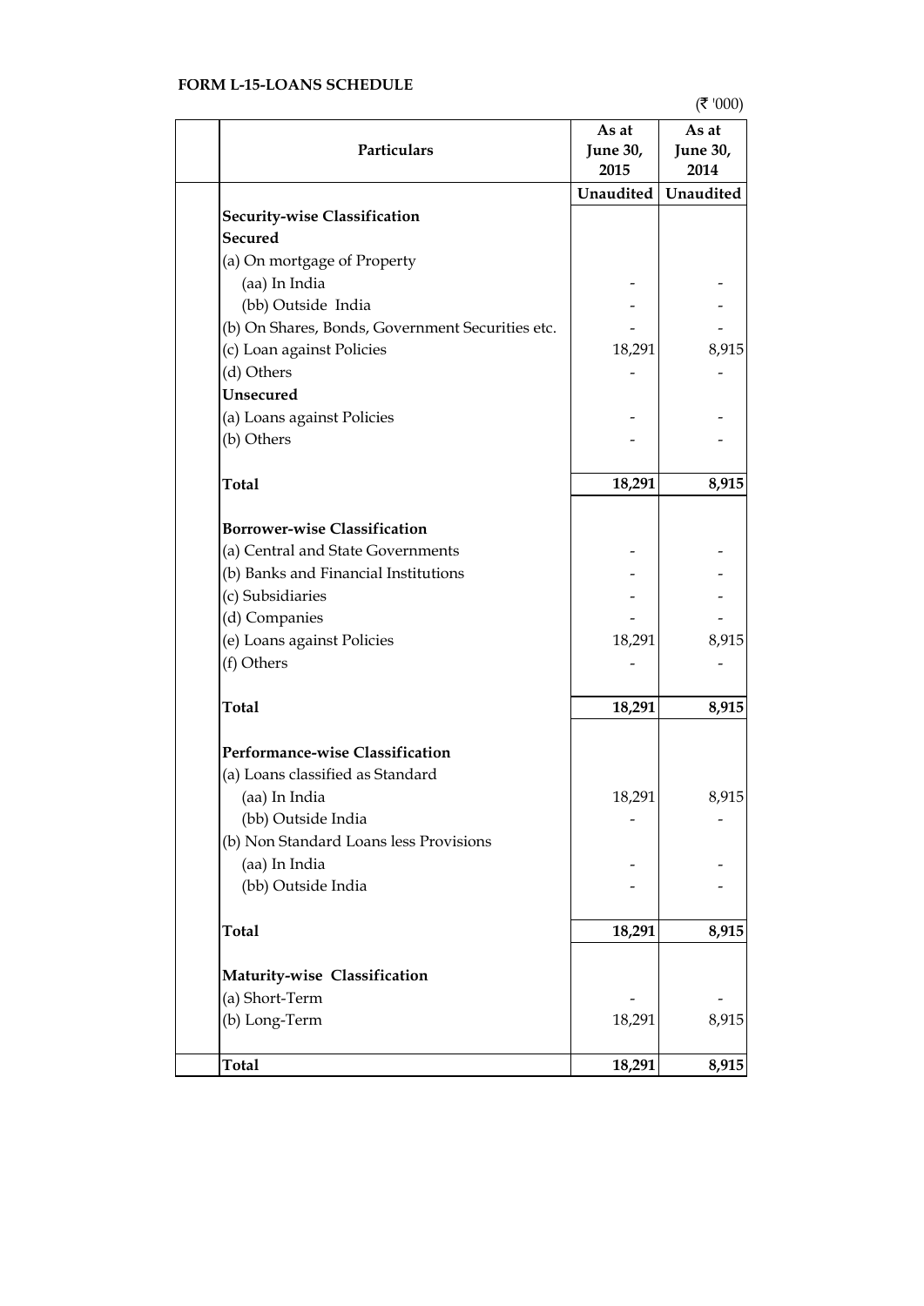# **FORM L-15-LOANS SCHEDULE**

 $($ ₹ '000)

| Particulars                                      | As at<br><b>June 30,</b><br>2015 | As at<br><b>June 30,</b><br>2014 |
|--------------------------------------------------|----------------------------------|----------------------------------|
|                                                  | Unaudited                        | Unaudited                        |
| Security-wise Classification                     |                                  |                                  |
| <b>Secured</b>                                   |                                  |                                  |
| (a) On mortgage of Property                      |                                  |                                  |
| (aa) In India                                    |                                  |                                  |
| (bb) Outside India                               |                                  |                                  |
| (b) On Shares, Bonds, Government Securities etc. |                                  |                                  |
| (c) Loan against Policies                        | 18,291                           | 8,915                            |
| (d) Others                                       |                                  |                                  |
| <b>Unsecured</b>                                 |                                  |                                  |
| (a) Loans against Policies                       |                                  |                                  |
| (b) Others                                       |                                  |                                  |
| <b>Total</b>                                     | 18,291                           | 8,915                            |
|                                                  |                                  |                                  |
| <b>Borrower-wise Classification</b>              |                                  |                                  |
| (a) Central and State Governments                |                                  |                                  |
| (b) Banks and Financial Institutions             |                                  |                                  |
| (c) Subsidiaries                                 |                                  |                                  |
| (d) Companies                                    |                                  |                                  |
| (e) Loans against Policies                       | 18,291                           | 8,915                            |
| (f) Others                                       |                                  |                                  |
| <b>Total</b>                                     | 18,291                           | 8,915                            |
| Performance-wise Classification                  |                                  |                                  |
| (a) Loans classified as Standard                 |                                  |                                  |
| (aa) In India                                    | 18,291                           | 8,915                            |
| (bb) Outside India                               |                                  |                                  |
| (b) Non Standard Loans less Provisions           |                                  |                                  |
| (aa) In India                                    |                                  |                                  |
| (bb) Outside India                               |                                  |                                  |
| <b>Total</b>                                     | 18,291                           | 8,915                            |
| Maturity-wise Classification                     |                                  |                                  |
| (a) Short-Term                                   |                                  |                                  |
| (b) Long-Term                                    | 18,291                           | 8,915                            |
| <b>Total</b>                                     | 18,291                           | 8,915                            |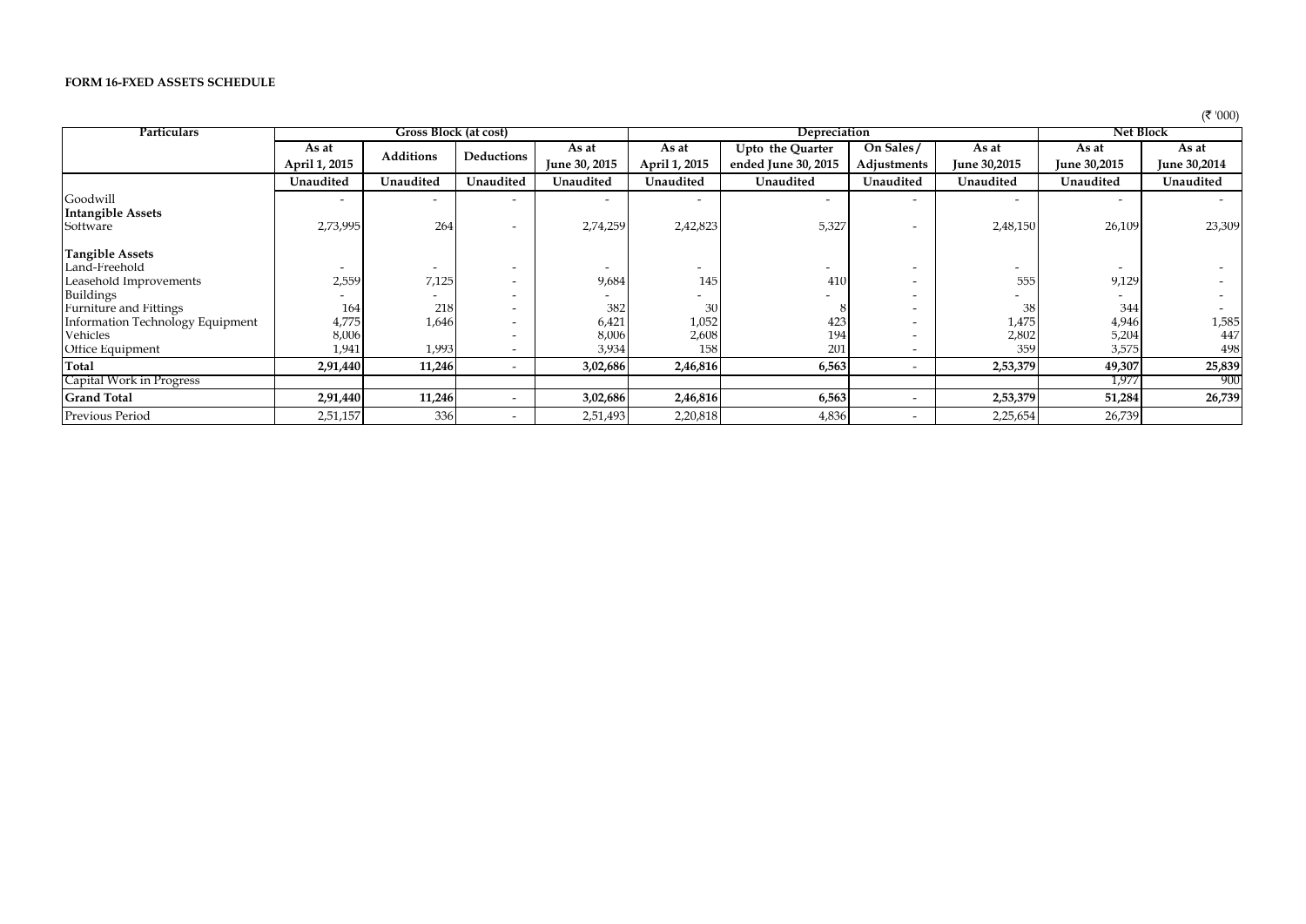### **FORM 16-FXED ASSETS SCHEDULE**

| ''000) |
|--------|
|        |

|                                  |                                       |                          |                          |               |                          |                          |                          |                          |              | $\cdots$            |
|----------------------------------|---------------------------------------|--------------------------|--------------------------|---------------|--------------------------|--------------------------|--------------------------|--------------------------|--------------|---------------------|
| Particulars                      | Gross Block (at cost)<br>Depreciation |                          |                          |               |                          |                          |                          | <b>Net Block</b>         |              |                     |
|                                  | As at                                 |                          |                          | As at         | As at                    | Upto the Quarter         | On Sales/                | As at                    | As at        | As at               |
|                                  | April 1, 2015                         | <b>Additions</b>         | Deductions               | June 30, 2015 | April 1, 2015            | ended June 30, 2015      | Adjustments              | <b>June 30,2015</b>      | June 30,2015 | <b>June 30,2014</b> |
|                                  | Unaudited                             | Unaudited                | Unaudited                | Unaudited     | Unaudited                | Unaudited                | Unaudited                | Unaudited                | Unaudited    | Unaudited           |
| Goodwill                         |                                       |                          | $\overline{\phantom{0}}$ |               | $\overline{\phantom{a}}$ | $\overline{\phantom{0}}$ |                          |                          |              |                     |
| <b>Intangible Assets</b>         |                                       |                          |                          |               |                          |                          |                          |                          |              |                     |
| Software                         | 2,73,995                              | 264                      | $\overline{\phantom{a}}$ | 2,74,259      | 2,42,823                 | 5,327                    | $\overline{\phantom{0}}$ | 2,48,150                 | 26,109       | 23,309              |
| <b>Tangible Assets</b>           |                                       |                          |                          |               |                          |                          |                          |                          |              |                     |
| Land-Freehold                    |                                       | $\overline{\phantom{0}}$ | $\overline{\phantom{a}}$ |               | $\overline{\phantom{a}}$ | $\overline{\phantom{0}}$ |                          | $\overline{\phantom{0}}$ |              |                     |
| Leasehold Improvements           | 2,559                                 | 7,125                    | $\overline{\phantom{a}}$ | 9,684         | 145                      | 410                      | $\overline{\phantom{0}}$ | 555                      | 9,129        |                     |
| Buildings                        |                                       |                          |                          |               |                          |                          |                          |                          |              |                     |
| Furniture and Fittings           | 164                                   | 218                      | $\overline{\phantom{a}}$ | 382           | 30                       |                          |                          | 38                       | 344          |                     |
| Information Technology Equipment | 4,775                                 | 1,646                    | $\overline{\phantom{a}}$ | 6,421         | 1,052                    | 423                      |                          | 1,475                    | 4,946        | 1,585               |
| Vehicles                         | 8,006                                 |                          |                          | 8,006         | 2,608                    | 194                      |                          | 2,802                    | 5,204        | 447                 |
| Office Equipment                 | 1,941                                 | 1,993                    | $\overline{\phantom{a}}$ | 3,934         | 158                      | 201                      | $\overline{\phantom{a}}$ | 359                      | 3,575        | 498                 |
| Total                            | 2,91,440                              | 11,246                   |                          | 3,02,686      | 2,46,816                 | 6,563                    | $\overline{\phantom{0}}$ | 2,53,379                 | 49,307       | 25,839              |
| Capital Work in Progress         |                                       |                          |                          |               |                          |                          |                          |                          | 1,977        | 900                 |
| <b>Grand Total</b>               | 2,91,440                              | 11,246                   |                          | 3,02,686      | 2,46,816                 | 6,563                    | $\overline{\phantom{a}}$ | 2,53,379                 | 51,284       | 26,739              |
| Previous Period                  | 2,51,157                              | 336                      |                          | 2,51,493      | 2,20,818                 | 4,836                    | $\overline{\phantom{0}}$ | 2,25,654                 | 26,739       |                     |
|                                  |                                       |                          |                          |               |                          |                          |                          |                          |              |                     |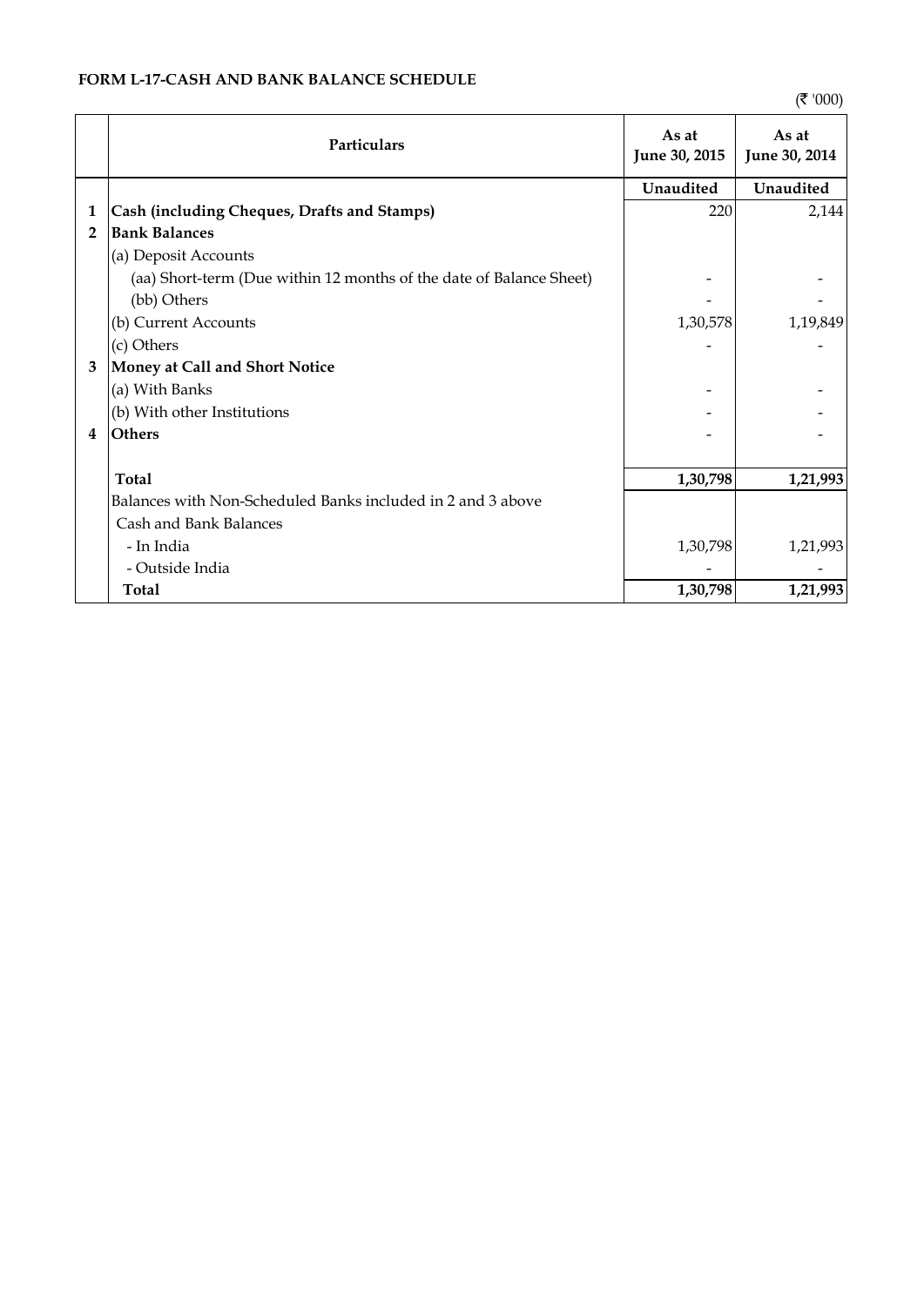|                | <b>Particulars</b>                                                  | As at<br>June 30, 2015 | As at<br>June 30, 2014 |
|----------------|---------------------------------------------------------------------|------------------------|------------------------|
|                |                                                                     | Unaudited              | Unaudited              |
| 1              | Cash (including Cheques, Drafts and Stamps)                         | 220                    | 2,144                  |
| $\overline{2}$ | <b>Bank Balances</b>                                                |                        |                        |
|                | (a) Deposit Accounts                                                |                        |                        |
|                | (aa) Short-term (Due within 12 months of the date of Balance Sheet) |                        |                        |
|                | (bb) Others                                                         |                        |                        |
|                | (b) Current Accounts                                                | 1,30,578               | 1,19,849               |
|                | (c) Others                                                          |                        |                        |
| 3              | Money at Call and Short Notice                                      |                        |                        |
|                | (a) With Banks                                                      |                        |                        |
|                | (b) With other Institutions                                         |                        |                        |
| $\overline{4}$ | <b>Others</b>                                                       |                        |                        |
|                |                                                                     |                        |                        |
|                | <b>Total</b>                                                        | 1,30,798               | 1,21,993               |
|                | Balances with Non-Scheduled Banks included in 2 and 3 above         |                        |                        |
|                | Cash and Bank Balances                                              |                        |                        |
|                | - In India                                                          | 1,30,798               | 1,21,993               |
|                | - Outside India                                                     |                        |                        |
|                | Total                                                               | 1,30,798               | 1,21,993               |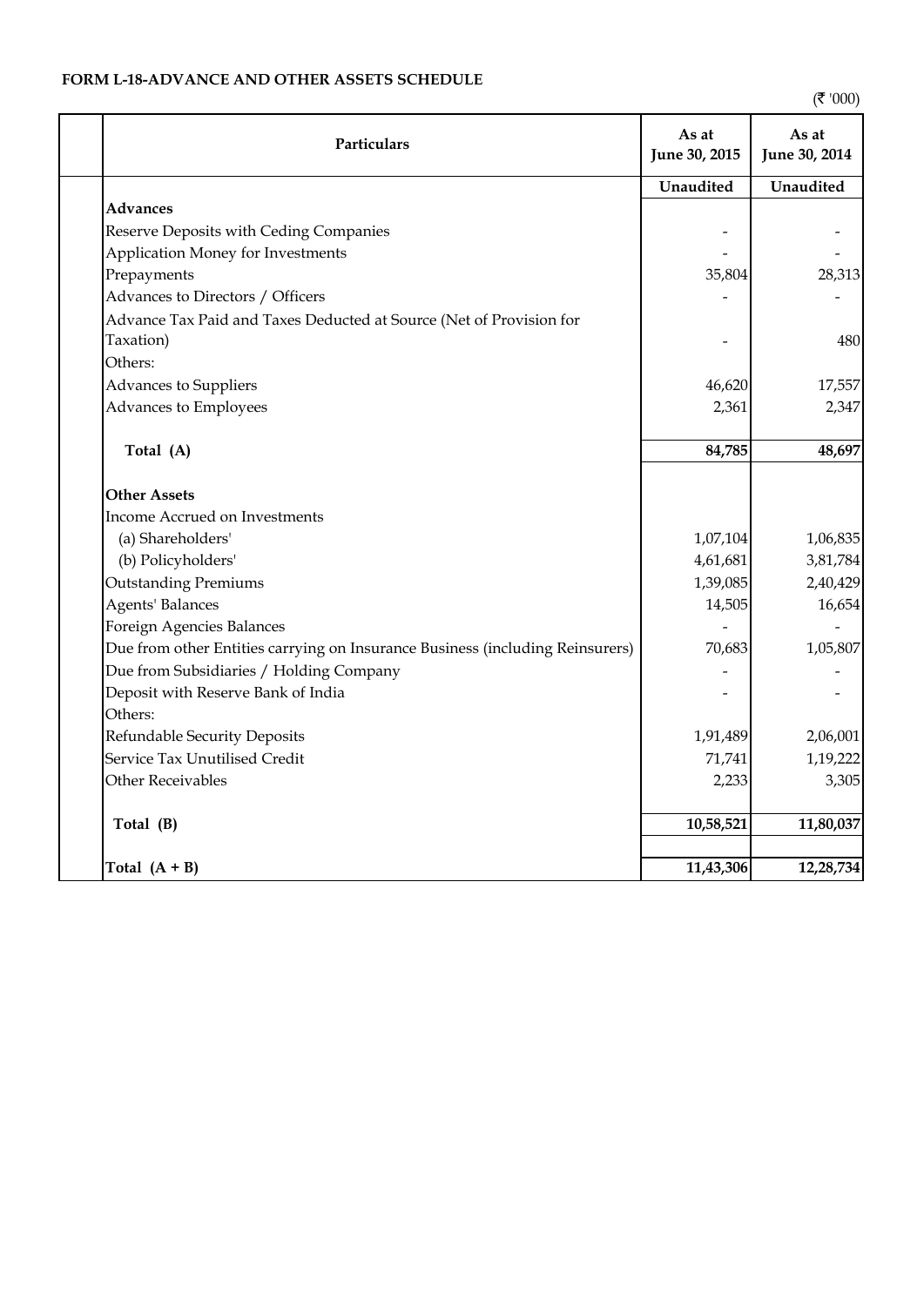# **FORM L-18-ADVANCE AND OTHER ASSETS SCHEDULE**

 $($ ₹ '000)

| Particulars                                                                      | As at<br>June 30, 2015 | As at<br>June 30, 2014 |
|----------------------------------------------------------------------------------|------------------------|------------------------|
|                                                                                  | Unaudited              | Unaudited              |
| <b>Advances</b>                                                                  |                        |                        |
| Reserve Deposits with Ceding Companies                                           |                        |                        |
| Application Money for Investments                                                |                        |                        |
| Prepayments                                                                      | 35,804                 | 28,313                 |
| Advances to Directors / Officers                                                 |                        |                        |
| Advance Tax Paid and Taxes Deducted at Source (Net of Provision for<br>Taxation) |                        | 480                    |
| Others:                                                                          |                        |                        |
| Advances to Suppliers                                                            | 46,620                 | 17,557                 |
| Advances to Employees                                                            | 2,361                  | 2,347                  |
| Total (A)                                                                        | 84,785                 | 48,697                 |
| <b>Other Assets</b>                                                              |                        |                        |
| Income Accrued on Investments                                                    |                        |                        |
| (a) Shareholders'                                                                | 1,07,104               | 1,06,835               |
| (b) Policyholders'                                                               | 4,61,681               | 3,81,784               |
| <b>Outstanding Premiums</b>                                                      | 1,39,085               | 2,40,429               |
| <b>Agents' Balances</b>                                                          | 14,505                 | 16,654                 |
| Foreign Agencies Balances                                                        |                        |                        |
| Due from other Entities carrying on Insurance Business (including Reinsurers)    | 70,683                 | 1,05,807               |
| Due from Subsidiaries / Holding Company                                          |                        |                        |
| Deposit with Reserve Bank of India                                               |                        |                        |
| Others:                                                                          |                        |                        |
| Refundable Security Deposits                                                     | 1,91,489               | 2,06,001               |
| Service Tax Unutilised Credit                                                    | 71,741                 | 1,19,222               |
| <b>Other Receivables</b>                                                         | 2,233                  | 3,305                  |
| Total (B)                                                                        | 10,58,521              | 11,80,037              |
| Total $(A + B)$                                                                  | 11,43,306              | 12,28,734              |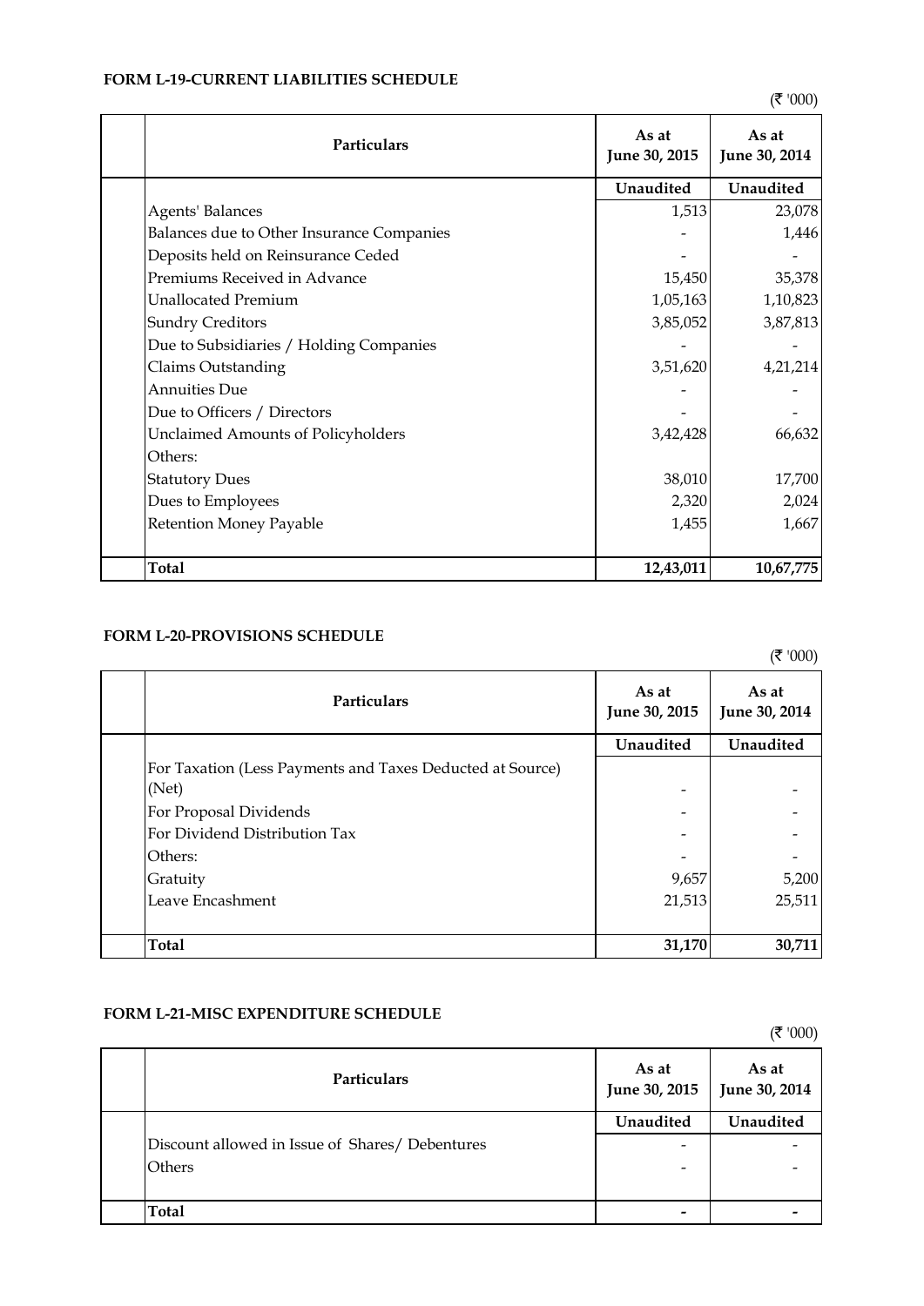| Particulars                               | As at<br>June 30, 2015 | As at<br>June 30, 2014 |
|-------------------------------------------|------------------------|------------------------|
|                                           | Unaudited              | Unaudited              |
| Agents' Balances                          | 1,513                  | 23,078                 |
| Balances due to Other Insurance Companies |                        | 1,446                  |
| Deposits held on Reinsurance Ceded        |                        |                        |
| Premiums Received in Advance              | 15,450                 | 35,378                 |
| <b>Unallocated Premium</b>                | 1,05,163               | 1,10,823               |
| <b>Sundry Creditors</b>                   | 3,85,052               | 3,87,813               |
| Due to Subsidiaries / Holding Companies   |                        |                        |
| Claims Outstanding                        | 3,51,620               | 4,21,214               |
| <b>Annuities Due</b>                      |                        |                        |
| Due to Officers / Directors               |                        |                        |
| Unclaimed Amounts of Policyholders        | 3,42,428               | 66,632                 |
| Others:                                   |                        |                        |
| <b>Statutory Dues</b>                     | 38,010                 | 17,700                 |
| Dues to Employees                         | 2,320                  | 2,024                  |
| Retention Money Payable                   | 1,455                  | 1,667                  |
|                                           |                        |                        |
| <b>Total</b>                              | 12,43,011              | 10,67,775              |

# **FORM L-19-CURRENT LIABILITIES SCHEDULE**

# **FORM L-20-PROVISIONS SCHEDULE**

 $($ ₹ '000)

| <b>Particulars</b>                                        | As at<br>June 30, 2015 | As at<br>June 30, 2014 |
|-----------------------------------------------------------|------------------------|------------------------|
|                                                           | Unaudited              | Unaudited              |
| For Taxation (Less Payments and Taxes Deducted at Source) |                        |                        |
| (Net)                                                     |                        |                        |
| For Proposal Dividends                                    |                        |                        |
| For Dividend Distribution Tax                             |                        |                        |
| Others:                                                   |                        |                        |
| Gratuity                                                  | 9,657                  | 5,200                  |
| Leave Encashment                                          | 21,513                 | 25,511                 |
|                                                           |                        |                        |
| Total                                                     | 31,170                 | 30,711                 |

# **FORM L-21-MISC EXPENDITURE SCHEDULE**

 $($ ₹ '000) **Unaudited Unaudited** Discount allowed in Issue of Shares/ Debentures - - Others **of the contract of the contract of the contract of the contract of the contract of the contract of the contract of the contract of the contract of the contract of the contract of the contract of the contract of the Total - - Particulars As at** <br>**As at June 30, 2015 As at June 30, 2014**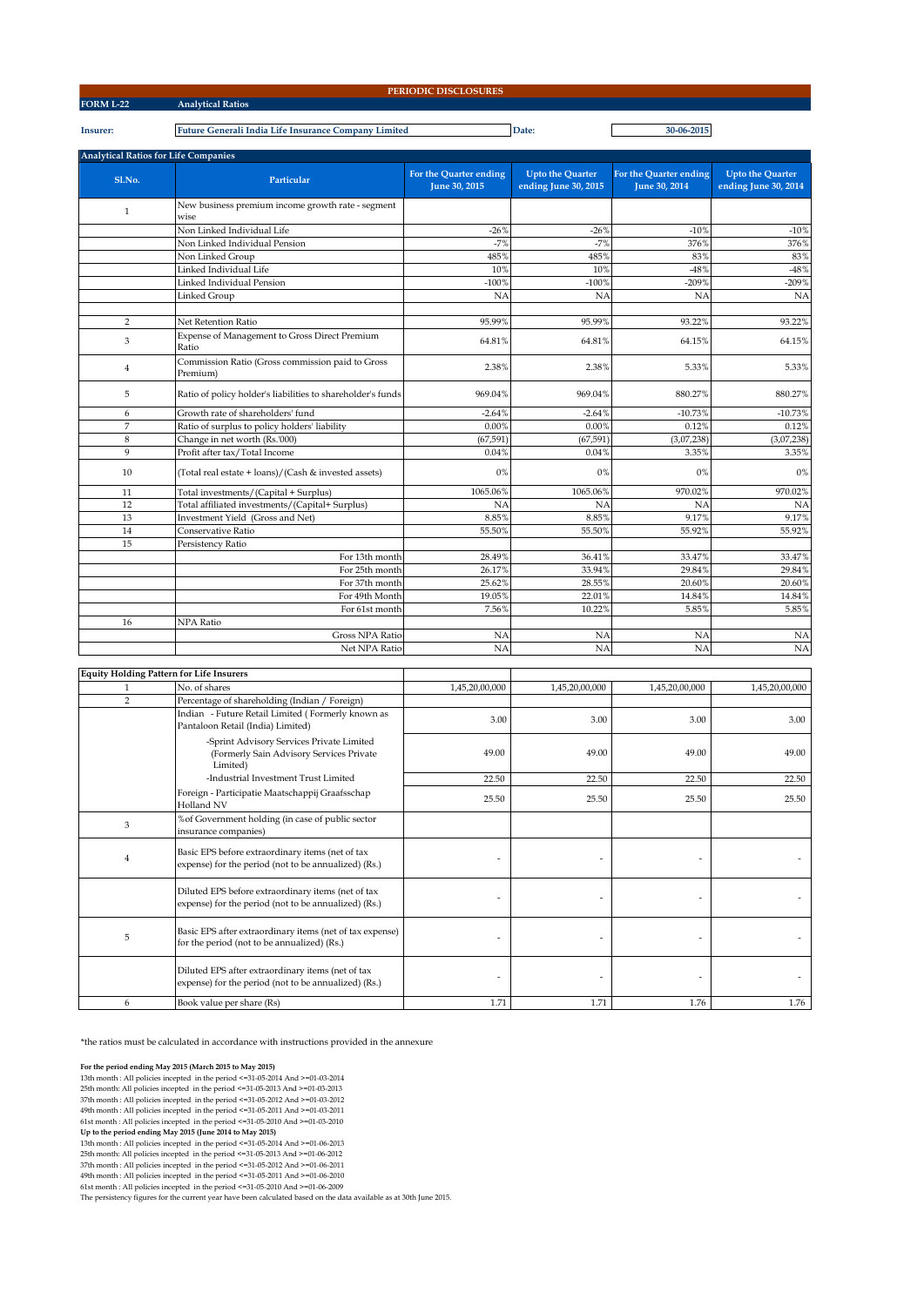**Insurer: Future Generali India Life Insurance Company Limited Date: 30-06-2015**

| <b>Analytical Ratios for Life Companies</b> |                                                              |                                         |                                                 |                                         |                                                 |
|---------------------------------------------|--------------------------------------------------------------|-----------------------------------------|-------------------------------------------------|-----------------------------------------|-------------------------------------------------|
| Sl.No.                                      | Particular                                                   | For the Quarter ending<br>June 30, 2015 | <b>Upto the Quarter</b><br>ending June 30, 2015 | For the Quarter ending<br>June 30, 2014 | <b>Upto the Quarter</b><br>ending June 30, 2014 |
| $\mathbf{1}$                                | New business premium income growth rate - segment<br>wise    |                                         |                                                 |                                         |                                                 |
|                                             | Non Linked Individual Life                                   | $-26%$                                  | $-26%$                                          | $-10%$                                  | $-10%$                                          |
|                                             | Non Linked Individual Pension                                | $-7%$                                   | $-7%$                                           | 376%                                    | 376%                                            |
|                                             | Non Linked Group                                             | 485%                                    | 485%                                            | 83%                                     | 83%                                             |
|                                             | Linked Individual Life                                       | 10%                                     | 10%                                             | $-48%$                                  | $-48%$                                          |
|                                             | Linked Individual Pension                                    | $-100%$                                 | $-100%$                                         | $-209%$                                 | $-209%$                                         |
|                                             | Linked Group                                                 | NA                                      | NA                                              | NA                                      | <b>NA</b>                                       |
| $\overline{2}$                              | Net Retention Ratio                                          | 95.99%                                  | 95.99%                                          | 93.22%                                  | 93.22%                                          |
| 3                                           | Expense of Management to Gross Direct Premium<br>Ratio       | 64.81%                                  | 64.81%                                          | 64.15%                                  | 64.15%                                          |
| $\overline{4}$                              | Commission Ratio (Gross commission paid to Gross<br>Premium) | 2.38%                                   | 2.38%                                           | 5.33%                                   | 5.33%                                           |
| 5                                           | Ratio of policy holder's liabilities to shareholder's funds  | 969.04%                                 | 969.04%                                         | 880.27%                                 | 880.27%                                         |
| 6                                           | Growth rate of shareholders' fund                            | $-2.64%$                                | $-2.64%$                                        | $-10.73%$                               | $-10.73%$                                       |
| 7                                           | Ratio of surplus to policy holders' liability                | 0.00%                                   | 0.00%                                           | 0.12%                                   | 0.12%                                           |
| 8                                           | Change in net worth (Rs.'000)                                | (67, 591)                               | (67, 591)                                       | (3,07,238)                              | (3,07,238)                                      |
| 9                                           | Profit after tax/Total Income                                | 0.04%                                   | 0.04%                                           | 3.35%                                   | 3.35%                                           |
| 10                                          | (Total real estate + loans)/(Cash & invested assets)         | $0\%$                                   | 0%                                              | 0%                                      | 0%                                              |
| 11                                          | Total investments/(Capital + Surplus)                        | 1065.06%                                | 1065.06%                                        | 970.02%                                 | 970.02%                                         |
| 12                                          | Total affiliated investments/(Capital+ Surplus)              | NA                                      | NA                                              | <b>NA</b>                               | <b>NA</b>                                       |
| 13                                          | Investment Yield (Gross and Net)                             | 8.85%                                   | 8.85%                                           | 9.17%                                   | 9.17%                                           |
| 14                                          | Conservative Ratio                                           | 55.50%                                  | 55.50%                                          | 55.92%                                  | 55.92%                                          |
| 15                                          | Persistency Ratio                                            |                                         |                                                 |                                         |                                                 |
|                                             | For 13th month                                               | 28.49%                                  | 36.41%                                          | 33.47%                                  | 33.47%                                          |
|                                             | For 25th month                                               | 26.17%                                  | 33.94%                                          | 29.84%                                  | 29.84%                                          |
|                                             | For 37th month                                               | 25.62%                                  | 28.55%                                          | 20.60%                                  | 20.60%                                          |
|                                             | For 49th Month                                               | 19.05%                                  | 22.01%                                          | 14.84%                                  | 14.84%                                          |
|                                             | For 61st month                                               | 7.56%                                   | 10.22%                                          | 5.85%                                   | 5.85%                                           |
| 16                                          | NPA Ratio                                                    |                                         |                                                 |                                         |                                                 |
|                                             | <b>Gross NPA Ratio</b>                                       | <b>NA</b>                               | NA                                              | NA                                      | <b>NA</b>                                       |
|                                             | Net NPA Ratio                                                | NA                                      | NA                                              | NA                                      | NA                                              |

| <b>Equity Holding Pattern for Life Insurers</b> |                                                                                                            |                |                |                |                |
|-------------------------------------------------|------------------------------------------------------------------------------------------------------------|----------------|----------------|----------------|----------------|
| $\mathbf{1}$                                    | No. of shares                                                                                              | 1,45,20,00,000 | 1,45,20,00,000 | 1,45,20,00,000 | 1,45,20,00,000 |
| $\overline{2}$                                  | Percentage of shareholding (Indian / Foreign)                                                              |                |                |                |                |
|                                                 | Indian - Future Retail Limited (Formerly known as<br>Pantaloon Retail (India) Limited)                     | 3.00           | 3.00           | 3.00           | 3.00           |
|                                                 | -Sprint Advisory Services Private Limited<br>(Formerly Sain Advisory Services Private<br>Limited)          | 49.00          | 49.00          | 49.00          | 49.00          |
|                                                 | -Industrial Investment Trust Limited                                                                       | 22.50          | 22.50          | 22.50          | 22.50          |
|                                                 | Foreign - Participatie Maatschappij Graafsschap<br>Holland NV                                              | 25.50          | 25.50          | 25.50          | 25.50          |
| 3                                               | % of Government holding (in case of public sector<br>insurance companies)                                  |                |                |                |                |
| $\overline{4}$                                  | Basic EPS before extraordinary items (net of tax<br>expense) for the period (not to be annualized) (Rs.)   |                |                |                |                |
|                                                 | Diluted EPS before extraordinary items (net of tax<br>expense) for the period (not to be annualized) (Rs.) |                |                |                |                |
| 5                                               | Basic EPS after extraordinary items (net of tax expense)<br>for the period (not to be annualized) (Rs.)    |                |                |                |                |
|                                                 | Diluted EPS after extraordinary items (net of tax<br>expense) for the period (not to be annualized) (Rs.)  |                |                |                |                |
| 6                                               | Book value per share (Rs)                                                                                  | 1.71           | 1.71           | 1.76           | 1.76           |

\*the ratios must be calculated in accordance with instructions provided in the annexure

**For the period ending May 2015 (March 2015 to May 2015)** 13th month : All policies incepted in the period <=31-05-2014 And >=01-03-2014 25th month: All policies incepted in the period <=31-05-2013 And >=01-03-2013

37th month : All policies incepted in the period <=31-05-2012 And >=01-03-2012 49th month : All policies incepted in the period <=31-05-2011 And >=01-03-2011

61st month : All policies incepted in the period <=31-05-2010 And >=01-03-2010 **Up to the period ending May 2015 (June 2014 to May 2015)**

13th month : All policies incepted in the period <=31-05-2014 And >=01-06-2013<br>25th month: All policies incepted in the period <=31-05-2013 And >=01-06-2012<br>37th month : All policies incepted in the period <=31-05-2012 And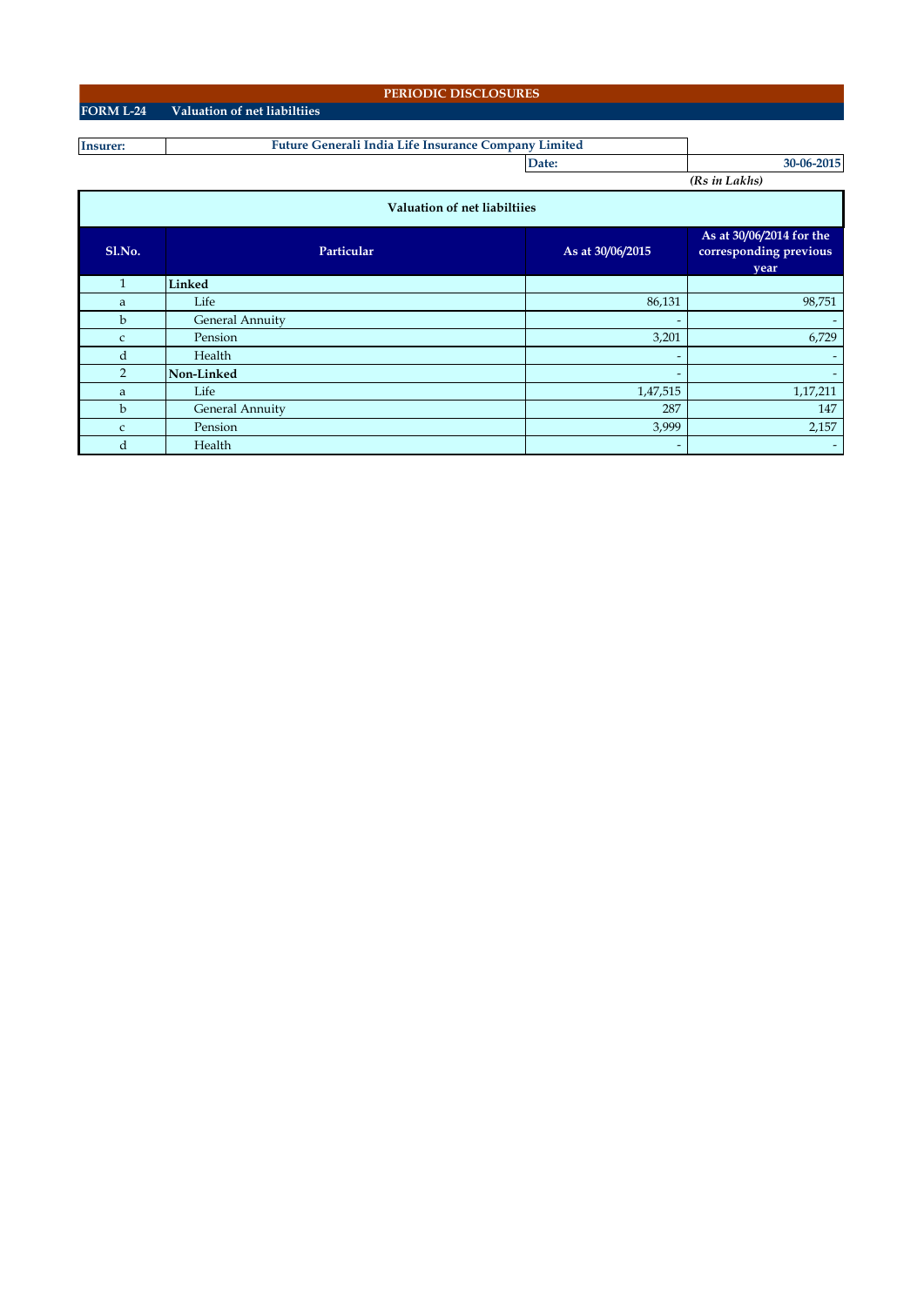|                              | PERIODIC DISCLOSURES                                 |                          |                                                            |  |  |  |  |  |  |  |  |
|------------------------------|------------------------------------------------------|--------------------------|------------------------------------------------------------|--|--|--|--|--|--|--|--|
| <b>FORM L-24</b>             | Valuation of net liabiltiies                         |                          |                                                            |  |  |  |  |  |  |  |  |
|                              |                                                      |                          |                                                            |  |  |  |  |  |  |  |  |
| <b>Insurer:</b>              | Future Generali India Life Insurance Company Limited |                          |                                                            |  |  |  |  |  |  |  |  |
|                              |                                                      | Date:                    | 30-06-2015                                                 |  |  |  |  |  |  |  |  |
|                              |                                                      |                          | (Rs in Lakhs)                                              |  |  |  |  |  |  |  |  |
| Valuation of net liabiltiies |                                                      |                          |                                                            |  |  |  |  |  |  |  |  |
| Sl.No.                       | Particular                                           | As at 30/06/2015         | As at 30/06/2014 for the<br>corresponding previous<br>year |  |  |  |  |  |  |  |  |
| $\mathbf{1}$                 | Linked                                               |                          |                                                            |  |  |  |  |  |  |  |  |
| a                            | Life                                                 | 86,131                   | 98,751                                                     |  |  |  |  |  |  |  |  |
| b                            | <b>General Annuity</b>                               | $\overline{\phantom{a}}$ |                                                            |  |  |  |  |  |  |  |  |
| $\mathsf{C}$                 | Pension                                              | 3,201                    | 6,729                                                      |  |  |  |  |  |  |  |  |
| d                            | Health                                               | $\overline{\phantom{a}}$ | -                                                          |  |  |  |  |  |  |  |  |

**2 Non-Linked a Life 1,47,515 1,17,211** a 1,17,211 a 1,17,211 a 1,17,211 a 1,17,211 a 1,17,211 a 1,17,211 a 1,17,211 a 1,17,211 a 1,17,211 a 1,17,211 b General Annuity 287 147 c Pension  $2,157$ d Health - -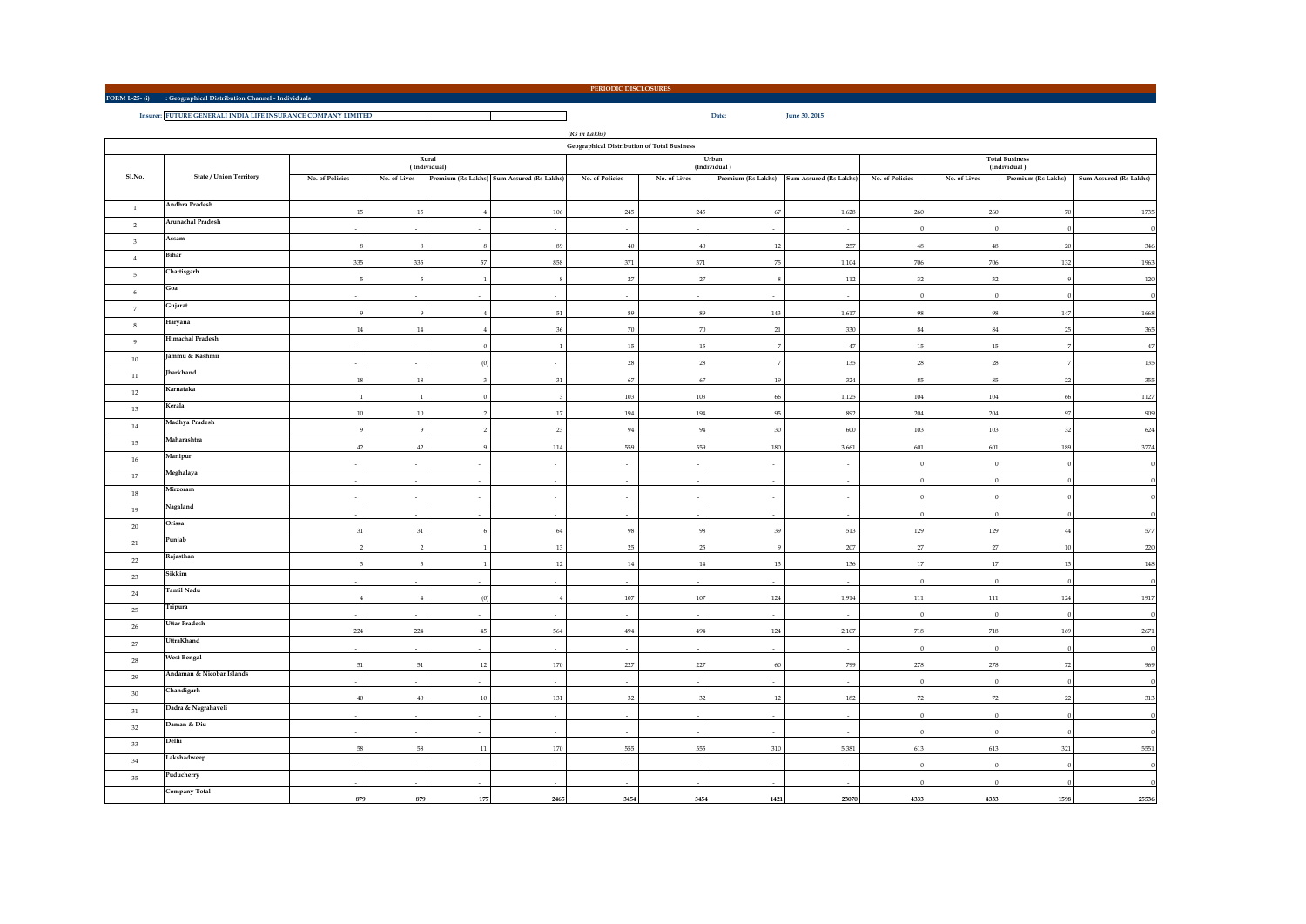**FORM L-25- (i) : Geographical Distribution Channel - Individuals**

 $\blacksquare$ 

**PERIODIC DISCLOSURES**

**Insurer: FUTURE GENERALI INDIA LIFE INSURANCE COMPANY LIMITED Date: June 30, 2015**

*(Rs in Lakhs)*

|                         | Geographical Distribution of Total Business |                         |                         |                           |                                           |                 |              |                       |                          |                 |              |                                       |                        |
|-------------------------|---------------------------------------------|-------------------------|-------------------------|---------------------------|-------------------------------------------|-----------------|--------------|-----------------------|--------------------------|-----------------|--------------|---------------------------------------|------------------------|
|                         |                                             |                         |                         | Rural<br>(Individual)     |                                           |                 |              | Urban<br>(Individual) |                          |                 |              | <b>Total Business</b><br>(Individual) |                        |
| Sl.No.                  | <b>State / Union Territory</b>              | No. of Policies         | No. of Lives            |                           | Premium (Rs Lakhs) Sum Assured (Rs Lakhs) | No. of Policies | No. of Lives | Premium (Rs Lakhs)    | Sum Assured (Rs Lakhs)   | No. of Policies | No. of Lives | Premium (Rs Lakhs)                    | Sum Assured (Rs Lakhs) |
| $\mathbf{1}$            | Andhra Pradesh                              |                         |                         |                           |                                           |                 |              |                       |                          |                 |              | $70\,$                                |                        |
| $\overline{2}$          | <b>Arunachal Pradesh</b>                    | $15\,$                  | $15\,$                  | $\overline{4}$            | 106                                       | $245\,$         | 245          | 67                    | 1,628                    | 260             | $260\,$      |                                       | 1735                   |
| $\overline{\mathbf{3}}$ | Assam                                       |                         |                         | $\sim$                    | ×.                                        |                 |              | $\sim$                |                          |                 | $\Omega$     |                                       | - 6                    |
|                         | Bihar                                       | 8                       | 8                       | 8                         | 89                                        | $40\,$          | $40\,$       | 12                    | 257                      | 48              | 48           | 20                                    | 346                    |
| $\overline{4}$          |                                             | 335                     | 335                     | $57\,$                    | 858                                       | 371             | 371          | 75                    | 1,104                    | 706             | 706          | 132                                   | 1963                   |
| 5                       | Chattisgarh                                 | 5                       | $5\phantom{.0}$         | $\overline{1}$            | $\mathbf{s}$                              | $27\,$          | 27           |                       | 112                      | 32              | 32           |                                       | $120\,$                |
| 6                       | Goa                                         |                         | $\sim$                  | $\sim$                    | ×                                         |                 | $\sim$       | ×.                    |                          |                 |              |                                       |                        |
| $\overline{7}$          | Gujarat                                     | $\overline{Q}$          | $\overline{Q}$          |                           | 51                                        | 89              | 89           | 143                   | 1,617                    | $\alpha$        | 98           | 147                                   | 1668                   |
| $\,$ 8 $\,$             | Haryana                                     | $14\,$                  | $14\,$                  |                           | 36                                        | 70              | 70           | 21                    | 330                      | 8               | $\bf 84$     | 25                                    | $365\,$                |
| $\overline{9}$          | <b>Himachal Pradesh</b>                     |                         |                         | $\Omega$                  | $\overline{1}$                            | 15              | 15           |                       | $47\,$                   | $\overline{1}$  | $15\,$       |                                       | $47\,$                 |
| 10                      | Jammu & Kashmir                             |                         |                         | (0)                       |                                           | $\bf 28$        | $\bf 28$     |                       | 135                      | 28              | 28           |                                       | 135                    |
| $11\,$                  | Jharkhand                                   |                         |                         |                           |                                           |                 |              |                       |                          |                 |              |                                       |                        |
| $12\,$                  | Karnataka                                   | $18\,$                  | $18\,$                  | $\overline{\overline{3}}$ | 31                                        | 67              | $67\,$       | 19                    | 324                      | 85              | 85           | 22                                    | $355\,$                |
| 13                      | Kerala                                      | $\overline{1}$          | $\overline{1}$          | $\theta$                  | $\overline{3}$                            | 103             | 103          | 66                    | 1,125                    | 104             | 104          | 66                                    | 1127                   |
| $14\,$                  | Madhya Pradesh                              | $10\,$                  | $10\,$                  | $\overline{2}$            | 17                                        | 194             | 194          | 95                    | 892                      | 204             | 204          | 97                                    | 909                    |
|                         | Maharashtra                                 | $\ddot{9}$              | $\alpha$                | $\overline{2}$            | 23                                        | 94              | $\rm 94$     | 30                    | 600                      | 103             | 103          | 32                                    | 624                    |
| 15                      | Manipur                                     | 42                      | $42\,$                  | $\overline{9}$            | 114                                       | 559             | 559          | 180                   | 3,661                    | $601\,$         | 601          | 189                                   | 3774                   |
| $16\,$                  |                                             |                         |                         |                           |                                           |                 |              |                       |                          |                 |              |                                       |                        |
| 17                      | Meghalaya                                   |                         | $\sim$                  | $\sim$                    | $\sim$                                    |                 | $\sim$       | ×.                    | ٠                        |                 |              |                                       |                        |
| $18\,$                  | Mirzoram                                    |                         |                         |                           |                                           |                 |              |                       |                          |                 |              |                                       |                        |
| 19                      | Nagaland                                    |                         | $\sim$                  | $\sim$                    | ÷.                                        |                 |              |                       |                          |                 |              |                                       |                        |
| 20                      | Orissa                                      | $31\,$                  | 31                      | 6                         | 64                                        | 98              | 98           | 39                    | 513                      | 129             | 129          | 44                                    | 577                    |
| $21\,$                  | Punjab                                      | $\overline{2}$          | $\overline{2}$          | $\overline{1}$            | 13                                        | $25\,$          | $25\,$       | $\alpha$              | 207                      | 27              | $27\,$       | 10                                    | 220                    |
| 22                      | Rajasthan                                   | $\overline{\mathbf{3}}$ | $\overline{\mathbf{3}}$ | $\overline{1}$            | 12                                        | $14\,$          | $14\,$       | $13\,$                | 136                      | 17              | $17\,$       | 13                                    | 148                    |
| 23                      | Sikkim                                      | $\sim$                  | $\sim$                  | $\sim$                    | ×                                         | $\sim$          |              | ×.                    |                          |                 |              |                                       | $\epsilon$             |
| $\bf 24$                | <b>Tamil Nadu</b>                           |                         |                         |                           |                                           |                 |              |                       |                          |                 |              |                                       |                        |
| 25                      | Tripura                                     | $\overline{4}$          | $\,4\,$                 | (0)                       | $\overline{4}$                            | $107\,$         | 107          | 124                   | 1,914                    | 111             | $111\,$      | 124                                   | 1917                   |
| $26\,$                  | <b>Uttar Pradesh</b>                        |                         |                         |                           |                                           |                 |              |                       |                          |                 |              |                                       |                        |
| 27                      | UttraKhand                                  | 224                     | 224                     | 45                        | 564                                       | 494             | 494          | 124                   | 2,107                    | 718             | 718          | 169                                   | 2671                   |
|                         | <b>West Bengal</b>                          |                         |                         |                           |                                           |                 |              |                       |                          |                 |              |                                       | $\epsilon$             |
| $28\,$                  | Andaman & Nicobar Islands                   | $51\,$                  | $51\,$                  | $12\,$                    | 170                                       | 227             | 227          | 60                    | 799                      | 278             | 278          | 72                                    | 969                    |
| 29                      |                                             |                         |                         |                           |                                           |                 |              |                       |                          |                 |              |                                       |                        |
| 30 <sup>°</sup>         | Chandigarh                                  | 40                      | $40\,$                  | $10\,$                    | 131                                       | 32              | 32           | 12                    | 182                      | 72              | 72           | 22                                    | 313                    |
| $31\,$                  | Dadra & Nagrahaveli                         |                         | $\sim$                  | $\sim$                    | ÷.                                        | $\sim$          |              | $\sim$                |                          |                 |              |                                       |                        |
| 32                      | Daman & Diu                                 | $\sim$                  | $\sim$                  | $\sim$                    | $\sim$                                    | $\sim$          | $\sim$       | $\sim$                |                          |                 |              |                                       | $\epsilon$             |
| 33                      | Delhi                                       | 58                      | 58                      | 11                        | 170                                       | 555             | 555          | 310                   | 5,381                    | 613             | 613          | 321                                   | 5551                   |
| 34                      | Lakshadweep                                 | $\sim$                  | $\sim$                  | $\sim$                    | $\sim$                                    | $\sim$          | $\sim$       | $\sim$                | $\overline{\phantom{a}}$ |                 |              |                                       |                        |
| 35                      | Puducherry                                  |                         |                         |                           |                                           |                 |              |                       |                          |                 |              |                                       |                        |
|                         | Company Total                               |                         |                         |                           |                                           |                 |              |                       |                          |                 |              |                                       |                        |
|                         |                                             | 879                     | 879                     | 177                       | 2465                                      | 3454            | 3454         | 1421                  | 23070                    | 4333            | 4333         | 1598                                  | 25536                  |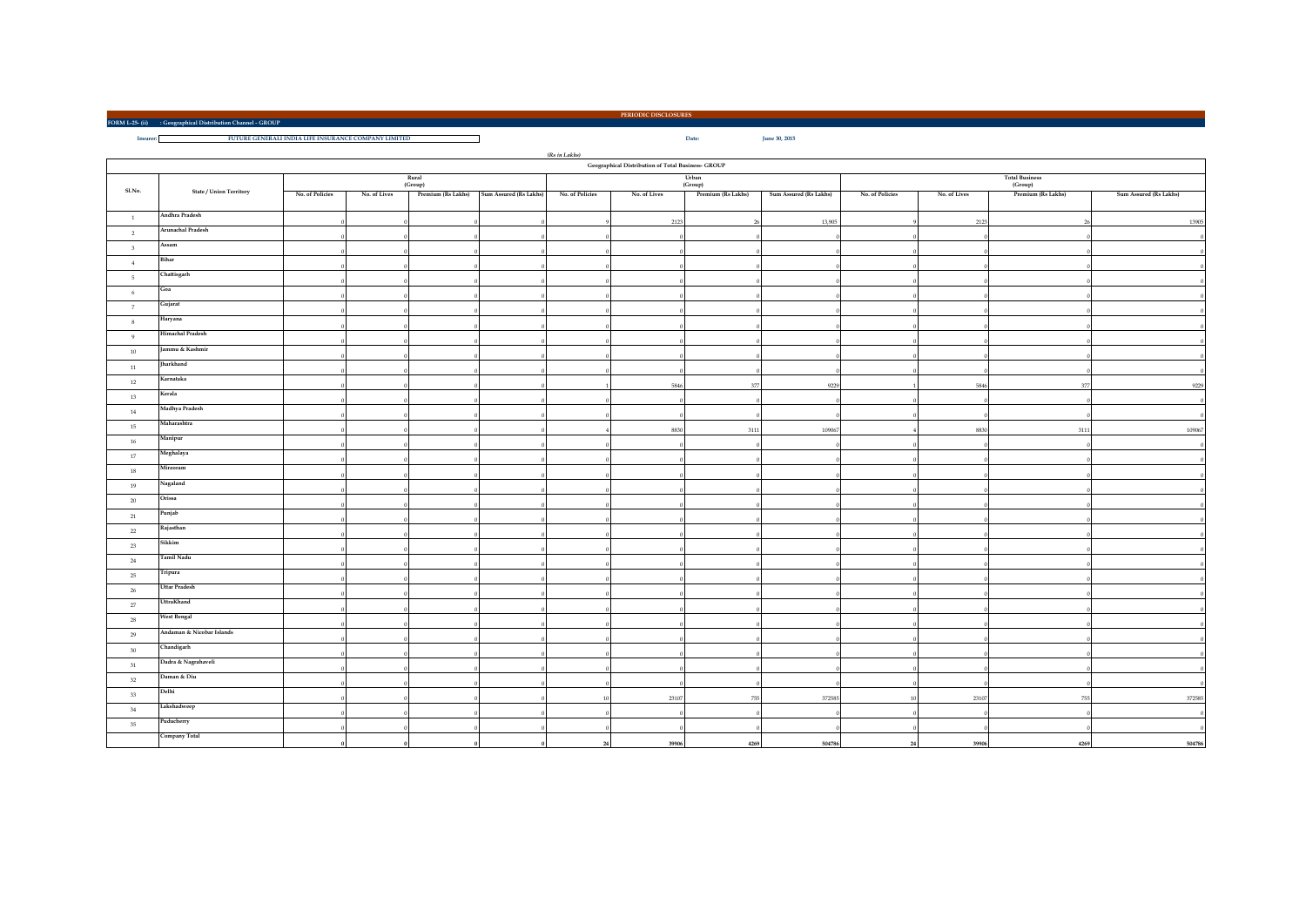**FORM L-25- (ii) : Geographical Distribution Channel - GROUP**

**Insurer: Date: June 30, 2015 FUTURE GENERALI INDIA LIFE INSURANCE COMPANY LIMITED**

|                |                           |                 |              |         |                                           | $\left( \mathit{Rs}\;in\;Lakhs\right)$ | Geographical Distribution of Total Business- GROUP |                                           |                                    |                        |
|----------------|---------------------------|-----------------|--------------|---------|-------------------------------------------|----------------------------------------|----------------------------------------------------|-------------------------------------------|------------------------------------|------------------------|
|                |                           |                 |              | Rural   |                                           |                                        | Urban                                              |                                           | <b>Total Business</b>              |                        |
| Sl.No.         | State / Union Territory   |                 |              | (Group) |                                           |                                        | (Group)                                            |                                           | (Group)                            |                        |
|                |                           | No. of Policies | No. of Lives |         | Premium (Rs Lakhs) Sum Assured (Rs Lakhs) | No. of Policies                        | No. of Lives<br>Premium (Rs Lakhs)                 | Sum Assured (Rs Lakhs)<br>No. of Policies | No. of Lives<br>Premium (Rs Lakhs) | Sum Assured (Rs Lakhs) |
| $\mathbf{1}$   | Andhra Pradesh            |                 |              |         |                                           |                                        | 2123                                               | 13,905<br>26                              | 2123                               | 13905<br>26            |
| $\overline{2}$ | Arunachal Pradesh         |                 |              |         |                                           |                                        |                                                    |                                           |                                    |                        |
| $^{\rm 3}$     | Assam                     |                 |              |         |                                           |                                        |                                                    |                                           |                                    |                        |
| 4              | Bihar                     |                 |              |         |                                           |                                        |                                                    |                                           |                                    |                        |
| 5              | Chattisgarh               |                 |              |         |                                           |                                        |                                                    |                                           |                                    |                        |
| $\,$ 6 $\,$    | Goa                       |                 |              |         |                                           |                                        |                                                    |                                           |                                    |                        |
| $\overline{7}$ | Gujarat                   |                 |              |         |                                           |                                        |                                                    |                                           |                                    |                        |
| 8              | Haryana                   |                 |              |         |                                           |                                        |                                                    |                                           |                                    |                        |
| 9              | Himachal Pradesh          |                 |              |         |                                           |                                        |                                                    |                                           |                                    |                        |
| 10             | Jammu & Kashmir           |                 |              |         |                                           |                                        |                                                    |                                           |                                    |                        |
| 11             | Jharkhand                 |                 |              |         |                                           |                                        |                                                    |                                           |                                    |                        |
| 12             | Karnataka                 |                 |              |         |                                           |                                        | 5846                                               | 377<br>9229                               | 5846                               | 377<br>9229            |
| $13\,$         | Kerala                    |                 |              |         |                                           |                                        |                                                    |                                           |                                    |                        |
| 14             | Madhya Pradesh            |                 |              |         |                                           |                                        |                                                    |                                           |                                    |                        |
| 15             | Maharashtra               |                 |              |         |                                           |                                        | 8830                                               | 3111<br>109067                            | 8830                               | 3111<br>109067         |
| 16             | Manipur                   |                 |              |         |                                           |                                        |                                                    |                                           |                                    |                        |
| 17             | Meghalaya                 |                 |              |         |                                           |                                        |                                                    |                                           |                                    |                        |
| 18             | Mirzoram                  |                 |              |         |                                           |                                        |                                                    |                                           |                                    |                        |
| 19             | Nagaland                  |                 |              |         |                                           |                                        |                                                    |                                           |                                    |                        |
| 20             | Orissa                    |                 |              |         |                                           |                                        |                                                    |                                           |                                    |                        |
| $21\,$         | Punjab                    |                 |              |         |                                           |                                        |                                                    |                                           |                                    |                        |
| $22\,$         | Rajasthan                 |                 |              |         |                                           |                                        |                                                    |                                           |                                    |                        |
| 23             | Sikkim                    |                 |              |         |                                           |                                        |                                                    |                                           |                                    |                        |
| 24             | <b>Tamil Nadu</b>         |                 |              |         |                                           |                                        |                                                    |                                           |                                    |                        |
| 25             | Tripura                   |                 |              |         |                                           |                                        |                                                    |                                           |                                    |                        |
| $26\,$         | <b>Uttar Pradesh</b>      |                 |              |         |                                           |                                        |                                                    |                                           |                                    |                        |
| $27\,$         | UttraKhand                |                 |              |         |                                           |                                        |                                                    |                                           |                                    |                        |
| $\bf 28$       | West Bengal               |                 |              |         |                                           |                                        |                                                    |                                           |                                    |                        |
| 29             | Andaman & Nicobar Islands |                 |              |         |                                           |                                        |                                                    |                                           |                                    |                        |
| 30             | Chandigarh                |                 |              |         |                                           |                                        |                                                    |                                           |                                    |                        |
| $31\,$         | Dadra & Nagrahaveli       |                 |              |         |                                           |                                        |                                                    |                                           |                                    |                        |
| 32             | Daman & Diu               |                 |              |         |                                           |                                        |                                                    |                                           |                                    |                        |
| 33             | Delhi                     |                 |              |         |                                           |                                        | 23107                                              | 755<br>372585                             | 23107<br>10                        | 372585<br>755          |
| 34             | Lakshadweep               |                 |              |         |                                           |                                        |                                                    |                                           |                                    |                        |
| 35             | Puducherry                |                 |              |         |                                           |                                        |                                                    |                                           |                                    |                        |
|                | Company Total             |                 |              |         |                                           |                                        | 39906                                              | 504786<br>4269                            | 39906<br>24                        | 504786<br>4269         |

**PERIODIC DISCLOSURES**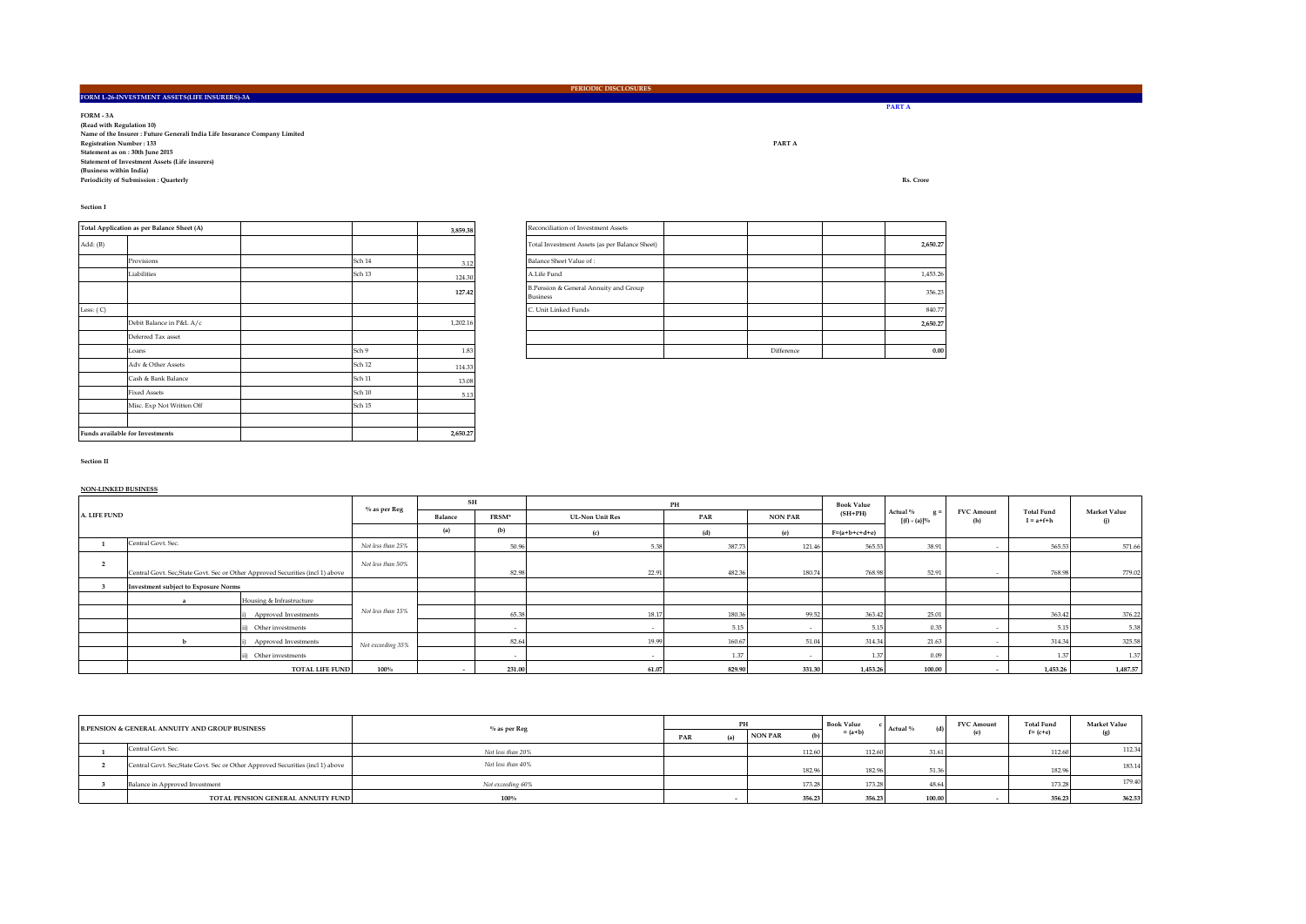**PART A**

<u> 1989 - Johann Barnett, mars eta industrial eta industrial eta industrial eta industrial eta industrial eta i</u>

FORM - 3.A<br>(Read with Regulation 10)<br>Registration Number : 133<br>Statement as on : 30th June 2015<br>Statement as on : 30th June 2015 Statement of Investment Assets (Life insurers)<br>(Business within India)<br>Periodicity of Submission : Quarterly **RS. Crore** 

**FORM L-26-INVESTMENT ASSETS(LIFE INSURERS)-3A**

**Section I**

|             | Total Application as per Balance Sheet (A) |        | 3,859.38 | Reconciliation of Investment Assets                  |
|-------------|--------------------------------------------|--------|----------|------------------------------------------------------|
| Add: (B)    |                                            |        |          | Total Investment Assets (as per Bala                 |
|             | Provisions                                 | Sch 14 | 3.12     | Balance Sheet Value of:                              |
|             | Liabilities                                | Sch 13 | 124.30   | A.Life Fund                                          |
|             |                                            |        | 127.42   | B.Pension & General Annuity and O<br><b>Business</b> |
| Less: $(C)$ |                                            |        |          | C. Unit Linked Funds                                 |
|             | Debit Balance in P&L A/c                   |        | 1,202.16 |                                                      |
|             | Deferred Tax asset                         |        |          |                                                      |
|             | Loans                                      | Sch 9  | 1.83     |                                                      |
|             | Adv & Other Assets                         | Sch 12 | 114.33   |                                                      |
|             | Cash & Bank Balance                        | Sch 11 | 13.08    |                                                      |
|             | <b>Fixed Assets</b>                        | Sch 10 | 5.13     |                                                      |
|             | Misc. Exp Not Written Off                  | Sch 15 |          |                                                      |
|             |                                            |        |          |                                                      |
|             | <b>Funds available for Investments</b>     |        | 2,650.27 |                                                      |

|             | Total Application as per Balance Sheet (A) |        | 3,859.38 |  | Reconciliation of Investment Assets                      |            |          |
|-------------|--------------------------------------------|--------|----------|--|----------------------------------------------------------|------------|----------|
| Add: (B)    |                                            |        |          |  | Total Investment Assets (as per Balance Sheet)           |            | 2,650.27 |
|             | Provisions                                 | Sch 14 | 3.12     |  | Balance Sheet Value of:                                  |            |          |
|             | Liabilities                                | Sch 13 | 124.30   |  | A.Life Fund                                              |            | 1,453.26 |
|             |                                            |        | 127.42   |  | B.Pension & General Annuity and Group<br><b>Business</b> |            | 356.23   |
| Less: $(C)$ |                                            |        |          |  | C. Unit Linked Funds                                     |            | 840.77   |
|             | Debit Balance in P&L A/c                   |        | 1.202.16 |  |                                                          |            | 2,650.27 |
|             | Deferred Tax asset                         |        |          |  |                                                          |            |          |
|             | Loans                                      | Sch 9  | 1.83     |  |                                                          | Difference | 0.00     |

**Section II**

**NON-LINKED BUSINESS**

|              |                                                                                |                          | % as per Reg      | $\mathbf{SH}$            |        |                        | PH     |                | <b>Book Value</b> |                                      |                          |                                      |                            |  |
|--------------|--------------------------------------------------------------------------------|--------------------------|-------------------|--------------------------|--------|------------------------|--------|----------------|-------------------|--------------------------------------|--------------------------|--------------------------------------|----------------------------|--|
| A. LIFE FUND |                                                                                |                          |                   | Balance                  | FRSM*  | <b>UL-Non Unit Res</b> | PAR    | <b>NON PAR</b> | $(SH+PH)$         | Actual %<br>$g =$<br>$[(f) - (a)]\%$ | <b>FVC Amount</b><br>(h) | <b>Total Fund</b><br>$I = a + f + h$ | <b>Market Value</b><br>(i) |  |
|              |                                                                                |                          |                   | (a)                      | (b)    | (c)                    | (d)    | (e)            | $F=(a+b+c+d+e)$   |                                      |                          |                                      |                            |  |
|              | Central Govt. Sec.                                                             |                          | Not less than 25% |                          | 50.96  | 5.38                   | 387.73 | 121.46         | 565.53            | 38.91                                | $\sim$                   | 565.53                               | 571.66                     |  |
|              | Central Govt. Sec, State Govt. Sec or Other Approved Securities (incl 1) above |                          | Not less than 50% |                          | 82.98  | 22.91                  | 482.36 | 180.74         | 768.98            | 52.91                                |                          | 768.98                               | 779.02                     |  |
|              | <b>Investment subject to Exposure Norms</b>                                    |                          |                   |                          |        |                        |        |                |                   |                                      |                          |                                      |                            |  |
|              |                                                                                | Housing & Infrastructure |                   |                          |        |                        |        |                |                   |                                      |                          |                                      |                            |  |
|              |                                                                                | Approved Investments     | Not less than 15% |                          | 65.38  | 18.17                  | 180.36 | 99.52          | 363.42            | 25.01                                |                          | 363.42                               | 376.22                     |  |
|              |                                                                                | ii) Other investments    |                   |                          |        |                        | 5.15   |                | 5.15              | 0.35                                 |                          | 5.15                                 | 5.38                       |  |
|              |                                                                                | Approved Investments     | Not exceeding 35% |                          | 82.64  | 19.99                  | 160.67 | 51.04          | 314.34            | 21.63                                |                          | 314.34                               | 325.58                     |  |
|              |                                                                                | ii) Other investments    |                   |                          |        |                        | 1.37   |                | 1.37              | 0.09                                 |                          | 1.37                                 | 1.37                       |  |
|              |                                                                                | <b>TOTAL LIFE FUND</b>   | 100%              | $\overline{\phantom{0}}$ | 231.00 | 61.07                  | 829.90 | 331.30         | 1,453.26          | 100.00                               | $\overline{\phantom{a}}$ | 1,453.26                             | 1,487.57                   |  |

| <b>B.PENSION &amp; GENERAL ANNUITY AND GROUP BUSINESS</b> |                                                                                | % as per Reg      |     | PH  |                |        | <b>Book Value</b> | Actual % | <b>FVC Amount</b> | <b>Total Fund</b> | <b>Market Value</b><br>(g) |  |
|-----------------------------------------------------------|--------------------------------------------------------------------------------|-------------------|-----|-----|----------------|--------|-------------------|----------|-------------------|-------------------|----------------------------|--|
|                                                           |                                                                                |                   | PAR | (a) | <b>NON PAR</b> |        | $= (a+b)$         |          |                   | $f = (c + e)$     |                            |  |
|                                                           | Central Govt. Sec.                                                             | Not less than 20% |     |     |                | 112.60 | 112.60            | 31.61    |                   | 112.60            | 112.34                     |  |
|                                                           | Central Govt. Sec, State Govt. Sec or Other Approved Securities (incl 1) above | Not less than 40% |     |     |                | 182.96 | 182.9             | 51.36    |                   | 182.96            | 183.14                     |  |
|                                                           | Balance in Approved Investment                                                 | Not exceeding 60% |     |     |                | 173.28 | 173.28            | 48.64    |                   | 173.28            | 179.40                     |  |
|                                                           | TOTAL PENSION GENERAL ANNUITY FUND                                             | 100%              |     |     |                | 356.23 | 356.23            | 100.00   |                   | 356.23            | 362.53                     |  |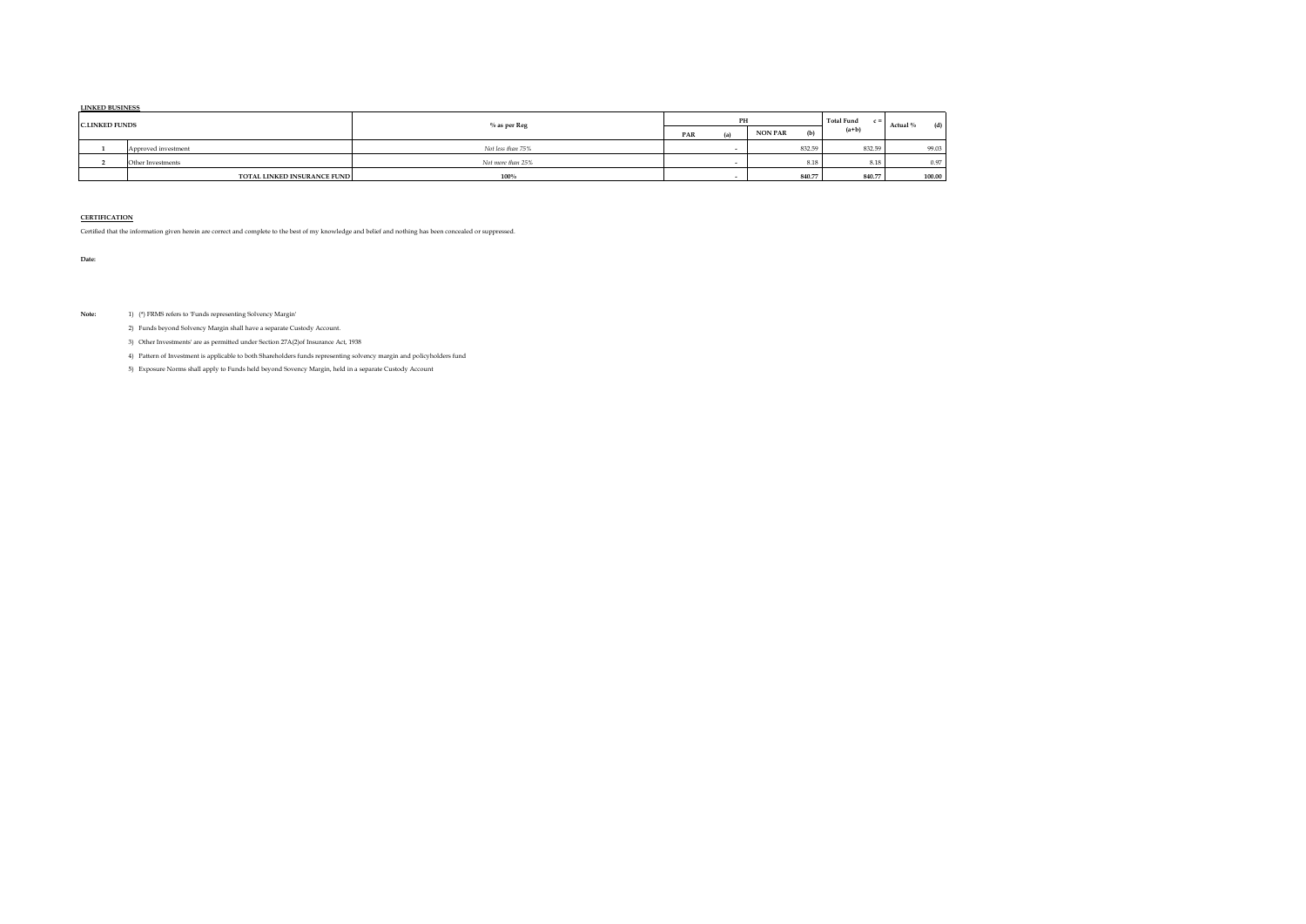#### **LINKED BUSINESS**

| <b>C.LINKED FUNDS</b> |                             | $%$ as per $Reg$  |     | PH |                | <b>Total Fund</b><br>$\epsilon =$ | (d)<br>Actual % |        |
|-----------------------|-----------------------------|-------------------|-----|----|----------------|-----------------------------------|-----------------|--------|
|                       |                             |                   | PAR | ភា | <b>NON PAR</b> | (b)                               | $(a+b)$         |        |
|                       | Approved investment         | Not less than 75% |     |    |                | 832.59                            | 832.59          | 99.03  |
|                       | Other Investments           | Not more than 25% |     |    |                | 8.18                              | 8.18            | 0.97   |
|                       | TOTAL LINKED INSURANCE FUND | 100%              |     |    |                | 840.77                            | 840.77          | 100.00 |

#### **CERTIFICATION**

Certified that the information given herein are correct and complete to the best of my knowledge and belief and nothing has been concealed or suppressed.

**Date:** 

**Note:** 1) (\*) FRMS refers to 'Funds representing Solvency Margin'

2) Funds beyond Solvency Margin shall have a separate Custody Account.

3) Other Investments' are as permitted under Section 27A(2)of Insurance Act, 1938

4) Pattern of Investment is applicable to both Shareholders funds representing solvency margin and policyholders fund

5) Exposure Norms shall apply to Funds held beyond Sovency Margin, held in a separate Custody Account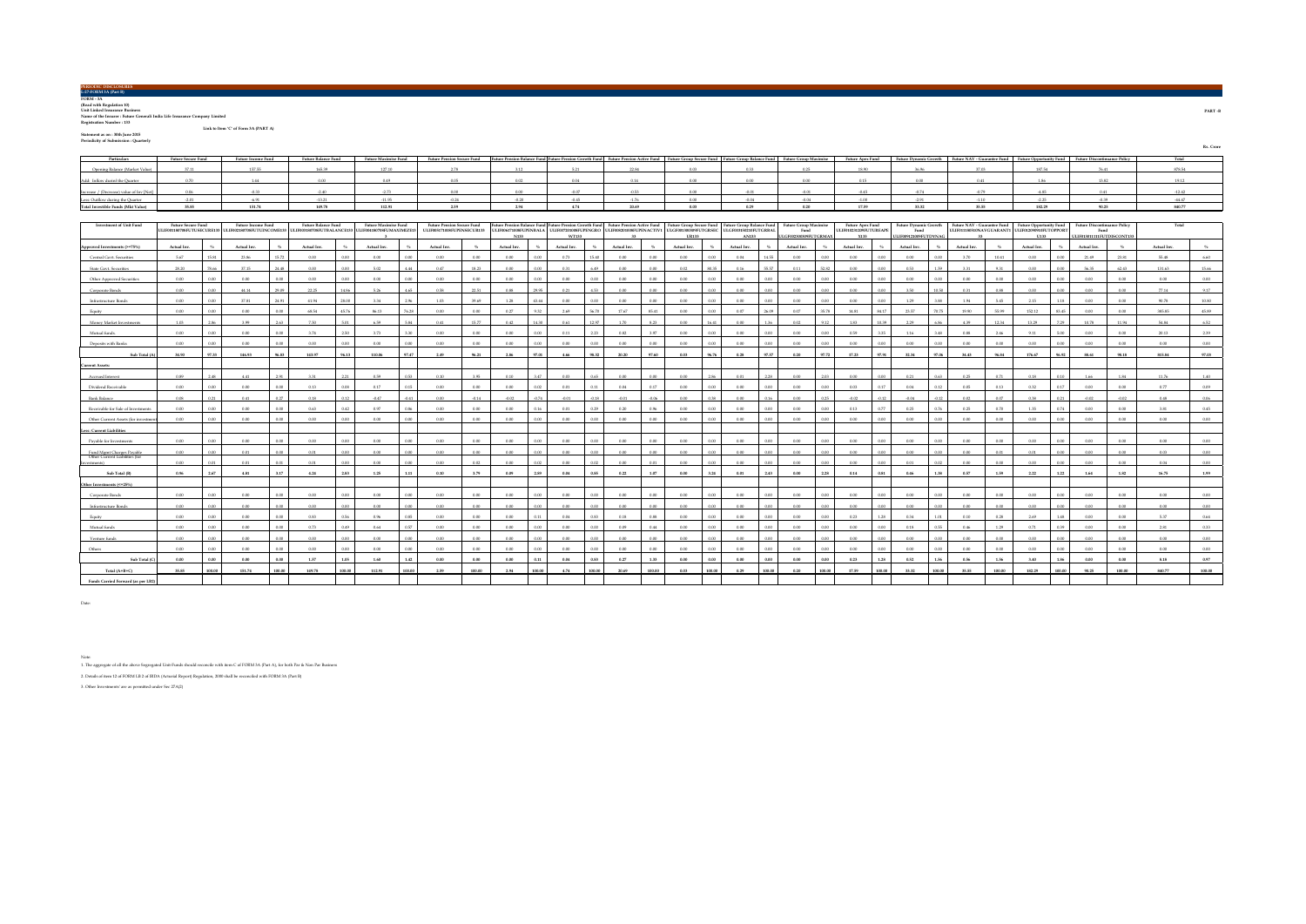| PERIODRE DISCLOSURES  |  |
|-----------------------|--|
| L-27-FORM 3A (Part B) |  |
|                       |  |
| FORM - 3A             |  |
|                       |  |

**FORM - 3A (Read with Regulation 10) Unit Linked Insurance Business Name of the Insurer : Future Generali India Life Insurance Company Limited Registration Number : 133 Link to Item 'C' of Form 3A (PART A)**

**Statement as on : 30th June 2015 Periodicity of Submission : Quarterly**

| Periodicity of Submission : Ouarterly    |                           |                           |                     |                             |  |       |      |      |             |  |                                                                                                                                                                                                                                |           |
|------------------------------------------|---------------------------|---------------------------|---------------------|-----------------------------|--|-------|------|------|-------------|--|--------------------------------------------------------------------------------------------------------------------------------------------------------------------------------------------------------------------------------|-----------|
|                                          |                           |                           |                     |                             |  |       |      |      |             |  |                                                                                                                                                                                                                                | Rs. Crore |
| Particulars                              | <b>Future Secure Fund</b> | <b>Future Income Fund</b> | Future Balance Fund | <b>Future Maximise Fund</b> |  |       |      |      |             |  | Future Pension Secure Fund Future Pension Balance Fund Future Pension Crowth Fund Future Pension Active Fund Future Crosup Secure Fund Future Group Balance Fund Future Group Balance Fund Future Group Balance Fund Future Gr |           |
| Opening Balance (Market Value)           |                           |                           |                     |                             |  |       |      |      | 19.90       |  |                                                                                                                                                                                                                                |           |
| Add: Inflow durinf the Ouarter           |                           |                           |                     |                             |  |       | 0.00 |      |             |  |                                                                                                                                                                                                                                |           |
| Increase / (Decrease) value of Inv [Net] |                           |                           |                     | .2.73                       |  |       | 0.00 |      | 0.45        |  |                                                                                                                                                                                                                                |           |
| Less: Outflow during the Quarter         |                           |                           |                     | $-11.95$                    |  | 1.76  | 0.00 |      |             |  |                                                                                                                                                                                                                                |           |
| Total Investible Funds (Mkt Value)       | on on                     | 101.74                    | 1.49.79             | 112.91                      |  | 20.69 | 0.02 | 0.29 | <b>ADDA</b> |  |                                                                                                                                                                                                                                |           |

| <b>Investment of Unit Fund</b>                  | <b>Future Secure Fund</b> |        | <b>Future Income Fund</b>                                                                                  |        | <b>Future Balance Fund</b> |          | <b>Future Maximise Fund</b> |         | <b>Future Pension Secure Fund</b> |            | Future Pension Balance Fund Future Pension Growth Fund Future Pension Active Fund Future Group Secure Fund                        |        |             |         |             |         |             |        | <b>Future Group Balance Fund</b> |          | <b>Future Group Maximise</b> |          | <b>Future Apex Fund</b>        | <b>Future Dynamic Growth</b> |        | Future NAV - Guarantee Fund |          | <b>Future Opportunity Fund</b>                           |        | <b>Future Discontinuance Policy</b> |          | Total       |        |
|-------------------------------------------------|---------------------------|--------|------------------------------------------------------------------------------------------------------------|--------|----------------------------|----------|-----------------------------|---------|-----------------------------------|------------|-----------------------------------------------------------------------------------------------------------------------------------|--------|-------------|---------|-------------|---------|-------------|--------|----------------------------------|----------|------------------------------|----------|--------------------------------|------------------------------|--------|-----------------------------|----------|----------------------------------------------------------|--------|-------------------------------------|----------|-------------|--------|
|                                                 |                           |        | ULIF001180708FUTUSECURE133 ULIF002180708FUTUINCOME133 ULIF003180708FUTBALANCE133 ULIF004180708FUMAXIMIZE13 |        |                            |          |                             |         | ULIF005171008FUPENSECUR133        |            | ULIF006171008FUPENBALA ULIF007201008FUPENGRO ULIF008201008FUPENACTIVI ULGF001300309FUTGRSEC ULGF003150210FUTGRBAI<br><b>A1122</b> |        | WT133       |         |             |         | 118133      |        | AN133                            |          | Fund<br>LGF002300309FUTGRMA3 |          | ULIF010231209FUTUREAPE<br>X133 | Fund<br>LIF009121009FUTDYNA0 |        |                             |          | ULIF011180510NAVGUARANT1 ULIF012090910FUTOPPORT<br>11133 |        | Fund<br>LIF013011111FUTDISCONT133   |          |             |        |
| <b>Approved Investments (&gt;=75%)</b>          | Actual Inv.               |        | Actual Inv.                                                                                                |        | Actual Inv.                |          | Actual Inv.                 | $-2\pi$ | Actual Inv.                       | <b>COL</b> | Actual Inv.                                                                                                                       |        | Actual Inv. |         | Actual Inv. | $-2\%$  | Actual Inv. |        | Actual Inv.                      | AL       | Actual Inv.                  |          | Actual Inv.                    | Actual Inv.                  |        | Actual Inv.                 | $-26$    | Actual Inv.                                              |        | Actual Inv.                         | AL       | Actual Inv. |        |
| Central Govt. Securitie                         | 5.67                      | 15.9   | 23.86                                                                                                      | 15.72  | 0.001                      | 0.00     | 0.001                       | o oo.   | 0.00                              | 0.001      | 0.001                                                                                                                             |        | 0.72        |         | 0.00        | 0.001   | 0.00        | 0.00   | 0.04                             | 14.55    | 0.00                         |          | 0.00                           | $0.00 -$                     |        | 2.70                        | 10.41    | 0.001                                                    | 0.00   | 21.49                               | 23.81    | 55.48       | 6.60   |
| State Goyt, Securities                          | 28.20                     | 78.66  | 37.15                                                                                                      | 24.48  | 0.001                      | $0.00 -$ | 5.02                        | 4.44    | 0.47                              | 18.23      | 0.00                                                                                                                              |        | 0.21        | 6.49    | 0.00        | 0.03    | 0.02        | 5503   | 0.16                             | 55.57    | 0.11                         | 529      | 0.00                           | 0.53                         |        | 3.31                        | 9.31     | 0.001                                                    | 0.00   | 56.35                               | 62.43    | 131.63      | 15.66  |
| Other Approved Securities                       | 0.001                     | 0.05   | 0.00                                                                                                       | 0.001  | 0.001                      | $0.00 -$ | 0.001                       | 0.00    | 0.00                              | 0.001      | 0.001                                                                                                                             | n oo   | 0.00        | 0.00    | $0.00 -$    | 0.001   | 0.00        | n m    | 0.00                             | 0.001    | 0.001                        | 0.00     | 0.00                           | 0.00                         | 0.00   | 0.001                       | 0.00     | 0.001                                                    | 0.00   | 0.001                               | 0.00     | 0.00        | 0.00   |
| Corporate Bonds                                 | 0.001                     |        | 44.14                                                                                                      | 29.09  | 22.25                      | i a ga   | 5.26                        | 4.65    | 0.58                              | 22.51      | 0.88                                                                                                                              | 0.95   | 0.21        | 14.99   | 0.00        | 0.001   | 0.00        | o on   | $0.00 -$                         | 0.001    | 0.001                        |          | 0.00                           | 3.50                         |        | 0.31                        | 0.88     | 0.001                                                    | 0.00   | 0.001                               | $0.00 -$ | 77.14       | 9.17   |
| Infrastructure Bonds                            | 0.00                      | 0.0    | 37.81                                                                                                      | 24.91  | 41.94                      | 28.00    | 3.34                        | 2.96    | 1.03                              | 39.69      | 1.28                                                                                                                              | 43.44  | 0.00        | 0.00    | 0.00        | 0.00    | 0.00        | 0.00   | 0.00                             | 0.00     | 0.00                         | 0.00     | 0.00<br>0.00                   | 1.29                         | 3.88   | 1.94                        | 5.45     | 2.15                                                     | 1.18   | 0.00                                | 0.00     | 90.78       | 10.80  |
| February                                        | 0.001                     |        | 0.00                                                                                                       |        | 68.54                      | 45.74    | 86.13                       | 76.28   | 0.00                              | n m        | 0.27                                                                                                                              |        | 2.69        |         | 17.67       | 85.41   | 0.001       |        | 0.07                             |          | 0.07                         | 35.79    | 14.81<br>94.17                 | 23.57                        |        | 19.90                       | 55.99    | 152.12                                                   | 83.45  | 0.00                                | 0.00     | 385.85      | 45.89  |
| Money Market Investments                        | 1.03                      | 2.86   | 3.99                                                                                                       | 2.63   | 750                        | 5.01     | 6.59                        | 5.84    | 0.41                              | 15.77      | 0.42                                                                                                                              | 14.30  | 0.61        | 12.97   | 1.70        | 8.23    | $0.00 -$    | 16.41  | 0.00                             | 1.36     | 0.02                         | 9.12     | 1.83<br>10.39                  | 2.29                         | 6.86   | 4.39                        | 12.34    | 13.29                                                    | 7.29   | 10.78                               | 11.94    | 54.84       | 6.52   |
| Mutual funds                                    | 0.001                     |        | 0.00                                                                                                       | 0.001  | 3.74                       | 2.50     | 3.73                        | 3.30    | 0.00                              | 0.00       | 0.001                                                                                                                             |        | 0.11        | 223     | 0.82        | 3.97    | 0.00        | n m    | 0.00                             | 0.001    | 0.001                        | 0.00     | 0.59<br>225                    | 1.16                         |        | 0.88                        | 2.46     | 9.11                                                     | 5.00   | 0.001                               | $0.00 -$ | 20.13       | 2.39   |
| Deposits with Banks                             | 0.00                      |        | 0.00                                                                                                       |        | 0.00                       | 0.00     | 0.00                        | 0.00    | 0.00                              | $\sim$     | 0.00                                                                                                                              |        |             |         | 0.00        | 0.003   | 0.00        |        | 0.00                             |          | 0.00                         |          | 0.00                           | 0.00                         |        | 0.00                        | $0.00 -$ | 0.00                                                     |        | O OF                                | $0.00 -$ | 0.00        | 0.00   |
| Sub Total (A)                                   | 34.90                     | 97.33  | 146,93                                                                                                     | 96.83  | 143.97                     | 96.13    | 110.06                      | 97.47   | 2.49                              | 96.21      | 2.86                                                                                                                              | 97.01  | 4.66        | 98.32   | 20,20       | 97.60   | 0.03        | 96.76  | 0.28                             | 97.57    | 0.20                         | 97.72    | 17.23<br>97.91                 | 32.34                        | 97.06  | 34.43                       | 96.84    | 176.67                                                   | 96.92  | 88.61                               | 98.18    | 815.84      | 97.03  |
| <b>Current Assets:</b>                          |                           |        |                                                                                                            |        |                            |          |                             |         |                                   |            |                                                                                                                                   |        |             |         |             |         |             |        |                                  |          |                              |          |                                |                              |        |                             |          |                                                          |        |                                     |          |             |        |
| Accrued Interest                                | 0.89                      | 2.48   | 4.41                                                                                                       | 2.91   | 3.31                       | 2.21     | 0.59                        | 0.53    | 0.10                              | 3.95       | 0.10                                                                                                                              | 3.47   | 0.03        | 0.65    | $0.00 -$    | o on    | $0.00 -$    | 2.86   | 0.01                             | 2.28     | 0.001                        | 200      | 0.00<br>0.00                   | 0.21                         | 0.62   | 0.25                        | 0.71     | 0.18                                                     | 0.10   | 1.66                                | 1.84     | 11.76       | 1.40   |
| Dividend Receival                               | 0.001                     |        | 0.00                                                                                                       | 0.00   | 0.13                       | 0.08     | 0.17                        | 0.15    | 0.00                              | 0.001      | 0.001                                                                                                                             |        | 0.01        |         | 0.04        | 0.17    | 0.001       | 0.00   | $0.00 -$                         | 0.001    | 0.00                         |          | 0.03                           | 0.04                         |        | 0.05                        | 0.13     | 0.32                                                     | 0.17   | 0.001                               | $0.00 -$ | 0.77        | 0.09   |
| Bank Balance                                    | 0.08                      |        | 0.41                                                                                                       | 0.27   | 0.18                       | 0.12     | $-0.47$                     | $-0.41$ | 0.00                              | $-0.14$    | $-0.02$                                                                                                                           | 0.74   | $-0.01$     | $-0.18$ | $-0.01$     | $-0.06$ | 0.00        | 0.38   | 0.00                             | 0.16     | 0.00                         |          | $-0.02$                        | $-0.04$                      |        | 0.02                        | 0.07     | 0.38                                                     | 0.21   | $-0.02$                             | $-0.02$  | 0.48        | 0.06   |
| Receivable for Sale of Investmen                | 0.001                     |        | 0.00                                                                                                       | 0.00   | 0.63                       | 0.42     | 0.97                        | 0.96    | 0.00                              | 0.00       | 0.001                                                                                                                             |        | 0.01        | 0.29    | 0.20        | 0.95    | 0.00        |        | $0.00 -$                         | $0.00 -$ | 0.001                        |          | 0.13                           | 0.25                         | 0.76   | 0.25                        | 0.70     | 1.35                                                     | 0.74   | 0.00                                | 0.00     | 3.81        | 0.45   |
| Other Current Assets (for investme              | 0.001                     |        | 0.00                                                                                                       |        | 0.001                      | $0.00 -$ | 0.001                       | 0.001   | 0.00                              | n m        | 0.00                                                                                                                              |        | 0.00        |         | $0.00 -$    | 0.001   | $0.00 -$    |        | 0.00                             | 0.00     | 0.001                        |          | 0.00                           | 0.00                         |        | 0.001                       | 0.00     | 0.00                                                     | 0.00   | 0.00                                | 0.00     | 0.00        | 0.00   |
| less: Current Liabilities                       |                           |        |                                                                                                            |        |                            |          |                             |         |                                   |            |                                                                                                                                   |        |             |         |             |         |             |        |                                  |          |                              |          |                                |                              |        |                             |          |                                                          |        |                                     |          |             |        |
| Payable for Investment                          | 0.001                     |        | 0.00                                                                                                       | 0.00   | 0.00                       | $0.00 -$ | 0.00                        | 0.001   | 0.00                              | 0.001      | 0.001                                                                                                                             |        | 0.00        |         | 0.00        | 0.00    | 0.00        |        | 0.00                             | 0.00     | 0.00                         |          | 0.00                           | 0.00                         |        | 0.00                        | $0.00 -$ | 0.001                                                    | 0.00   | 0.00                                | $0.00 -$ | 0.00        | 0.00   |
| Fund Memt Charoes Pavable                       | 0.00                      | 0.00   | 0.01                                                                                                       | 0.00   | 0.01                       | 0.00     | 0.00                        | 0.00    | 0.00                              | 0.00       | 0.00                                                                                                                              | 0.00   | 0.00        | 0.00    | 0.00        | 0.00    | 0.00        | 0.00   | 0.00                             | 0.00     | 0.00                         | $0.00 -$ | 0.00<br>0.00                   | 0.00                         | 0.001  | 0.00                        | 0.01     | 0.01                                                     | 0.00   | 0.00                                | 0.00     | 0.03        | 0.00   |
| Other Current Liabilities (for<br>Colorador (C) | 0.001                     | 00     | 0.01                                                                                                       | 0.01   | 0.01                       | 0.00     | 0.00                        | 0.00    | 0.00                              | 0.02       | 0.00                                                                                                                              | 0.02   | 0.00        | 0.02    | 0.00        | 0.01    | 0.00        | 0.00   | 0.00                             | 0.00     | 0.00                         | 0.00     | 0.00<br>n on                   | 0.01                         | 0.02   | 0.00                        | 0.00     | 0.00                                                     | 0.00   | 0.001                               | 0.00     | 0.04        | 0.00   |
| Sub Total (B)                                   | 0.96                      | 200    | 4.91                                                                                                       | 3.17   | 4.24                       | 2.83     | 1.25                        | 1.11    | 0.10                              | 3.79       | 0.09                                                                                                                              | 299    | 0.04        | 0.85    | 0.22        | 1.07    | 0.00        | 3.24   | 0.01                             | 2.43     | 0.001                        |          | 0.14                           | 0.46                         |        | 0.57                        | 1.59     | 222                                                      | 122    | 1.65                                | 1.82     | 16.75       | 1.99   |
| Other Investments (<=25%)                       |                           |        |                                                                                                            |        |                            |          |                             |         |                                   |            |                                                                                                                                   |        |             |         |             |         |             |        |                                  |          |                              |          |                                |                              |        |                             |          |                                                          |        |                                     |          |             |        |
| Corporate Bonds                                 | 0.00                      | 0.00   | 0.00                                                                                                       | 0.00   | 0.00                       | 0.00     | 0.00                        | 0.00    | 0.00                              | 0.00       | 0.00                                                                                                                              | 0.00   | 0.00        | 0.00    | 0.00        | 0.00    | 0.00        | 0.00   | 0.00                             | 0.00     | 0.00                         | 0.00     | 0.00<br>$0.00 -$               | 0.00                         | 0.00   | 0.00                        | 0.00     | 0.00                                                     | 0.00   | 0.00                                | 0.00     | 0.00        | 0.00   |
| Infrastructure Bonds                            | 0.001                     |        | 0.001                                                                                                      |        | 0.001                      | 0.00     | 0.00                        | 0.00    | 0.00                              | n m        | 0.00                                                                                                                              |        | 0.00        |         | 0.00        | 0.00    | 0.001       |        | 0.00                             |          | 0.00                         |          | 0.00                           | $0.00 -$                     |        | 0.001                       | $0.00 -$ | 0.00                                                     | 0.00   | 0.001                               | $0.00 -$ | 0.00        | 0.00   |
|                                                 | 0.00                      |        | 0.00                                                                                                       |        | 0.83                       | 0.56     | 09                          | 0.85    | 0.00                              | n m        | 0.00                                                                                                                              |        | 0.04        |         | 0.18        | 0.88    | 0.00        |        | 0.00                             | o oo     | 0.00                         |          | 0.23                           | 0.34                         |        | 0.10                        | 0.28     | 2.69                                                     | 1.48   | 0.00                                | 0.00     | 5.37        | 0.64   |
| Mutual funds                                    | 0.00                      | 0.00   | 0.00                                                                                                       | 0.00   | 0.73                       | 0.49     | 0.64                        | 0.57    | 0.00                              | 0.00       | 0.00                                                                                                                              | o oo   | 0.00        | 0.00    | 0.09        | 0.44    | 0.00        | 0.00   | 0.00                             | 0.00     | 0.00                         | 0.00     | 0.00<br>0.001                  | 0.18                         | 0.55   | 0.46                        | 1.29     | 0.71                                                     | 0.39   | 0.00                                | 0.00     | 2.81        | 0.33   |
| Venture funds                                   | 0.001                     |        | 0.00                                                                                                       | 0.00   | 0.001                      | $0.00 -$ | 0.00                        | 0.00    | 0.00                              | 0.00       | 0.00                                                                                                                              |        | 0.00        | 0.00    | $0.00 -$    | o on    | $0.00 -$    | 0.00   | 0.00                             | 0.001    | 0.00                         | n on     | 0.00                           | $0.00 -$                     |        | 0.001                       | 0.00     | 0.00                                                     | 0.00   | 0.001                               | $0.00 -$ | 0.00        | 0.00   |
| Others                                          | 0.001                     |        | 0.00                                                                                                       | 0.00   | 0.00                       | $0.00 -$ | 0.001                       | 0.001   | 0.00                              | 0.001      | 0.001                                                                                                                             |        | 0.00        |         | 0.00        | o on    | 0.001       |        | 0.00                             | o oo     | 0.00                         |          | 0.001                          | 0.00                         |        | 0.00                        | $0.00 -$ | 0.001                                                    | 0.00   | 0.001                               | $0.00 -$ | 0.001       | 0.001  |
| Sub Total (C                                    | 0.00                      |        | 0.00                                                                                                       | 0.00   | 1.57                       | 1.05     | 1.60                        | 142     | 0.00                              | 0.00       | 0.00                                                                                                                              | 0.11   | 0.04        | 0.9     | 0.27        | 1,33    | 0.00        | 0.00   | 0.00                             | 0.00     | 0.00                         | 0.01     | 0.23                           | 0.52                         |        | 0.56                        | 1.56     | 3.40                                                     | 1.86   | 0.00                                | 0.00     | 8.18        | 0.97   |
| Total (A+B+C)                                   | 35.85                     | 100.00 | 151.74                                                                                                     | 100.00 | 149.78                     | 100.00   | 112.91                      | 100.00  | 2.59                              | 100.00     | 2.94                                                                                                                              | 100.00 | 4.74        | 100.00  | 20.69       | 100,00  | 0.03        | 100.00 | 0.29                             | 100.00   | 0.20                         | 100.00   | 17.59<br>100.00                | 33.32                        | 100.00 | 95.55                       | 100.00   | 182.29                                                   | 100,00 | 90.25                               | 100.00   | 840.77      | 100.00 |
| Funds Carried Forward (as per LB2)              |                           |        |                                                                                                            |        |                            |          |                             |         |                                   |            |                                                                                                                                   |        |             |         |             |         |             |        |                                  |          |                              |          |                                |                              |        |                             |          |                                                          |        |                                     |          |             |        |

Date:

Note:

1. The aggregate of all the above Segregated Unit-Funds should reconcile with item C of FORM 3A (Part A), for both Par & Non Par Business

2. Details of item 12 of FORM LB 2 of IRDA (Acturial Report) Regulation, 2000 shall be reconciled with FORM 3A (Part B)

3. Other Investments' are as permitted under Sec 27A(2)

**PART -B**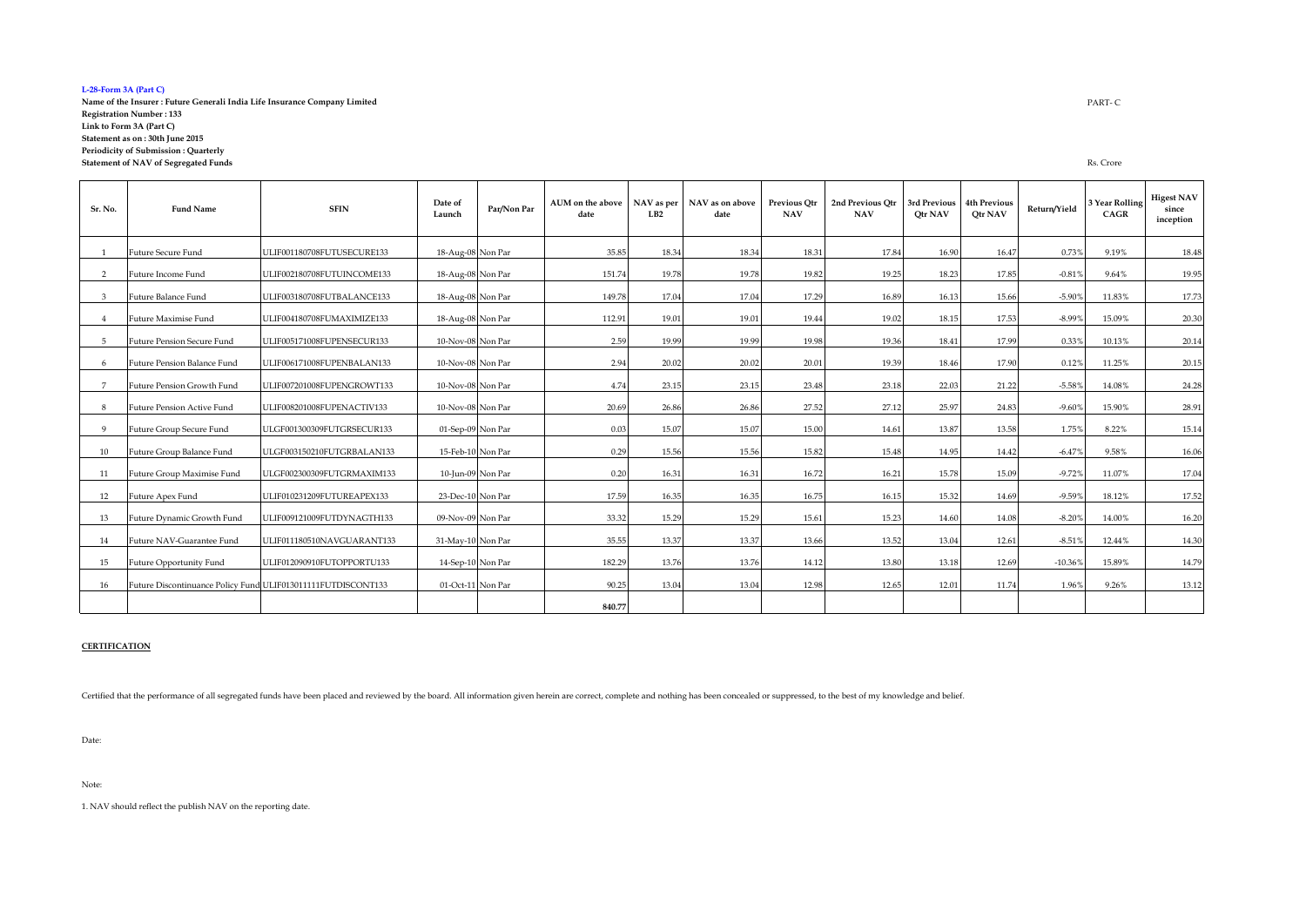#### **L-28-Form 3A (Part C)**

**Name of the Insurer : Future Generali India Life Insurance Company Limited Registration Number : 133 Link to Form 3A (Part C) Statement as on : 30th June 2015 Periodicity of Submission : Quarterly Statement of NAV of Segregated Funds**

| Sr. No.        | <b>Fund Name</b>                                             | <b>SFIN</b>                | Date of<br>Launch | Par/Non Par | AUM on the above<br>date | LB2   | NAV as per NAV as on above<br>date | <b>Previous Otr</b><br><b>NAV</b> | 2nd Previous Otr<br><b>NAV</b> | 3rd Previous<br>Otr NAV | 4th Previous<br>Otr NAV | Return/Yield | 3 Year Rolling<br>CAGR | <b>Higest NAV</b><br>since<br>inception |
|----------------|--------------------------------------------------------------|----------------------------|-------------------|-------------|--------------------------|-------|------------------------------------|-----------------------------------|--------------------------------|-------------------------|-------------------------|--------------|------------------------|-----------------------------------------|
|                | Future Secure Fund                                           | ULIF001180708FUTUSECURE133 | 18-Aug-08 Non Par |             | 35.85                    | 18.34 | 18.34                              | 18.31                             | 17.84                          | 16.90                   | 16.47                   | 0.73%        | 9.19%                  | 18.48                                   |
| $\overline{2}$ | Future Income Fund                                           | ULIF002180708FUTUINCOME133 | 18-Aug-08 Non Par |             | 151.74                   | 19.78 | 19.78                              | 19.82                             | 19.25                          | 18.23                   | 17.85                   | $-0.81%$     | 9.64%                  | 19.95                                   |
| $\mathbf{a}$   | Future Balance Fund                                          | ULIF003180708FUTBALANCE133 | 18-Aug-08 Non Par |             | 149.78                   | 17.04 | 17.04                              | 17.29                             | 16.89                          | 16.13                   | 15.66                   | $-5.90%$     | 11.83%                 | 17.73                                   |
|                | Future Maximise Fund                                         | ULIF004180708FUMAXIMIZE133 | 18-Aug-08 Non Par |             | 112.91                   | 19.01 | 19.01                              | 19.44                             | 19.02                          | 18.15                   | 17.53                   | $-8.99%$     | 15.09%                 | 20.30                                   |
| -5             | <b>Future Pension Secure Fund</b>                            | ULIF005171008FUPENSECUR133 | 10-Nov-08 Non Par |             | 2.59                     | 19.99 | 19.99                              | 19.98                             | 19.36                          | 18.41                   | 17.99                   | 0.33%        | 10.13%                 | 20.14                                   |
| -6             | Future Pension Balance Fund                                  | ULIF006171008FUPENBALAN133 | 10-Nov-08 Non Par |             | 2.94                     | 20.02 | 20.02                              | 20.01                             | 19.39                          | 18.46                   | 17.90                   | 0.12%        | 11.25%                 | 20.15                                   |
|                | Future Pension Growth Fund                                   | ULIF007201008FUPENGROWT133 | 10-Nov-08 Non Par |             | 4.74                     | 23.15 | 23.15                              | 23.48                             | 23.18                          | 22.03                   | 21.22                   | $-5.58%$     | 14.08%                 | 24.28                                   |
| 8              | <b>Future Pension Active Fund</b>                            | ULIF008201008FUPENACTIV133 | 10-Nov-08 Non Par |             | 20.69                    | 26.86 | 26.86                              | 27.52                             | 27.12                          | 25.97                   | 24.83                   | $-9.60%$     | 15.90%                 | 28.91                                   |
|                | Future Group Secure Fund                                     | ULGF001300309FUTGRSECUR133 | 01-Sep-09 Non Par |             | 0.03                     | 15.07 | 15.07                              | 15.00                             | 14.61                          | 13.87                   | 13.58                   | 1.75%        | 8.22%                  | 15.14                                   |
| 10             | Future Group Balance Fund                                    | ULGF003150210FUTGRBALAN133 | 15-Feb-10 Non Par |             | 0.29                     | 15.56 | 15.56                              | 15.82                             | 15.48                          | 14.95                   | 14.42                   | $-6.47%$     | 9.58%                  | 16.06                                   |
| 11             | Future Group Maximise Fund                                   | ULGF002300309FUTGRMAXIM133 | 10-Jun-09 Non Par |             | 0.20                     | 16.31 | 16.31                              | 16.72                             | 16.21                          | 15.78                   | 15.09                   | $-9.72%$     | 11.07%                 | 17.04                                   |
| 12             | Future Apex Fund                                             | ULIF010231209FUTUREAPEX133 | 23-Dec-10 Non Par |             | 17.59                    | 16.35 | 16.35                              | 16.75                             | 16.15                          | 15.32                   | 14.69                   | $-9.59%$     | 18.12%                 | 17.52                                   |
| 13             | Future Dynamic Growth Fund                                   | ULIF009121009FUTDYNAGTH133 | 09-Nov-09 Non Par |             | 33.32                    | 15.29 | 15.29                              | 15.61                             | 15.23                          | 14.60                   | 14.08                   | $-8.20%$     | 14.00%                 | 16.20                                   |
| 14             | Future NAV-Guarantee Fund                                    | ULIF011180510NAVGUARANT133 | 31-May-10 Non Par |             | 35.55                    | 13.37 | 13.37                              | 13.66                             | 13.52                          | 13.04                   | 12.61                   | $-8.51%$     | 12.44%                 | 14.30                                   |
| 15             | Future Opportunity Fund                                      | ULIF012090910FUTOPPORTU133 | 14-Sep-10 Non Par |             | 182.29                   | 13.76 | 13.76                              | 14.12                             | 13.80                          | 13.18                   | 12.69                   | $-10.36%$    | 15.89%                 | 14.79                                   |
| 16             | Future Discontinuance Policy Fund ULIF013011111FUTDISCONT133 |                            | 01-Oct-11 Non Par |             | 90.25                    | 13.04 | 13.04                              | 12.98                             | 12.65                          | 12.01                   | 11.74                   | 1.96%        | 9.26%                  | 13.12                                   |
|                |                                                              |                            |                   |             | 840.77                   |       |                                    |                                   |                                |                         |                         |              |                        |                                         |

### **CERTIFICATION**

Certified that the performance of all segregated funds have been placed and reviewed by the board. All information given herein are correct, complete and nothing has been concealed or suppressed, to the best of my knowledg

Date:

Note:

1. NAV should reflect the publish NAV on the reporting date.

PART- C

Rs. Crore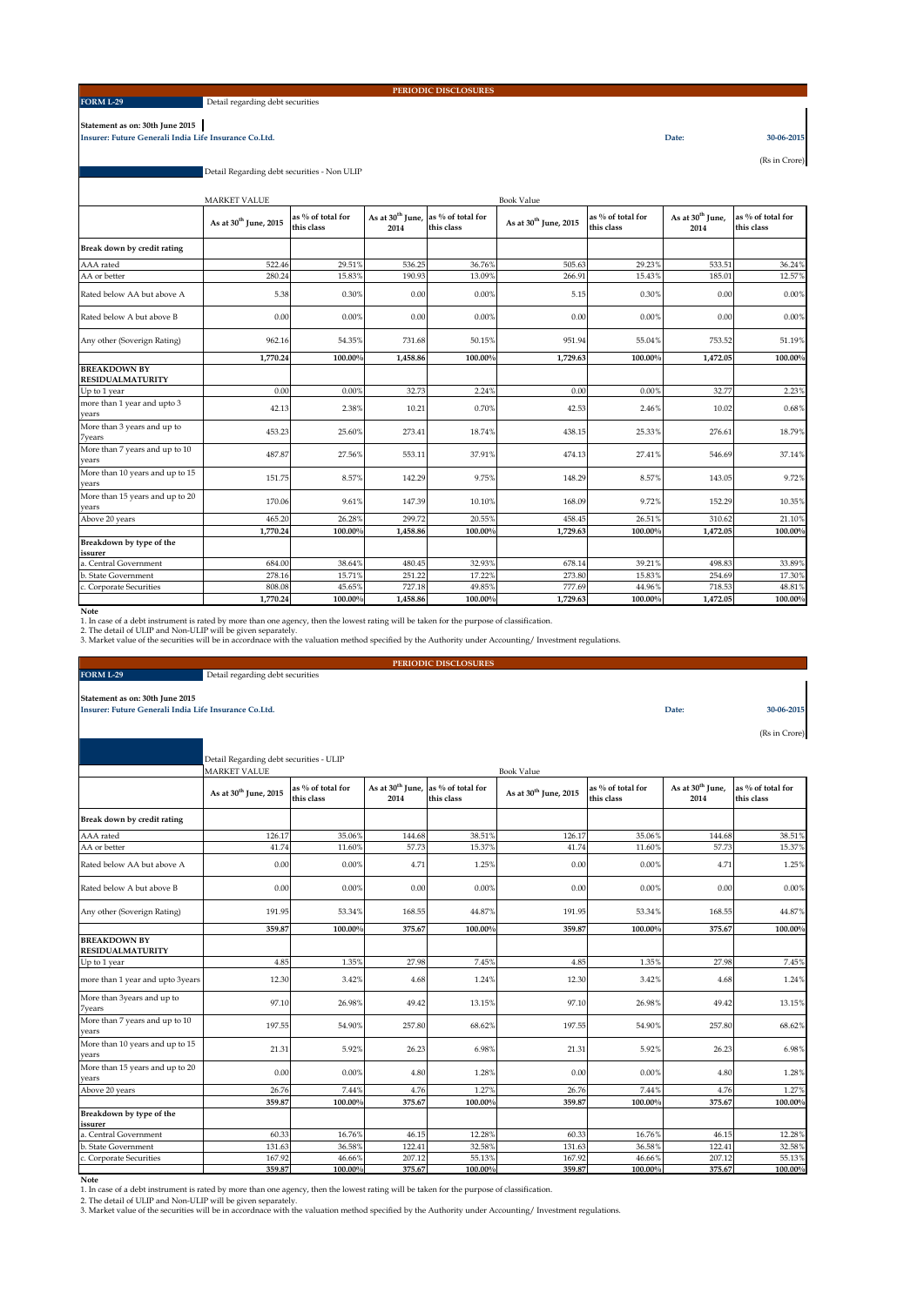### **FORM L-29**

### Detail regarding debt securities

### **PERIODIC DISCLOSURES**

**Statement as on: 30th June 2015 Insurer: Future Generali India Life Insurance Co.Ltd. Date: 30-06-2015**

(Rs in Crore)

Detail Regarding debt securities - Non ULIP

|                                                | <b>MARKET VALUE</b>               |                                 |                                      |                                 | <b>Book Value</b>                 |                                 |                                      |                                 |  |  |  |  |
|------------------------------------------------|-----------------------------------|---------------------------------|--------------------------------------|---------------------------------|-----------------------------------|---------------------------------|--------------------------------------|---------------------------------|--|--|--|--|
|                                                | As at 30 <sup>th</sup> June, 2015 | as % of total for<br>this class | As at 30 <sup>th</sup> June,<br>2014 | as % of total for<br>this class | As at 30 <sup>th</sup> June, 2015 | as % of total for<br>this class | As at 30 <sup>th</sup> June,<br>2014 | as % of total for<br>this class |  |  |  |  |
| Break down by credit rating                    |                                   |                                 |                                      |                                 |                                   |                                 |                                      |                                 |  |  |  |  |
| AAA rated                                      | 522.46                            | 29.51%                          | 536.25                               | 36.76%                          | 505.63                            | 29.23%                          | 533.51                               | 36.24%                          |  |  |  |  |
| AA or better                                   | 280.24                            | 15.83%                          | 190.93                               | 13.09%                          | 266.91                            | 15.43%                          | 185.01                               | 12.579                          |  |  |  |  |
| Rated below AA but above A                     | 5.38                              | 0.30%                           | 0.00                                 | 0.00%                           | 5.15                              | 0.30%                           | 0.00                                 | 0.00%                           |  |  |  |  |
| Rated below A but above B                      | 0.00                              | 0.00%                           | 0.00                                 | 0.00%                           | 0.00                              | 0.00%                           | 0.00                                 | 0.00%                           |  |  |  |  |
| Any other (Soverign Rating)                    | 962.16                            | 54.35%                          | 731.68                               | 50.15%                          | 951.94                            | 55.04%                          | 753.52                               | 51.19%                          |  |  |  |  |
|                                                | 1.770.24                          | 100.00%                         | 1.458.86                             | 100.00%                         | 1,729.63                          | 100.00%                         | 1,472.05                             | 100.00%                         |  |  |  |  |
| <b>BREAKDOWN BY</b><br><b>RESIDUALMATURITY</b> |                                   |                                 |                                      |                                 |                                   |                                 |                                      |                                 |  |  |  |  |
| Up to 1 year                                   | 0.00                              | 0.00%                           | 32.73                                | 2.24%                           | 0.00                              | 0.00%                           | 32.77                                | 2.23%                           |  |  |  |  |
| more than 1 year and upto 3<br>vears           | 42.13                             | 2.38%                           | 10.21                                | 0.70%                           | 42.53                             | 2.46%                           | 10.02                                | 0.68%                           |  |  |  |  |
| More than 3 years and up to<br>7years          | 453.23                            | 25.60%                          | 273.41                               | 18.74%                          | 438.15                            | 25.33%                          | 276.61                               | 18.79%                          |  |  |  |  |
| More than 7 years and up to 10<br>vears        | 487.87                            | 27.56%                          | 553.11                               | 37.91%                          | 474.13                            | 27.41%                          | 546.69                               | 37.14%                          |  |  |  |  |
| More than 10 years and up to 15<br>vears       | 151.75                            | 8.57%                           | 142.29                               | 9.75%                           | 148.29                            | 8.57%                           | 143.05                               | 9.72%                           |  |  |  |  |
| More than 15 years and up to 20<br>vears       | 170.06                            | 9.61%                           | 147.39                               | 10.10%                          | 168.09                            | 9.72%                           | 152.29                               | 10.35%                          |  |  |  |  |
| Above 20 years                                 | 465.20                            | 26.28%                          | 299.72                               | 20.55%                          | 458.45                            | 26.51%                          | 310.62                               | 21.10%                          |  |  |  |  |
|                                                | 1.770.24                          | 100.00%                         | 1.458.86                             | 100.00%                         | 1,729.63                          | 100.00%                         | 1,472.05                             | 100.00%                         |  |  |  |  |
| Breakdown by type of the<br>issurer            |                                   |                                 |                                      |                                 |                                   |                                 |                                      |                                 |  |  |  |  |
| a. Central Government                          | 684.00                            | 38.64%                          | 480.45                               | 32.93%                          | 678.14                            | 39.21%                          | 498.83                               | 33.899                          |  |  |  |  |
| b. State Government                            | 278.16                            | 15.71%                          | 251.22                               | 17.22%                          | 273.80                            | 15.83%                          | 254.69                               | 17.30%                          |  |  |  |  |
| c. Corporate Securities                        | 808.08                            | 45.65%                          | 727.18                               | 49.85%                          | 777.69                            | 44.96%                          | 718.53                               | 48.81%                          |  |  |  |  |
|                                                | 1.770.24                          | 100.00%                         | 1.458.86                             | 100.00 <sup>°</sup>             | 1,729.63                          | 100.00%                         | 1.472.05                             | 100.00%                         |  |  |  |  |

**Note**<br>1. In case of a debt instrument is rated by more than one agency, then the lowest rating will be taken for the purpose of classification.<br>2. The detail of ULIP and Non-ULIP will be given separately.<br>3. Market value

|                                                       |                                         |                                 |                      | PERIODIC DISCLOSURES                                         |                                   |                                 |                                      |                                 |
|-------------------------------------------------------|-----------------------------------------|---------------------------------|----------------------|--------------------------------------------------------------|-----------------------------------|---------------------------------|--------------------------------------|---------------------------------|
| <b>FORM L-29</b>                                      | Detail regarding debt securities        |                                 |                      |                                                              |                                   |                                 |                                      |                                 |
| Statement as on: 30th June 2015                       |                                         |                                 |                      |                                                              |                                   |                                 |                                      |                                 |
| Insurer: Future Generali India Life Insurance Co.Ltd. |                                         |                                 |                      |                                                              |                                   |                                 | Date:                                | 30-06-2015                      |
|                                                       |                                         |                                 |                      |                                                              |                                   |                                 |                                      |                                 |
|                                                       |                                         |                                 |                      |                                                              |                                   |                                 |                                      | (Rs in Crore)                   |
|                                                       |                                         |                                 |                      |                                                              |                                   |                                 |                                      |                                 |
|                                                       | Detail Regarding debt securities - ULIP |                                 |                      |                                                              |                                   |                                 |                                      |                                 |
|                                                       | <b>MARKET VALUE</b>                     |                                 |                      |                                                              | <b>Book Value</b>                 |                                 |                                      |                                 |
|                                                       | As at 30 <sup>th</sup> June, 2015       | as % of total for<br>this class | 2014                 | As at 30 <sup>th</sup> June, as % of total for<br>this class | As at 30 <sup>th</sup> June, 2015 | as % of total for<br>this class | As at 30 <sup>th</sup> June,<br>2014 | as % of total for<br>this class |
| Break down by credit rating                           |                                         |                                 |                      |                                                              |                                   |                                 |                                      |                                 |
| AAA rated                                             | 126.17                                  | 35.06%                          | 144.68               | 38.51%                                                       | 126.17                            | 35.06%                          | 144.68                               | 38.51%                          |
| AA or better                                          | 41.74                                   | 11.60%                          | 57.73                | 15.37%                                                       | 41.74                             | 11.60%                          | 57.73                                | 15.37%                          |
| Rated below AA but above A                            | 0.00                                    | 0.00%                           | 4.71                 | 1.25%                                                        | 0.00                              | 0.00%                           | 4.71                                 | 1.25%                           |
| Rated below A but above B                             | 0.00                                    | 0.00%                           | 0.00                 | 0.00%                                                        | 0.00                              | 0.00%                           | 0.00                                 | 0.00%                           |
| Any other (Soverign Rating)                           | 191.95                                  | 53.34%                          | 168.55               | 44.87%                                                       | 191.95                            | 53.34%                          | 168.55                               | 44.87%                          |
|                                                       | 359.87                                  | 100.00%                         | 375.67               | 100.00%                                                      | 359.87                            | 100.00 <sup>%</sup>             | 375.67                               | 100.00%                         |
| <b>BREAKDOWN BY</b><br><b>RESIDUALMATURITY</b>        |                                         |                                 |                      |                                                              |                                   |                                 |                                      |                                 |
| Up to 1 year                                          | 4.85                                    | 1.35%                           | 27.98                | 7.45%                                                        | 4.85                              | 1.35%                           | 27.98                                | 7.45%                           |
| more than 1 year and upto 3years                      | 12.30                                   | 3.42%                           | 4.68                 | 1.24%                                                        | 12.30                             | 3.42%                           | 4.68                                 | 1.24%                           |
| More than 3years and up to<br><b>7</b> years          | 97.10                                   | 26.98%                          | 49.42                | 13.15%                                                       | 97.10                             | 26.98%                          | 49.42                                | 13.15%                          |
| More than 7 years and up to 10<br>years               | 197.55                                  | 54.90%                          | 257.80               | 68.62%                                                       | 197.55                            | 54.90%                          | 257.80                               | 68.62%                          |
| More than 10 years and up to 15<br>years              | 21.31                                   | 5.92%                           | 26.23                | 6.98%                                                        | 21.31                             | 5.92%                           | 26.23                                | 6.98%                           |
| More than 15 years and up to 20<br>vears              | 0.00                                    | 0.00%                           | 4.80                 | 1.28%                                                        | 0.00                              | 0.00%                           | 4.80                                 | 1.28%                           |
| Above 20 years                                        | 26.76                                   | 7.44%                           | 4.76                 | 1.27%                                                        | 26.76                             | 7.44%                           | 4.76                                 | 1.27%                           |
|                                                       | 359.87                                  | 100.00%                         | 375.67               | 100.00%                                                      | 359.87                            | 100.00%                         | 375.67                               | 100.00%                         |
| Breakdown by type of the<br>issurer                   |                                         |                                 |                      |                                                              |                                   |                                 |                                      |                                 |
| a. Central Government                                 | 60.33                                   | 16.76%                          | 46.15                | 12.28%                                                       | 60.33                             | 16.76%                          | 46.15                                | 12.28%                          |
| <b>b.</b> State Government                            | 131.63                                  | 36.58%                          | 122.41               | 32.58%                                                       | 131.63                            | 36.589                          | 122.41                               | 32.58%                          |
| Corporate Securities                                  | 167.92<br>250.07                        | 46.66%<br>100,000/              | 207.12<br>$27E$ $67$ | 55.13%<br>100,000/                                           | 167.92<br>250.07                  | 46.66%<br>100,000/              | 207.12<br><b>275.67</b>              | 55.13%<br>100,000/              |

Note 100.00% 100.00% 100.00% 375.67 100.00% 375.67 100.00% 359.87 100.00% 359.87 100.00% 375.67 100.00% 375.67<br>- 1. In case of a debt instrument is rated by more than one agency, then the lowest rating will be taken for th

2. The detail of ULIP and Non-ULIP will be given separately. 3. Market value of the securities will be in accordnace with the valuation method specified by the Authority under Accounting/ Investment regulations.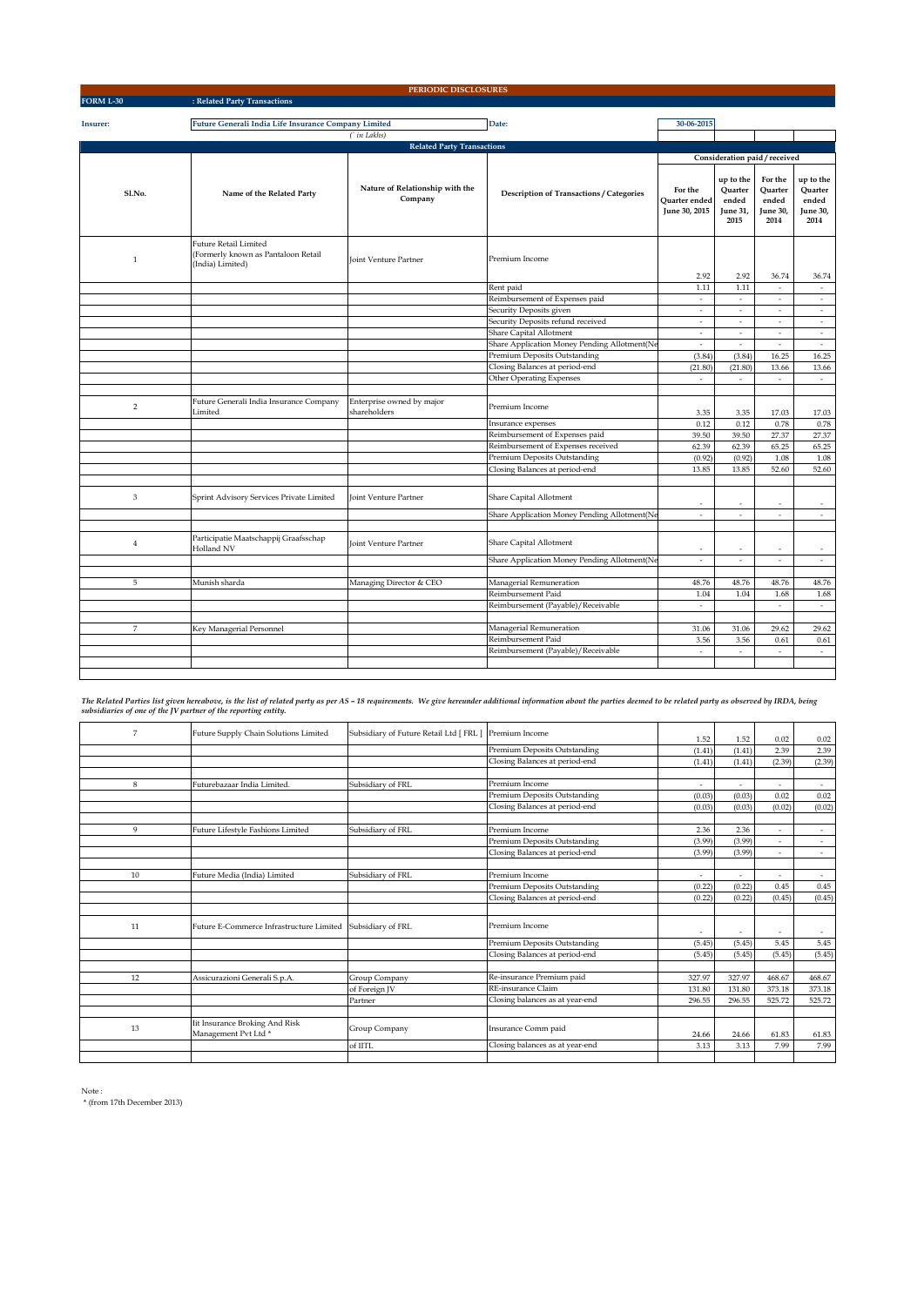|                          |                                                                                         | PERIODIC DISCLOSURES                       |                                                 |                                           |                                                   |                                                 |                                                   |
|--------------------------|-----------------------------------------------------------------------------------------|--------------------------------------------|-------------------------------------------------|-------------------------------------------|---------------------------------------------------|-------------------------------------------------|---------------------------------------------------|
| <b>FORM L-30</b>         | : Related Party Transactions                                                            |                                            |                                                 |                                           |                                                   |                                                 |                                                   |
|                          |                                                                                         |                                            |                                                 |                                           |                                                   |                                                 |                                                   |
| Insurer:                 | Future Generali India Life Insurance Company Limited                                    |                                            | Date:                                           | 30-06-2015                                |                                                   |                                                 |                                                   |
|                          |                                                                                         | (` in Lakhs)                               |                                                 |                                           |                                                   |                                                 |                                                   |
|                          |                                                                                         | <b>Related Party Transactions</b>          |                                                 |                                           |                                                   |                                                 |                                                   |
|                          |                                                                                         |                                            |                                                 |                                           | Consideration paid / received                     |                                                 |                                                   |
| Sl.No.                   | Name of the Related Party                                                               | Nature of Relationship with the<br>Company | <b>Description of Transactions / Categories</b> | For the<br>Quarter ended<br>June 30, 2015 | up to the<br>Ouarter<br>ended<br>June 31,<br>2015 | For the<br>Ouarter<br>ended<br>June 30,<br>2014 | up to the<br>Ouarter<br>ended<br>June 30,<br>2014 |
| $\mathbf{1}$             | <b>Future Retail Limited</b><br>(Formerly known as Pantaloon Retail<br>(India) Limited) | <b>Joint Venture Partner</b>               | Premium Income                                  | 2.92                                      | 2.92                                              | 36.74                                           | 36.74                                             |
|                          |                                                                                         |                                            | Rent paid                                       | 1.11                                      | 1.11                                              | $\sim$                                          | $\sim$                                            |
|                          |                                                                                         |                                            | Reimbursement of Expenses paid                  | $\overline{\phantom{a}}$                  | $\omega$                                          | $\overline{\phantom{a}}$                        | $\sim$                                            |
|                          |                                                                                         |                                            | Security Deposits given                         | $\overline{\phantom{a}}$                  | $\overline{\phantom{a}}$                          | $\overline{\phantom{a}}$                        | $\overline{\phantom{a}}$                          |
|                          |                                                                                         |                                            | Security Deposits refund received               | $\omega$                                  | ä,                                                | $\overline{\phantom{a}}$                        | $\overline{\phantom{a}}$                          |
|                          |                                                                                         |                                            | Share Capital Allotment                         | $\mathcal{L}$                             | ×.                                                | ÷.                                              | ÷.                                                |
|                          |                                                                                         |                                            | Share Application Money Pending Allotment(Ne    | $\epsilon$                                | $\overline{\phantom{a}}$                          | $\sim$                                          | $\sim$                                            |
|                          |                                                                                         |                                            | Premium Deposits Outstanding                    | (3.84)                                    | (3.84)                                            | 16.25                                           | 16.25                                             |
|                          |                                                                                         |                                            | Closing Balances at period-end                  | (21.80)                                   | (21.80)                                           | 13.66                                           | 13.66                                             |
|                          |                                                                                         |                                            | <b>Other Operating Expenses</b>                 | $\sim$                                    | $\overline{a}$                                    | ÷                                               | $\sim$                                            |
| $\overline{2}$           | Future Generali India Insurance Company<br>Limited                                      | Enterprise owned by major<br>shareholders  | Premium Income                                  | 3.35                                      | 3.35                                              | 17.03                                           | 17.03                                             |
|                          |                                                                                         |                                            | Insurance expenses                              | 0.12                                      | 0.12                                              | 0.78                                            | 0.78                                              |
|                          |                                                                                         |                                            | Reimbursement of Expenses paid                  | 39.50                                     | 39.50                                             | 27.37                                           | 27.37                                             |
|                          |                                                                                         |                                            | Reimbursement of Expenses received              | 62.39                                     | 62.39                                             | 65.25                                           | 65.25                                             |
|                          |                                                                                         |                                            | Premium Deposits Outstanding                    | (0.92)                                    | (0.92)                                            | 1.08                                            | 1.08                                              |
|                          |                                                                                         |                                            | Closing Balances at period-end                  | 13.85                                     | 13.85                                             | 52.60                                           | 52.60                                             |
| 3                        | Sprint Advisory Services Private Limited                                                | Joint Venture Partner                      | Share Capital Allotment                         | ٠                                         |                                                   | ×                                               | $\overline{a}$                                    |
|                          |                                                                                         |                                            | Share Application Money Pending Allotment(Ne    | $\overline{\phantom{a}}$                  | ÷                                                 | $\sim$                                          | $\sim$                                            |
| $\,4$                    | Participatie Maatschappij Graafsschap<br>Holland NV                                     | Joint Venture Partner                      | Share Capital Allotment                         | $\sim$                                    | ٠                                                 | ٠                                               | $\sim$                                            |
|                          |                                                                                         |                                            | Share Application Money Pending Allotment(Ne    | ÷.                                        | $\sim$                                            | $\overline{a}$                                  | $\sim$                                            |
|                          |                                                                                         |                                            |                                                 |                                           |                                                   |                                                 |                                                   |
| 5                        | Munish sharda                                                                           | Managing Director & CEO                    | Managerial Remuneration                         | 48.76                                     | 48.76                                             | 48.76                                           | 48.76                                             |
|                          |                                                                                         |                                            | Reimbursement Paid                              | 1.04                                      | 1.04                                              | 1.68                                            | 1.68                                              |
|                          |                                                                                         |                                            | Reimbursement (Payable)/Receivable              | $\sim$                                    |                                                   | $\omega$                                        | $\omega$                                          |
| $\overline{\phantom{a}}$ |                                                                                         |                                            | Managerial Remuneration                         |                                           |                                                   |                                                 |                                                   |
|                          | Key Managerial Personnel                                                                |                                            | Reimbursement Paid                              | 31.06<br>3.56                             | 31.06<br>3.56                                     | 29.62<br>0.61                                   | 29.62<br>0.61                                     |
|                          |                                                                                         |                                            | Reimbursement (Payable)/Receivable              | $\overline{\phantom{a}}$                  | $\overline{\phantom{a}}$                          | $\overline{\phantom{a}}$                        | $\overline{\phantom{a}}$                          |
|                          |                                                                                         |                                            |                                                 |                                           |                                                   |                                                 |                                                   |
|                          |                                                                                         |                                            |                                                 |                                           |                                                   |                                                 |                                                   |

The Related Parties list given hereabove, is the list of related party as per AS – 18 requirements. We give hereunder additional information about the parties deemed to be related party as observed by IRDA, being<br>subsidiar

| 7           | Future Supply Chain Solutions Limited                             | Subsidiary of Future Retail Ltd [ FRL ] Premium Income |                                 | 1.52   | 1.52   | 0.02                     | 0.02                     |
|-------------|-------------------------------------------------------------------|--------------------------------------------------------|---------------------------------|--------|--------|--------------------------|--------------------------|
|             |                                                                   |                                                        | Premium Deposits Outstanding    | (1.41) | (1.41) | 2.39                     | 2.39                     |
|             |                                                                   |                                                        | Closing Balances at period-end  | (1.41) | (1.41) | (2.39)                   | (2.39)                   |
|             |                                                                   |                                                        |                                 |        |        |                          |                          |
| 8           | Futurebazaar India Limited.                                       | Subsidiary of FRL                                      | Premium Income                  | ٠      | $\sim$ | ٠                        | $\sim$                   |
|             |                                                                   |                                                        | Premium Deposits Outstanding    | (0.03) | (0.03) | 0.02                     | 0.02                     |
|             |                                                                   |                                                        | Closing Balances at period-end  | (0.03) | (0.03) | (0.02)                   | (0.02)                   |
| $\mathbf Q$ | Future Lifestyle Fashions Limited                                 | Subsidiary of FRL                                      | Premium Income                  | 2.36   | 2.36   |                          |                          |
|             |                                                                   |                                                        | Premium Deposits Outstanding    |        |        | ٠                        | $\sim$                   |
|             |                                                                   |                                                        |                                 | (3.99) | (3.99) | $\overline{\phantom{a}}$ | $\overline{\phantom{a}}$ |
|             |                                                                   |                                                        | Closing Balances at period-end  | (3.99) | (3.99) |                          |                          |
| 10          | Future Media (India) Limited                                      | Subsidiary of FRL                                      | Premium Income                  | ٠      | $\sim$ | $\overline{\phantom{a}}$ | $\sim$                   |
|             |                                                                   |                                                        | Premium Deposits Outstanding    | (0.22) | (0.22) | 0.45                     | 0.45                     |
|             |                                                                   |                                                        | Closing Balances at period-end  | (0.22) | (0.22) | (0.45)                   | (0.45)                   |
|             |                                                                   |                                                        |                                 |        |        |                          |                          |
| 11          | Future E-Commerce Infrastructure Limited                          | Subsidiary of FRL                                      | Premium Income                  | ٠      | $\sim$ | $\sim$                   | $\overline{\phantom{a}}$ |
|             |                                                                   |                                                        | Premium Deposits Outstanding    | (5.45) | (5.45) | 5.45                     | 5.45                     |
|             |                                                                   |                                                        | Closing Balances at period-end  | (5.45) | (5.45) | (5.45)                   | (5.45)                   |
|             |                                                                   |                                                        | Re-insurance Premium paid       |        |        |                          |                          |
| 12          | Assicurazioni Generali S.p.A.                                     | Group Company                                          |                                 | 327.97 | 327.97 | 468.67                   | 468.67                   |
|             |                                                                   | of Foreign JV                                          | RE-insurance Claim              | 131.80 | 131.80 | 373.18                   | 373.18                   |
|             |                                                                   | Partner                                                | Closing balances as at year-end | 296.55 | 296.55 | 525.72                   | 525.72                   |
|             |                                                                   |                                                        |                                 |        |        |                          |                          |
| 13          | Iit Insurance Broking And Risk<br>Management Pvt Ltd <sup>*</sup> | Group Company                                          | Insurance Comm paid             | 24.66  | 24.66  | 61.83                    | 61.83                    |
|             |                                                                   | of IITL                                                | Closing balances as at year-end | 3.13   | 3.13   | 7.99                     | 7.99                     |
|             |                                                                   |                                                        |                                 |        |        |                          |                          |

Note : \* (from 17th December 2013)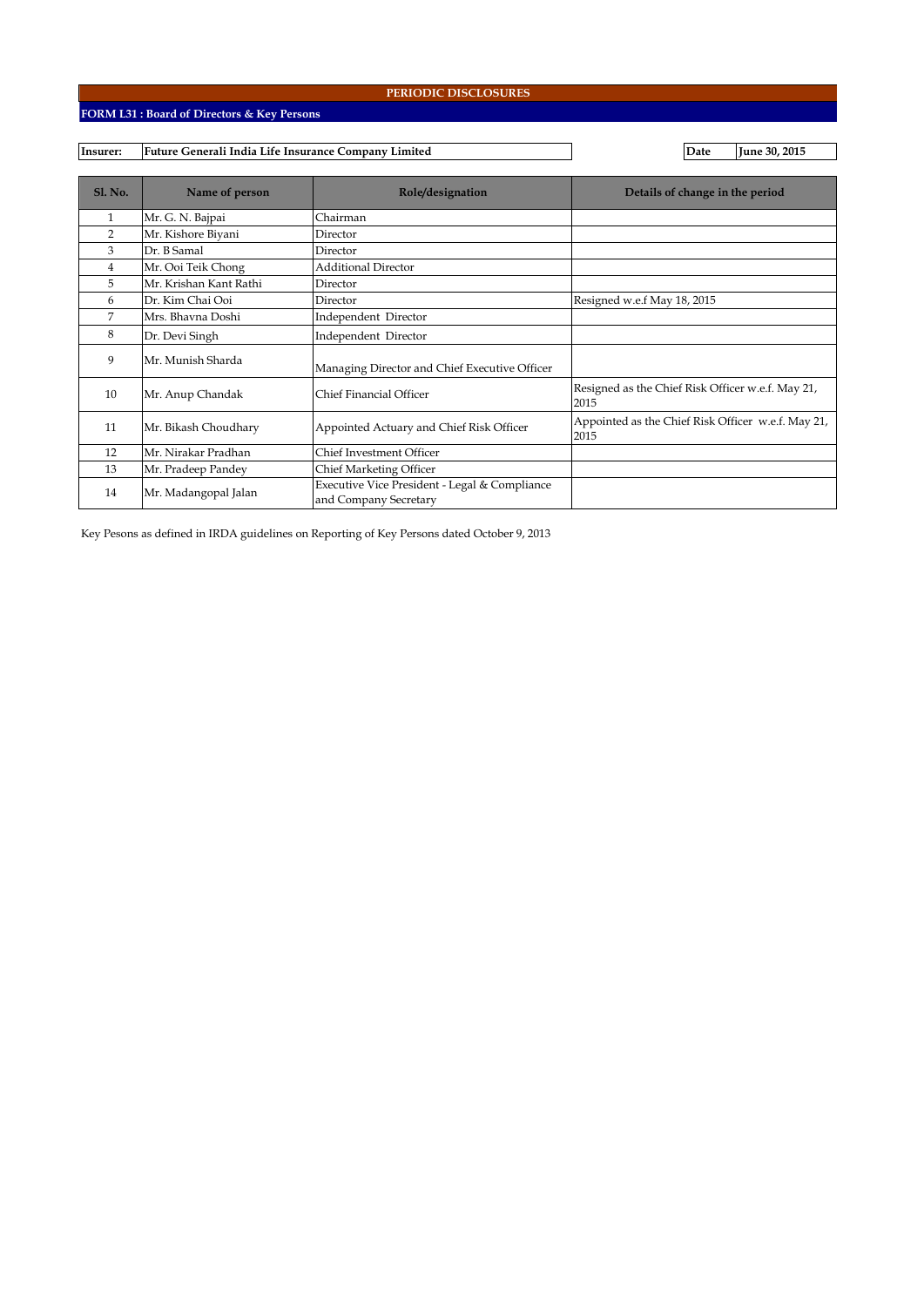# **FORM L31 : Board of Directors & Key Persons**

#### **Insurer: Date June 30, 2015 Future Generali India Life Insurance Company Limited**

| <b>Sl. No.</b> | Name of person         | Role/designation                                                       | Details of change in the period                            |
|----------------|------------------------|------------------------------------------------------------------------|------------------------------------------------------------|
| $\mathbf{1}$   | Mr. G. N. Bajpai       | Chairman                                                               |                                                            |
| $\overline{2}$ | Mr. Kishore Biyani     | Director                                                               |                                                            |
| 3              | Dr. B Samal            | Director                                                               |                                                            |
| $\overline{4}$ | Mr. Ooi Teik Chong     | <b>Additional Director</b>                                             |                                                            |
| 5              | Mr. Krishan Kant Rathi | Director                                                               |                                                            |
| 6              | Dr. Kim Chai Ooi       | Director                                                               | Resigned w.e.f May 18, 2015                                |
| 7              | Mrs. Bhavna Doshi      | Independent Director                                                   |                                                            |
| 8              | Dr. Devi Singh         | Independent Director                                                   |                                                            |
| 9              | Mr. Munish Sharda      | Managing Director and Chief Executive Officer                          |                                                            |
| 10             | Mr. Anup Chandak       | Chief Financial Officer                                                | Resigned as the Chief Risk Officer w.e.f. May 21,<br>2015  |
| 11             | Mr. Bikash Choudhary   | Appointed Actuary and Chief Risk Officer                               | Appointed as the Chief Risk Officer w.e.f. May 21,<br>2015 |
| 12             | Mr. Nirakar Pradhan    | Chief Investment Officer                                               |                                                            |
| 13             | Mr. Pradeep Pandey     | Chief Marketing Officer                                                |                                                            |
| 14             | Mr. Madangopal Jalan   | Executive Vice President - Legal & Compliance<br>and Company Secretary |                                                            |

Key Pesons as defined in IRDA guidelines on Reporting of Key Persons dated October 9, 2013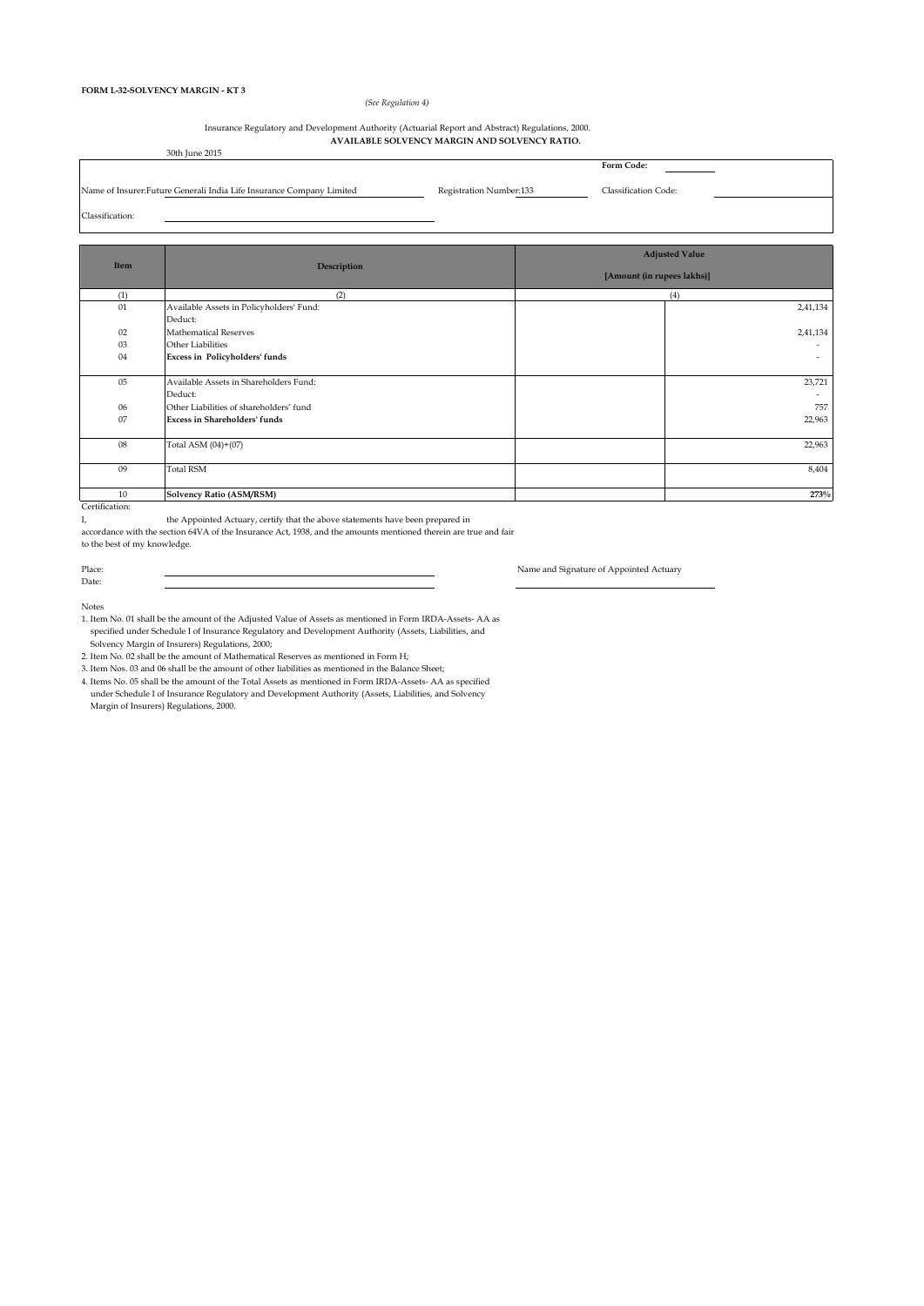### *(See Regulation 4)*

#### **AVAILABLE SOLVENCY MARGIN AND SOLVENCY RATIO.**  30th June 2015 Insurance Regulatory and Development Authority (Actuarial Report and Abstract) Regulations, 2000.

| - SULLI TUNE ZUIS                                                     |                         |                             |
|-----------------------------------------------------------------------|-------------------------|-----------------------------|
|                                                                       |                         | Form Code:                  |
|                                                                       |                         |                             |
| Name of Insurer: Future Generali India Life Insurance Company Limited | Registration Number:133 | <b>Classification Code:</b> |
| Classification:                                                       |                         |                             |
|                                                                       |                         |                             |

| Item           |                                          | <b>Adjusted Value</b>      |  |  |  |  |  |
|----------------|------------------------------------------|----------------------------|--|--|--|--|--|
|                | Description                              | [Amount (in rupees lakhs)] |  |  |  |  |  |
| (1)            | (2)                                      | (4)                        |  |  |  |  |  |
| 01             | Available Assets in Policyholders' Fund: | 2,41,134                   |  |  |  |  |  |
|                | Deduct:                                  |                            |  |  |  |  |  |
| 02             | <b>Mathematical Reserves</b>             | 2,41,134                   |  |  |  |  |  |
| 03             | Other Liabilities                        | $\overline{\phantom{a}}$   |  |  |  |  |  |
| 04             | Excess in Policyholders' funds           | $\sim$                     |  |  |  |  |  |
|                |                                          |                            |  |  |  |  |  |
| 05             | Available Assets in Shareholders Fund:   | 23,721                     |  |  |  |  |  |
|                | Deduct:                                  |                            |  |  |  |  |  |
| 06             | Other Liabilities of shareholders' fund  | 757                        |  |  |  |  |  |
| 07             | <b>Excess in Shareholders' funds</b>     | 22,963                     |  |  |  |  |  |
|                |                                          |                            |  |  |  |  |  |
| 08             | Total ASM (04)+(07)                      | 22,963                     |  |  |  |  |  |
|                |                                          |                            |  |  |  |  |  |
| 09             | <b>Total RSM</b>                         | 8,404                      |  |  |  |  |  |
|                |                                          |                            |  |  |  |  |  |
| 10             | <b>Solvency Ratio (ASM/RSM)</b>          | 273%                       |  |  |  |  |  |
| Certification: |                                          |                            |  |  |  |  |  |

I, the Appointed Actuary, certify that the above statements have been prepared in

accordance with the section 64VA of the Insurance Act, 1938, and the amounts mentioned therein are true and fair

<u> 1989 - Johann Stein, marwolaethau a bhann an t-Amhainn an t-Amhainn an t-Amhainn an t-Amhainn an t-Amhainn an </u>

to the best of my knowledge.

Place: Name and Signature of Appointed Actuary

Date: Notes

1. Item No. 01 shall be the amount of the Adjusted Value of Assets as mentioned in Form IRDA-Assets- AA as specified under Schedule I of Insurance Regulatory and Development Authority (Assets, Liabilities, and Solvency Margin of Insurers) Regulations, 2000;

2. Item No. 02 shall be the amount of Mathematical Reserves as mentioned in Form H;

3. Item Nos. 03 and 06 shall be the amount of other liabilities as mentioned in the Balance Sheet;

4. Items No. 05 shall be the amount of the Total Assets as mentioned in Form IRDA-Assets- AA as specified under Schedule I of Insurance Regulatory and Development Authority (Assets, Liabilities, and Solvency Margin of Insurers) Regulations, 2000.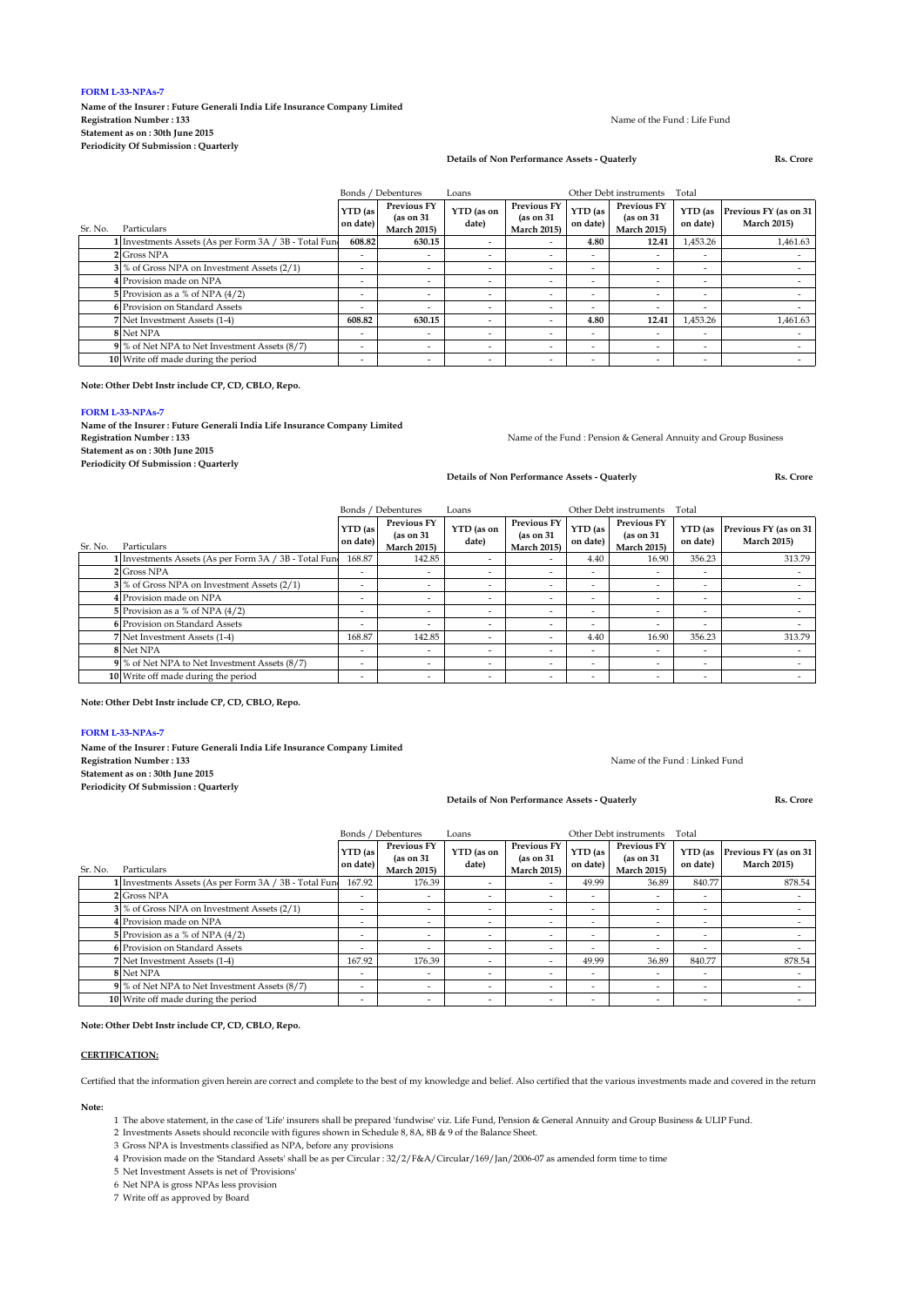### **FORM L-33-NPAs-7**

**Name of the Insurer : Future Generali India Life Insurance Company Limited Registration Number : 133 Statement as on : 30th June 2015 Periodicity Of Submission : Quarterly**

#### Name of the Fund : Life Fund

### **Details of Non Performance Assets - Quaterly Rs. Crore**

|         |                                                        | Bonds / Debentures<br>Other Debt instruments<br>Loans |                                                        |                          |                                                        |                          |                                                        | Total                    |                                             |  |
|---------|--------------------------------------------------------|-------------------------------------------------------|--------------------------------------------------------|--------------------------|--------------------------------------------------------|--------------------------|--------------------------------------------------------|--------------------------|---------------------------------------------|--|
| Sr. No. | <b>Particulars</b>                                     | YTD (as<br>on date)                                   | <b>Previous FY</b><br>(as on 31)<br><b>March 2015)</b> | YTD (as on<br>date)      | <b>Previous FY</b><br>(as on 31)<br><b>March 2015)</b> | YTD (as<br>on date)      | <b>Previous FY</b><br>(as on 31)<br><b>March 2015)</b> | YTD (as<br>on date)      | Previous FY (as on 31<br><b>March 2015)</b> |  |
|         | I Investments Assets (As per Form 3A / 3B - Total Fun- | 608.82                                                | 630.15                                                 |                          | -                                                      | 4.80                     | 12.41                                                  | 1,453.26                 | 1.461.63                                    |  |
|         | 2 Gross NPA                                            |                                                       | $\overline{\phantom{a}}$                               |                          | -                                                      | ٠                        |                                                        | $\overline{\phantom{a}}$ |                                             |  |
|         | 3 % of Gross NPA on Investment Assets (2/1)            | -                                                     |                                                        |                          | -                                                      | $\overline{\phantom{a}}$ |                                                        | $\overline{\phantom{a}}$ |                                             |  |
|         | 4 Provision made on NPA                                |                                                       | -                                                      |                          | -                                                      | $\overline{\phantom{a}}$ |                                                        | $\overline{\phantom{a}}$ |                                             |  |
|         | 5 Provision as a % of NPA $(4/2)$                      |                                                       | -                                                      | $\overline{\phantom{a}}$ | -                                                      | $\overline{\phantom{0}}$ |                                                        | $\overline{\phantom{a}}$ |                                             |  |
|         | 6 Provision on Standard Assets                         | -                                                     | -                                                      | ۰                        | -                                                      | $\overline{\phantom{a}}$ | $\overline{\phantom{0}}$                               | $\overline{\phantom{a}}$ |                                             |  |
|         | 7 Net Investment Assets (1-4)                          | 608.82                                                | 630.15                                                 |                          | -                                                      | 4.80                     | 12.41                                                  | 1,453.26                 | 1.461.63                                    |  |
|         | 8 Net NPA                                              | -                                                     |                                                        |                          | -                                                      | $\overline{\phantom{0}}$ |                                                        | $\overline{\phantom{a}}$ |                                             |  |
|         | 9 % of Net NPA to Net Investment Assets (8/7)          | -                                                     | -                                                      | ۰                        | -                                                      | $\overline{\phantom{a}}$ |                                                        | $\overline{\phantom{a}}$ |                                             |  |
|         | 10 Write off made during the period                    |                                                       | $\overline{\phantom{a}}$                               | $\overline{\phantom{a}}$ | -                                                      | $\overline{\phantom{a}}$ |                                                        | $\overline{\phantom{a}}$ |                                             |  |

**Note: Other Debt Instr include CP, CD, CBLO, Repo.**

#### **FORM L-33-NPAs-7**

**Name of the Insurer : Future Generali India Life Insurance Company Limited Registration Number : 133 Statement as on : 30th June 2015 Periodicity Of Submission : Quarterly**

Name of the Fund : Pension & General Annuity and Group Business

Name of the Fund : Linked Fund

**Details of Non Performance Assets - Quaterly Rs. Crore**

|         |                                                       |                          | Bonds / Debentures                                     | Loans               |                                                        |                          |                                                        |                          |                                             |
|---------|-------------------------------------------------------|--------------------------|--------------------------------------------------------|---------------------|--------------------------------------------------------|--------------------------|--------------------------------------------------------|--------------------------|---------------------------------------------|
| Sr. No. | Particulars                                           | YTD (as<br>on date)      | <b>Previous FY</b><br>(as on 31)<br><b>March 2015)</b> | YTD (as on<br>date) | <b>Previous FY</b><br>(as on 31)<br><b>March 2015)</b> | YTD (as<br>on date)      | <b>Previous FY</b><br>(as on 31)<br><b>March 2015)</b> | YTD (as<br>on date)      | Previous FY (as on 31<br><b>March 2015)</b> |
|         | 1 Investments Assets (As per Form 3A / 3B - Total Fun | 168.87                   | 142.85                                                 |                     | -                                                      | 4.40                     | 16.90                                                  | 356.23                   | 313.79                                      |
|         | 2 Gross NPA                                           | $\overline{\phantom{a}}$ | ٠                                                      |                     | ۰.                                                     | $\overline{\phantom{a}}$ |                                                        | $\overline{\phantom{a}}$ |                                             |
|         | 3 % of Gross NPA on Investment Assets (2/1)           | -                        | $\overline{\phantom{a}}$                               |                     | $\overline{\phantom{a}}$                               | $\overline{\phantom{0}}$ |                                                        | -                        |                                             |
|         | 4 Provision made on NPA                               | ٠                        | ٠                                                      |                     | ۰                                                      | $\overline{\phantom{a}}$ |                                                        | $\overline{\phantom{a}}$ |                                             |
|         | 5 Provision as a % of NPA $(4/2)$                     | $\overline{\phantom{a}}$ | ٠                                                      | -                   | ٠                                                      | $\overline{\phantom{a}}$ |                                                        | $\overline{\phantom{a}}$ |                                             |
|         | 6 Provision on Standard Assets                        | ٠                        | $\overline{\phantom{a}}$                               |                     | ۰                                                      | $\overline{\phantom{a}}$ |                                                        | -                        |                                             |
|         | 7 Net Investment Assets (1-4)                         | 168.87                   | 142.85                                                 |                     | ۰                                                      | 4.40                     | 16.90                                                  | 356.23                   | 313.79                                      |
|         | 8 Net NPA                                             | $\overline{\phantom{a}}$ | ٠                                                      |                     | ۰                                                      | $\overline{\phantom{a}}$ |                                                        | $\overline{\phantom{a}}$ |                                             |
|         | 9 % of Net NPA to Net Investment Assets (8/7)         | $\overline{\phantom{a}}$ | ٠                                                      |                     | ۰                                                      | $\overline{\phantom{a}}$ |                                                        | $\overline{\phantom{a}}$ |                                             |
|         | 10 Write off made during the period                   | -                        | $\overline{\phantom{a}}$                               |                     | -                                                      | $\overline{\phantom{0}}$ |                                                        | -                        |                                             |

### **Note: Other Debt Instr include CP, CD, CBLO, Repo.**

#### **FORM L-33-NPAs-7**

**Name of the Insurer : Future Generali India Life Insurance Company Limited Registration Number : 133**

**Statement as on : 30th June 2015**

**Periodicity Of Submission : Quarterly**

**Details of Non Performance Assets - Quaterly Rs. Crore**

Bonds / Debentures Loans Other Debt instruments Total

| Sr. No. | Particulars                                           | YTD (as<br>on date)      | <b>Previous FY</b><br>(as on 31)<br><b>March 2015)</b> | YTD (as on<br>date)      | <b>Previous FY</b><br>(as on 31)<br><b>March 2015)</b> | YTD (as<br>on date)      | <b>Previous FY</b><br>(as on 31)<br><b>March 2015)</b> | YTD (as<br>on date)      | Previous FY (as on 31<br><b>March 2015)</b> |
|---------|-------------------------------------------------------|--------------------------|--------------------------------------------------------|--------------------------|--------------------------------------------------------|--------------------------|--------------------------------------------------------|--------------------------|---------------------------------------------|
|         | I Investments Assets (As per Form 3A / 3B - Total Fun | 167.92                   | 176.39                                                 |                          | $\overline{\phantom{a}}$                               | 49.99                    | 36.89                                                  | 840.77                   | 878.54                                      |
|         | 2 Gross NPA                                           | ٠                        |                                                        | $\overline{\phantom{a}}$ | $\overline{\phantom{a}}$                               | $\overline{\phantom{0}}$ |                                                        | ٠                        |                                             |
|         | 3 % of Gross NPA on Investment Assets (2/1)           | -                        |                                                        | -                        | $\overline{\phantom{a}}$                               | $\overline{\phantom{0}}$ |                                                        | -                        |                                             |
|         | Provision made on NPA                                 | $\overline{\phantom{a}}$ |                                                        | $\overline{\phantom{a}}$ | $\overline{\phantom{a}}$                               | $\sim$                   |                                                        | $\overline{\phantom{a}}$ |                                             |
|         | 5 Provision as a % of NPA $(4/2)$                     | $\overline{\phantom{a}}$ |                                                        | -                        | $\overline{\phantom{a}}$                               | $\sim$                   |                                                        | $\overline{\phantom{a}}$ |                                             |
|         | 6 Provision on Standard Assets                        | ۰                        |                                                        | $\overline{\phantom{a}}$ | $\overline{\phantom{0}}$                               | $\overline{\phantom{0}}$ |                                                        | ۰                        |                                             |
|         | 7 Net Investment Assets (1-4)                         | 167.92                   | 176.39                                                 | -                        | $\overline{\phantom{a}}$                               | 49.99                    | 36.89                                                  | 840.77                   | 878.54                                      |
|         | 8 Net NPA                                             | -                        | -                                                      | - 1                      | $\overline{\phantom{a}}$                               | $\overline{\phantom{a}}$ |                                                        | -                        |                                             |
|         | 9 % of Net NPA to Net Investment Assets (8/7)         | $\overline{\phantom{a}}$ |                                                        | -                        | $\overline{\phantom{a}}$                               | $\overline{\phantom{0}}$ |                                                        | -                        |                                             |
|         | 10 Write off made during the period                   | $\overline{\phantom{a}}$ | $\overline{\phantom{a}}$                               | $\overline{\phantom{a}}$ | $\overline{\phantom{a}}$                               | $\overline{\phantom{a}}$ |                                                        | ٠                        |                                             |

### **Note: Other Debt Instr include CP, CD, CBLO, Repo.**

### **CERTIFICATION:**

Certified that the information given herein are correct and complete to the best of my knowledge and belief. Also certified that the various investments made and covered in the return

**Note:**

1 The above statement, in the case of 'Life' insurers shall be prepared 'fundwise' viz. Life Fund, Pension & General Annuity and Group Business & ULIP Fund.

2 Investments Assets should reconcile with figures shown in Schedule 8, 8A, 8B & 9 of the Balance Sheet.

3 Gross NPA is Investments classified as NPA, before any provisions

4 Provision made on the 'Standard Assets' shall be as per Circular : 32/2/F&A/Circular/169/Jan/2006-07 as amended form time to time

5 Net Investment Assets is net of 'Provisions'

6 Net NPA is gross NPAs less provision

7 Write off as approved by Board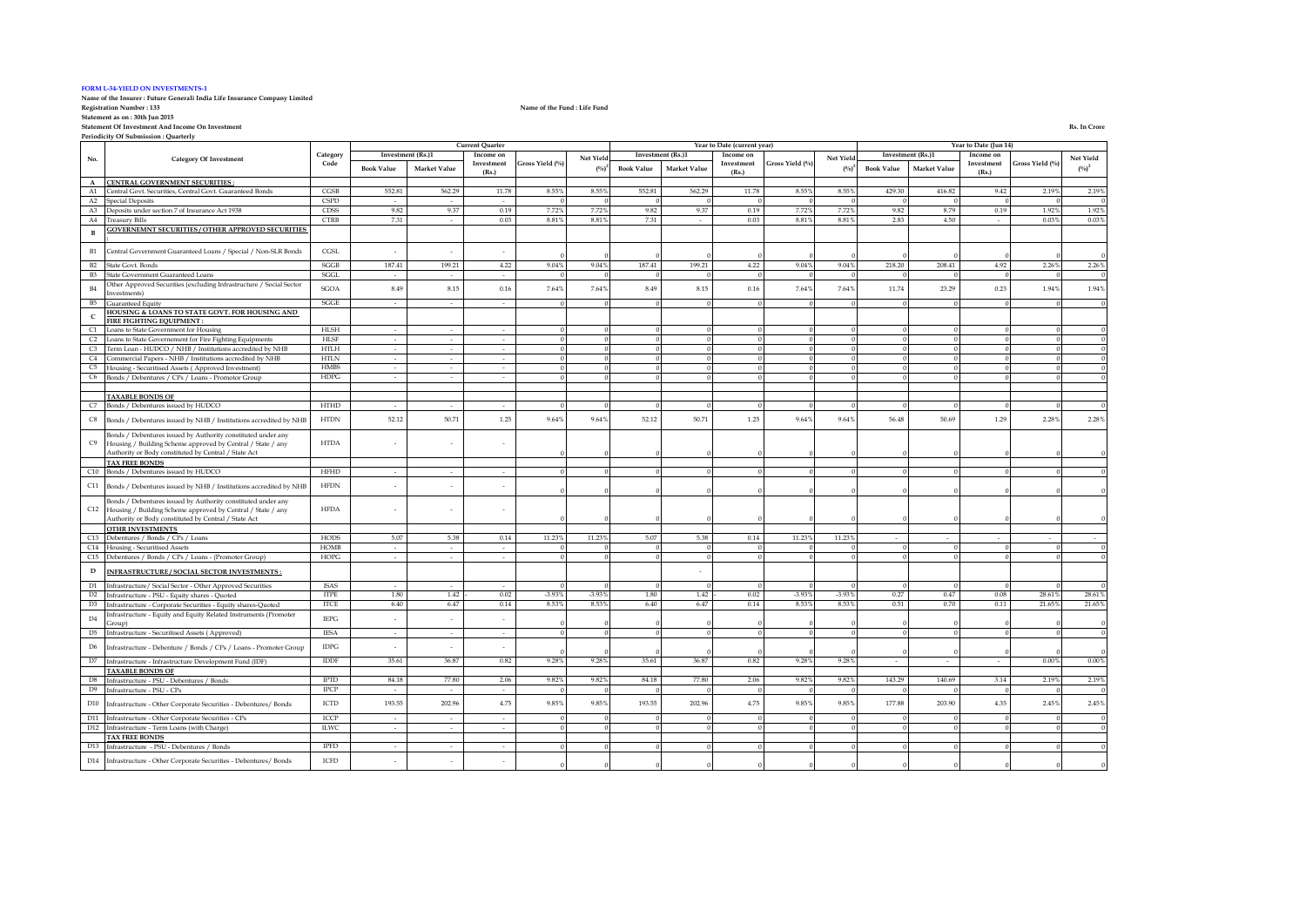#### **FORM L-34-YIELD ON INVESTMENTS-1**

# **Name of the Insurer : Future Generali India Life Insurance Company Limited**

**Statement as on : 30th Jun 2015**

**Statement Of Investment And Income On Investment Rs. In Crore**

**Periodicity Of Submission : Quarterly**

|                |                                                                                                                     |             |                             |                     | <b>Current Quarter</b> |                 |                   |                   |                     | Year to Date (current year) |                 |              |                   |                   | Year to Date (Jun 14) |                 |           |
|----------------|---------------------------------------------------------------------------------------------------------------------|-------------|-----------------------------|---------------------|------------------------|-----------------|-------------------|-------------------|---------------------|-----------------------------|-----------------|--------------|-------------------|-------------------|-----------------------|-----------------|-----------|
| No.            | <b>Category Of Investment</b>                                                                                       | Category    | Investment (Rs.)1           |                     | Income on              |                 | Net Yield         | Investment (Rs.)1 |                     | Income on                   |                 | Net Yield    |                   | Investment (Rs.)1 | Income on             |                 | Net Yield |
|                |                                                                                                                     | Code        | <b>Book Value</b>           | Market Value        | Investment<br>(Rs.)    | Gross Yield (%) | $(^{0}/_{0})^{2}$ | <b>Book Value</b> | <b>Market Value</b> | Investment<br>(Rs.)         | Gross Yield (%) | $(^{0}_{0})$ | <b>Book Value</b> | Market Value      | Investment<br>(Rs.)   | Gross Yield (%) | $(\%)^2$  |
| $\mathbf{A}$   | CENTRAL GOVERNMENT SECURITIES:                                                                                      |             |                             |                     |                        |                 |                   |                   |                     |                             |                 |              |                   |                   |                       |                 |           |
| A1             | Central Govt. Securities, Central Govt. Guaranteed Bonds                                                            | CGSB        | 552.81                      | 562.29              | 11.78                  | 8.55%           | 8.55%             | 552.81            | 562.29              | 11.78                       | 8.55%           | 8.559        | 429.30            | 416.82            | 9.42                  | 2.19%           | 2.19%     |
| $\rm A2$       | <b>Special Deposits</b>                                                                                             | <b>CSPD</b> |                             |                     |                        |                 |                   |                   |                     |                             |                 |              |                   |                   |                       |                 |           |
| A3             | Deposits under section 7 of Insurance Act 1938                                                                      | <b>CDSS</b> | 9.82                        | 9.37                | 0.19                   | 7.72%           | 7.72%             | 9.82              | 9.37                | 0.19                        | 7.72%           | 7.72%        | 9.82              | 8.79              | 0.19                  | 1.92%           | 1.92%     |
| A4             | <b>Treasury Bills</b>                                                                                               | <b>CTRB</b> | 7.31                        | $\sim$              | 0.03                   | 8.81%           | 8.81%             | 7.31              | $\sim$              | 0.03                        | $8.81\%$        | 8.819        | 2.83              | 4.50              | $\sim$                | 0.03%           | 0.03%     |
|                | <b>GOVERNEMNT SECURITIES / OTHER APPROVED SECURITIES</b>                                                            |             |                             |                     |                        |                 |                   |                   |                     |                             |                 |              |                   |                   |                       |                 |           |
| $\mathbf{B}$   |                                                                                                                     |             |                             |                     |                        |                 |                   |                   |                     |                             |                 |              |                   |                   |                       |                 |           |
|                |                                                                                                                     |             |                             |                     |                        |                 |                   |                   |                     |                             |                 |              |                   |                   |                       |                 |           |
| B1             | Central Government Guaranteed Loans / Special / Non-SLR Bonds                                                       | CGSL        |                             |                     |                        |                 |                   |                   |                     |                             |                 |              |                   |                   |                       |                 |           |
| B2             | State Govt. Bonds                                                                                                   | SGGB        | 187.41                      | 199.21              | 4.22                   | 9.04%           | 9.04%             | 187.41            | 199.21              | 4.22                        | 9.04%           | 9.04%        | 218.20            | 208.41            | 4.92                  | 2.26%           | 2.26%     |
| <b>B3</b>      | State Government Guaranteed Loans                                                                                   | SGGL        | $\sim$                      | $\sim$              | $\sim$                 |                 |                   |                   |                     | $\Omega$                    | $\Omega$        |              |                   |                   |                       |                 |           |
|                | Other Approved Securities (excluding Infrastructure / Social Sector                                                 |             | 8.49                        | $8.15\,$            | 0.16                   | 7.64%           |                   | 8.49              | $8.15\,$            | $0.16\,$                    | 7.64%           | 7.649        | 11.74             | 23.29             | 0.23                  | 1.94%           | 1.94%     |
| $\rm B4$       | nvestments)                                                                                                         | SGOA        |                             |                     |                        |                 | 7.64%             |                   |                     |                             |                 |              |                   |                   |                       |                 |           |
| B5             | Guaranteed Equity                                                                                                   | SGGE        | $\sim$                      | $\sim$              | $\sim$                 |                 |                   |                   |                     |                             |                 |              |                   |                   |                       |                 |           |
| $\mathsf{C}$   | <b>IOUSING &amp; LOANS TO STATE GOVT. FOR HOUSING AND</b>                                                           |             |                             |                     |                        |                 |                   |                   |                     |                             |                 |              |                   |                   |                       |                 |           |
|                | FIRE FIGHTING EQUIPMENT :                                                                                           |             |                             |                     |                        |                 |                   |                   |                     |                             |                 |              |                   |                   |                       |                 |           |
| C1             | Loans to State Government for Housing                                                                               | HLSH        | $\sim$                      | $\sim$              | $\sim$                 |                 |                   |                   |                     |                             |                 |              |                   |                   |                       |                 |           |
| C <sub>2</sub> | Loans to State Governement for Fire Fighting Equipments                                                             | <b>HLSF</b> | $\sim$                      | $\sim$              | $\sim$                 |                 |                   |                   |                     |                             |                 |              |                   |                   |                       |                 |           |
| C <sub>3</sub> | Term Loan - HUDCO / NHB / Institutions accredited by NHB                                                            | <b>HTLH</b> | $\sim$                      | $\mathcal{L}^{\pm}$ | $\sim$                 |                 |                   |                   |                     |                             |                 |              |                   |                   |                       |                 |           |
| C4             | Commercial Papers - NHB / Institutions accredited by NHB                                                            | <b>HTLN</b> | $\sim$                      | $\sim$              | $\sim$                 |                 |                   |                   |                     |                             |                 |              |                   |                   |                       |                 |           |
| C <sub>5</sub> | Housing - Securitised Assets (Approved Investment)                                                                  | <b>HMBS</b> | $\sim$                      | $\sim$              | $\sim$                 |                 |                   |                   |                     |                             | $\Omega$        |              |                   |                   |                       |                 |           |
| C <sub>6</sub> | Bonds / Debentures / CPs / Loans - Promotor Group                                                                   | <b>HDPG</b> | $\sim$                      | $\sim$              | $\sim$                 |                 |                   |                   |                     |                             |                 |              |                   |                   |                       |                 |           |
|                |                                                                                                                     |             |                             |                     |                        |                 |                   |                   |                     |                             |                 |              |                   |                   |                       |                 |           |
|                | <b>TAXABLE BONDS OF</b>                                                                                             |             |                             |                     |                        |                 |                   |                   |                     |                             |                 |              |                   |                   |                       |                 |           |
| C7             | Bonds / Debentures issued by HUDCO                                                                                  | <b>HTHD</b> | $\omega$                    | $\sim$              | ÷.                     |                 |                   |                   |                     |                             |                 |              |                   |                   |                       |                 |           |
| C8             | Bonds / Debentures issued by NHB / Institutions accredited by NHB                                                   | <b>HTDN</b> | 52.12                       | 50.71               | 1.25                   | 9.64%           | 9.64%             | 52.12             | 50.71               | 1.25                        | 9.64%           | 9.64%        | 56.48             | 50.69             | 1.29                  | 2.28%           | 2.28%     |
|                | Bonds / Debentures issued by Authority constituted under any                                                        |             |                             |                     |                        |                 |                   |                   |                     |                             |                 |              |                   |                   |                       |                 |           |
| C9             | Housing / Building Scheme approved by Central / State / any                                                         | <b>HTDA</b> |                             |                     |                        |                 |                   |                   |                     |                             |                 |              |                   |                   |                       |                 |           |
|                | Authority or Body constituted by Central / State Act                                                                |             |                             |                     |                        |                 |                   |                   |                     |                             |                 |              |                   |                   |                       |                 |           |
|                | <b>TAX FREE BONDS</b>                                                                                               | <b>HFHD</b> |                             |                     |                        |                 |                   |                   |                     |                             |                 |              |                   |                   |                       |                 |           |
| C10            | Bonds / Debentures issued by HUDCO                                                                                  |             | $\overline{\phantom{a}}$    | $\sim$              | $\sim$                 |                 |                   |                   |                     |                             |                 |              |                   |                   |                       |                 |           |
| C11            | Bonds / Debentures issued by NHB / Institutions accredited by NHB                                                   | <b>HFDN</b> |                             |                     |                        |                 |                   |                   |                     |                             |                 |              |                   |                   |                       |                 |           |
| C12            | Bonds / Debentures issued by Authority constituted under any                                                        | <b>HFDA</b> |                             |                     |                        |                 |                   |                   |                     |                             |                 |              |                   |                   |                       |                 |           |
|                | Housing / Building Scheme approved by Central / State / any<br>Authority or Body constituted by Central / State Act |             |                             |                     |                        |                 |                   |                   |                     |                             |                 |              |                   |                   |                       |                 |           |
|                | OTHR INVESTMENTS                                                                                                    |             |                             |                     |                        |                 |                   |                   |                     |                             |                 |              |                   |                   |                       |                 |           |
| C13            | Debentures / Bonds / CPs / Loans                                                                                    | HODS        | 5.07                        | 5.38                | 0.14                   | 11.23%          | 11.23%            | 5.07              | 5.38                | 0.14                        | 11.23%          | 11.23%       |                   |                   |                       |                 |           |
| C14            | Housing - Securitised Assets                                                                                        | HOMB        | $\sim$                      | $\sim$              | $\sim$                 |                 |                   |                   | $\sqrt{ }$          | $\overline{0}$              | $\Omega$        |              |                   |                   |                       | $\left($        |           |
| C15            | Debentures / Bonds / CPs / Loans - (Promoter Group)                                                                 | HOPG        | ÷.                          | $\sim$              | ÷.                     |                 |                   |                   | $\Omega$            | $\Omega$                    | $\Omega$        |              |                   |                   |                       |                 |           |
|                |                                                                                                                     |             |                             |                     |                        |                 |                   |                   |                     |                             |                 |              |                   |                   |                       |                 |           |
| D              | INFRASTRUCTURE / SOCIAL SECTOR INVESTMENTS :                                                                        |             |                             |                     |                        |                 |                   |                   |                     |                             |                 |              |                   |                   |                       |                 |           |
| D1             | Infrastructure/ Social Sector - Other Approved Securities                                                           | <b>ISAS</b> | $\mathcal{L}_{\mathcal{A}}$ | $\sim$              | $\sim$                 |                 |                   |                   | $\Omega$            | $\Omega$                    |                 |              |                   |                   |                       |                 |           |
| D2             | Infrastructure - PSU - Equity shares - Quoted                                                                       | <b>ITPE</b> | 1.80                        | 1.42                | 0.02                   | $-3.93%$        | $-3.93%$          | 1.80              | 1.42                | 0.02                        | $-3.93%$        | $-3.93%$     | 0.27              | 0.47              | 0.08                  | 28.61%          | 28.61%    |
| D3             | Infrastructure - Corporate Securities - Equity shares-Quoted                                                        | <b>ITCE</b> | 6.40                        | 6.47                | 0.14                   | 8.53%           | 8.53%             | 6.40              | 6.47                | 0.14                        | 8.53%           | 8.539        | 0.51              | 0.70              | 0.11                  | 21.65%          | 21.65%    |
|                | Infrastructure - Equity and Equity Related Instruments (Promoter                                                    |             |                             |                     |                        |                 |                   |                   |                     |                             |                 |              |                   |                   |                       |                 |           |
| D <sub>4</sub> | Group)                                                                                                              | <b>IEPG</b> |                             |                     |                        |                 |                   |                   |                     |                             |                 |              |                   |                   |                       |                 |           |
| D <sub>5</sub> | Infrastructure - Securitised Assets (Approved)                                                                      | <b>IESA</b> |                             | $\sim$              | $\sim$                 |                 |                   |                   |                     |                             |                 |              |                   |                   |                       |                 |           |
| D <sub>6</sub> | Infrastructure - Debenture / Bonds / CPs / Loans - Promoter Group                                                   | <b>IDPG</b> |                             |                     |                        |                 |                   |                   |                     |                             |                 |              |                   |                   |                       |                 |           |
| D7             | Infrastructure - Infrastructure Development Fund (IDF)                                                              | IDDF        | 35.61                       | 36.87               | 0.82                   | 9.28%           | 9.28%             | 35.61             | 36.87               | 0.82                        | 9.28%           | 9.28%        | $\sim$            | $\sim$            | $\sim$                | 0.00%           | 0.00%     |
|                | <b>TAXABLE BONDS OF</b>                                                                                             |             |                             |                     |                        |                 |                   |                   |                     |                             |                 |              |                   |                   |                       |                 |           |
| D8             | Infrastructure - PSU - Debentures / Bonds                                                                           | <b>IPTD</b> | 84.18                       | 77.80               | 2.06                   | 9.82%           | 9.82%             | 84.18             | 77.80               | 2.06                        | 9.82%           | 9.82%        | 143.29            | 140.69            | 3.14                  | 2.19%           | 2.19%     |
| D <sub>9</sub> | $\operatorname{Infrastructure}$ - $\operatorname{PSU}$ - $\operatorname{CPs}$                                       | <b>IPCP</b> | $\overline{\phantom{a}}$    | $\sim$              | $\sim$                 |                 |                   |                   |                     |                             |                 |              |                   |                   |                       |                 |           |
| D10            | Infrastructure - Other Corporate Securities - Debentures/ Bonds                                                     | ICTD        | 193.55                      | 202.96              | 4.75                   | 9.85%           | 9.85%             | 193.55            | 202.96              | 4.75                        | 9.85%           | 9.85%        | 177.88            | 203.90            | 4.35                  | 2.45%           | 2.45%     |
| D11            | Infrastructure - Other Corporate Securities - CPs                                                                   | ICCP        |                             | $\mathcal{L}^{\pm}$ | $\sim$                 |                 |                   |                   |                     |                             |                 |              |                   |                   |                       |                 |           |
| D12            | Infrastructure - Term Loans (with Charge)                                                                           | <b>ILWC</b> | $\sim$                      | $\sim$              | $\sim$                 |                 |                   |                   |                     |                             |                 |              |                   |                   |                       |                 |           |
|                | <b>TAX FREE BONDS</b>                                                                                               |             |                             |                     |                        |                 |                   |                   |                     |                             |                 |              |                   |                   |                       |                 |           |
| D13            | Infrastructure - PSU - Debentures / Bonds                                                                           | <b>IPFD</b> |                             | $\sim$              | $\sim$                 |                 |                   |                   |                     |                             |                 |              |                   |                   |                       |                 |           |
|                |                                                                                                                     |             |                             |                     |                        |                 |                   |                   |                     |                             |                 |              |                   |                   |                       |                 |           |
| D14            | Infrastructure - Other Corporate Securities - Debentures/ Bonds                                                     | <b>ICFD</b> |                             |                     |                        |                 |                   |                   |                     |                             |                 |              |                   |                   |                       |                 |           |

**Registration Number : 133 Name of the Fund : Life Fund**

 $\overline{\phantom{a}}$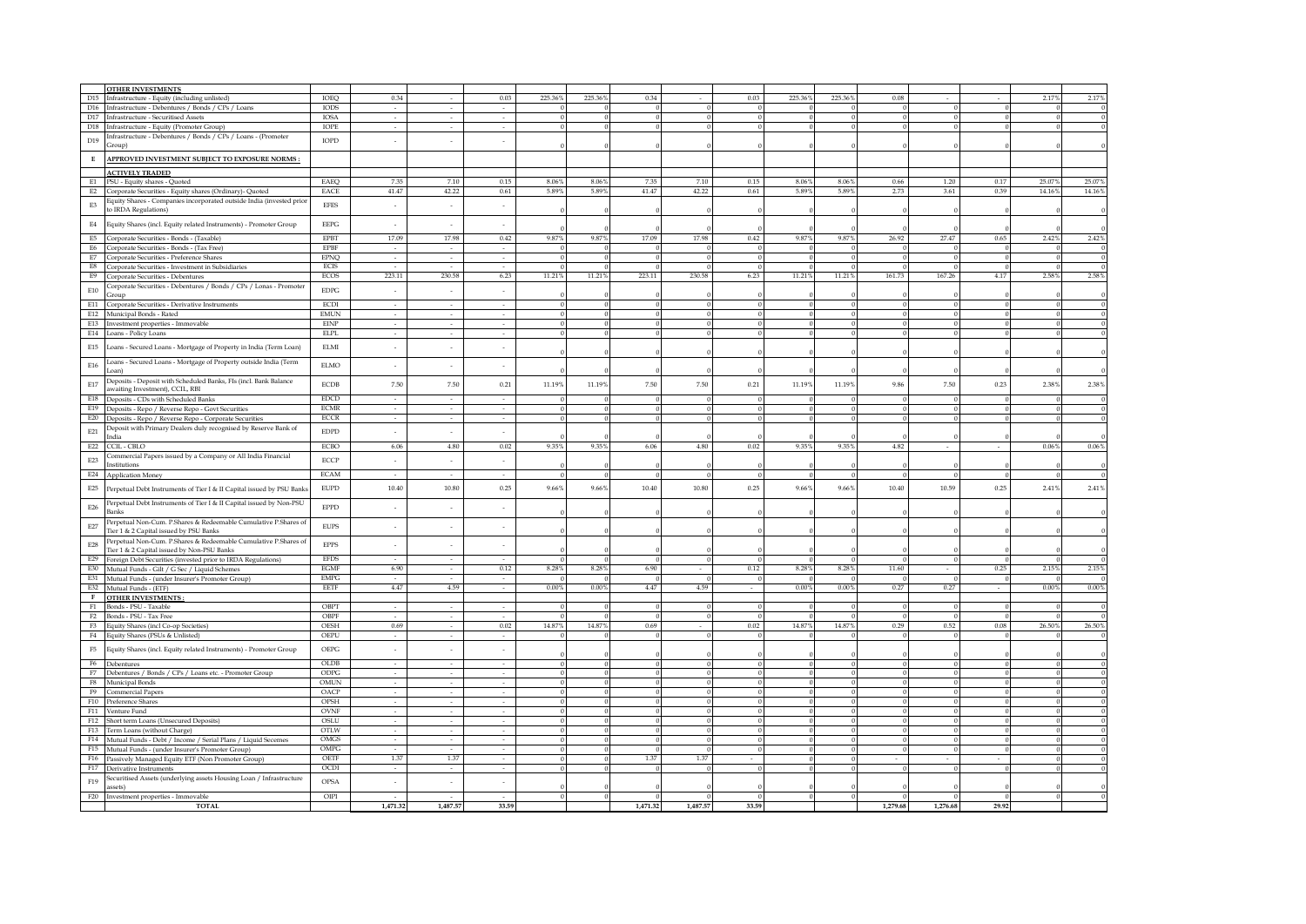|                                    | <b>OTHER INVESTMENTS</b>                                                                                |                              |                             |          |          |          |                  |                |            |             |                |          |          |          |          |            |                  |
|------------------------------------|---------------------------------------------------------------------------------------------------------|------------------------------|-----------------------------|----------|----------|----------|------------------|----------------|------------|-------------|----------------|----------|----------|----------|----------|------------|------------------|
|                                    | D15 Infrastructure - Equity (including unlisted)                                                        | IOEQ                         | 0.34                        |          | 0.03     | 225.36%  | 225.36%          | 0.34           |            | 0.03        | 225.36%        | 225.36%  | 0.08     |          |          | 2.17%      | 2.17%            |
|                                    | D16 Infrastructure - Debentures / Bonds / CPs / Loans                                                   | <b>IODS</b>                  | $\mathcal{L}^{\mathcal{A}}$ |          |          |          | $\Omega$         | $\theta$       | $\Omega$   | $\sqrt{2}$  | $\Omega$       |          |          |          |          |            |                  |
|                                    | D17 Infrastructure - Securitised Assets                                                                 | <b>IOSA</b>                  | $\sim$                      | $\sim$   | $\sim$   |          | $\mathbf{0}$     | $\overline{0}$ | $\Omega$   | $\Omega$    | $\theta$       |          |          |          | $\Omega$ | $\theta$   | $\,0\,$          |
|                                    | D18 Infrastructure - Equity (Promoter Group)                                                            | IOPE                         | $\sim$                      | $\sim$   | $\sim$   |          | $\overline{0}$   | $\overline{0}$ |            |             | $\Omega$       |          |          |          |          |            | $\overline{0}$   |
| D19                                | Infrastructure - Debentures / Bonds / CPs / Loans - (Promoter                                           | IOPD                         | ×                           |          |          |          |                  |                |            |             |                |          |          |          |          |            |                  |
|                                    | Group)                                                                                                  |                              |                             |          |          |          |                  |                |            |             |                |          |          |          |          |            |                  |
| $\mathbf E$                        | APPROVED INVESTMENT SUBJECT TO EXPOSURE NORMS :                                                         |                              |                             |          |          |          |                  |                |            |             |                |          |          |          |          |            |                  |
|                                    |                                                                                                         |                              |                             |          |          |          |                  |                |            |             |                |          |          |          |          |            |                  |
|                                    | <b>ACTIVELY TRADED</b>                                                                                  | EAEQ                         | 7.35                        | 7.10     | 0.15     | 8.06%    | 8.06%            | 7.35           | 7.10       | 0.15        | 8.06%          | 8.06%    | 0.66     | 1.20     | 0.17     | 25.07%     | 25.07%           |
| E1<br>E2                           | PSU - Equity shares - Quoted                                                                            | EACE                         | 41.47                       | 42.22    | $0.61\,$ | 5.89%    | 5.89%            | 41.47          | 42.22      | $0.61\,$    | 5.89%          | 5.89%    | 2.73     | 3.61     | 0.39     | 14.16%     | 14.16%           |
|                                    | Corporate Securities - Equity shares (Ordinary)- Quoted                                                 |                              |                             |          |          |          |                  |                |            |             |                |          |          |          |          |            |                  |
| $\mathop{\hbox{\rm E}}\nolimits 3$ | Equity Shares - Companies incorporated outside India (invested prior<br>to IRDA Regulations)            | <b>EFES</b>                  | $\sim$                      | $\sim$   | $\sim$   |          |                  |                |            |             |                |          |          |          |          |            |                  |
|                                    |                                                                                                         |                              |                             |          |          |          |                  |                |            |             |                |          |          |          |          |            |                  |
| $\mathrm{E}4$                      | Equity Shares (incl. Equity related Instruments) - Promoter Group                                       | $\ensuremath{\mathsf{EEPG}}$ | ×                           |          |          |          |                  |                |            |             |                |          |          |          |          |            |                  |
|                                    | E5 Corporate Securities - Bonds - (Taxable)                                                             | <b>EPBT</b>                  | 17.09                       | 17.98    | 0.42     | 9.87%    | $9.87\%$         | 17.09          | 17.98      | 0.42        | 9.87%          | $9.87\%$ | 26.92    | 27.47    | 0.65     | 2.42%      | 2.42%            |
|                                    | E6 Corporate Securities - Bonds - (Tax Free)                                                            | <b>EPBF</b>                  | $\sim$                      |          |          |          | $\Omega$         |                |            |             | $\theta$       |          |          |          | $\Omega$ |            | $\mathbf{0}$     |
|                                    | E7 Corporate Securities - Preference Shares                                                             | <b>EPNQ</b>                  | $\sim$                      | $\sim$   | $\sim$   |          | $\mathbf{0}$     | $\theta$       |            | $\sqrt{ }$  | $\mathbf{0}$   |          |          |          | $\theta$ | $\Omega$   | $\boldsymbol{0}$ |
|                                    | E8 Corporate Securities - Investment in Subsidiaries                                                    | ECIS                         | $\omega$                    | $\sim$   | $\sim$   | $\Omega$ | $\boldsymbol{0}$ | $\,$ 0         | $\Omega$   | $\theta$    | $\overline{0}$ | $\Omega$ | $\Omega$ |          | $\theta$ | $\Omega$   | $\overline{0}$   |
|                                    | E9 Corporate Securities - Debentures                                                                    | ECOS                         | 223.11                      | 230.58   | 6.23     | 11.21%   | 11.21%           | 223.11         | 230.58     | 6.23        | 11.21%         | 11.21%   | 161.73   | 167.26   | 4.17     | 2.58%      | 2.58%            |
| $\rm E10$                          | Corporate Securities - Debentures / Bonds / CPs / Lonas - Promoter                                      | $\rm{EDPG}$                  | $\sim$                      | $\sim$   | $\sim$   |          |                  |                |            |             |                |          |          |          |          |            |                  |
|                                    | Group                                                                                                   |                              |                             |          |          |          |                  |                |            |             |                |          |          |          |          |            |                  |
|                                    | E11 Corporate Securities - Derivative Instruments                                                       | ECDI                         | $\sim$                      | $\sim$   | $\sim$   |          | $\mathbf{0}$     | $\mathbf{0}$   |            |             | $\theta$       |          |          |          |          |            | $\,0\,$          |
|                                    | E12 Municipal Bonds - Rated                                                                             | <b>EMUN</b>                  | $\sim$                      | $\sim$   | $\sim$   |          | $\Omega$         | $\theta$       |            |             | $\Omega$       |          |          |          |          |            | $\mathbf{0}$     |
|                                    | E13 Investment properties - Immovable                                                                   | <b>EINP</b>                  | $\hat{\phantom{a}}$         |          |          |          | $\Omega$         | $\theta$       |            |             |                |          |          |          |          |            | $\bf{0}$         |
|                                    | E14 Loans - Policy Loans                                                                                | <b>ELPL</b>                  | $\sim$                      |          |          |          | $\mathbf{0}$     | $\,0\,$        |            |             |                |          |          |          |          |            |                  |
| E15                                | Loans - Secured Loans - Mortgage of Property in India (Term Loan)                                       | <b>ELMI</b>                  | $\sim$                      | $\sim$   | $\sim$   |          |                  |                |            |             |                |          |          |          |          |            |                  |
|                                    |                                                                                                         |                              |                             |          |          |          |                  |                |            |             |                |          |          |          |          |            |                  |
| E16                                | Loans - Secured Loans - Mortgage of Property outside India (Term                                        | <b>ELMO</b>                  | $\sim$                      | $\sim$   | $\sim$   |          |                  |                |            |             |                |          |          |          |          |            |                  |
|                                    | Loan)                                                                                                   |                              |                             |          |          |          |                  |                |            |             |                |          |          |          |          |            |                  |
| ${\rm E}17$                        | Deposits - Deposit with Scheduled Banks, FIs (incl. Bank Balance<br>awaiting Investment), CCIL, RBI     | <b>ECDB</b>                  | 7.50                        | 7.50     | 0.21     | 11.19%   | 11.19%           | 7.50           | 7.50       | 0.21        | 11.19%         | 11.19%   | 9.86     | 7.50     | 0.23     | 2.38%      | $2.38\%$         |
|                                    | E18 Deposits - CDs with Scheduled Banks                                                                 | <b>EDCD</b>                  | $\sim$                      | ×        |          |          | $\Omega$         |                |            |             | $\theta$       |          |          |          |          |            | $\mathbf{0}$     |
|                                    | E19 Deposits - Repo / Reverse Repo - Govt Securities                                                    | <b>ECMR</b>                  | $\sim$                      |          |          |          | $\theta$         |                |            |             | $\theta$       |          |          |          |          |            | $\mathbf{0}$     |
|                                    | E20 Deposits - Repo / Reverse Repo - Corporate Securities                                               | $_{\rm ECCR}$                | $\omega$                    | $\sim$   | $\sim$   |          | $\mathbf{0}$     | $\theta$       |            |             |                |          |          |          |          |            | $\mathbf{0}$     |
|                                    | Deposit with Primary Dealers duly recognised by Reserve Bank of                                         |                              |                             |          |          |          |                  |                |            |             |                |          |          |          |          |            |                  |
| E21                                | India                                                                                                   | $\ensuremath{\mathrm{EDPD}}$ | $\sim$                      | $\sim$   | $\sim$   |          |                  |                |            |             |                |          |          |          |          |            |                  |
|                                    | E22 CCIL - CBLO                                                                                         | <b>ECBO</b>                  | 6.06                        | 4.80     | 0.02     | 9.35%    | 9.35%            | 6.06           | 4.80       | 0.02        | 9.35%          | 9.35%    | 4.82     |          |          | $0.06\%$   | 0.06%            |
|                                    | Commercial Papers issued by a Company or All India Financial                                            |                              |                             |          |          |          |                  |                |            |             |                |          |          |          |          |            |                  |
| E23                                | Institutions                                                                                            | ECCP                         | $\sim$                      | $\sim$   | $\sim$   |          |                  |                |            |             |                |          |          |          |          |            |                  |
|                                    | E24 Application Money                                                                                   | <b>ECAM</b>                  | $\sim$                      | $\sim$   | $\sim$   | - 0      | $\Omega$         | $\Omega$       |            |             | $\Omega$       |          |          |          |          |            | $\,0\,$          |
|                                    | E25 Perpetual Debt Instruments of Tier I & II Capital issued by PSU Banks                               | <b>EUPD</b>                  | 10.40                       | 10.80    | 0.25     | 9.66%    | 9.66%            | 10.40          | $10.80\,$  | 0.25        | 9.66%          | 9.66%    | 10.40    | 10.59    | 0.25     | 2.41%      | $2.41\%$         |
|                                    |                                                                                                         |                              |                             |          |          |          |                  |                |            |             |                |          |          |          |          |            |                  |
| E26                                | Perpetual Debt Instruments of Tier I & II Capital issued by Non-PSU                                     | $\ensuremath{\mathrm{EPPD}}$ | $\overline{\phantom{a}}$    |          |          |          |                  |                |            |             |                |          |          |          |          |            |                  |
|                                    | Banks                                                                                                   |                              |                             |          |          |          |                  |                |            |             |                |          |          |          |          |            |                  |
| $\mathbf{E}27$                     | Perpetual Non-Cum. P.Shares & Redeemable Cumulative P.Shares of                                         | <b>EUPS</b>                  | $\sim$                      | $\sim$   |          |          |                  |                |            |             |                |          |          |          |          |            |                  |
|                                    | Tier 1 & 2 Capital issued by PSU Banks                                                                  |                              |                             |          |          |          |                  |                |            |             |                |          |          |          |          |            |                  |
| $\mbox{E}28$                       | Perpetual Non-Cum. P.Shares & Redeemable Cumulative P.Shares of                                         | <b>EPPS</b>                  | $\sim$                      |          |          |          |                  |                |            |             |                |          |          |          |          |            |                  |
|                                    | Tier 1 & 2 Capital issued by Non-PSU Banks                                                              | <b>EFDS</b>                  |                             |          |          |          | $\mathbf{0}$     | $\mathbf{0}$   |            | $\mathbf 0$ | $\mathbf{0}$   |          |          |          | $\theta$ |            | $\theta$         |
|                                    | E29 Foreign Debt Securities (invested prior to IRDA Regulations)                                        | <b>EGMF</b>                  | 6.90                        |          | 0.12     | 8.28%    | $8.28\%$         | 6.90           |            | 0.12        | $8.28\%$       | $8.28\%$ | 11.60    |          | 0.25     | 2.15%      | 2.15%            |
|                                    | E30 Mutual Funds - Gilt / G Sec / Liquid Schemes<br>E31 Mutual Funds - (under Insurer's Promoter Group) | <b>EMPG</b>                  | $\sim$                      | $\sim$   | $\sim$   |          | $\mathbf{0}$     | $\theta$       |            |             | $\Omega$       |          |          |          | $\Omega$ |            | $\mathbf{0}$     |
|                                    | E32 Mutual Funds - (ETF)                                                                                | EETF                         | 4.47                        | 4.59     | $\sim$   | 0.00%    | $0.00\%$         | 4.47           | 4.59       | $\sim$      | $0.00\%$       | $0.00\%$ | 0.27     | 0.27     | $\sim$   | $0.00\,\%$ | $0.00\%$         |
|                                    | F OTHER INVESTMENTS:                                                                                    |                              |                             |          |          |          |                  |                |            |             |                |          |          |          |          |            |                  |
|                                    | F1 Bonds - PSU - Taxable                                                                                | OBPT                         | $\sim$                      | $\sim$   | ×.       |          | $\Omega$         | $\Omega$       |            |             | $\Omega$       |          |          |          |          |            | $\mathbf{0}$     |
|                                    | F2 Bonds - PSU - Tax Free                                                                               | OBPF                         | $\sim$                      | $\sim$   | $\sim$   |          | $\Omega$         | $\bf{0}$       |            |             | $\Omega$       |          |          |          | $\Omega$ | $\Omega$   | $\boldsymbol{0}$ |
|                                    | F3 Equity Shares (incl Co-op Societies)                                                                 | OESH                         | 0.69                        | $\sim$   | 0.02     | 14.87%   | 14.87%           | 0.69           |            | 0.02        | 14.87%         | 14.87%   | 0.29     | 0.52     | 0.08     | 26.50%     | 26.50%           |
|                                    | F4 Equity Shares (PSUs & Unlisted)                                                                      | OEPU                         | $\sim$                      | $\sim$   | $\sim$   |          | $\Omega$         | $\overline{0}$ |            |             | $\Omega$       |          |          |          |          |            | $\bf{0}$         |
|                                    |                                                                                                         |                              |                             |          |          |          |                  |                |            |             |                |          |          |          |          |            |                  |
|                                    | F5 Equity Shares (incl. Equity related Instruments) - Promoter Group                                    | $\ensuremath{\mathsf{OEPG}}$ | $\sim$                      | $\sim$   | $\sim$   |          |                  |                |            |             |                |          |          |          |          |            |                  |
|                                    | F6 Debentures                                                                                           | OLDB                         |                             |          |          |          | $\mathbf{0}$     | $\bf{0}$       |            |             |                |          |          |          |          |            | $\bf{0}$         |
|                                    | F7 Debentures / Bonds / CPs / Loans etc. - Promoter Group                                               | ODPG                         | $\sim$                      |          |          |          | $\theta$         | $\mathbf{0}$   |            |             | $\Omega$       |          |          |          |          |            | $\Omega$         |
| F8                                 | Municipal Bonds                                                                                         | OMUN                         | ÷                           |          |          |          | $\mathbf{0}$     | $\,0\,$        |            |             | $\Omega$       |          |          |          |          |            | $\mathbf{0}$     |
|                                    | F9 Commercial Papers                                                                                    | OACP                         | $\sim$                      | $\sim$   | $\sim$   | $\Omega$ | $\overline{0}$   | $\overline{0}$ | $\sqrt{2}$ |             | $\Omega$       | $\Omega$ | $\Omega$ | $\Omega$ |          |            | $\overline{0}$   |
|                                    | F10 Preference Shares                                                                                   | OPSH                         | $\sim$                      | in 1999. | $\sim$   |          | $\Omega$         | $\overline{0}$ | $\Omega$   |             | $\Omega$       |          |          |          |          |            | $\Omega$         |
|                                    | F11 Venture Fund                                                                                        | <b>OVNF</b>                  | $\sim$                      | $\sim$   | $\sim$   |          | $\Omega$         | $\overline{0}$ |            |             | $\Omega$       |          |          |          |          |            | $\Omega$         |
|                                    | F12 Short term Loans (Unsecured Deposits)                                                               | OSLU                         | τ                           | $\sim$   | τ        |          | $\Omega$         | $\overline{0}$ | $\Omega$   |             | $\Omega$       |          |          |          |          |            | $\Omega$         |
|                                    | F13 Term Loans (without Charge)                                                                         | OTLW                         | $\sim$                      | $\sim$   | $\sim$   |          | $\mathbf{0}$     | $\overline{0}$ |            |             | $\theta$       |          |          |          |          |            | $\Omega$         |
|                                    | F14 Mutual Funds - Debt / Income / Serial Plans / Liquid Secemes                                        | OMGS                         | $\sim$                      |          |          |          | $\Omega$         | $\bf{0}$       |            |             |                |          |          |          |          |            | $\Omega$         |
|                                    | F15 Mutual Funds - (under Insurer's Promoter Group)                                                     | $\rm OMPG$                   |                             |          |          |          | $\mathbf{0}$     | $\theta$       |            |             |                |          |          |          |          |            | $\Omega$         |
|                                    | F16 Passively Managed Equity ETF (Non Promoter Group)                                                   | OETF                         | 1.37                        | 1.37     | $\sim$   |          | $\mathbf{0}$     | 1.37           | 1.37       |             |                |          |          |          |          |            | $\mathbf{0}$     |
|                                    | F17 Derivative Instruments                                                                              | OCDI                         | $\sim$                      | $\sim$   | $\sim$   |          | $\bf{0}$         | $\theta$       |            |             |                |          |          |          |          |            | $\,0\,$          |
| F19                                | Securitised Assets (underlying assets Housing Loan / Infrastructure                                     | OPSA                         | ÷                           | $\sim$   | $\sim$   |          |                  |                |            |             |                |          |          |          |          |            |                  |
|                                    | assets)                                                                                                 | OIPI                         | $\sim$                      | $\sim$   | $\sim$   |          | $\overline{0}$   | $\overline{0}$ | $\Omega$   | $\theta$    |                |          |          |          | $\theta$ |            |                  |
|                                    | F20 Investment properties - Immovable<br><b>TOTAL</b>                                                   |                              | 1.471.32                    | 1,487.57 | 33.59    |          |                  | 1,471.32       | 1,487.57   | 33.59       |                |          | 1.279.68 | 1,276.68 | 29.92    |            |                  |
|                                    |                                                                                                         |                              |                             |          |          |          |                  |                |            |             |                |          |          |          |          |            |                  |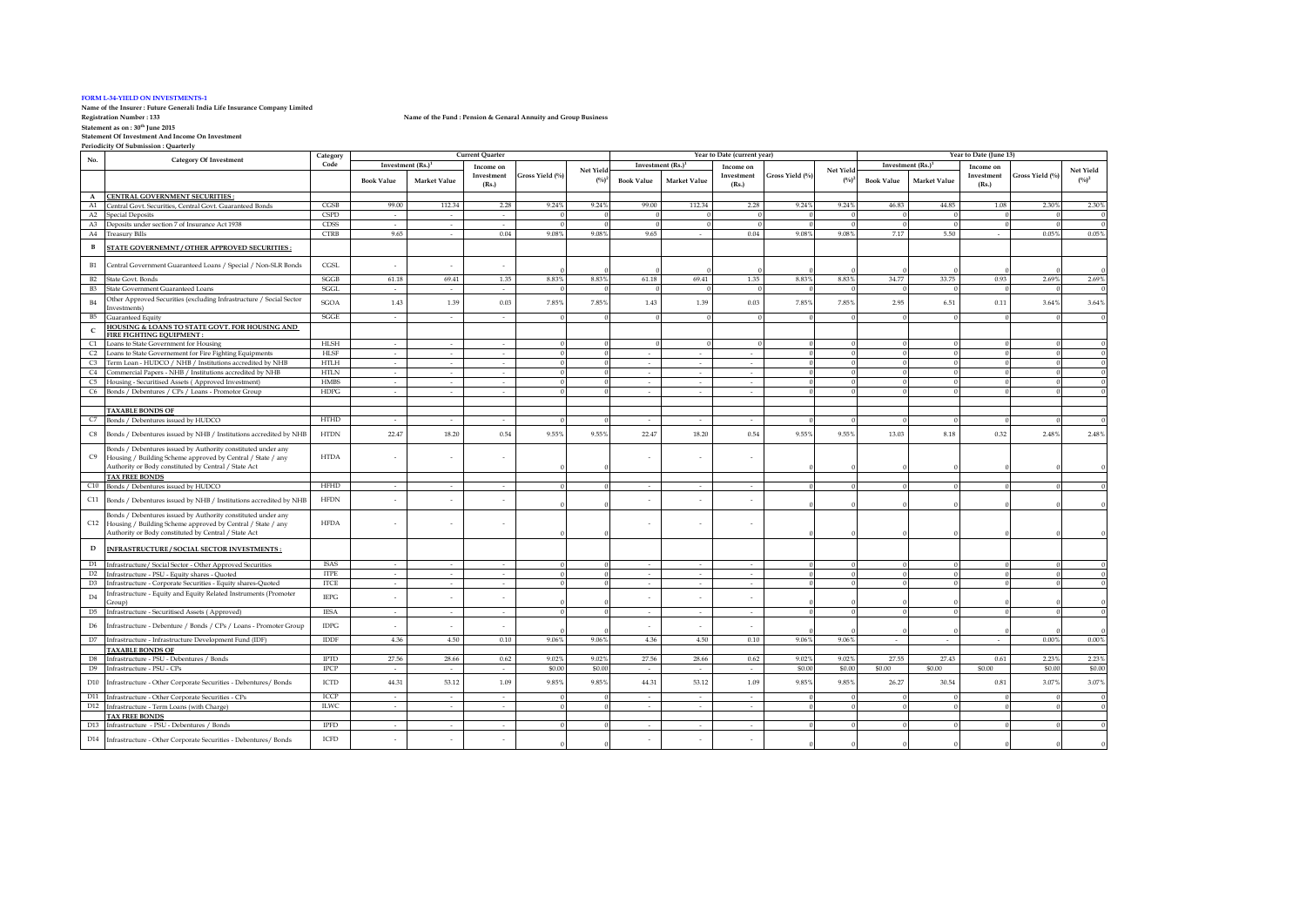#### **FORM L-34-YIELD ON INVESTMENTS-1**

**Name of the Insurer : Future Generali India Life Insurance Company Limited**

**Statement as on : 30th June 2015 Statement Of Investment And Income On Investment Periodicity Of Submission : Quarterly**

| Code<br>Investment (Rs.) <sup>1</sup><br>Investment (Rs.)<br>Investment (Rs.) <sup>1</sup><br>Income on<br>Income on<br>Income on<br>Net Yield<br>Net Yield<br>Net Yield<br>Gross Yield (%)<br>Gross Yield (%)<br>Gross Yield (%)<br>Investment<br>Investment<br>Investment<br>$(^{0}/_{0})^{2}$<br>$(^{0}/_{0})^{2}$<br><b>Book Value</b><br><b>Book Value</b><br><b>Market Value</b><br>Market Value<br>$(^{0}/_{0})^{2}$<br><b>Book Value</b><br><b>Market Value</b><br>(Rs.)<br>(Rs.)<br>(Rs.)<br>A CENTRAL GOVERNMENT SECURITIES :<br>112.34<br>9.24%<br>112.34<br>9.24%<br>9.24%<br>44.85<br>2.30%<br>Central Govt. Securities, Central Govt. Guaranteed Bonds<br>CGSB<br>99.00<br>2.28<br>9.24%<br>99.00<br>2.28<br>46.83<br>1.08<br>2.30%<br>A1<br><b>CSPD</b><br>A2<br><b>Special Deposits</b><br>$\theta$<br>$\sim$<br>$\sim$<br>$\sim$<br>$\Omega$<br><b>CDSS</b><br>A3 Deposits under section 7 of Insurance Act 1938<br>$\Omega$<br>$\sim$<br>$\sim$<br>$\sim$<br>$\Omega$<br>$\Omega$<br>$\Omega$<br>$\Omega$<br>$\Omega$<br>- 0<br>$\Omega$<br>$\Omega$<br>$\Omega$<br><b>CTRB</b><br>9.65<br>0.04<br>9.08%<br>9.08%<br>9.65<br>0.04<br>9.08%<br>9.08%<br>7.17<br>5.50<br>0.05%<br>0.05%<br>A4 Treasury Bills<br>$\sim$<br>$\sim$<br>$\sim$<br>STATE GOVERNEMNT / OTHER APPROVED SECURITIES:<br>в<br>CGSL<br>B1<br>Central Government Guaranteed Loans / Special / Non-SLR Bonds<br>$\Omega$<br>1.35<br>33.75<br>SGGB<br>61.18<br>69.41<br>1.35<br>8.83%<br>8.83%<br>61.18<br>69.41<br>8.83%<br>8.83%<br>34.77<br>0.93<br>2.69%<br>2.69%<br><b>B2</b> State Govt. Bonds<br>B <sub>3</sub><br>State Government Guaranteed Loans<br>SGGL<br>$\sim$<br>$\sim$<br>$\sim$<br>$\Omega$<br>$\Omega$<br>$\theta$<br>$\Omega$<br>$\Omega$<br>$\overline{0}$<br>Other Approved Securities (excluding Infrastructure / Social Sector<br>7.85%<br>7.85%<br>7.85%<br>7.85%<br>6.51<br>1.39<br>0.03<br>1.43<br>1.39<br>0.03<br>2.95<br>0.11<br>3.64%<br>3.64%<br>B4<br>SGOA<br>1.43<br>Investments)<br>SGGE<br>B5<br><b>Guaranteed Equity</b><br>$\sim$<br>$\sim$<br>$\sim$<br>$\theta$<br>$\Omega$<br>$\Omega$<br>HOUSING & LOANS TO STATE GOVT. FOR HOUSING AND<br>$\mathsf{C}$<br>FIRE FIGHTING EQUIPMENT:<br>HLSH<br>C1 Loans to State Government for Housing<br>$\sim$<br>$\sim$<br>$\sim$<br>HLSF<br>C2 Loans to State Governement for Fire Fighting Equipments<br>$\sim$<br>$\sim$<br>$\sim$<br>$\sim$<br>C3 Term Loan - HUDCO / NHB / Institutions accredited by NHB<br><b>HTLH</b><br>$\Omega$<br>$\sim$<br>$\sim$<br>$\sim$<br>$\sim$<br>$\sim$<br>$\sim$<br><b>HTLN</b><br>C4<br>Commercial Papers - NHB / Institutions accredited by NHB<br>$\sim$<br>$\sim$<br>$\sim$<br>$\theta$<br>$\sim$<br>$\sim$<br>$\sim$<br>$\Omega$<br><b>HMBS</b><br>C <sub>5</sub><br>Housing - Securitised Assets (Approved Investment)<br>$\sim$<br>$\sim$<br>$\sim$<br>$\sim$<br>in 1919.<br>in 1919.<br>C6 Bonds / Debentures / CPs / Loans - Promotor Group<br><b>HDPG</b><br>$\Omega$<br>$\sim$<br>$\sim$<br>$\sim$<br>$\sim$<br>$\sim$<br>$\sim$<br><b>TAXABLE BONDS OF</b><br>C7 Bonds / Debentures issued by HUDCO<br><b>HTHD</b><br>$\overline{0}$<br>$\sim$<br>$\sim$<br>$\sim$<br>-0<br>$\Omega$<br>$\sim$<br>$\sim$<br>$\sim$<br>$\Omega$<br>9.55%<br>9.55%<br>9.55%<br>9.55%<br>22.47<br>18.20<br>0.54<br>22.47<br>18.20<br>13.03<br>8.18<br>2.48%<br>2.48%<br>0.54<br>0.32<br>$_{\text{CS}}$<br>Bonds / Debentures issued by NHB / Institutions accredited by NHB<br><b>HTDN</b><br>Bonds / Debentures issued by Authority constituted under any<br><b>HTDA</b><br>C9<br>Housing / Building Scheme approved by Central / State / any<br>Authority or Body constituted by Central / State Act<br><b>TAX FREE BONDS</b><br><b>HFHD</b><br>C10 Bonds / Debentures issued by HUDCO<br>$\sim$<br>$\sim$<br>$\sim$<br>$\sim$<br>$\sim$<br>C11 Bonds / Debentures issued by NHB / Institutions accredited by NHB<br><b>HFDN</b><br>Bonds / Debentures issued by Authority constituted under any<br><b>HFDA</b><br>C12 Housing / Building Scheme approved by Central / State / any<br>Authority or Body constituted by Central / State Act<br>INFRASTRUCTURE / SOCIAL SECTOR INVESTMENTS :<br>D<br><b>ISAS</b><br>D1<br>Infrastructure/ Social Sector - Other Approved Securities<br>$\sim$<br>$\sim$<br>$\sim$<br>$\sim$<br>$\sim$<br>$\sim$<br>$\Omega$<br>D2 Infrastructure - PSU - Equity shares - Quoted<br><b>ITPE</b><br>$\Omega$<br>$\sim$<br>$\Omega$<br>$\sim$<br>$\sim$<br>$\sim$<br>$\sim$<br>$\sim$<br>D <sub>3</sub><br><b>ITCE</b><br>$\sim$<br>$\sim$<br>Infrastructure - Corporate Securities - Equity shares-Quoted<br>$\sim$<br>$\sim$<br>$\sim$<br>$\sim$<br>Infrastructure - Equity and Equity Related Instruments (Promoter<br>D4<br><b>IEPG</b><br>$\sim$<br>Group)<br><b>IESA</b><br>Infrastructure - Securitised Assets (Approved)<br>$\sim$<br>$\Omega$<br>$\theta$<br>$\Omega$<br>D <sub>5</sub><br>$\sim$<br>$\sim$<br>$\sim$<br>$\sim$<br>$\sim$<br><b>IDPG</b><br>D <sub>6</sub><br>Infrastructure - Debenture / Bonds / CPs / Loans - Promoter Group<br>×.<br>$\sim$<br>$\sim$<br>4.36<br><b>IDDF</b><br>4.50<br>0.10<br>9.06%<br>9.06%<br>4.36<br>4.50<br>0.10<br>9.06%<br>9.06%<br>0.00%<br>0.00%<br>D7<br>Infrastructure - Infrastructure Development Fund (IDF)<br>$\sim$<br>$\sim$<br>$\sim$<br><b>TAXABLE BONDS OF</b><br>27.56<br>2.23%<br>Infrastructure - PSU - Debentures / Bonds<br><b>IPTD</b><br>28.66<br>0.62<br>9.02%<br>9.02%<br>27.56<br>28.66<br>0.62<br>9.02%<br>9.02%<br>27.55<br>27.43<br>0.61<br>2.23%<br>D8<br>\$0.00<br>\$0.00<br><b>IPCP</b><br>\$0.00<br>\$0.00<br>\$0.00<br>\$0.00<br>\$0.00<br>\$0.00<br>\$0.00<br>D9<br>Infrastructure - PSU - CPs<br>$\sim$<br>$\sim$<br>ICTD<br>44.31<br>53.12<br>1.09<br>9.85%<br>9.85%<br>44.31<br>53.12<br>9.85%<br>9.85%<br>26.27<br>30.54<br>3.07%<br>3.07%<br>D10 Infrastructure - Other Corporate Securities - Debentures/ Bonds<br>1.09<br>0.81<br>D11 Infrastructure - Other Corporate Securities - CPs<br>ICCP<br>$\overline{0}$<br>$\sim$<br>$\sim$<br>$\sim$<br>$\sim$<br>$\sim$<br>$\sim$<br><b>ILWC</b><br>D12 Infrastructure - Term Loans (with Charge)<br>$\sim$<br>$\sim$<br>$\sim$<br>$\sim$<br>$\sim$<br>$\Omega$<br>$\Omega$<br>$\sim$<br><b>TAX FREE BONDS</b><br><b>IPFD</b><br>D13 Infrastructure - PSU - Debentures / Bonds<br>$\sim$<br>$\sim$<br>$\sim$<br>$\sim$<br>$\sim$<br><b>ICFD</b><br>D14 Infrastructure - Other Corporate Securities - Debentures/ Bonds | <b>Category Of Investment</b> | Category |  | <b>Current Quarter</b> |  | Year to Date (current year) |  |  |  |  | Year to Date (June 13) |  |  |
|------------------------------------------------------------------------------------------------------------------------------------------------------------------------------------------------------------------------------------------------------------------------------------------------------------------------------------------------------------------------------------------------------------------------------------------------------------------------------------------------------------------------------------------------------------------------------------------------------------------------------------------------------------------------------------------------------------------------------------------------------------------------------------------------------------------------------------------------------------------------------------------------------------------------------------------------------------------------------------------------------------------------------------------------------------------------------------------------------------------------------------------------------------------------------------------------------------------------------------------------------------------------------------------------------------------------------------------------------------------------------------------------------------------------------------------------------------------------------------------------------------------------------------------------------------------------------------------------------------------------------------------------------------------------------------------------------------------------------------------------------------------------------------------------------------------------------------------------------------------------------------------------------------------------------------------------------------------------------------------------------------------------------------------------------------------------------------------------------------------------------------------------------------------------------------------------------------------------------------------------------------------------------------------------------------------------------------------------------------------------------------------------------------------------------------------------------------------------------------------------------------------------------------------------------------------------------------------------------------------------------------------------------------------------------------------------------------------------------------------------------------------------------------------------------------------------------------------------------------------------------------------------------------------------------------------------------------------------------------------------------------------------------------------------------------------------------------------------------------------------------------------------------------------------------------------------------------------------------------------------------------------------------------------------------------------------------------------------------------------------------------------------------------------------------------------------------------------------------------------------------------------------------------------------------------------------------------------------------------------------------------------------------------------------------------------------------------------------------------------------------------------------------------------------------------------------------------------------------------------------------------------------------------------------------------------------------------------------------------------------------------------------------------------------------------------------------------------------------------------------------------------------------------------------------------------------------------------------------------------------------------------------------------------------------------------------------------------------------------------------------------------------------------------------------------------------------------------------------------------------------------------------------------------------------------------------------------------------------------------------------------------------------------------------------------------------------------------------------------------------------------------------------------------------------------------------------------------------------------------------------------------------------------------------------------------------------------------------------------------------------------------------------------------------------------------------------------------------------------------------------------------------------------------------------------------------------------------------------------------------------------------------------------------------------------------------------------------------------------------------------------------------------------------------------------------------------------------------------------------------------------------------------------------------------------------------------------------------------------------------------------------------------------------------------------------------------------------------------------------------------------------------------------------------------------------------------------------------------------------------------------------------------------------------------------------------------------------------------------------------------------------------------------------------------------------------------------------------------------------------------------------------------------------------------------------------------------------------------------------------------------------------------------------------------------------------------------------------------------------------------------------------------------------------------------------------------------------------------------------|-------------------------------|----------|--|------------------------|--|-----------------------------|--|--|--|--|------------------------|--|--|
|                                                                                                                                                                                                                                                                                                                                                                                                                                                                                                                                                                                                                                                                                                                                                                                                                                                                                                                                                                                                                                                                                                                                                                                                                                                                                                                                                                                                                                                                                                                                                                                                                                                                                                                                                                                                                                                                                                                                                                                                                                                                                                                                                                                                                                                                                                                                                                                                                                                                                                                                                                                                                                                                                                                                                                                                                                                                                                                                                                                                                                                                                                                                                                                                                                                                                                                                                                                                                                                                                                                                                                                                                                                                                                                                                                                                                                                                                                                                                                                                                                                                                                                                                                                                                                                                                                                                                                                                                                                                                                                                                                                                                                                                                                                                                                                                                                                                                                                                                                                                                                                                                                                                                                                                                                                                                                                                                                                                                                                                                                                                                                                                                                                                                                                                                                                                                                                                                                                                                                                                                                                                                                                                                                                                                                                                                                                                                                                                                                                                                          |                               |          |  |                        |  |                             |  |  |  |  |                        |  |  |
|                                                                                                                                                                                                                                                                                                                                                                                                                                                                                                                                                                                                                                                                                                                                                                                                                                                                                                                                                                                                                                                                                                                                                                                                                                                                                                                                                                                                                                                                                                                                                                                                                                                                                                                                                                                                                                                                                                                                                                                                                                                                                                                                                                                                                                                                                                                                                                                                                                                                                                                                                                                                                                                                                                                                                                                                                                                                                                                                                                                                                                                                                                                                                                                                                                                                                                                                                                                                                                                                                                                                                                                                                                                                                                                                                                                                                                                                                                                                                                                                                                                                                                                                                                                                                                                                                                                                                                                                                                                                                                                                                                                                                                                                                                                                                                                                                                                                                                                                                                                                                                                                                                                                                                                                                                                                                                                                                                                                                                                                                                                                                                                                                                                                                                                                                                                                                                                                                                                                                                                                                                                                                                                                                                                                                                                                                                                                                                                                                                                                                          |                               |          |  |                        |  |                             |  |  |  |  |                        |  |  |
|                                                                                                                                                                                                                                                                                                                                                                                                                                                                                                                                                                                                                                                                                                                                                                                                                                                                                                                                                                                                                                                                                                                                                                                                                                                                                                                                                                                                                                                                                                                                                                                                                                                                                                                                                                                                                                                                                                                                                                                                                                                                                                                                                                                                                                                                                                                                                                                                                                                                                                                                                                                                                                                                                                                                                                                                                                                                                                                                                                                                                                                                                                                                                                                                                                                                                                                                                                                                                                                                                                                                                                                                                                                                                                                                                                                                                                                                                                                                                                                                                                                                                                                                                                                                                                                                                                                                                                                                                                                                                                                                                                                                                                                                                                                                                                                                                                                                                                                                                                                                                                                                                                                                                                                                                                                                                                                                                                                                                                                                                                                                                                                                                                                                                                                                                                                                                                                                                                                                                                                                                                                                                                                                                                                                                                                                                                                                                                                                                                                                                          |                               |          |  |                        |  |                             |  |  |  |  |                        |  |  |
|                                                                                                                                                                                                                                                                                                                                                                                                                                                                                                                                                                                                                                                                                                                                                                                                                                                                                                                                                                                                                                                                                                                                                                                                                                                                                                                                                                                                                                                                                                                                                                                                                                                                                                                                                                                                                                                                                                                                                                                                                                                                                                                                                                                                                                                                                                                                                                                                                                                                                                                                                                                                                                                                                                                                                                                                                                                                                                                                                                                                                                                                                                                                                                                                                                                                                                                                                                                                                                                                                                                                                                                                                                                                                                                                                                                                                                                                                                                                                                                                                                                                                                                                                                                                                                                                                                                                                                                                                                                                                                                                                                                                                                                                                                                                                                                                                                                                                                                                                                                                                                                                                                                                                                                                                                                                                                                                                                                                                                                                                                                                                                                                                                                                                                                                                                                                                                                                                                                                                                                                                                                                                                                                                                                                                                                                                                                                                                                                                                                                                          |                               |          |  |                        |  |                             |  |  |  |  |                        |  |  |
|                                                                                                                                                                                                                                                                                                                                                                                                                                                                                                                                                                                                                                                                                                                                                                                                                                                                                                                                                                                                                                                                                                                                                                                                                                                                                                                                                                                                                                                                                                                                                                                                                                                                                                                                                                                                                                                                                                                                                                                                                                                                                                                                                                                                                                                                                                                                                                                                                                                                                                                                                                                                                                                                                                                                                                                                                                                                                                                                                                                                                                                                                                                                                                                                                                                                                                                                                                                                                                                                                                                                                                                                                                                                                                                                                                                                                                                                                                                                                                                                                                                                                                                                                                                                                                                                                                                                                                                                                                                                                                                                                                                                                                                                                                                                                                                                                                                                                                                                                                                                                                                                                                                                                                                                                                                                                                                                                                                                                                                                                                                                                                                                                                                                                                                                                                                                                                                                                                                                                                                                                                                                                                                                                                                                                                                                                                                                                                                                                                                                                          |                               |          |  |                        |  |                             |  |  |  |  |                        |  |  |
|                                                                                                                                                                                                                                                                                                                                                                                                                                                                                                                                                                                                                                                                                                                                                                                                                                                                                                                                                                                                                                                                                                                                                                                                                                                                                                                                                                                                                                                                                                                                                                                                                                                                                                                                                                                                                                                                                                                                                                                                                                                                                                                                                                                                                                                                                                                                                                                                                                                                                                                                                                                                                                                                                                                                                                                                                                                                                                                                                                                                                                                                                                                                                                                                                                                                                                                                                                                                                                                                                                                                                                                                                                                                                                                                                                                                                                                                                                                                                                                                                                                                                                                                                                                                                                                                                                                                                                                                                                                                                                                                                                                                                                                                                                                                                                                                                                                                                                                                                                                                                                                                                                                                                                                                                                                                                                                                                                                                                                                                                                                                                                                                                                                                                                                                                                                                                                                                                                                                                                                                                                                                                                                                                                                                                                                                                                                                                                                                                                                                                          |                               |          |  |                        |  |                             |  |  |  |  |                        |  |  |
|                                                                                                                                                                                                                                                                                                                                                                                                                                                                                                                                                                                                                                                                                                                                                                                                                                                                                                                                                                                                                                                                                                                                                                                                                                                                                                                                                                                                                                                                                                                                                                                                                                                                                                                                                                                                                                                                                                                                                                                                                                                                                                                                                                                                                                                                                                                                                                                                                                                                                                                                                                                                                                                                                                                                                                                                                                                                                                                                                                                                                                                                                                                                                                                                                                                                                                                                                                                                                                                                                                                                                                                                                                                                                                                                                                                                                                                                                                                                                                                                                                                                                                                                                                                                                                                                                                                                                                                                                                                                                                                                                                                                                                                                                                                                                                                                                                                                                                                                                                                                                                                                                                                                                                                                                                                                                                                                                                                                                                                                                                                                                                                                                                                                                                                                                                                                                                                                                                                                                                                                                                                                                                                                                                                                                                                                                                                                                                                                                                                                                          |                               |          |  |                        |  |                             |  |  |  |  |                        |  |  |
|                                                                                                                                                                                                                                                                                                                                                                                                                                                                                                                                                                                                                                                                                                                                                                                                                                                                                                                                                                                                                                                                                                                                                                                                                                                                                                                                                                                                                                                                                                                                                                                                                                                                                                                                                                                                                                                                                                                                                                                                                                                                                                                                                                                                                                                                                                                                                                                                                                                                                                                                                                                                                                                                                                                                                                                                                                                                                                                                                                                                                                                                                                                                                                                                                                                                                                                                                                                                                                                                                                                                                                                                                                                                                                                                                                                                                                                                                                                                                                                                                                                                                                                                                                                                                                                                                                                                                                                                                                                                                                                                                                                                                                                                                                                                                                                                                                                                                                                                                                                                                                                                                                                                                                                                                                                                                                                                                                                                                                                                                                                                                                                                                                                                                                                                                                                                                                                                                                                                                                                                                                                                                                                                                                                                                                                                                                                                                                                                                                                                                          |                               |          |  |                        |  |                             |  |  |  |  |                        |  |  |
|                                                                                                                                                                                                                                                                                                                                                                                                                                                                                                                                                                                                                                                                                                                                                                                                                                                                                                                                                                                                                                                                                                                                                                                                                                                                                                                                                                                                                                                                                                                                                                                                                                                                                                                                                                                                                                                                                                                                                                                                                                                                                                                                                                                                                                                                                                                                                                                                                                                                                                                                                                                                                                                                                                                                                                                                                                                                                                                                                                                                                                                                                                                                                                                                                                                                                                                                                                                                                                                                                                                                                                                                                                                                                                                                                                                                                                                                                                                                                                                                                                                                                                                                                                                                                                                                                                                                                                                                                                                                                                                                                                                                                                                                                                                                                                                                                                                                                                                                                                                                                                                                                                                                                                                                                                                                                                                                                                                                                                                                                                                                                                                                                                                                                                                                                                                                                                                                                                                                                                                                                                                                                                                                                                                                                                                                                                                                                                                                                                                                                          |                               |          |  |                        |  |                             |  |  |  |  |                        |  |  |
|                                                                                                                                                                                                                                                                                                                                                                                                                                                                                                                                                                                                                                                                                                                                                                                                                                                                                                                                                                                                                                                                                                                                                                                                                                                                                                                                                                                                                                                                                                                                                                                                                                                                                                                                                                                                                                                                                                                                                                                                                                                                                                                                                                                                                                                                                                                                                                                                                                                                                                                                                                                                                                                                                                                                                                                                                                                                                                                                                                                                                                                                                                                                                                                                                                                                                                                                                                                                                                                                                                                                                                                                                                                                                                                                                                                                                                                                                                                                                                                                                                                                                                                                                                                                                                                                                                                                                                                                                                                                                                                                                                                                                                                                                                                                                                                                                                                                                                                                                                                                                                                                                                                                                                                                                                                                                                                                                                                                                                                                                                                                                                                                                                                                                                                                                                                                                                                                                                                                                                                                                                                                                                                                                                                                                                                                                                                                                                                                                                                                                          |                               |          |  |                        |  |                             |  |  |  |  |                        |  |  |
|                                                                                                                                                                                                                                                                                                                                                                                                                                                                                                                                                                                                                                                                                                                                                                                                                                                                                                                                                                                                                                                                                                                                                                                                                                                                                                                                                                                                                                                                                                                                                                                                                                                                                                                                                                                                                                                                                                                                                                                                                                                                                                                                                                                                                                                                                                                                                                                                                                                                                                                                                                                                                                                                                                                                                                                                                                                                                                                                                                                                                                                                                                                                                                                                                                                                                                                                                                                                                                                                                                                                                                                                                                                                                                                                                                                                                                                                                                                                                                                                                                                                                                                                                                                                                                                                                                                                                                                                                                                                                                                                                                                                                                                                                                                                                                                                                                                                                                                                                                                                                                                                                                                                                                                                                                                                                                                                                                                                                                                                                                                                                                                                                                                                                                                                                                                                                                                                                                                                                                                                                                                                                                                                                                                                                                                                                                                                                                                                                                                                                          |                               |          |  |                        |  |                             |  |  |  |  |                        |  |  |
|                                                                                                                                                                                                                                                                                                                                                                                                                                                                                                                                                                                                                                                                                                                                                                                                                                                                                                                                                                                                                                                                                                                                                                                                                                                                                                                                                                                                                                                                                                                                                                                                                                                                                                                                                                                                                                                                                                                                                                                                                                                                                                                                                                                                                                                                                                                                                                                                                                                                                                                                                                                                                                                                                                                                                                                                                                                                                                                                                                                                                                                                                                                                                                                                                                                                                                                                                                                                                                                                                                                                                                                                                                                                                                                                                                                                                                                                                                                                                                                                                                                                                                                                                                                                                                                                                                                                                                                                                                                                                                                                                                                                                                                                                                                                                                                                                                                                                                                                                                                                                                                                                                                                                                                                                                                                                                                                                                                                                                                                                                                                                                                                                                                                                                                                                                                                                                                                                                                                                                                                                                                                                                                                                                                                                                                                                                                                                                                                                                                                                          |                               |          |  |                        |  |                             |  |  |  |  |                        |  |  |
|                                                                                                                                                                                                                                                                                                                                                                                                                                                                                                                                                                                                                                                                                                                                                                                                                                                                                                                                                                                                                                                                                                                                                                                                                                                                                                                                                                                                                                                                                                                                                                                                                                                                                                                                                                                                                                                                                                                                                                                                                                                                                                                                                                                                                                                                                                                                                                                                                                                                                                                                                                                                                                                                                                                                                                                                                                                                                                                                                                                                                                                                                                                                                                                                                                                                                                                                                                                                                                                                                                                                                                                                                                                                                                                                                                                                                                                                                                                                                                                                                                                                                                                                                                                                                                                                                                                                                                                                                                                                                                                                                                                                                                                                                                                                                                                                                                                                                                                                                                                                                                                                                                                                                                                                                                                                                                                                                                                                                                                                                                                                                                                                                                                                                                                                                                                                                                                                                                                                                                                                                                                                                                                                                                                                                                                                                                                                                                                                                                                                                          |                               |          |  |                        |  |                             |  |  |  |  |                        |  |  |
|                                                                                                                                                                                                                                                                                                                                                                                                                                                                                                                                                                                                                                                                                                                                                                                                                                                                                                                                                                                                                                                                                                                                                                                                                                                                                                                                                                                                                                                                                                                                                                                                                                                                                                                                                                                                                                                                                                                                                                                                                                                                                                                                                                                                                                                                                                                                                                                                                                                                                                                                                                                                                                                                                                                                                                                                                                                                                                                                                                                                                                                                                                                                                                                                                                                                                                                                                                                                                                                                                                                                                                                                                                                                                                                                                                                                                                                                                                                                                                                                                                                                                                                                                                                                                                                                                                                                                                                                                                                                                                                                                                                                                                                                                                                                                                                                                                                                                                                                                                                                                                                                                                                                                                                                                                                                                                                                                                                                                                                                                                                                                                                                                                                                                                                                                                                                                                                                                                                                                                                                                                                                                                                                                                                                                                                                                                                                                                                                                                                                                          |                               |          |  |                        |  |                             |  |  |  |  |                        |  |  |
|                                                                                                                                                                                                                                                                                                                                                                                                                                                                                                                                                                                                                                                                                                                                                                                                                                                                                                                                                                                                                                                                                                                                                                                                                                                                                                                                                                                                                                                                                                                                                                                                                                                                                                                                                                                                                                                                                                                                                                                                                                                                                                                                                                                                                                                                                                                                                                                                                                                                                                                                                                                                                                                                                                                                                                                                                                                                                                                                                                                                                                                                                                                                                                                                                                                                                                                                                                                                                                                                                                                                                                                                                                                                                                                                                                                                                                                                                                                                                                                                                                                                                                                                                                                                                                                                                                                                                                                                                                                                                                                                                                                                                                                                                                                                                                                                                                                                                                                                                                                                                                                                                                                                                                                                                                                                                                                                                                                                                                                                                                                                                                                                                                                                                                                                                                                                                                                                                                                                                                                                                                                                                                                                                                                                                                                                                                                                                                                                                                                                                          |                               |          |  |                        |  |                             |  |  |  |  |                        |  |  |
|                                                                                                                                                                                                                                                                                                                                                                                                                                                                                                                                                                                                                                                                                                                                                                                                                                                                                                                                                                                                                                                                                                                                                                                                                                                                                                                                                                                                                                                                                                                                                                                                                                                                                                                                                                                                                                                                                                                                                                                                                                                                                                                                                                                                                                                                                                                                                                                                                                                                                                                                                                                                                                                                                                                                                                                                                                                                                                                                                                                                                                                                                                                                                                                                                                                                                                                                                                                                                                                                                                                                                                                                                                                                                                                                                                                                                                                                                                                                                                                                                                                                                                                                                                                                                                                                                                                                                                                                                                                                                                                                                                                                                                                                                                                                                                                                                                                                                                                                                                                                                                                                                                                                                                                                                                                                                                                                                                                                                                                                                                                                                                                                                                                                                                                                                                                                                                                                                                                                                                                                                                                                                                                                                                                                                                                                                                                                                                                                                                                                                          |                               |          |  |                        |  |                             |  |  |  |  |                        |  |  |
|                                                                                                                                                                                                                                                                                                                                                                                                                                                                                                                                                                                                                                                                                                                                                                                                                                                                                                                                                                                                                                                                                                                                                                                                                                                                                                                                                                                                                                                                                                                                                                                                                                                                                                                                                                                                                                                                                                                                                                                                                                                                                                                                                                                                                                                                                                                                                                                                                                                                                                                                                                                                                                                                                                                                                                                                                                                                                                                                                                                                                                                                                                                                                                                                                                                                                                                                                                                                                                                                                                                                                                                                                                                                                                                                                                                                                                                                                                                                                                                                                                                                                                                                                                                                                                                                                                                                                                                                                                                                                                                                                                                                                                                                                                                                                                                                                                                                                                                                                                                                                                                                                                                                                                                                                                                                                                                                                                                                                                                                                                                                                                                                                                                                                                                                                                                                                                                                                                                                                                                                                                                                                                                                                                                                                                                                                                                                                                                                                                                                                          |                               |          |  |                        |  |                             |  |  |  |  |                        |  |  |
|                                                                                                                                                                                                                                                                                                                                                                                                                                                                                                                                                                                                                                                                                                                                                                                                                                                                                                                                                                                                                                                                                                                                                                                                                                                                                                                                                                                                                                                                                                                                                                                                                                                                                                                                                                                                                                                                                                                                                                                                                                                                                                                                                                                                                                                                                                                                                                                                                                                                                                                                                                                                                                                                                                                                                                                                                                                                                                                                                                                                                                                                                                                                                                                                                                                                                                                                                                                                                                                                                                                                                                                                                                                                                                                                                                                                                                                                                                                                                                                                                                                                                                                                                                                                                                                                                                                                                                                                                                                                                                                                                                                                                                                                                                                                                                                                                                                                                                                                                                                                                                                                                                                                                                                                                                                                                                                                                                                                                                                                                                                                                                                                                                                                                                                                                                                                                                                                                                                                                                                                                                                                                                                                                                                                                                                                                                                                                                                                                                                                                          |                               |          |  |                        |  |                             |  |  |  |  |                        |  |  |
|                                                                                                                                                                                                                                                                                                                                                                                                                                                                                                                                                                                                                                                                                                                                                                                                                                                                                                                                                                                                                                                                                                                                                                                                                                                                                                                                                                                                                                                                                                                                                                                                                                                                                                                                                                                                                                                                                                                                                                                                                                                                                                                                                                                                                                                                                                                                                                                                                                                                                                                                                                                                                                                                                                                                                                                                                                                                                                                                                                                                                                                                                                                                                                                                                                                                                                                                                                                                                                                                                                                                                                                                                                                                                                                                                                                                                                                                                                                                                                                                                                                                                                                                                                                                                                                                                                                                                                                                                                                                                                                                                                                                                                                                                                                                                                                                                                                                                                                                                                                                                                                                                                                                                                                                                                                                                                                                                                                                                                                                                                                                                                                                                                                                                                                                                                                                                                                                                                                                                                                                                                                                                                                                                                                                                                                                                                                                                                                                                                                                                          |                               |          |  |                        |  |                             |  |  |  |  |                        |  |  |
|                                                                                                                                                                                                                                                                                                                                                                                                                                                                                                                                                                                                                                                                                                                                                                                                                                                                                                                                                                                                                                                                                                                                                                                                                                                                                                                                                                                                                                                                                                                                                                                                                                                                                                                                                                                                                                                                                                                                                                                                                                                                                                                                                                                                                                                                                                                                                                                                                                                                                                                                                                                                                                                                                                                                                                                                                                                                                                                                                                                                                                                                                                                                                                                                                                                                                                                                                                                                                                                                                                                                                                                                                                                                                                                                                                                                                                                                                                                                                                                                                                                                                                                                                                                                                                                                                                                                                                                                                                                                                                                                                                                                                                                                                                                                                                                                                                                                                                                                                                                                                                                                                                                                                                                                                                                                                                                                                                                                                                                                                                                                                                                                                                                                                                                                                                                                                                                                                                                                                                                                                                                                                                                                                                                                                                                                                                                                                                                                                                                                                          |                               |          |  |                        |  |                             |  |  |  |  |                        |  |  |
|                                                                                                                                                                                                                                                                                                                                                                                                                                                                                                                                                                                                                                                                                                                                                                                                                                                                                                                                                                                                                                                                                                                                                                                                                                                                                                                                                                                                                                                                                                                                                                                                                                                                                                                                                                                                                                                                                                                                                                                                                                                                                                                                                                                                                                                                                                                                                                                                                                                                                                                                                                                                                                                                                                                                                                                                                                                                                                                                                                                                                                                                                                                                                                                                                                                                                                                                                                                                                                                                                                                                                                                                                                                                                                                                                                                                                                                                                                                                                                                                                                                                                                                                                                                                                                                                                                                                                                                                                                                                                                                                                                                                                                                                                                                                                                                                                                                                                                                                                                                                                                                                                                                                                                                                                                                                                                                                                                                                                                                                                                                                                                                                                                                                                                                                                                                                                                                                                                                                                                                                                                                                                                                                                                                                                                                                                                                                                                                                                                                                                          |                               |          |  |                        |  |                             |  |  |  |  |                        |  |  |
|                                                                                                                                                                                                                                                                                                                                                                                                                                                                                                                                                                                                                                                                                                                                                                                                                                                                                                                                                                                                                                                                                                                                                                                                                                                                                                                                                                                                                                                                                                                                                                                                                                                                                                                                                                                                                                                                                                                                                                                                                                                                                                                                                                                                                                                                                                                                                                                                                                                                                                                                                                                                                                                                                                                                                                                                                                                                                                                                                                                                                                                                                                                                                                                                                                                                                                                                                                                                                                                                                                                                                                                                                                                                                                                                                                                                                                                                                                                                                                                                                                                                                                                                                                                                                                                                                                                                                                                                                                                                                                                                                                                                                                                                                                                                                                                                                                                                                                                                                                                                                                                                                                                                                                                                                                                                                                                                                                                                                                                                                                                                                                                                                                                                                                                                                                                                                                                                                                                                                                                                                                                                                                                                                                                                                                                                                                                                                                                                                                                                                          |                               |          |  |                        |  |                             |  |  |  |  |                        |  |  |
|                                                                                                                                                                                                                                                                                                                                                                                                                                                                                                                                                                                                                                                                                                                                                                                                                                                                                                                                                                                                                                                                                                                                                                                                                                                                                                                                                                                                                                                                                                                                                                                                                                                                                                                                                                                                                                                                                                                                                                                                                                                                                                                                                                                                                                                                                                                                                                                                                                                                                                                                                                                                                                                                                                                                                                                                                                                                                                                                                                                                                                                                                                                                                                                                                                                                                                                                                                                                                                                                                                                                                                                                                                                                                                                                                                                                                                                                                                                                                                                                                                                                                                                                                                                                                                                                                                                                                                                                                                                                                                                                                                                                                                                                                                                                                                                                                                                                                                                                                                                                                                                                                                                                                                                                                                                                                                                                                                                                                                                                                                                                                                                                                                                                                                                                                                                                                                                                                                                                                                                                                                                                                                                                                                                                                                                                                                                                                                                                                                                                                          |                               |          |  |                        |  |                             |  |  |  |  |                        |  |  |
|                                                                                                                                                                                                                                                                                                                                                                                                                                                                                                                                                                                                                                                                                                                                                                                                                                                                                                                                                                                                                                                                                                                                                                                                                                                                                                                                                                                                                                                                                                                                                                                                                                                                                                                                                                                                                                                                                                                                                                                                                                                                                                                                                                                                                                                                                                                                                                                                                                                                                                                                                                                                                                                                                                                                                                                                                                                                                                                                                                                                                                                                                                                                                                                                                                                                                                                                                                                                                                                                                                                                                                                                                                                                                                                                                                                                                                                                                                                                                                                                                                                                                                                                                                                                                                                                                                                                                                                                                                                                                                                                                                                                                                                                                                                                                                                                                                                                                                                                                                                                                                                                                                                                                                                                                                                                                                                                                                                                                                                                                                                                                                                                                                                                                                                                                                                                                                                                                                                                                                                                                                                                                                                                                                                                                                                                                                                                                                                                                                                                                          |                               |          |  |                        |  |                             |  |  |  |  |                        |  |  |
|                                                                                                                                                                                                                                                                                                                                                                                                                                                                                                                                                                                                                                                                                                                                                                                                                                                                                                                                                                                                                                                                                                                                                                                                                                                                                                                                                                                                                                                                                                                                                                                                                                                                                                                                                                                                                                                                                                                                                                                                                                                                                                                                                                                                                                                                                                                                                                                                                                                                                                                                                                                                                                                                                                                                                                                                                                                                                                                                                                                                                                                                                                                                                                                                                                                                                                                                                                                                                                                                                                                                                                                                                                                                                                                                                                                                                                                                                                                                                                                                                                                                                                                                                                                                                                                                                                                                                                                                                                                                                                                                                                                                                                                                                                                                                                                                                                                                                                                                                                                                                                                                                                                                                                                                                                                                                                                                                                                                                                                                                                                                                                                                                                                                                                                                                                                                                                                                                                                                                                                                                                                                                                                                                                                                                                                                                                                                                                                                                                                                                          |                               |          |  |                        |  |                             |  |  |  |  |                        |  |  |
|                                                                                                                                                                                                                                                                                                                                                                                                                                                                                                                                                                                                                                                                                                                                                                                                                                                                                                                                                                                                                                                                                                                                                                                                                                                                                                                                                                                                                                                                                                                                                                                                                                                                                                                                                                                                                                                                                                                                                                                                                                                                                                                                                                                                                                                                                                                                                                                                                                                                                                                                                                                                                                                                                                                                                                                                                                                                                                                                                                                                                                                                                                                                                                                                                                                                                                                                                                                                                                                                                                                                                                                                                                                                                                                                                                                                                                                                                                                                                                                                                                                                                                                                                                                                                                                                                                                                                                                                                                                                                                                                                                                                                                                                                                                                                                                                                                                                                                                                                                                                                                                                                                                                                                                                                                                                                                                                                                                                                                                                                                                                                                                                                                                                                                                                                                                                                                                                                                                                                                                                                                                                                                                                                                                                                                                                                                                                                                                                                                                                                          |                               |          |  |                        |  |                             |  |  |  |  |                        |  |  |
|                                                                                                                                                                                                                                                                                                                                                                                                                                                                                                                                                                                                                                                                                                                                                                                                                                                                                                                                                                                                                                                                                                                                                                                                                                                                                                                                                                                                                                                                                                                                                                                                                                                                                                                                                                                                                                                                                                                                                                                                                                                                                                                                                                                                                                                                                                                                                                                                                                                                                                                                                                                                                                                                                                                                                                                                                                                                                                                                                                                                                                                                                                                                                                                                                                                                                                                                                                                                                                                                                                                                                                                                                                                                                                                                                                                                                                                                                                                                                                                                                                                                                                                                                                                                                                                                                                                                                                                                                                                                                                                                                                                                                                                                                                                                                                                                                                                                                                                                                                                                                                                                                                                                                                                                                                                                                                                                                                                                                                                                                                                                                                                                                                                                                                                                                                                                                                                                                                                                                                                                                                                                                                                                                                                                                                                                                                                                                                                                                                                                                          |                               |          |  |                        |  |                             |  |  |  |  |                        |  |  |
|                                                                                                                                                                                                                                                                                                                                                                                                                                                                                                                                                                                                                                                                                                                                                                                                                                                                                                                                                                                                                                                                                                                                                                                                                                                                                                                                                                                                                                                                                                                                                                                                                                                                                                                                                                                                                                                                                                                                                                                                                                                                                                                                                                                                                                                                                                                                                                                                                                                                                                                                                                                                                                                                                                                                                                                                                                                                                                                                                                                                                                                                                                                                                                                                                                                                                                                                                                                                                                                                                                                                                                                                                                                                                                                                                                                                                                                                                                                                                                                                                                                                                                                                                                                                                                                                                                                                                                                                                                                                                                                                                                                                                                                                                                                                                                                                                                                                                                                                                                                                                                                                                                                                                                                                                                                                                                                                                                                                                                                                                                                                                                                                                                                                                                                                                                                                                                                                                                                                                                                                                                                                                                                                                                                                                                                                                                                                                                                                                                                                                          |                               |          |  |                        |  |                             |  |  |  |  |                        |  |  |
|                                                                                                                                                                                                                                                                                                                                                                                                                                                                                                                                                                                                                                                                                                                                                                                                                                                                                                                                                                                                                                                                                                                                                                                                                                                                                                                                                                                                                                                                                                                                                                                                                                                                                                                                                                                                                                                                                                                                                                                                                                                                                                                                                                                                                                                                                                                                                                                                                                                                                                                                                                                                                                                                                                                                                                                                                                                                                                                                                                                                                                                                                                                                                                                                                                                                                                                                                                                                                                                                                                                                                                                                                                                                                                                                                                                                                                                                                                                                                                                                                                                                                                                                                                                                                                                                                                                                                                                                                                                                                                                                                                                                                                                                                                                                                                                                                                                                                                                                                                                                                                                                                                                                                                                                                                                                                                                                                                                                                                                                                                                                                                                                                                                                                                                                                                                                                                                                                                                                                                                                                                                                                                                                                                                                                                                                                                                                                                                                                                                                                          |                               |          |  |                        |  |                             |  |  |  |  |                        |  |  |
|                                                                                                                                                                                                                                                                                                                                                                                                                                                                                                                                                                                                                                                                                                                                                                                                                                                                                                                                                                                                                                                                                                                                                                                                                                                                                                                                                                                                                                                                                                                                                                                                                                                                                                                                                                                                                                                                                                                                                                                                                                                                                                                                                                                                                                                                                                                                                                                                                                                                                                                                                                                                                                                                                                                                                                                                                                                                                                                                                                                                                                                                                                                                                                                                                                                                                                                                                                                                                                                                                                                                                                                                                                                                                                                                                                                                                                                                                                                                                                                                                                                                                                                                                                                                                                                                                                                                                                                                                                                                                                                                                                                                                                                                                                                                                                                                                                                                                                                                                                                                                                                                                                                                                                                                                                                                                                                                                                                                                                                                                                                                                                                                                                                                                                                                                                                                                                                                                                                                                                                                                                                                                                                                                                                                                                                                                                                                                                                                                                                                                          |                               |          |  |                        |  |                             |  |  |  |  |                        |  |  |
|                                                                                                                                                                                                                                                                                                                                                                                                                                                                                                                                                                                                                                                                                                                                                                                                                                                                                                                                                                                                                                                                                                                                                                                                                                                                                                                                                                                                                                                                                                                                                                                                                                                                                                                                                                                                                                                                                                                                                                                                                                                                                                                                                                                                                                                                                                                                                                                                                                                                                                                                                                                                                                                                                                                                                                                                                                                                                                                                                                                                                                                                                                                                                                                                                                                                                                                                                                                                                                                                                                                                                                                                                                                                                                                                                                                                                                                                                                                                                                                                                                                                                                                                                                                                                                                                                                                                                                                                                                                                                                                                                                                                                                                                                                                                                                                                                                                                                                                                                                                                                                                                                                                                                                                                                                                                                                                                                                                                                                                                                                                                                                                                                                                                                                                                                                                                                                                                                                                                                                                                                                                                                                                                                                                                                                                                                                                                                                                                                                                                                          |                               |          |  |                        |  |                             |  |  |  |  |                        |  |  |
|                                                                                                                                                                                                                                                                                                                                                                                                                                                                                                                                                                                                                                                                                                                                                                                                                                                                                                                                                                                                                                                                                                                                                                                                                                                                                                                                                                                                                                                                                                                                                                                                                                                                                                                                                                                                                                                                                                                                                                                                                                                                                                                                                                                                                                                                                                                                                                                                                                                                                                                                                                                                                                                                                                                                                                                                                                                                                                                                                                                                                                                                                                                                                                                                                                                                                                                                                                                                                                                                                                                                                                                                                                                                                                                                                                                                                                                                                                                                                                                                                                                                                                                                                                                                                                                                                                                                                                                                                                                                                                                                                                                                                                                                                                                                                                                                                                                                                                                                                                                                                                                                                                                                                                                                                                                                                                                                                                                                                                                                                                                                                                                                                                                                                                                                                                                                                                                                                                                                                                                                                                                                                                                                                                                                                                                                                                                                                                                                                                                                                          |                               |          |  |                        |  |                             |  |  |  |  |                        |  |  |
|                                                                                                                                                                                                                                                                                                                                                                                                                                                                                                                                                                                                                                                                                                                                                                                                                                                                                                                                                                                                                                                                                                                                                                                                                                                                                                                                                                                                                                                                                                                                                                                                                                                                                                                                                                                                                                                                                                                                                                                                                                                                                                                                                                                                                                                                                                                                                                                                                                                                                                                                                                                                                                                                                                                                                                                                                                                                                                                                                                                                                                                                                                                                                                                                                                                                                                                                                                                                                                                                                                                                                                                                                                                                                                                                                                                                                                                                                                                                                                                                                                                                                                                                                                                                                                                                                                                                                                                                                                                                                                                                                                                                                                                                                                                                                                                                                                                                                                                                                                                                                                                                                                                                                                                                                                                                                                                                                                                                                                                                                                                                                                                                                                                                                                                                                                                                                                                                                                                                                                                                                                                                                                                                                                                                                                                                                                                                                                                                                                                                                          |                               |          |  |                        |  |                             |  |  |  |  |                        |  |  |
|                                                                                                                                                                                                                                                                                                                                                                                                                                                                                                                                                                                                                                                                                                                                                                                                                                                                                                                                                                                                                                                                                                                                                                                                                                                                                                                                                                                                                                                                                                                                                                                                                                                                                                                                                                                                                                                                                                                                                                                                                                                                                                                                                                                                                                                                                                                                                                                                                                                                                                                                                                                                                                                                                                                                                                                                                                                                                                                                                                                                                                                                                                                                                                                                                                                                                                                                                                                                                                                                                                                                                                                                                                                                                                                                                                                                                                                                                                                                                                                                                                                                                                                                                                                                                                                                                                                                                                                                                                                                                                                                                                                                                                                                                                                                                                                                                                                                                                                                                                                                                                                                                                                                                                                                                                                                                                                                                                                                                                                                                                                                                                                                                                                                                                                                                                                                                                                                                                                                                                                                                                                                                                                                                                                                                                                                                                                                                                                                                                                                                          |                               |          |  |                        |  |                             |  |  |  |  |                        |  |  |
|                                                                                                                                                                                                                                                                                                                                                                                                                                                                                                                                                                                                                                                                                                                                                                                                                                                                                                                                                                                                                                                                                                                                                                                                                                                                                                                                                                                                                                                                                                                                                                                                                                                                                                                                                                                                                                                                                                                                                                                                                                                                                                                                                                                                                                                                                                                                                                                                                                                                                                                                                                                                                                                                                                                                                                                                                                                                                                                                                                                                                                                                                                                                                                                                                                                                                                                                                                                                                                                                                                                                                                                                                                                                                                                                                                                                                                                                                                                                                                                                                                                                                                                                                                                                                                                                                                                                                                                                                                                                                                                                                                                                                                                                                                                                                                                                                                                                                                                                                                                                                                                                                                                                                                                                                                                                                                                                                                                                                                                                                                                                                                                                                                                                                                                                                                                                                                                                                                                                                                                                                                                                                                                                                                                                                                                                                                                                                                                                                                                                                          |                               |          |  |                        |  |                             |  |  |  |  |                        |  |  |
|                                                                                                                                                                                                                                                                                                                                                                                                                                                                                                                                                                                                                                                                                                                                                                                                                                                                                                                                                                                                                                                                                                                                                                                                                                                                                                                                                                                                                                                                                                                                                                                                                                                                                                                                                                                                                                                                                                                                                                                                                                                                                                                                                                                                                                                                                                                                                                                                                                                                                                                                                                                                                                                                                                                                                                                                                                                                                                                                                                                                                                                                                                                                                                                                                                                                                                                                                                                                                                                                                                                                                                                                                                                                                                                                                                                                                                                                                                                                                                                                                                                                                                                                                                                                                                                                                                                                                                                                                                                                                                                                                                                                                                                                                                                                                                                                                                                                                                                                                                                                                                                                                                                                                                                                                                                                                                                                                                                                                                                                                                                                                                                                                                                                                                                                                                                                                                                                                                                                                                                                                                                                                                                                                                                                                                                                                                                                                                                                                                                                                          |                               |          |  |                        |  |                             |  |  |  |  |                        |  |  |
|                                                                                                                                                                                                                                                                                                                                                                                                                                                                                                                                                                                                                                                                                                                                                                                                                                                                                                                                                                                                                                                                                                                                                                                                                                                                                                                                                                                                                                                                                                                                                                                                                                                                                                                                                                                                                                                                                                                                                                                                                                                                                                                                                                                                                                                                                                                                                                                                                                                                                                                                                                                                                                                                                                                                                                                                                                                                                                                                                                                                                                                                                                                                                                                                                                                                                                                                                                                                                                                                                                                                                                                                                                                                                                                                                                                                                                                                                                                                                                                                                                                                                                                                                                                                                                                                                                                                                                                                                                                                                                                                                                                                                                                                                                                                                                                                                                                                                                                                                                                                                                                                                                                                                                                                                                                                                                                                                                                                                                                                                                                                                                                                                                                                                                                                                                                                                                                                                                                                                                                                                                                                                                                                                                                                                                                                                                                                                                                                                                                                                          |                               |          |  |                        |  |                             |  |  |  |  |                        |  |  |
|                                                                                                                                                                                                                                                                                                                                                                                                                                                                                                                                                                                                                                                                                                                                                                                                                                                                                                                                                                                                                                                                                                                                                                                                                                                                                                                                                                                                                                                                                                                                                                                                                                                                                                                                                                                                                                                                                                                                                                                                                                                                                                                                                                                                                                                                                                                                                                                                                                                                                                                                                                                                                                                                                                                                                                                                                                                                                                                                                                                                                                                                                                                                                                                                                                                                                                                                                                                                                                                                                                                                                                                                                                                                                                                                                                                                                                                                                                                                                                                                                                                                                                                                                                                                                                                                                                                                                                                                                                                                                                                                                                                                                                                                                                                                                                                                                                                                                                                                                                                                                                                                                                                                                                                                                                                                                                                                                                                                                                                                                                                                                                                                                                                                                                                                                                                                                                                                                                                                                                                                                                                                                                                                                                                                                                                                                                                                                                                                                                                                                          |                               |          |  |                        |  |                             |  |  |  |  |                        |  |  |
|                                                                                                                                                                                                                                                                                                                                                                                                                                                                                                                                                                                                                                                                                                                                                                                                                                                                                                                                                                                                                                                                                                                                                                                                                                                                                                                                                                                                                                                                                                                                                                                                                                                                                                                                                                                                                                                                                                                                                                                                                                                                                                                                                                                                                                                                                                                                                                                                                                                                                                                                                                                                                                                                                                                                                                                                                                                                                                                                                                                                                                                                                                                                                                                                                                                                                                                                                                                                                                                                                                                                                                                                                                                                                                                                                                                                                                                                                                                                                                                                                                                                                                                                                                                                                                                                                                                                                                                                                                                                                                                                                                                                                                                                                                                                                                                                                                                                                                                                                                                                                                                                                                                                                                                                                                                                                                                                                                                                                                                                                                                                                                                                                                                                                                                                                                                                                                                                                                                                                                                                                                                                                                                                                                                                                                                                                                                                                                                                                                                                                          |                               |          |  |                        |  |                             |  |  |  |  |                        |  |  |
|                                                                                                                                                                                                                                                                                                                                                                                                                                                                                                                                                                                                                                                                                                                                                                                                                                                                                                                                                                                                                                                                                                                                                                                                                                                                                                                                                                                                                                                                                                                                                                                                                                                                                                                                                                                                                                                                                                                                                                                                                                                                                                                                                                                                                                                                                                                                                                                                                                                                                                                                                                                                                                                                                                                                                                                                                                                                                                                                                                                                                                                                                                                                                                                                                                                                                                                                                                                                                                                                                                                                                                                                                                                                                                                                                                                                                                                                                                                                                                                                                                                                                                                                                                                                                                                                                                                                                                                                                                                                                                                                                                                                                                                                                                                                                                                                                                                                                                                                                                                                                                                                                                                                                                                                                                                                                                                                                                                                                                                                                                                                                                                                                                                                                                                                                                                                                                                                                                                                                                                                                                                                                                                                                                                                                                                                                                                                                                                                                                                                                          |                               |          |  |                        |  |                             |  |  |  |  |                        |  |  |
|                                                                                                                                                                                                                                                                                                                                                                                                                                                                                                                                                                                                                                                                                                                                                                                                                                                                                                                                                                                                                                                                                                                                                                                                                                                                                                                                                                                                                                                                                                                                                                                                                                                                                                                                                                                                                                                                                                                                                                                                                                                                                                                                                                                                                                                                                                                                                                                                                                                                                                                                                                                                                                                                                                                                                                                                                                                                                                                                                                                                                                                                                                                                                                                                                                                                                                                                                                                                                                                                                                                                                                                                                                                                                                                                                                                                                                                                                                                                                                                                                                                                                                                                                                                                                                                                                                                                                                                                                                                                                                                                                                                                                                                                                                                                                                                                                                                                                                                                                                                                                                                                                                                                                                                                                                                                                                                                                                                                                                                                                                                                                                                                                                                                                                                                                                                                                                                                                                                                                                                                                                                                                                                                                                                                                                                                                                                                                                                                                                                                                          |                               |          |  |                        |  |                             |  |  |  |  |                        |  |  |
|                                                                                                                                                                                                                                                                                                                                                                                                                                                                                                                                                                                                                                                                                                                                                                                                                                                                                                                                                                                                                                                                                                                                                                                                                                                                                                                                                                                                                                                                                                                                                                                                                                                                                                                                                                                                                                                                                                                                                                                                                                                                                                                                                                                                                                                                                                                                                                                                                                                                                                                                                                                                                                                                                                                                                                                                                                                                                                                                                                                                                                                                                                                                                                                                                                                                                                                                                                                                                                                                                                                                                                                                                                                                                                                                                                                                                                                                                                                                                                                                                                                                                                                                                                                                                                                                                                                                                                                                                                                                                                                                                                                                                                                                                                                                                                                                                                                                                                                                                                                                                                                                                                                                                                                                                                                                                                                                                                                                                                                                                                                                                                                                                                                                                                                                                                                                                                                                                                                                                                                                                                                                                                                                                                                                                                                                                                                                                                                                                                                                                          |                               |          |  |                        |  |                             |  |  |  |  |                        |  |  |
|                                                                                                                                                                                                                                                                                                                                                                                                                                                                                                                                                                                                                                                                                                                                                                                                                                                                                                                                                                                                                                                                                                                                                                                                                                                                                                                                                                                                                                                                                                                                                                                                                                                                                                                                                                                                                                                                                                                                                                                                                                                                                                                                                                                                                                                                                                                                                                                                                                                                                                                                                                                                                                                                                                                                                                                                                                                                                                                                                                                                                                                                                                                                                                                                                                                                                                                                                                                                                                                                                                                                                                                                                                                                                                                                                                                                                                                                                                                                                                                                                                                                                                                                                                                                                                                                                                                                                                                                                                                                                                                                                                                                                                                                                                                                                                                                                                                                                                                                                                                                                                                                                                                                                                                                                                                                                                                                                                                                                                                                                                                                                                                                                                                                                                                                                                                                                                                                                                                                                                                                                                                                                                                                                                                                                                                                                                                                                                                                                                                                                          |                               |          |  |                        |  |                             |  |  |  |  |                        |  |  |
|                                                                                                                                                                                                                                                                                                                                                                                                                                                                                                                                                                                                                                                                                                                                                                                                                                                                                                                                                                                                                                                                                                                                                                                                                                                                                                                                                                                                                                                                                                                                                                                                                                                                                                                                                                                                                                                                                                                                                                                                                                                                                                                                                                                                                                                                                                                                                                                                                                                                                                                                                                                                                                                                                                                                                                                                                                                                                                                                                                                                                                                                                                                                                                                                                                                                                                                                                                                                                                                                                                                                                                                                                                                                                                                                                                                                                                                                                                                                                                                                                                                                                                                                                                                                                                                                                                                                                                                                                                                                                                                                                                                                                                                                                                                                                                                                                                                                                                                                                                                                                                                                                                                                                                                                                                                                                                                                                                                                                                                                                                                                                                                                                                                                                                                                                                                                                                                                                                                                                                                                                                                                                                                                                                                                                                                                                                                                                                                                                                                                                          |                               |          |  |                        |  |                             |  |  |  |  |                        |  |  |
|                                                                                                                                                                                                                                                                                                                                                                                                                                                                                                                                                                                                                                                                                                                                                                                                                                                                                                                                                                                                                                                                                                                                                                                                                                                                                                                                                                                                                                                                                                                                                                                                                                                                                                                                                                                                                                                                                                                                                                                                                                                                                                                                                                                                                                                                                                                                                                                                                                                                                                                                                                                                                                                                                                                                                                                                                                                                                                                                                                                                                                                                                                                                                                                                                                                                                                                                                                                                                                                                                                                                                                                                                                                                                                                                                                                                                                                                                                                                                                                                                                                                                                                                                                                                                                                                                                                                                                                                                                                                                                                                                                                                                                                                                                                                                                                                                                                                                                                                                                                                                                                                                                                                                                                                                                                                                                                                                                                                                                                                                                                                                                                                                                                                                                                                                                                                                                                                                                                                                                                                                                                                                                                                                                                                                                                                                                                                                                                                                                                                                          |                               |          |  |                        |  |                             |  |  |  |  |                        |  |  |
|                                                                                                                                                                                                                                                                                                                                                                                                                                                                                                                                                                                                                                                                                                                                                                                                                                                                                                                                                                                                                                                                                                                                                                                                                                                                                                                                                                                                                                                                                                                                                                                                                                                                                                                                                                                                                                                                                                                                                                                                                                                                                                                                                                                                                                                                                                                                                                                                                                                                                                                                                                                                                                                                                                                                                                                                                                                                                                                                                                                                                                                                                                                                                                                                                                                                                                                                                                                                                                                                                                                                                                                                                                                                                                                                                                                                                                                                                                                                                                                                                                                                                                                                                                                                                                                                                                                                                                                                                                                                                                                                                                                                                                                                                                                                                                                                                                                                                                                                                                                                                                                                                                                                                                                                                                                                                                                                                                                                                                                                                                                                                                                                                                                                                                                                                                                                                                                                                                                                                                                                                                                                                                                                                                                                                                                                                                                                                                                                                                                                                          |                               |          |  |                        |  |                             |  |  |  |  |                        |  |  |

**Registration Number : 133 Name of the Fund : Pension & Genaral Annuity and Group Business**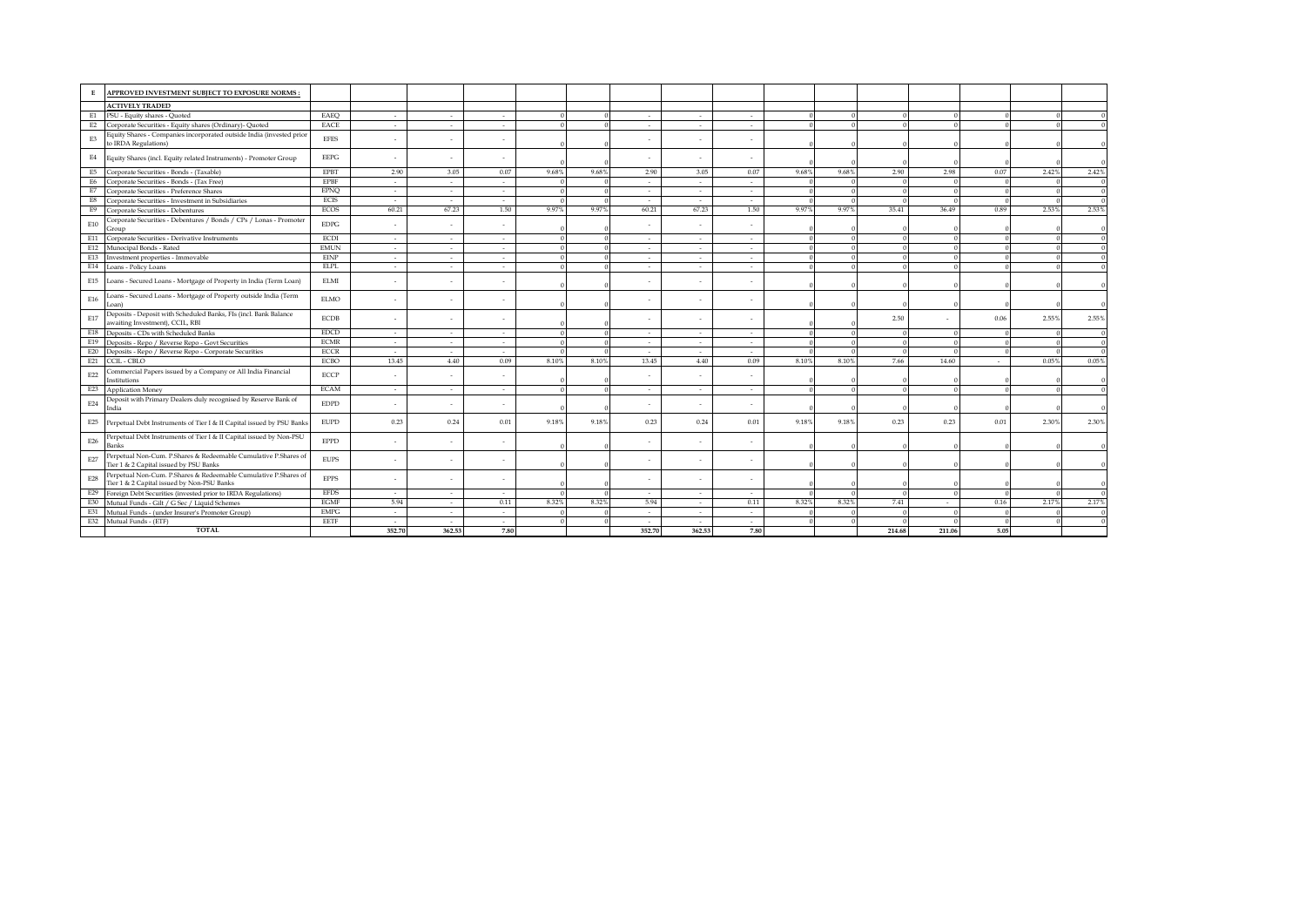| APPROVED INVESTMENT SUBIECT TO EXPOSURE NORMS:<br>Е                                                                  |             |        |                          |        |       |       |        |        |        |          |          |        |          |          |       |       |
|----------------------------------------------------------------------------------------------------------------------|-------------|--------|--------------------------|--------|-------|-------|--------|--------|--------|----------|----------|--------|----------|----------|-------|-------|
| <b>ACTIVELY TRADED</b>                                                                                               |             |        |                          |        |       |       |        |        |        |          |          |        |          |          |       |       |
| E1<br>PSU - Equity shares - Quoted                                                                                   | EAEQ        | $\sim$ | $\sim$                   | $\sim$ |       |       | $\sim$ | $\sim$ | $\sim$ |          |          |        |          |          |       |       |
| Corporate Securities - Equity shares (Ordinary)- Quoted<br>E <sub>2</sub>                                            | EACE        | $\sim$ | $\sim$                   | $\sim$ |       |       | $\sim$ | $\sim$ | $\sim$ |          |          |        |          |          |       |       |
| Equity Shares - Companies incorporated outside India (invested prior<br>E3<br>to IRDA Regulations)                   | <b>EFES</b> | ٠      |                          |        |       |       |        |        |        |          |          |        |          |          |       |       |
| E4<br>Equity Shares (incl. Equity related Instruments) - Promoter Group                                              | <b>EEPG</b> | $\sim$ | $\overline{\phantom{a}}$ | $\sim$ |       |       |        |        |        |          |          |        |          |          |       |       |
| Corporate Securities - Bonds - (Taxable)<br>E5                                                                       | <b>EPBT</b> | 2.90   | 3.05                     | 0.07   | 9.68% | 9.68% | 2.90   | 3.05   | 0.07   | 9.68%    | 9.68%    | 2.90   | 2.98     | 0.07     | 2.42% | 2.42% |
| E6<br>Corporate Securities - Bonds - (Tax Free)                                                                      | <b>EPBF</b> | $\sim$ | $\sim$                   | $\sim$ |       |       | $\sim$ | $\sim$ | $\sim$ |          |          |        |          | $\Omega$ |       |       |
| E7<br>Corporate Securities - Preference Shares                                                                       | <b>EPNO</b> | $\sim$ | $\sim$                   | $\sim$ |       |       | $\sim$ | $\sim$ | $\sim$ |          |          |        |          |          |       |       |
| E8<br>Corporate Securities - Investment in Subsidiaries                                                              | <b>ECIS</b> | $\sim$ | $\sim$                   | $\sim$ |       |       | $\sim$ | $\sim$ | $\sim$ |          |          |        |          |          |       |       |
| E9<br>Corporate Securities - Debentures                                                                              | ECOS        | 60.21  | 67.23                    | 1.50   | 9.97% | 9.97% | 60.21  | 67.23  | 1.50   | 9.97%    | 9.97%    | 35.41  | 36.49    | 0.89     | 2.53% | 2.53% |
| Corporate Securities - Debentures / Bonds / CPs / Lonas - Promoter<br>E10<br>Group                                   | <b>EDPG</b> | ÷.     |                          |        |       |       |        |        |        |          |          |        |          |          |       |       |
| Corporate Securities - Derivative Instruments<br>E11                                                                 | <b>ECDI</b> | ÷.     | $\sim$                   | $\sim$ |       |       | $\sim$ | $\sim$ | $\sim$ | $\Omega$ | $\Omega$ |        | $\Omega$ |          |       |       |
| E12<br>Munocipal Bonds - Rated                                                                                       | <b>EMUN</b> | $\sim$ | $\sim$                   | $\sim$ |       |       | $\sim$ | $\sim$ | $\sim$ | $\Omega$ | $\Omega$ |        | $\Omega$ |          |       |       |
| E13<br>Investment properties - Immovable                                                                             | <b>EINP</b> | $\sim$ | $\sim$                   | $\sim$ |       |       | $\sim$ | $\sim$ | $\sim$ |          |          |        | $\Omega$ |          |       |       |
| E14<br>Loans - Policy Loans                                                                                          | <b>ELPL</b> | $\sim$ | $\sim$                   | $\sim$ |       |       |        |        | $\sim$ |          |          |        |          |          |       |       |
| E15<br>Loans - Secured Loans - Mortgage of Property in India (Term Loan)                                             | <b>ELMI</b> | ٠      |                          |        |       |       |        |        |        |          |          |        |          |          |       |       |
| .oans - Secured Loans - Mortgage of Property outside India (Term<br>E16<br>oan                                       | <b>ELMO</b> | $\sim$ |                          | $\sim$ |       |       |        |        |        |          |          |        |          |          |       |       |
| Deposits - Deposit with Scheduled Banks, FIs (incl. Bank Balance<br>E17<br>awaiting Investment), CCIL, RBI           | <b>ECDB</b> |        |                          |        |       |       |        |        |        |          |          | 2.50   |          | 0.06     | 2.55% | 2.55% |
| E18<br>Deposits - CDs with Scheduled Banks                                                                           | <b>EDCD</b> | $\sim$ | $\sim$                   | $\sim$ |       |       | $\sim$ | $\sim$ | $\sim$ | $\Omega$ | $\Omega$ |        |          |          |       |       |
| E19<br>Deposits - Repo / Reverse Repo - Govt Securities                                                              | <b>ECMR</b> | $\sim$ | $\sim$                   | $\sim$ |       |       | $\sim$ | $\sim$ | $\sim$ |          |          |        | $\Omega$ |          |       |       |
| Deposits - Repo / Reverse Repo - Corporate Securities<br>E20                                                         | <b>ECCR</b> | $\sim$ | $\sim$                   | $\sim$ |       |       | $\sim$ | $\sim$ | $\sim$ | $\Omega$ |          |        | $\Omega$ |          |       |       |
| E21<br>CCIL - CBLO                                                                                                   | <b>ECBO</b> | 13.45  | 4.40                     | 0.09   | 8.10% | 8.10% | 13.45  | 4.40   | 0.09   | 8.10%    | 8.10%    | 7.66   | 14.60    | $\sim$   | 0.05% | 0.05% |
| Commercial Papers issued by a Company or All India Financial<br>E22<br>Institutions                                  | <b>ECCP</b> |        |                          |        |       |       |        |        |        |          |          |        |          |          |       |       |
| E23<br>Application Money                                                                                             | <b>ECAM</b> | $\sim$ | $\sim$                   | $\sim$ |       |       | $\sim$ | $\sim$ | $\sim$ |          |          |        |          |          |       |       |
| Deposit with Primary Dealers duly recognised by Reserve Bank of<br>E24<br>India                                      | <b>EDPD</b> | ÷.     | $\sim$                   |        |       |       |        |        |        |          |          |        |          |          |       |       |
| E25<br>Perpetual Debt Instruments of Tier I & II Capital issued by PSU Banks                                         | <b>EUPD</b> | 0.23   | 0.24                     | 0.01   | 9.18% | 9.18% | 0.23   | 0.24   | 0.01   | 9.18%    | 9.18%    | 0.23   | 0.23     | 0.01     | 2.30% | 2.30% |
| Perpetual Debt Instruments of Tier I & II Capital issued by Non-PSU<br>E26<br>Bank:                                  | <b>EPPD</b> |        |                          |        |       |       |        |        |        |          |          |        |          |          |       |       |
| Perpetual Non-Cum. P.Shares & Redeemable Cumulative P.Shares of<br>E27<br>Tier 1 & 2 Capital issued by PSU Banks     | <b>EUPS</b> | ٠      | $\overline{\phantom{a}}$ | $\sim$ |       |       |        |        |        |          |          |        |          |          |       |       |
| Perpetual Non-Cum. P.Shares & Redeemable Cumulative P.Shares of<br>E28<br>Tier 1 & 2 Capital issued by Non-PSU Banks | <b>EPPS</b> | ٠      |                          |        |       |       |        |        |        |          |          |        |          |          |       |       |
| Foreign Debt Securities (invested prior to IRDA Regulations)<br>E29                                                  | <b>EFDS</b> | $\sim$ | $\sim$                   | $\sim$ |       |       | $\sim$ | $\sim$ | $\sim$ |          |          |        |          |          |       |       |
| Mutual Funds - Gilt / G Sec / Liquid Schemes<br>E30                                                                  | <b>EGMF</b> | 5.94   | $\sim$                   | 0.11   | 8.32% | 8.32% | 5.94   | $\sim$ | 0.11   | 8.32%    | 8.32%    | 7.41   | $\sim$   | 0.16     | 2.17% | 2.17% |
| Mutual Funds - (under Insurer's Promoter Group)<br>E31                                                               | <b>EMPG</b> | $\sim$ | $\sim$                   | $\sim$ |       |       | $\sim$ | $\sim$ | $\sim$ |          |          |        |          |          |       |       |
| E32 Mutual Funds - (ETF)                                                                                             | EETF        | $\sim$ | $\sim$                   | $\sim$ |       |       | $\sim$ | $\sim$ | $\sim$ |          |          |        |          | $\Omega$ |       |       |
| <b>TOTAL</b>                                                                                                         |             | 352.70 | 362.53                   | 7.80   |       |       | 352.70 | 362.53 | 7.80   |          |          | 214.68 | 211.06   | 5.05     |       |       |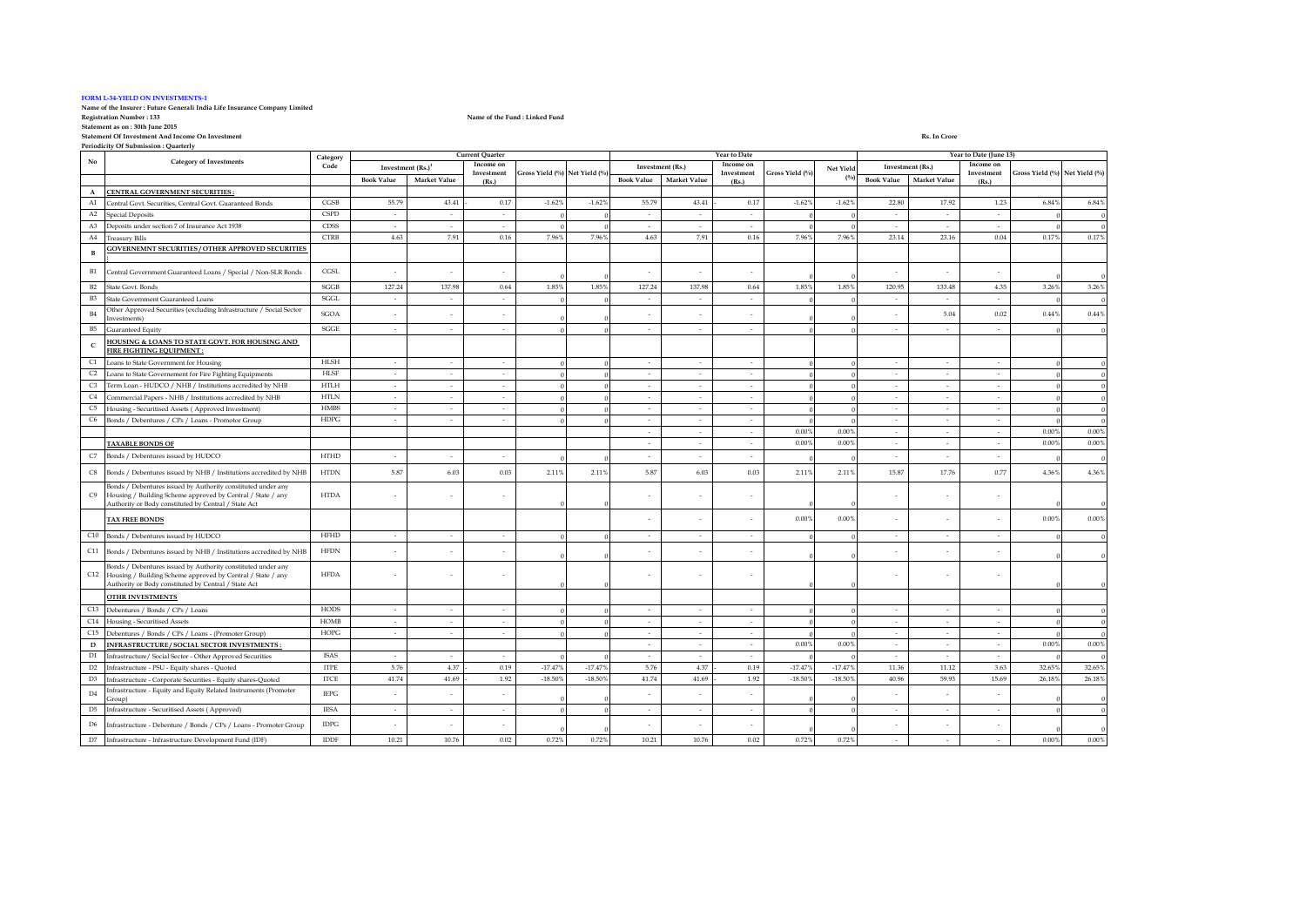#### **FORM L-34-YIELD ON INVESTMENTS-1**

# **Name of the Insurer : Future Generali India Life Insurance Company Limited**

**Statement as on : 30th June 2015**

**Statement Of Investment And Income On Investment Rs. In Crore Periodicity Of Submission : Quarterly**

**Registration Number : 133 Name of the Fund : Linked Fund**

**Book Value Market Value Book Value Market Value Book Value Market Value A CENTRAL GOVERNMENT SECURITIES :** entral Govt. Securities, Central Govt. Guaranteed Bonds CGSB 55.79 43.41 - 0.17 -1.62% -1.62% 55.79 43.41 - 0.17 -1.62% -1.62% -1.62% -1.62% -1.62% -1.62% -1.62% -1.62% -1.62% -1.62% -1.62% -1.62% -1.62% -1.62% -1.62% -1.6 A2 Special Deposits CSPD - - - 0 0 - - - 0 0 - - - 0 0 A3 Deposits under section 7 of Insurance Act 1938 CDSS - - - 0 0 - - - 0 0 - - - 0 0 A4 Treasury Bills CTRB 4.63 7.91 0.16 7.96% 7.96% 4.63 7.91 0.16 7.96% 7.96% 23.14 23.16 0.04 0.17% 0.17% **B GOVERNEMNT SECURITIES / OTHER APPROVED SECURITIES :** B1 Central Government Guaranteed Loans / Special / Non-SLR Bonds CGSL - - - 0 0 - - - 0 0 - - - 0 0 B2 State Govt. Bonds SGGB 127.24 137.98 0.64 1.85% 1.85% 127.24 137.98 0.64 1.85% 1.85% 120.95 133.48 4.35 3.26% 3.26% B3 State Government Guaranteed Loans SGGL - - - 0 0 - - - 0 0 - - - 0 0 B4 Other Approved Securities (excluding Infrastructure / Social Sector Investments) SGOA - - - 0 0 - - - 0 0  $-$  5.04 0.02 0.44% 0.44% B5 Guaranteed Equity SGGE - - - 0 0 - - - 0 0 - - - 0 0 **C HOUSING & LOANS TO STATE GOVT. FOR HOUSING AND FIRE FIGHTING EQUIPMENT :** C1 Loans to State Government for Housing HLSH - - - 0 0 - - - 0 0 - - - 0 0 C2 Loans to State Governement for Fire Fighting Equipments HLSF - - - 0 0 - - - 0 0 - - - 0 0  $\frac{C3}{C4}$  Term Loan - HUDCO / NHB / Institutions accredited by NHB HTLH  $\frac{C4}{C4}$  Commercial Paners - NHR / Institutions accredited by NHR HTLN C4 Commercial Papers - NHB / Institutions accredited by NHB HTLN - - - 0 0 - - - 0 0 - - - 0 0 C5 Housing - Securitised Assets ( Approved Investment) HMBS - - - - - 0 0 0 - - - - 0 0 0 - - 0 0 - - 0 0 - - 0 0 - - 0 0 - - 0 0 - - 0 0 - - 0 0 - - 0 0 - - 0 0 - - 0 0 - - 0 0 - - 0 0 - - 0 0 - - 0 0 - - 0 0 - - 0 0 - - C6 Bonds / Debentures / CPs / Loans - Promotor Group HDPG - - - 0 0 - - - 0 0 - - - 0 0 - | - | - | 0.00% | 0.00% | - | - | - | 0.00% 0.00% | 0.00% | 0.00% | 0.00% | 0.00% | 0.00% | 0.00% | 0.00% | 0 **TAXABLE BONDS OF** - - - 0.00% 0.00% - - - 0.00% 0.00% C7 Bonds / Debentures issued by HUDCO HTHD 0 0 - - - 0 0 - - - 0 0 C8 Bonds / Debentures issued by NHB / Institutions accredited by NHB HTDN 5.87 6.03 0.03 2.11% 2.11% 5.87 6.03 0.03 2.11% 2.11% 15.87 17.76 0.77 4.36% 4.36% C9 onds / Debentures issued by Authority constituted under any Housing / Building Scheme approved by Central / State / any Authority or Body constituted by Central / State Act  $\hbox{HTDA}$  -  $\hbox{---}$ 0 0 - - - 0 0 - - - 0 0 **TAX FREE BONDS** - - - 0.00% 0.00% - - - 0.00% 0.00% C10 Bonds / Debentures issued by HUDCO HFHD - - - 0 0 - - - - - - -  $\vert$  - - - - - 0  $\vert$  - 0  $\vert$  - 0  $\vert$ C11 Bonds / Debentures issued by NHB / Institutions accredited by NHB HFDN - - - 0 0 - - - 0 0 - - - 0 0  $C12$ Bonds / Debentures issued by Authority constituted under any Housing / Building Scheme approved by Central / State / any Authority or Body constituted by Central / State Act HFDA - - - 0 0 - - - 0 0 - - - 0 0 **OTHR INVESTMENTS** C13 Debentures / Bonds / CPs / Loans - - - - - - - - - - - - HODS - - - - - - - - - - 0 - - 0 - 0 0 - 0 - 0 0 - 0 0 - 0 0 - 0 - 0 0 - 0 - 0 0 - 0 - 0 0 - 0 - 0 0 - 0 - 0 0 - 0 - 0 - 0 - 0 - 0 - 0 - 0 - 0 - 0 - 0 - 0 - 0 - C14 Housing - Securitised Assets HOMB<br>
C15 Debantures / Bonds / CPs / Long (Pramatar Craun) HOPG C15 Debentures / Bonds / CPs / Loans - (Promoter Group) HOPG - - - - 0 0 - 0 0 - 0 0 - 0 0 - 0 0 - 0 0 - 0 0 - 0 0 - 0 0 - 0 0 - 0 0 - 0 0 - 0 0 - 0 0 - 0 0 - 0 0 - 0 0 - 0 0 - 0 0 - 0 0 - 0 0 - 0 0 - 0 0 - 0 0 - 0 0 - 0 0 **D INFRASTRUCTURE/SOCIAL SECTOR INVESTMENTS :** - 0.00% 0.00% 0.00% 0.00% 0.00% 0.00% 0.00% 0.00% 0.00% 0.00% 0.00% 0.00% 0.00% 0.00% 0.00% 0.00% 0.00% 0.00% 0.00% 0.00% 0.00% 0.00% 0.00% 0.00% 0.00% 0.00% 0.00% 0.00% 0.0 D1 Infrastructure/ Social Sector - Other Approved Securities D2 Infrastructure - PSU - Equity shares - Quoted ITPE 5.76 4.37 - 0.19 -17.47% -17.47% 5.76 4.37 - 0.19 -17.47% -17.47% 11.36 11.12 3.63 32.65% 32.65% D3 Infrastructure - Corporate Securities - Equity shares-Quoted ITCE 41.74 41.69 - 1.92 -18.50% -18.50% 41.74 41.69 - 1.92 -18.50% -18.50% 40.96 59.93 15.69 26.18% 26.18% D4 Infrastructure - Equity and Equity Related Instruments (Promoter Group) IEPG - - - 0 0 - - - 0 0 - - - 0 0 D5 Infrastructure - Securitised Assets ( Approved) IESA - - - - 0 0 0 - - 0 0 0 - 0 0 0 - 0 0 0 - 0 0 0 0 - 0 0 D6 Infrastructure - Debenture / Bonds / CPs / Loans - Promoter Group IDPG - - - 0 0 - - - 0 0 - - - 0 0 D7 Infrastructure - Infrastructure Development Fund (IDF) IDDF 10.21 10.76 0.02 0.72% 10.21 10.76 0.02 0.72% 0.72% 0.72% - - - - - - 0.00% 0.00% 0.00% **Gross Yield (%) Net Yield (%) Investment (Rs.) Income on Investment (Rs.) Gross Yield (%) Net Yield (%) Investment (Rs.)<sup>1</sup> Income on Investment (Rs.) Gross Yield (%) Net Yield (%) Investment (Rs.) Income on Investment (Rs.) No Category of Investments Category Code Current Quarter Year to Date Year to Date (June 13)**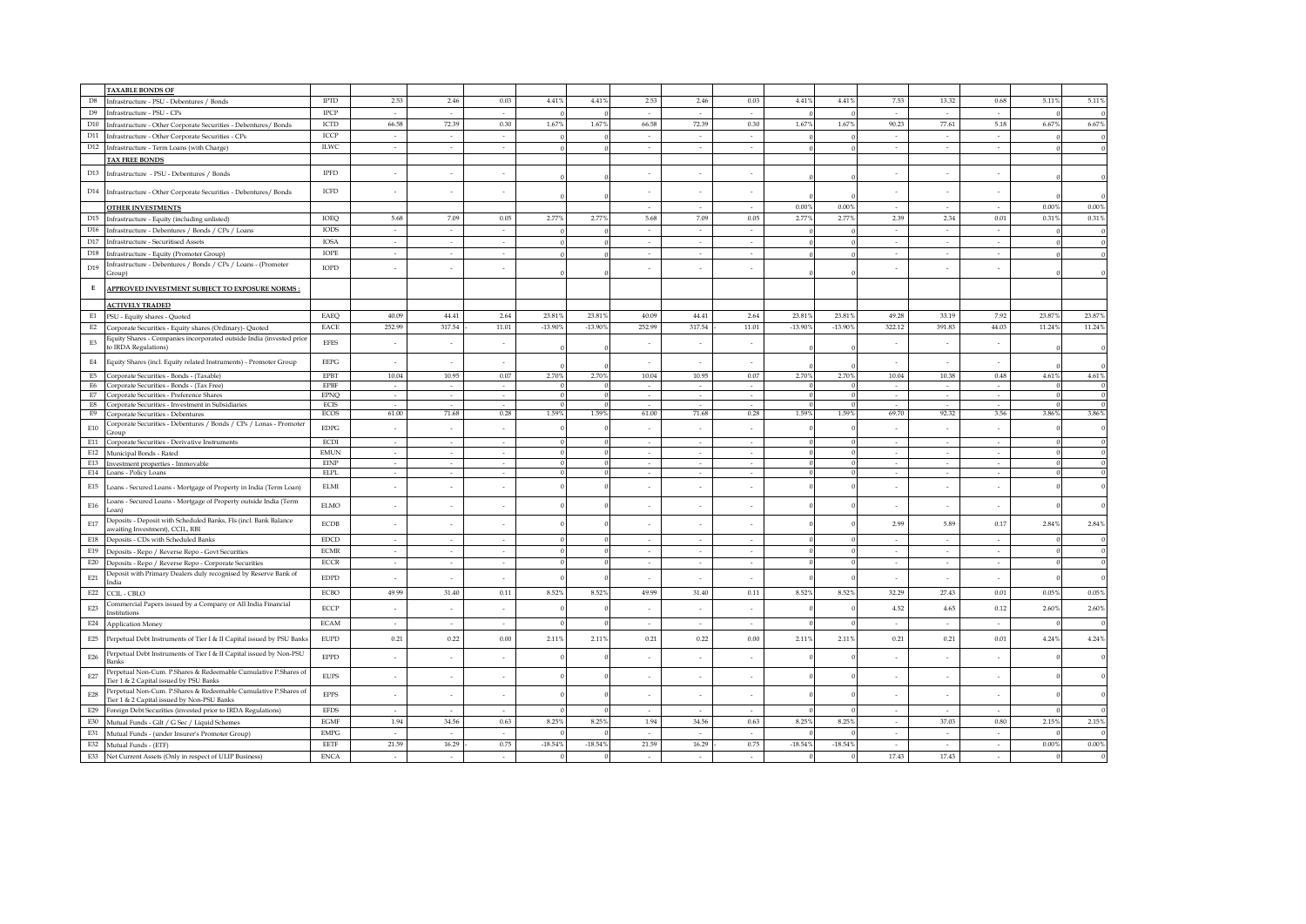|                             | <b>TAXABLE BONDS OF</b>                                                                                       |                              |                             |                 |                |                         |                         |                          |                 |                          |             |           |                             |                 |                |                         |                   |
|-----------------------------|---------------------------------------------------------------------------------------------------------------|------------------------------|-----------------------------|-----------------|----------------|-------------------------|-------------------------|--------------------------|-----------------|--------------------------|-------------|-----------|-----------------------------|-----------------|----------------|-------------------------|-------------------|
| $_{\rm D8}$                 | Infrastructure - PSU - Debentures / Bonds                                                                     | <b>IPTD</b>                  | 2.53                        | 2.46            | 0.03           | 4.41%                   | 4.41%                   | 2.53                     | 2.46            | 0.03                     | 4.41%       | 4.41%     | 7.53                        | 13.32           | 0.68           | 5.11%                   | 5.11%             |
| D <sub>9</sub>              |                                                                                                               | <b>IPCP</b>                  | $\sim$                      | $\sim$          | $\sim$         |                         |                         | $\sim$                   | $\sim$          | $\sim$                   |             |           | $\sim$                      | $\sim$          | $\sim$         |                         |                   |
|                             | Infrastructure - PSU - CPs                                                                                    |                              | 66.58                       | 72.39           | 0.30           | 1.67%                   | 1.67%                   | 66.58                    | 72.39           | 0.30                     | 1.67%       | 1.67%     | 90.23                       | 77.61           |                | 6.67%                   | $6.67\%$          |
| D10                         | Infrastructure - Other Corporate Securities - Debentures/ Bonds                                               | ICTD                         |                             |                 |                |                         |                         |                          |                 |                          |             |           |                             |                 | 5.18           |                         |                   |
|                             | D11 Infrastructure - Other Corporate Securities - CPs                                                         | ICCP                         | ÷.<br>$\sim$                | $\sim$          | $\sim$         |                         |                         | $\sim$                   | $\sim$          | $\sim$<br>$\sim$         |             |           | $\sim$                      | $\sim$          | $\sim$         |                         | $\Omega$          |
|                             | D12 Infrastructure - Term Loans (with Charge)                                                                 | <b>ILWC</b>                  |                             | $\sim$          | $\sim$         |                         |                         | ÷.                       | $\sim$          |                          |             |           | $\sim$                      | $\sim$          | $\sim$         |                         |                   |
|                             | <b>TAX FREE BONDS</b>                                                                                         |                              |                             |                 |                |                         |                         |                          |                 |                          |             |           |                             |                 |                |                         |                   |
|                             | D13 Infrastructure - PSU - Debentures / Bonds                                                                 | $\rm IPFD$                   |                             |                 |                |                         |                         |                          |                 |                          |             |           |                             |                 |                |                         |                   |
|                             |                                                                                                               | ICFD                         |                             |                 |                |                         |                         |                          |                 |                          |             |           |                             |                 |                |                         |                   |
|                             | D14 Infrastructure - Other Corporate Securities - Debentures/ Bonds                                           |                              |                             |                 |                |                         |                         |                          |                 |                          |             |           |                             |                 |                |                         |                   |
|                             | <b>OTHER INVESTMENTS</b>                                                                                      |                              |                             |                 |                |                         |                         | $\sim$                   | $\sim$          | $\sim$                   | 0.00%       | 0.00%     | $\sim$                      | $\sim$          |                | 0.00%                   | 0.00%             |
| D15                         | Infrastructure - Equity (including unlisted)                                                                  | IOEQ                         | 5.68                        | 7.09            | 0.05           | 2.77%                   | 2.77%                   | 5.68                     | 7.09            | 0.05                     | 2.77%       | 2.77%     | 2.39                        | 2.34            | 0.01           | 0.31%                   | 0.31%             |
| D16                         | Infrastructure - Debentures / Bonds / CPs / Loans                                                             | <b>IODS</b>                  | $\sim$                      | $\sim$          | $\sim$         |                         | $\Omega$                | $\sim$                   | $\sim$          | $\sim$                   |             |           | $\sim$                      | $\sim$          | $\sim$         | $\Omega$                | $\mathbf{0}$      |
| D17                         | Infrastructure - Securitised Assets                                                                           | <b>IOSA</b>                  | $\sim$                      | $\sim$          | $\sim$         |                         | $\theta$                | $\sim$                   | $\sim$          | $\sim$                   |             |           | $\mathcal{L}_{\mathcal{A}}$ | $\sim$          | $\sim$         | $\Omega$                | $\bf{0}$          |
| D18                         | Infrastructure - Equity (Promoter Group)                                                                      | IOPE                         | $\sim$                      | $\sim$          | $\sim$         |                         |                         | $\sim$                   | $\sim$          | $\sim$                   |             |           | $\sim$                      | ×               | $\sim$         |                         |                   |
| D19                         | Infrastructure - Debentures / Bonds / CPs / Loans - (Promoter<br>Group)                                       | IOPD                         |                             |                 |                |                         |                         |                          |                 |                          |             |           |                             |                 |                |                         |                   |
| $\mathbf E$                 | APPROVED INVESTMENT SUBJECT TO EXPOSURE NORMS:                                                                |                              |                             |                 |                |                         |                         |                          |                 |                          |             |           |                             |                 |                |                         |                   |
|                             | <b>ACTIVELY TRADED</b>                                                                                        |                              |                             |                 |                |                         |                         |                          |                 |                          |             |           |                             |                 |                |                         |                   |
| E1                          | PSU - Equity shares - Quoted                                                                                  | EAEQ                         | 40.09                       | 44.41           | 2.64           | 23.819                  | 23.81%                  | 40.09                    | 44.41           | 2.64                     | 23.819      | 23.81%    | 49.28                       | 33.19           | 7.92           | 23.87%                  | 23.87%            |
| E2                          | Corporate Securities - Equity shares (Ordinary)- Quoted                                                       | EACE                         | 252.99                      | 317.54          | 11.01          | $-13.90%$               | $-13.90\%$              | 252.99                   | 317.54          | 11.01                    | $-13.90%$   | $-13.90%$ | 322.12                      | 391.83          | 44.03          | 11.24%                  | 11.24%            |
|                             | Equity Shares - Companies incorporated outside India (invested prior                                          |                              |                             |                 |                |                         |                         |                          |                 |                          |             |           |                             |                 |                |                         |                   |
| E3                          | to IRDA Regulations)                                                                                          | <b>EFES</b>                  | ÷                           |                 |                |                         |                         | $\overline{\phantom{a}}$ | $\sim$          |                          |             |           | $\bar{z}$                   |                 |                |                         |                   |
| $\mathrm{E}4$               | Equity Shares (incl. Equity related Instruments) - Promoter Group                                             | $\rm{EEPG}$                  | ÷                           |                 |                |                         |                         | ÷,                       |                 |                          |             |           | ÷,                          |                 |                |                         |                   |
|                             | E5 Corporate Securities - Bonds - (Taxable)                                                                   | <b>EPBT</b>                  | 10.04                       | 10.95           | 0.07           | 2.70%                   | 2.70%                   | 10.04                    | 10.95           | 0.07                     | 2.70%       | 2.70%     | 10.04                       | 10.38           | $\rm 0.48$     | 4.61%                   | $4.61\%$          |
|                             | E6 Corporate Securities - Bonds - (Tax Free)                                                                  | <b>EPBF</b>                  | $\mathcal{L}_{\mathcal{A}}$ | $\sim$          | $\sim$         |                         | $\Omega$                | $\sim$                   | $\sim$          | $\sim$                   |             |           | $\sim$                      | $\sim$          | $\sim$         | $\Omega$                | $\bf{0}$          |
|                             | E7 Corporate Securities - Preference Shares                                                                   | <b>EPNO</b>                  | $\sim$                      | $\sim$          | $\sim$         | $\Omega$                | $\Omega$                | $\sim$                   | $\sim$          | $\sim$                   | -0          |           | $\sim$                      | $\sim$          | $\sim$         | $\Omega$                | $\bf{0}$          |
|                             | E8 Corporate Securities - Investment in Subsidiaries<br>E9 Corporate Securities - Debentures                  | ECIS<br>ECOS                 | $\sim$<br>61.00             | $\sim$<br>71.68 | $\sim$<br>0.28 | $\overline{0}$<br>1.59% | $\overline{0}$<br>1.59% | $\sim$<br>61.00          | $\sim$<br>71.68 | $\sim$<br>0.28           | -0<br>1.59% | 1.59%     | $\sim$<br>69.70             | $\sim$<br>92.32 | $\sim$<br>3.56 | $\overline{0}$<br>3.86% | $\bf{0}$<br>3.86% |
|                             | Corporate Securities - Debentures / Bonds / CPs / Lonas - Promoter                                            |                              |                             |                 |                |                         |                         |                          |                 |                          |             |           |                             |                 |                |                         |                   |
| $\mathrm{E}10$              | Group                                                                                                         | $\rm EDPG$                   |                             |                 |                |                         |                         |                          |                 |                          |             |           |                             |                 |                |                         |                   |
|                             | E11 Corporate Securities - Derivative Instruments                                                             | <b>ECDI</b>                  | $\sim$                      |                 | $\sim$         |                         | $\Omega$                | $\sim$                   |                 |                          |             |           |                             | $\sim$          |                |                         |                   |
|                             | E12 Municipal Bonds - Rated                                                                                   | $\mathop{\rm EMUN}\nolimits$ | $\overline{\phantom{a}}$    | $\sim$          | $\sim$         |                         |                         | $\overline{\phantom{a}}$ | $\sim$          | $\overline{\phantom{a}}$ |             |           |                             | $\sim$          | $\sim$         |                         |                   |
|                             | E13 Investment properties - Immovable                                                                         | <b>EINP</b>                  | $\sim$                      | $\sim$          | $\sim$         |                         | $\Omega$                | $\sim$                   | $\sim$          | $\sim$                   |             |           | $\sim$                      | $\sim$          | $\sim$         |                         |                   |
|                             | E14 Loans - Policy Loans                                                                                      | <b>ELPL</b>                  | $\sim$                      | $\sim$          | $\sim$         |                         |                         | $\sim$                   |                 | $\sim$                   |             |           | $\sim$                      | $\sim$          | $\sim$         |                         |                   |
| E15                         | Loans - Secured Loans - Mortgage of Property in India (Term Loan)                                             | ELMI                         |                             |                 |                |                         |                         |                          |                 |                          |             |           |                             |                 |                |                         |                   |
| E16                         | Loans - Secured Loans - Mortgage of Property outside India (Term<br>Loan)                                     | <b>ELMO</b>                  |                             |                 |                |                         |                         |                          |                 |                          |             |           |                             |                 |                |                         |                   |
| E17                         | Deposits - Deposit with Scheduled Banks, FIs (incl. Bank Balance<br>awaiting Investment), CCIL, RBI           | <b>ECDB</b>                  |                             |                 |                |                         |                         | $\sim$                   |                 |                          |             |           | 2.99                        | 5.89            | 0.17           | 2.84%                   | $2.84\%$          |
|                             | E18 Deposits - CDs with Scheduled Banks                                                                       | ${\rm EDCD}$                 | $\mathbf{r}$                | ÷.              | ÷.             |                         |                         | ÷.                       | ÷.              | ÷.                       |             |           |                             | ÷.              | $\sim$         |                         | $\mathbf{0}$      |
| E19                         | Deposits - Repo / Reverse Repo - Govt Securities                                                              | <b>ECMR</b>                  | $\sim$                      | $\sim$          | $\sim$         |                         | $\Omega$                | $\sim$                   | $\sim$          | $\sim$                   |             |           | $\sim$                      | $\sim$          | $\sim$         |                         | $\,$ 0 $\,$       |
|                             | E20 Deposits - Repo / Reverse Repo - Corporate Securities                                                     | <b>ECCR</b>                  | $\mathcal{L}_{\mathcal{A}}$ | $\sim$          | $\sim$         |                         |                         | $\sim$                   |                 | $\sim$                   |             |           |                             | $\sim$          | $\sim$         |                         |                   |
| E21                         | Deposit with Primary Dealers duly recognised by Reserve Bank of<br>India                                      | <b>EDPD</b>                  |                             |                 |                |                         |                         |                          |                 |                          |             |           |                             |                 |                |                         |                   |
| $\mathop{\rm E22}$          | CCIL - CBLO                                                                                                   | ECBO                         | 49.99                       | 31.40           | 0.11           | 8.52%                   | 8.52%                   | 49.99                    | 31.40           | 0.11                     | 8.52%       | 8.52%     | 32.29                       | 27.43           | 0.01           | 0.05%                   | 0.05%             |
| E23                         | Commercial Papers issued by a Company or All India Financial<br>Institutions                                  | <b>ECCP</b>                  | ٠                           |                 |                |                         |                         |                          |                 |                          |             |           | 4.52                        | 4.65            | 0.12           | 2.60%                   | 2.60%             |
|                             | E24 Application Money                                                                                         | <b>ECAM</b>                  | $\sim$                      | $\sim$          | $\sim$         |                         | $\theta$                | $\sim$                   | $\sim$          | $\sim$                   |             |           | $\sim$                      | $\sim$          | $\sim$         | $\theta$                | $\mathbf{0}$      |
| E <sub>25</sub>             | Perpetual Debt Instruments of Tier I & II Capital issued by PSU Banks                                         | <b>EUPD</b>                  | 0.21                        | 0.22            | 0.00           | 2.11%                   | 2.11%                   | 0.21                     | 0.22            | 0.00                     | 2.11%       | 2.11%     | 0.21                        | 0.21            | 0.01           | 4.24%                   | 4.24%             |
| $\mathop{\rm E26}\nolimits$ | Perpetual Debt Instruments of Tier I & II Capital issued by Non-PSU<br>Banks                                  | <b>EPPD</b>                  |                             |                 |                |                         |                         |                          |                 |                          |             |           |                             |                 |                |                         |                   |
| E27                         | Perpetual Non-Cum. P.Shares & Redeemable Cumulative P.Shares of<br>Tier 1 & 2 Capital issued by PSU Banks     | <b>EUPS</b>                  |                             |                 |                |                         |                         |                          |                 |                          |             |           |                             |                 |                |                         |                   |
| $\mathop{\rm E28}\nolimits$ | Perpetual Non-Cum. P.Shares & Redeemable Cumulative P.Shares of<br>Tier 1 & 2 Capital issued by Non-PSU Banks | <b>EPPS</b>                  | $\omega$                    | $\sim$          |                |                         |                         | $\sim$                   |                 |                          |             |           | $\sim$                      |                 |                |                         |                   |
| E29                         | Foreign Debt Securities (invested prior to IRDA Regulations)                                                  | <b>EFDS</b>                  | $\sim$                      | $\sim$          | $\sim$         |                         | $\Omega$                | $\sim$                   | $\sim$          | $\sim$                   |             |           | $\sim$                      | $\sim$          |                |                         |                   |
|                             | E30 Mutual Funds - Gilt / G Sec / Liquid Schemes                                                              | <b>EGMF</b>                  | 1.94                        | 34.56           | 0.63           | 8.25%                   | 8.25%                   | 1.94                     | 34.56           | 0.63                     | 8.25%       | 8.25%     | ÷.                          | 37.03           | $0.80\,$       | 2.15%                   | 2.15%             |
| E31                         | Mutual Funds - (under Insurer's Promoter Group)                                                               | <b>EMPG</b>                  | $\mathbf{r}$                | ÷.              | $\sim$         |                         |                         | $\mathcal{L}$            | $\sim$          | $\sim$                   |             |           | $\sim$                      | $\sim$          | $\sim$         | $\theta$                |                   |
|                             | E32 Mutual Funds - (ETF)                                                                                      | EETF                         | 21.59                       | 16.29           | 0.75           | $-18.54%$               | $-18.54%$               | 21.59                    | 16.29           | 0.75                     | $-18.54%$   | $-18.54%$ | $\sim$                      | $\sim$          | $\sim$         | 0.00%                   | $0.00\%$          |
|                             | E33 Net Current Assets (Only in respect of ULIP Business)                                                     | <b>ENCA</b>                  | ÷.                          |                 |                |                         |                         |                          |                 |                          |             |           | 17.43                       | 17.43           | ×.             | $\theta$                |                   |
|                             |                                                                                                               |                              |                             |                 |                |                         |                         |                          |                 |                          |             |           |                             |                 |                |                         |                   |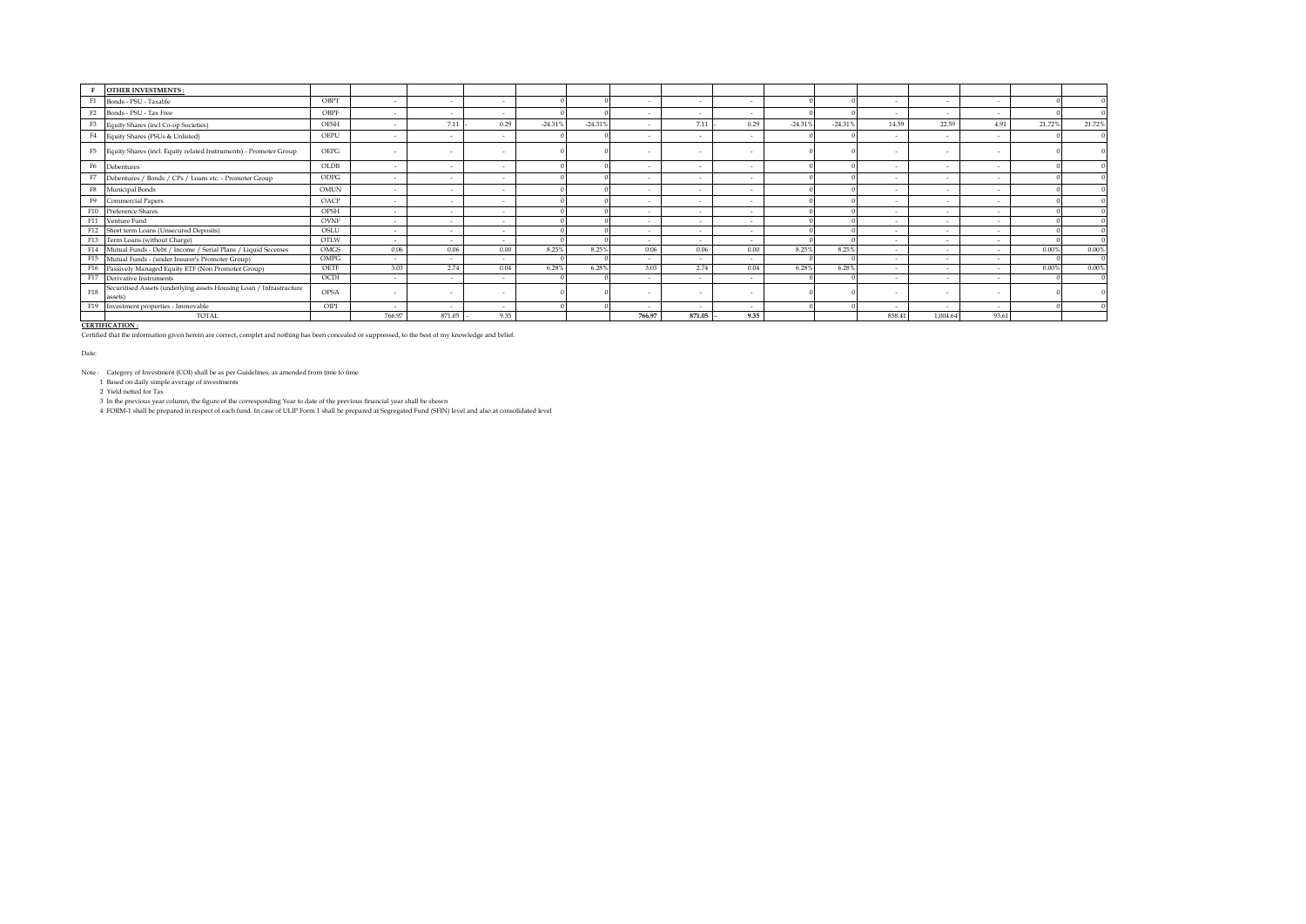|             | <b>OTHER INVESTMENTS:</b>                                                      |             |                          |                          |        |           |           |                          |                          |        |           |           |        |          |        |        |        |
|-------------|--------------------------------------------------------------------------------|-------------|--------------------------|--------------------------|--------|-----------|-----------|--------------------------|--------------------------|--------|-----------|-----------|--------|----------|--------|--------|--------|
|             | F1 Bonds - PSU - Taxable                                                       | OBPT        | $\overline{\phantom{a}}$ | $\sim$                   |        |           |           | $\sim$                   | $\sim$                   |        |           |           | $\sim$ | $\sim$   | $\sim$ |        |        |
|             | F2 Bonds - PSU - Tax Free                                                      | OBPF        | $\sim$                   |                          |        |           |           |                          |                          |        |           |           | $\sim$ |          |        |        |        |
| F3          | Equity Shares (incl Co-op Societies)                                           | OESH        |                          | 7.11                     | 0.29   | $-24.31%$ | $-24.31%$ |                          | 7.11                     | 0.29   | $-24.319$ | $-24.31%$ | 14.59  | 22.59    | 4.91   | 21.72% | 21.72% |
| F4          | Equity Shares (PSUs & Unlisted)                                                | OEPU        | $\overline{\phantom{a}}$ | $\sim$                   |        |           |           | $\sim$                   | $\sim$                   |        |           |           | $\sim$ |          |        |        |        |
|             | F5 Equity Shares (incl. Equity related Instruments) - Promoter Group           | OEPG        |                          |                          |        |           |           |                          |                          |        |           |           |        |          |        |        |        |
| F6          | Debentures                                                                     | OLDB        | $\sim$                   | $\overline{\phantom{a}}$ |        |           |           | $\sim$                   | $\sim$                   | $\sim$ |           |           | $\sim$ | $\sim$   | $\sim$ |        |        |
| F7          | Debentures / Bonds / CPs / Loans etc. - Promoter Group                         | <b>ODPG</b> |                          |                          |        |           |           |                          |                          |        |           |           |        |          |        |        |        |
| F8          | Municipal Bonds                                                                | OMUN        |                          |                          |        |           |           |                          |                          |        |           |           |        |          |        |        |        |
| F9          | <b>Commercial Papers</b>                                                       | OACP        | $\overline{\phantom{a}}$ | . .                      |        |           |           | $\sim$                   | $\overline{\phantom{a}}$ |        |           |           | $\sim$ |          |        |        |        |
|             | F10 Preference Shares                                                          | <b>OPSH</b> | $\sim$                   | $\overline{\phantom{a}}$ |        |           |           | $\overline{\phantom{a}}$ | $\sim$                   |        |           |           | $\sim$ | $\sim$   | $\sim$ |        |        |
|             | F11 Venture Fund                                                               | OVNF        | $\sim$                   |                          | $\sim$ |           |           |                          |                          |        |           |           |        |          |        |        |        |
|             | F12 Short term Loans (Unsecured Deposits)                                      | OSLU        | ٠                        |                          |        |           |           | $\overline{\phantom{a}}$ |                          |        |           |           |        |          |        |        |        |
|             | F13 Term Loans (without Charge)                                                | OTLW        |                          |                          |        |           |           | $\sim$                   |                          |        |           |           |        |          |        |        |        |
|             | F14 Mutual Funds - Debt / Income / Serial Plans / Liquid Secemes               | OMGS        | 0.06                     | 0.06                     | 0.00   | 8.25%     | 8.25%     | 0.06                     | 0.06                     | 0.00   | 8.25%     | 8.25%     | $\sim$ |          |        | 0.00%  | 0.00%  |
|             | F15 Mutual Funds - (under Insurer's Promoter Group)                            | OMPG        |                          |                          |        |           |           | $\sim$                   |                          |        |           |           | $\sim$ |          |        |        |        |
|             | F16 Passively Managed Equity ETF (Non Promoter Group)                          | OETF        | 3.03                     | 2.74                     | 0.04   | 6.28%     | 6.28%     | 3.03                     | 2.74                     | 0.04   | 6.28%     | 6.28%     | $\sim$ |          |        | 0.00%  | 0.00%  |
|             | F17 Derivative Instruments                                                     | OCDI        |                          |                          |        |           |           |                          |                          |        |           |           |        |          |        |        |        |
| ${\rm F}18$ | Securitised Assets (underlying assets Housing Loan / Infrastructure<br>lassets | <b>OPSA</b> | $\overline{\phantom{a}}$ |                          |        |           |           | $\sim$                   |                          |        |           |           | $\sim$ |          |        |        |        |
| F19         | Investment properties - Immovable                                              | OIPI        | $\sim$                   | $\overline{a}$           | $\sim$ |           |           | $\overline{a}$           | $\sim$                   |        |           |           | $\sim$ |          | $\sim$ |        |        |
|             | TOTAL                                                                          |             | 766.97                   | 871.05                   | 9.35   |           |           | 766.97                   | 871.05                   | 9.35   |           |           | 858.41 | 1.004.64 | 93.61  |        |        |

CERTIFICATION :<br>Certified that the information given herein are correct, complet and nothing has been concealed or suppressed, to the best of my knowledge and belief.

Date:

Note : Category of Investment (COI) shall be as per Guidelines, as amended from time to time

1 Based on daily simple average of investments

2 Yield netted for Tax

3 In the previous year column, the figure of the corresponding Year to date of the previous financial year shall be shown<br>4 FORM-1 shall be prepared in respect of each fund. In case of ULIP Form 1 shall be prepared at Se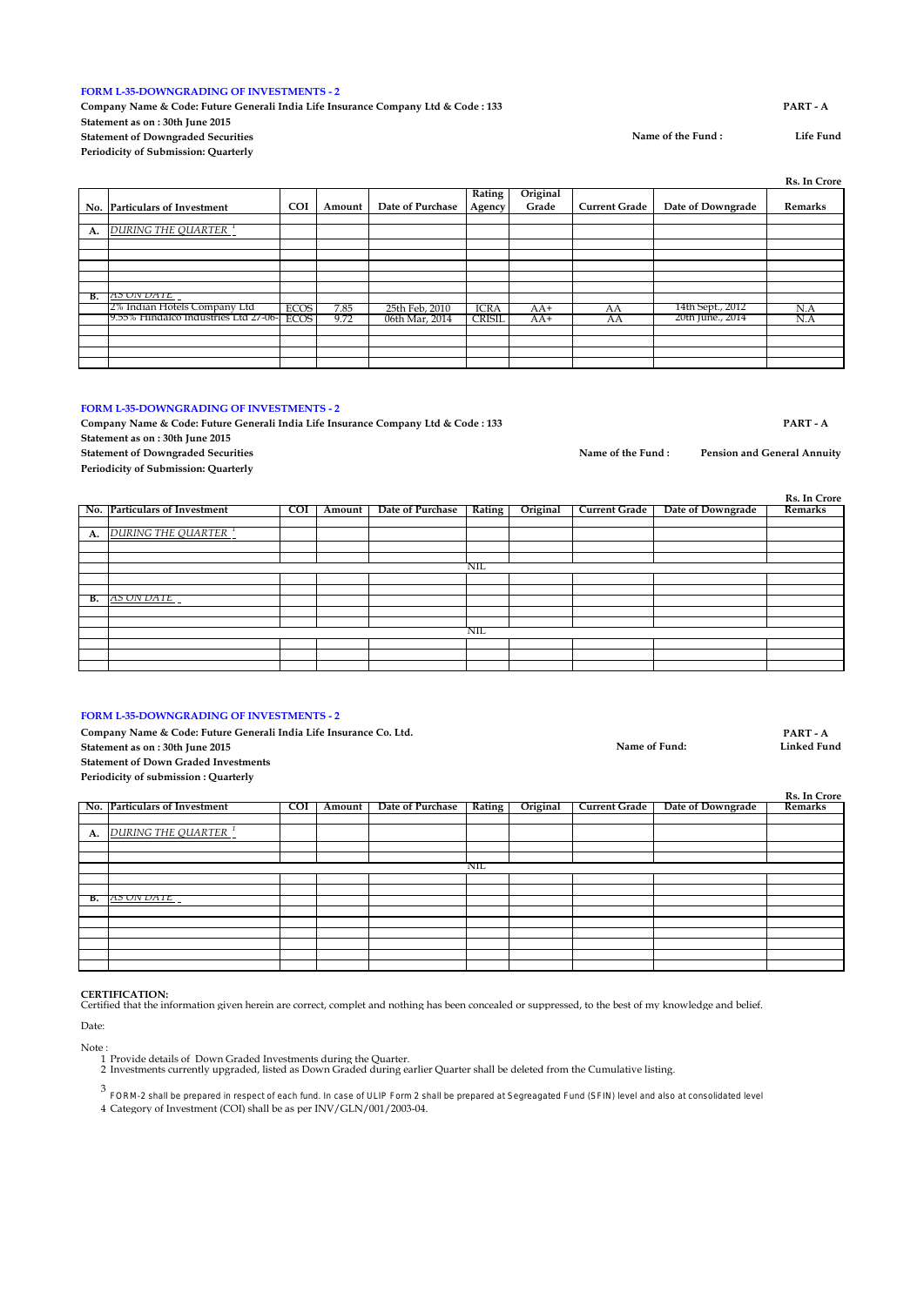### **FORM L-35-DOWNGRADING OF INVESTMENTS - 2**

**Company Name & Code: Future Generali India Life Insurance Company Ltd & Code : 133 PART - A Statement as on : 30th June 2015 Statement of Downgraded Securities Periodicity of Submission: Quarterly**

**No. Particulars of Investment COI Amount Date of Purchase Rating Agency Original Grade Current Grade Date of Downgrade Remarks A.** *DURING THE QUARTER <sup>1</sup>* **B.** *AS ON DATE <sup>2</sup>* 2% Indian Hotels Company Ltd ECOS 7.85 25th Feb, 2010 ICRA AA+ AA 14th Sept., 2012 N.A 9.55% Hindalco Industries Ltd 27-06-2022 ECOS 9.72 06th Mar, 2014 CRISIL AA+ AA 20th June., 2014 N.A

## **FORM L-35-DOWNGRADING OF INVESTMENTS - 2**

**Company Name & Code: Future Generali India Life Insurance Company Ltd & Code : 133 PART - A**

**Statement as on : 30th June 2015**

**Statement of Downgraded Securities**

**Periodicity of Submission: Quarterly**

|    | No. Particulars of Investment | COI | Amount | Date of Purchase   Rating |     | Original | Current Grade | Date of Downgrade | <b>KS. In Crore</b><br>Remarks |
|----|-------------------------------|-----|--------|---------------------------|-----|----------|---------------|-------------------|--------------------------------|
|    |                               |     |        |                           |     |          |               |                   |                                |
|    |                               |     |        |                           |     |          |               |                   |                                |
|    | A. DURING THE QUARTER 1       |     |        |                           |     |          |               |                   |                                |
|    |                               |     |        |                           |     |          |               |                   |                                |
|    |                               |     |        |                           |     |          |               |                   |                                |
|    |                               |     |        |                           | NIL |          |               |                   |                                |
|    |                               |     |        |                           |     |          |               |                   |                                |
|    |                               |     |        |                           |     |          |               |                   |                                |
| в. | AS UN DATE                    |     |        |                           |     |          |               |                   |                                |
|    |                               |     |        |                           |     |          |               |                   |                                |
|    |                               |     |        |                           |     |          |               |                   |                                |
|    |                               |     |        |                           | NIL |          |               |                   |                                |
|    |                               |     |        |                           |     |          |               |                   |                                |
|    |                               |     |        |                           |     |          |               |                   |                                |
|    |                               |     |        |                           |     |          |               |                   |                                |

### **FORM L-35-DOWNGRADING OF INVESTMENTS - 2**

Company Name & Code: Future Generali India Life Insurance Co. Ltd. **PART - A**<br>Statement as en : <sup>30th</sup> June 2015 **Statement as on : 30th June 2015 Statement of Down Graded Investments Periodicity of submission : Quarterly**

|    | No. Particulars of Investment   | <b>COI</b> | Amount | Date of Purchase   Rating |     | Original | Current Grade | Date of Downgrade | Remarks |
|----|---------------------------------|------------|--------|---------------------------|-----|----------|---------------|-------------------|---------|
|    |                                 |            |        |                           |     |          |               |                   |         |
| A. | DURING THE QUARTER <sup>1</sup> |            |        |                           |     |          |               |                   |         |
|    |                                 |            |        |                           |     |          |               |                   |         |
|    |                                 |            |        |                           |     |          |               |                   |         |
|    |                                 |            |        |                           | NIL |          |               |                   |         |
|    |                                 |            |        |                           |     |          |               |                   |         |
|    |                                 |            |        |                           |     |          |               |                   |         |
|    | <b>B.</b> AS UN DAIL            |            |        |                           |     |          |               |                   |         |
|    |                                 |            |        |                           |     |          |               |                   |         |
|    |                                 |            |        |                           |     |          |               |                   |         |
|    |                                 |            |        |                           |     |          |               |                   |         |
|    |                                 |            |        |                           |     |          |               |                   |         |
|    |                                 |            |        |                           |     |          |               |                   |         |
|    |                                 |            |        |                           |     |          |               |                   |         |

### **CERTIFICATION:**

Certified that the information given herein are correct, complet and nothing has been concealed or suppressed, to the best of my knowledge and belief.

Date:

- 
- Note : 1 Provide details of Down Graded Investments during the Quarter.
	- 2 Investments currently upgraded, listed as Down Graded during earlier Quarter shall be deleted from the Cumulative listing.

3 FORM-2 shall be prepared in respect of each fund. In case of ULIP Form 2 shall be prepared at Segreagated Fund (SFIN) level and also at consolidated level

4 Category of Investment (COI) shall be as per INV/GLN/001/2003-04.

**Name of the Fund : Life Fund**

Name of Fund<sup>.</sup>

**Rs. In Crore**

**Rs. In Crore**

**Name of the Fund : Pension and General Annuity**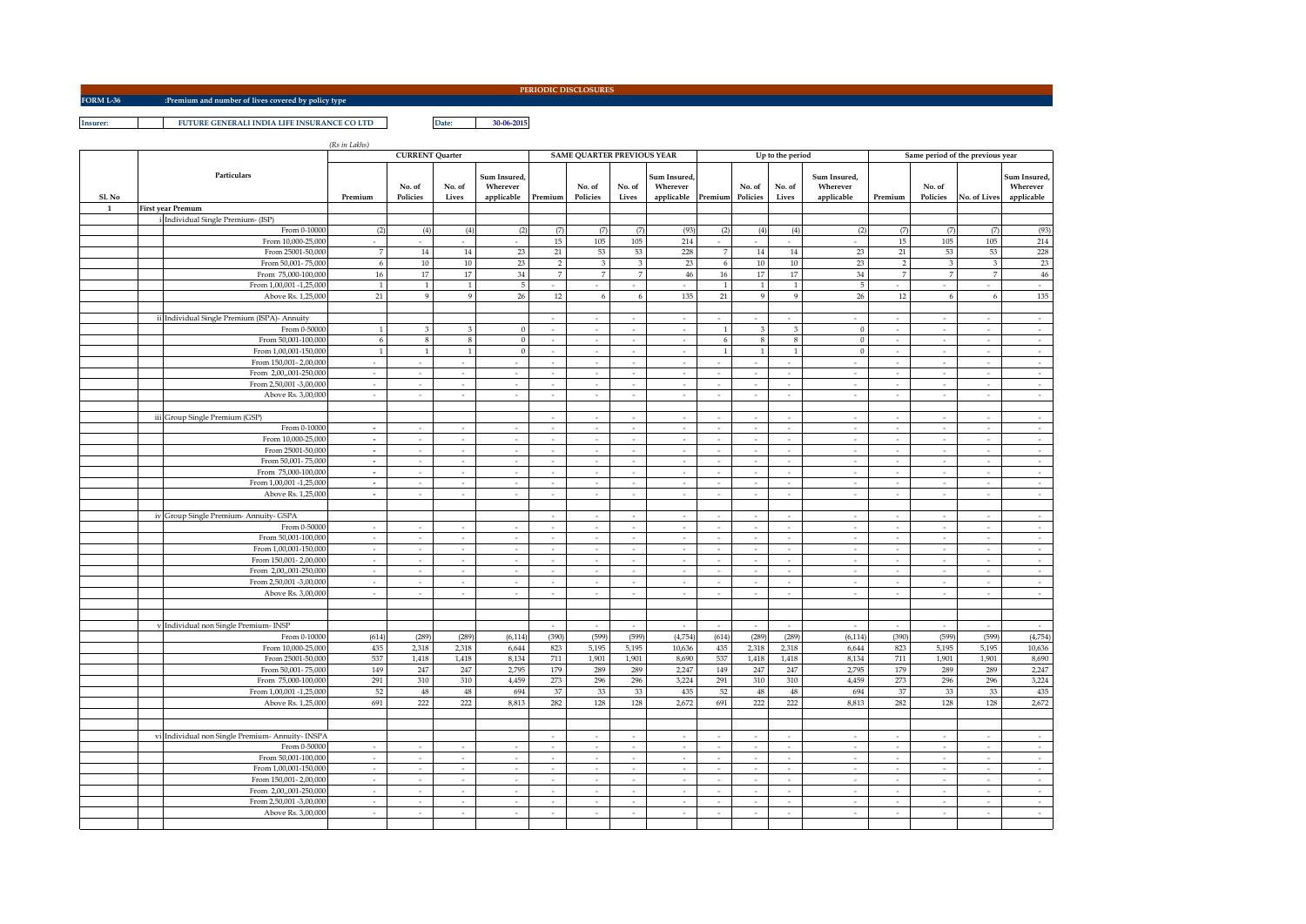**FORM L-36 :Premium and number of lives covered by policy type**

**PERIODIC DISCLOSURES**

**Insurer: PUTURE GENERALI INDIA LIFE INSURANCE CO LTD Date: 20-06-2015** 

|              |  |                                                        | (Rs in Lakhs)            | <b>CURRENT Quarter</b>   |                                |                          |                          | <b>SAME QUARTER PREVIOUS YEAR</b> |                          |                                    |                          |                          | Up to the period         |                          |                             | Same period of the previous year |                             |                          |
|--------------|--|--------------------------------------------------------|--------------------------|--------------------------|--------------------------------|--------------------------|--------------------------|-----------------------------------|--------------------------|------------------------------------|--------------------------|--------------------------|--------------------------|--------------------------|-----------------------------|----------------------------------|-----------------------------|--------------------------|
|              |  | Particulars                                            |                          | No. of                   | No. of                         | Sum Insured.<br>Wherever |                          | No. of                            | No. of                   | <b>Sum Insured.</b><br>Wherever    |                          | No. of                   | No. of                   | Sum Insured.<br>Wherever |                             | No. of                           |                             | Sum Insured,<br>Wherever |
| Sl. No       |  |                                                        | Premium                  | Policies                 | Lives                          | applicable               | Premium                  | Policies                          | Lives                    | applicable                         | Premium                  | Policies                 | Lives                    | applicable               | Premium                     | Policies                         | No. of Lives                | applicable               |
| $\mathbf{1}$ |  | <b>First year Premum</b>                               |                          |                          |                                |                          |                          |                                   |                          |                                    |                          |                          |                          |                          |                             |                                  |                             |                          |
|              |  | Individual Single Premium- (ISP)                       |                          |                          |                                |                          |                          |                                   |                          |                                    |                          |                          |                          |                          |                             |                                  |                             |                          |
|              |  | From 0-10000                                           | (2)                      | (4)                      | (4)                            | (2)                      | (7)                      | (7)                               | (7)                      | (93)                               | (2)                      | (4)                      | (4)                      | (2)                      | (7)                         | (7)                              | (7)                         | (93)                     |
|              |  | From 10,000-25,000                                     | $\sim$                   | $\sim$                   | $\overline{\phantom{a}}$       | $\sim$                   | 15                       | $105\,$                           | 105                      | 214                                | $\sim$                   | ÷.                       | $\mathcal{L}$            | $\sim$                   | 15                          | $105\,$                          | 105                         | 214                      |
|              |  | From 25001-50.000                                      | $\overline{7}$           | 14                       | 14                             | 23                       | 21                       | 53                                | 53                       | 228                                | 7                        | 14                       | 14                       | 23                       | 21                          | 53                               | 53                          | 228                      |
|              |  | From 50,001-75,000                                     | 6                        | $10\,$                   | 10                             | 23                       | $\overline{2}$           | $\overline{3}$<br>$\overline{7}$  | 3                        | 23                                 | 6                        | 10                       | 10                       | 23                       | $\overline{2}$              | 3                                | 3                           | 23                       |
|              |  | From 75,000-100,000                                    | $16\,$                   | 17                       | 17                             | 34                       | $\overline{7}$           |                                   | $\overline{7}$           | $46\,$                             | $16\,$                   | 17                       | $17\,$                   | $34\,$                   |                             | $\overline{7}$                   | $\overline{7}$              | 46                       |
|              |  | From 1,00,001 -1,25,000<br>Above Rs. 1,25,000          | <sup>1</sup><br>21       | $\overline{1}$<br>9      | $\mathbf{1}$<br>$\overline{9}$ | 5<br>26                  | ٠<br>12                  | $\sim$<br>6                       | $\sim$<br>6              | $\epsilon$<br>135                  | $\mathbf{1}$<br>21       | $\mathbf{1}$<br>9        | $\mathbf{1}$<br>9        | 5<br>26                  | 12                          | $\mathcal{L}_{\mathcal{A}}$<br>6 | $\sim$<br>6                 | $\sim$<br>135            |
|              |  |                                                        |                          |                          |                                |                          |                          |                                   |                          |                                    |                          |                          |                          |                          |                             |                                  |                             |                          |
|              |  | Individual Single Premium (ISPA)- Annuity              |                          |                          |                                |                          | $\overline{\phantom{a}}$ |                                   |                          | $\overline{\phantom{a}}$           |                          |                          |                          |                          |                             | $\overline{\phantom{a}}$         | ٠                           | $\sim$                   |
|              |  | From 0-5000                                            |                          | $\mathbf{a}$             | $\overline{3}$                 | $\Omega$                 | ä,                       |                                   |                          |                                    |                          | $\overline{3}$           | $\overline{3}$           | $\Omega$                 |                             |                                  |                             | ÷,                       |
|              |  | From 50,001-100,000                                    | 6                        | $\,$ 8 $\,$              | $\,$ 8 $\,$                    | $\mathbf{0}$             | $\overline{\phantom{a}}$ | $\sim$                            | $\sim$                   | $\sim$                             | $\sqrt{6}$               | $\,$ 8 $\,$              | $\,$ 8 $\,$              | $\bf 0$                  | $\overline{\phantom{a}}$    | $\sim$                           | $\epsilon$                  | $\sim$                   |
|              |  | From 1,00,001-150,000                                  | $\mathbf{1}$             | $\overline{1}$           | $1\,$                          | $\mathbf{0}$             | $\sim$                   | $\sim$                            | ÷                        | $\sim$                             | $\mathbf{1}$             | $\mathbf{1}$             | $\mathbf{1}$             | $\bf 0$                  | $\sim$                      | $\sim$                           | $\sim$                      | $\sim$                   |
|              |  | From 150,001-2,00,000                                  | ÷                        | $\sim$                   | $\sim$                         |                          | $\overline{\phantom{a}}$ | ÷.                                | $\sim$                   | $\overline{\phantom{a}}$           |                          |                          |                          |                          |                             | $\mathcal{L}$                    | $\sim$                      | $\sim$                   |
|              |  | From 2,00,,001-250,000                                 | $\sim$                   | $\sim$                   | $\sim$                         | $\sim$                   | $\sim$                   | $\sim$                            | $\sim$                   | $\sim$                             | $\sim$                   | $\overline{\phantom{a}}$ | $\sim$                   | $\sim$                   | $\overline{\phantom{a}}$    | $\sim$                           | $\sim$                      | Ŧ                        |
|              |  | From 2,50,001 -3,00,000                                | $\mathcal{L}$            | ÷.                       | $\overline{\phantom{a}}$       | $\sim$                   | $\sim$                   | ×                                 | ÷                        | $\sim$                             | $\mathcal{L}$            | $\sim$                   | $\overline{\phantom{a}}$ | ÷.                       | $\sim$                      | $\mathcal{L}$                    | $\sim$                      | $\sim$                   |
|              |  | Above Rs. 3,00,000                                     | $\sim$                   | $\sim$                   | $\sim$                         | $\sim$                   | $\sim$                   | $\sim$                            | $\sim$                   | $\sim$                             | $\sim$                   | $\sim$                   | $\overline{\phantom{a}}$ | $\sim$                   | $\overline{\phantom{a}}$    | $\sim$                           | $\sim$                      | $\sim$                   |
|              |  |                                                        |                          |                          |                                |                          |                          |                                   |                          |                                    |                          |                          |                          |                          |                             |                                  |                             |                          |
|              |  | iii Group Single Premium (GSP)                         |                          |                          |                                |                          | $\overline{\phantom{a}}$ |                                   |                          | $\overline{\phantom{a}}$           |                          |                          |                          |                          |                             | $\cdot$                          | ÷                           | $\sim$                   |
|              |  | From 0-10000                                           | $\sim$                   | $\sim$                   | $\cdot$                        |                          | $\sim$                   | $\overline{\phantom{a}}$          | $\overline{\phantom{a}}$ | $\sim$                             | $\sim$                   | $\overline{\phantom{a}}$ | $\overline{\phantom{a}}$ | $\overline{\phantom{a}}$ | $\overline{\phantom{a}}$    | $\overline{\phantom{a}}$         | $\sim$                      | $\sim$                   |
|              |  | From 10,000-25,000                                     | ÷.                       | $\overline{\phantom{a}}$ | $\sim$                         |                          | ÷,                       |                                   |                          |                                    |                          |                          | J.                       |                          |                             | $\overline{\phantom{a}}$         |                             | ÷,                       |
|              |  | From 25001-50,000                                      | $\sim$                   | $\sim$                   | $\overline{\phantom{a}}$       | $\sim$                   | $\epsilon$               | $\overline{\phantom{a}}$          | $\sim$                   | $\overline{\phantom{a}}$           | $\sim$                   | $\overline{\phantom{a}}$ | $\overline{\phantom{a}}$ | $\sim$                   | $\overline{\phantom{a}}$    | $\overline{\phantom{a}}$         | $\overline{\phantom{a}}$    | $\overline{\phantom{a}}$ |
|              |  | From 50,001-75,000                                     | $\sim$                   | $\sim$                   | $\sim$                         | $\sim$                   | $\sim$                   | $\sim$                            | $\overline{\phantom{a}}$ | $\sim$                             | $\sim$                   | $\sim$                   | $\overline{\phantom{a}}$ | $\sim$                   | $\sim$                      | $\sim$                           | $\sim$                      | $\sim$                   |
|              |  | From 75,000-100,000                                    | $\omega$                 | $\sim$                   | $\overline{\phantom{a}}$       | $\sim$                   | $\sim$                   | $\sim$                            | $\sim$                   | $\sim$                             | $\sim$                   | $\cdot$                  | $\sim$                   | $\sim$                   | $\overline{\phantom{a}}$    | $\sim$                           | $\sim$                      | $\sim$                   |
|              |  | From 1,00,001 -1,25,000                                | $\sim$                   | $\sim$                   | $\overline{\phantom{a}}$       | ÷                        | $\overline{\phantom{a}}$ | $\epsilon$                        | $\epsilon$               | $\sim$                             | $\overline{\phantom{a}}$ | $\sim$                   | $\epsilon$               | ÷                        | $\sim$                      | $\overline{\phantom{a}}$         | $\overline{\phantom{a}}$    | $\sim$                   |
|              |  | Above Rs. 1,25,000                                     | $\sim$                   | $\overline{\phantom{a}}$ | $\overline{\phantom{a}}$       | $\sim$                   | $\sim$                   | $\sim$                            | $\sim$                   | $\sim$                             | $\sim$                   | $\sim$                   | $\sim$                   | $\sim$                   | $\mathcal{L}_{\mathcal{A}}$ | $\overline{\phantom{a}}$         | $\mathcal{L}_{\mathcal{A}}$ | $\sim$                   |
|              |  |                                                        |                          |                          |                                |                          | $\overline{\phantom{a}}$ |                                   |                          |                                    | $\sim$                   |                          | $\sim$                   | $\sim$                   |                             | $\overline{\phantom{a}}$         | $\sim$                      | $\sim$                   |
|              |  | iv Group Single Premium- Annuity- GSPA<br>From 0-50000 |                          |                          |                                |                          | $\overline{\phantom{a}}$ |                                   |                          | $\sim$<br>$\overline{\phantom{a}}$ |                          |                          |                          |                          |                             | $\overline{\phantom{a}}$         | ÷                           | $\sim$                   |
|              |  | From 50,001-100,000                                    | $\epsilon$               | $\sim$                   | $\overline{\phantom{a}}$       |                          | $\sim$                   | $\sim$                            | $\sim$                   | $\sim$                             | $\sim$                   | ٠                        | $\epsilon$               | $\sim$                   | $\sim$                      | $\sim$                           | $\sim$                      | $\sim$                   |
|              |  | From 1,00,001-150,000                                  |                          |                          | $\overline{\phantom{a}}$       |                          | ä,                       |                                   |                          |                                    |                          |                          | J.                       |                          |                             |                                  |                             | ÷,                       |
|              |  | From 150,001-2,00,000                                  | $\sim$                   | $\overline{\phantom{a}}$ | $\overline{\phantom{a}}$       | $\overline{\phantom{a}}$ | $\overline{\phantom{a}}$ | $\overline{\phantom{a}}$          | $\overline{\phantom{a}}$ | $\overline{\phantom{a}}$           | $\sim$                   | $\overline{\phantom{a}}$ | $\overline{\phantom{a}}$ | $\overline{\phantom{a}}$ |                             | $\overline{\phantom{a}}$         | ٠                           | $\overline{\phantom{a}}$ |
|              |  | From 2,00,,001-250,000                                 | $\sim$                   | $\sim$                   | $\sim$                         | $\sim$                   | $\sim$                   | $\sim$                            | $\sim$                   | $\sim$                             | $\sim$                   | $\sim$                   | $\sim$                   | $\sim$                   | $\sim$                      | $\sim$                           | $\sim$                      | $\sim$                   |
|              |  | From 2,50,001 -3,00,000                                | $\sim$                   | $\overline{\phantom{a}}$ | $\overline{\phantom{a}}$       | $\sim$                   | $\sim$                   | $\epsilon$                        | $\epsilon$               | $\epsilon$                         | $\sim$                   | $\sim$                   | $\bar{z}$                | $\overline{\phantom{a}}$ | $\overline{\phantom{a}}$    | $\overline{\phantom{a}}$         | $\mathcal{L}_{\mathcal{A}}$ | $\sim$                   |
|              |  | Above Rs. 3,00,000                                     | $\sim$                   | $\sim$                   | $\overline{\phantom{a}}$       | $\sim$                   | $\sim$                   | $\sim$                            | $\sim$                   | $\sim$                             | $\overline{\phantom{a}}$ | $\sim$                   | $\overline{\phantom{a}}$ | ÷                        | $\sim$                      | $\sim$                           | ÷                           | $\sim$                   |
|              |  |                                                        |                          |                          |                                |                          |                          |                                   |                          |                                    |                          |                          |                          |                          |                             |                                  |                             |                          |
|              |  |                                                        |                          |                          |                                |                          |                          |                                   |                          |                                    |                          |                          |                          |                          |                             |                                  |                             |                          |
|              |  | v Individual non Single Premium- INSP                  |                          |                          |                                |                          | $\sim$                   | $\sim$                            | $\sim$                   | $\sim$                             | $\sim$                   | ۰.                       | $\sim$                   | $\sim$                   | $\sim$                      | $\mathcal{L}$                    | $\sim$                      | $\sim$                   |
|              |  | From 0-10000                                           | (614)                    | (289)                    | (289)                          | (6, 114)                 | (390)                    | (599)                             | (599)                    | (4,754)                            | (614)                    | (289)                    | (289)                    | (6, 114)                 | (390)                       | (599                             | (599                        | (4,754)                  |
|              |  | From 10,000-25,000                                     | 435                      | 2,318                    | 2,318                          | 6,644                    | 823                      | 5,195                             | 5.195                    | 10,636                             | 435                      | 2,318                    | 2,318                    | 6,644                    | 823                         | 5,195                            | 5,195                       | 10,636                   |
|              |  | From 25001-50,000                                      | 537                      | 1,418                    | 1,418                          | 8,134                    | 711                      | 1,901                             | 1,901                    | 8,690                              | 537                      | 1,418                    | 1,418                    | 8,134                    | $711\,$                     | 1,901                            | 1,901                       | 8,690                    |
|              |  | From 50,001-75,000                                     | 149                      | 247                      | $247\,$                        | 2,795                    | 179                      | 289                               | 289                      | 2,247                              | 149                      | 247                      | 247                      | 2,795                    | 179                         | 289                              | 289                         | 2,247                    |
|              |  | From 75,000-100,000                                    | 291                      | 310                      | 310                            | 4,459                    | 273                      | 296                               | 296                      | 3,224                              | $291\,$                  | 310                      | 310                      | 4,459                    | 273                         | 296                              | 296                         | 3,224                    |
|              |  | From 1,00,001 -1,25,000<br>Above Rs. 1,25,000          | 52<br>691                | 48<br>222                | 48<br>222                      | 694<br>8,813             | 37<br>282                | 33<br>128                         | 33<br>128                | 435<br>2,672                       | 52<br>691                | 48<br>222                | 48<br>222                | 694<br>8,813             | 37<br>282                   | 33<br>128                        | 33<br>128                   | 435<br>2,672             |
|              |  |                                                        |                          |                          |                                |                          |                          |                                   |                          |                                    |                          |                          |                          |                          |                             |                                  |                             |                          |
|              |  |                                                        |                          |                          |                                |                          |                          |                                   |                          |                                    |                          |                          |                          |                          |                             |                                  |                             |                          |
|              |  | vi Individual non Single Premium- Annuity- INSPA       |                          |                          |                                |                          | $\sim$                   |                                   | $\sim$                   | $\sim$                             | $\sim$                   |                          | ÷                        | $\sim$                   | $\sim$                      | $\mathcal{L}$                    | $\sim$                      | $\sim$                   |
|              |  | From 0-50000                                           |                          |                          |                                |                          | $\overline{\phantom{a}}$ |                                   |                          | $\overline{\phantom{a}}$           |                          |                          |                          |                          |                             | $\epsilon$                       | $\overline{\phantom{a}}$    | $\sim$                   |
|              |  | From 50,001-100,000                                    | $\sim$                   | $\sim$                   | $\sim$                         | $\sim$                   | $\sim$                   | $\sim$                            | $\sim$                   | $\sim$                             | $\sim$                   | $\epsilon$               | $\sim$                   | $\sim$                   | $\sim$                      | $\sim$                           | $\sim$                      | $\sim$                   |
|              |  | From 1,00,001-150,000                                  | ÷                        | $\sim$                   | $\mathcal{L}$                  |                          | $\sim$                   | $\sim$                            | ÷                        | $\sim$                             | $\sim$                   | $\sim$                   | $\overline{\phantom{a}}$ | ÷.                       | $\sim$                      | $\sim$                           | $\mathcal{L}$               | ÷.                       |
|              |  | From 150,001-2,00,000                                  | $\sim$                   | $\sim$                   | $\overline{\phantom{a}}$       | $\sim$                   | $\sim$                   | $\sim$                            | $\sim$                   | $\overline{\phantom{a}}$           | $\sim$                   | $\cdot$                  | $\sim$                   | $\sim$                   | $\overline{\phantom{a}}$    | $\overline{\phantom{a}}$         | $\sim$                      | $\sim$                   |
|              |  | From 2,00,,001-250,000                                 | $\sim$                   | $\sim$                   | $\sim$                         | $\sim$                   | $\sim$                   | $\sim$                            | ÷                        | $\sim$                             | $\sim$                   | ÷                        | ÷                        | $\sim$                   | $\sim$                      | $\sim$                           | $\sim$                      | $\sim$                   |
|              |  | From 2,50,001 -3,00,000                                | $\sim$                   | $\overline{\phantom{a}}$ | $\overline{\phantom{a}}$       | ÷                        | $\sim$                   | $\sim$                            | $\sim$                   | $\sim$                             | $\sim$                   | $\overline{\phantom{a}}$ | $\sim$                   | $\sim$                   | $\overline{\phantom{a}}$    | $\overline{\phantom{a}}$         | $\mathcal{L}_{\mathcal{A}}$ | $\sim$                   |
|              |  | Above Rs. 3,00,000                                     | $\overline{\phantom{a}}$ | $\overline{\phantom{a}}$ | $\overline{\phantom{a}}$       | $\sim$                   | $\overline{\phantom{a}}$ | $\sim$                            | ÷                        | $\epsilon$                         | $\sim$                   | $\sim$                   | ÷                        | ÷                        | $\sim$                      | $\overline{\phantom{a}}$         | $\mathcal{L}_{\mathcal{A}}$ | $\sim$                   |
|              |  |                                                        |                          |                          |                                |                          |                          |                                   |                          |                                    |                          |                          |                          |                          |                             |                                  |                             |                          |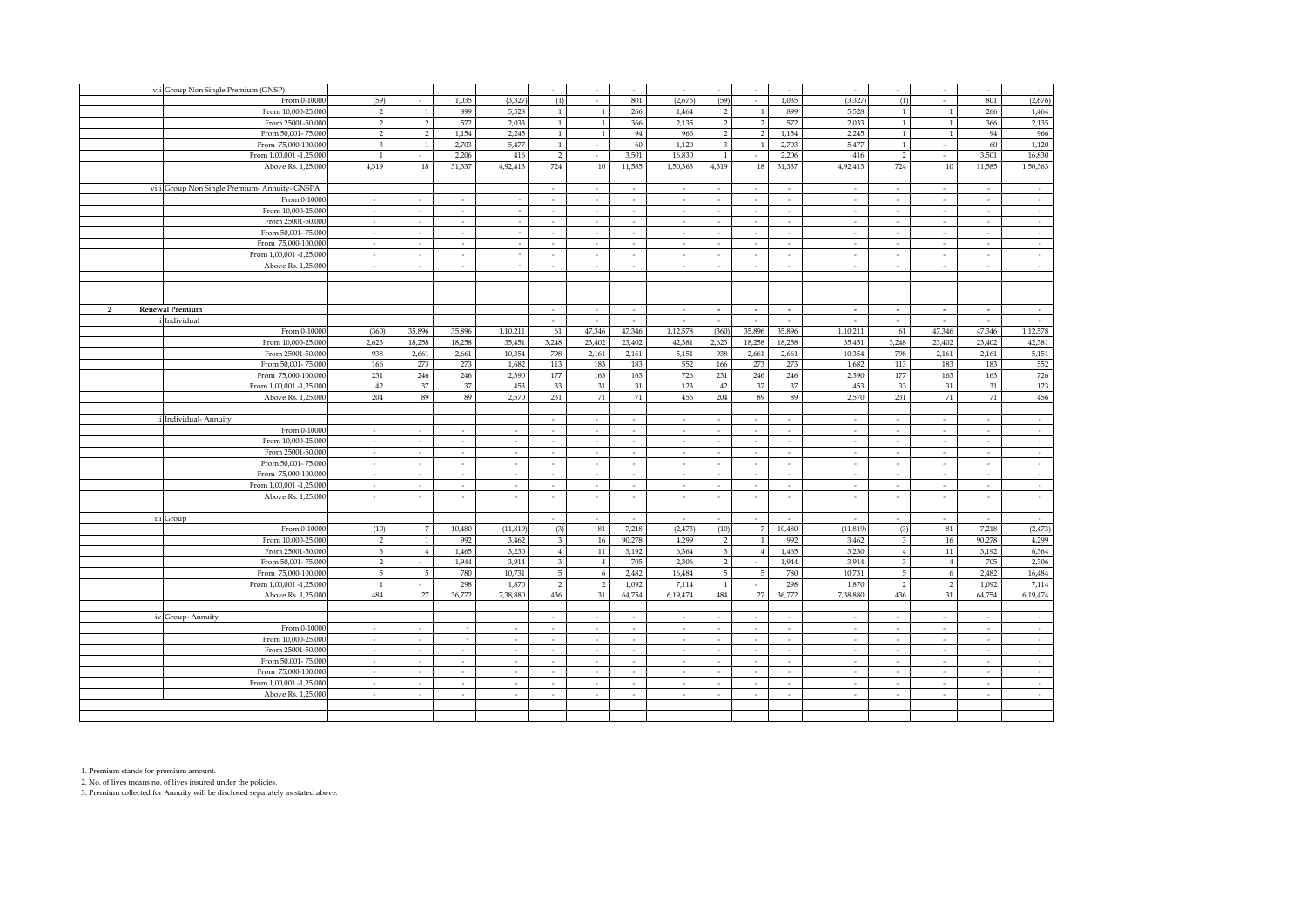|                | vii Group Non Single Premium (GNSP)           |                          |                          |                          |                          | ÷                        | $\overline{\phantom{a}}$ | ÷                        | $\epsilon$     | $\sim$                   | $\overline{\phantom{a}}$ | $\sim$                   | ÷                        |                          | $\sim$                             | ÷                        | $\sim$                      |
|----------------|-----------------------------------------------|--------------------------|--------------------------|--------------------------|--------------------------|--------------------------|--------------------------|--------------------------|----------------|--------------------------|--------------------------|--------------------------|--------------------------|--------------------------|------------------------------------|--------------------------|-----------------------------|
|                | From 0-10000                                  | (59)                     | $\sim$                   | 1.035                    | (3.327)                  | (1)                      | $\sim$                   | 801                      | (2,676)        | (59)                     | $\sim$                   | 1.035                    | (3, 327)                 | (1)                      | $\sim$                             | 801                      | (2,676)                     |
|                | From 10,000-25,000                            | $\mathcal{P}$            |                          | 899                      | 5,528                    | $\mathbf{1}$             | -1                       | 266                      | 1,464          | $\overline{2}$           | $\mathbf{1}$             | 899                      | 5,528                    | $\overline{1}$           |                                    | 266                      | 1,464                       |
|                | From 25001-50,000                             | 2                        | $\overline{2}$           | 572                      | 2,033                    | $\mathbf{1}$             | $\mathbf{1}$             | 366                      | 2,135          | $\overline{2}$           | $\overline{2}$           | 572                      | 2,033                    | $\mathbf{1}$             | $\overline{1}$                     | 366                      | 2,135                       |
|                | From 50,001-75,000                            | $\mathcal{P}$            | $\overline{2}$           | 1,154                    | 2,245                    |                          | $\mathbf{1}$             | 94                       | 966            | $\overline{2}$           | 2                        | 1,154                    | 2,245                    | $\mathbf{1}$             | - 1                                | 94                       | 966                         |
|                | From 75,000-100,000                           | $\overline{3}$           |                          | 2,703                    | 5,477                    |                          |                          | 60                       | 1,120          | $\overline{3}$           | $\mathbf{1}$             | 2,703                    | 5,477                    | $\overline{1}$           |                                    | 60                       | 1,120                       |
|                | From 1,00,001 -1,25,000                       | 1                        | $\overline{\phantom{a}}$ | 2,206                    | 416                      | $\overline{2}$           | $\sim$                   | 3,501                    | 16,830         | $\mathbf{1}$             | $\sim$                   | 2,206                    | 416                      | $\overline{2}$           | $\sim$                             | 3,501                    | 16,830                      |
|                | Above Rs. 1,25,000                            | 4,319                    | 18                       | 31,337                   | 4,92,413                 | 724                      | 10                       | 11,585                   | 1,50,363       | 4,319                    | 18                       | 31,337                   | 4,92,413                 | 724                      | 10                                 | 11,585                   | 1,50,363                    |
|                |                                               |                          |                          |                          |                          |                          |                          |                          |                |                          |                          |                          |                          |                          |                                    |                          |                             |
|                | viii Group Non Single Premium- Annuity- GNSPA |                          |                          |                          |                          | $\sim$                   | $\sim$                   | $\sim$                   | $\sim$         | $\sim$                   | $\sim$                   | $\sim$                   | $\sim$                   | $\sim$                   | $\sim$                             | $\sim$                   | $\sim$                      |
|                | From 0-10000                                  |                          | $\sim$                   | $\sim$                   |                          | $\sim$                   | ۰.                       | $\mathcal{L}$            | $\sim$         | $\sim$                   | $\sim$                   | $\sim$                   | $\sim$                   | $\sim$                   | $\sim$                             | ۰.                       | $\sim$                      |
|                | From 10,000-25,000                            | $\sim$                   | $\sim$                   | $\sim$                   |                          | $\sim$                   | $\sim$                   | $\sim$                   | $\sim$         | $\sim$                   | $\sim$                   | $\overline{\phantom{a}}$ | $\sim$                   | $\overline{\phantom{a}}$ | $\sim$                             | $\sim$                   | $\sim$                      |
|                | From 25001-50,000                             | $\overline{\phantom{a}}$ | $\overline{\phantom{a}}$ | $\sim$                   |                          | $\sim$                   |                          | $\sim$                   | $\sim$         | $\overline{\phantom{a}}$ | $\sim$                   | $\sim$                   | $\overline{\phantom{a}}$ |                          | $\overline{\phantom{a}}$           | $\sim$                   | $\mathcal{L}_{\mathcal{A}}$ |
|                | From 50,001-75,000                            | $\sim$                   | $\sim$                   | $\sim$                   |                          | $\sim$                   | $\sim$                   | $\sim$                   | $\sim$         | $\sim$                   | $\sim$                   | $\sim$                   | $\sim$                   | $\sim$                   | $\sim$                             | $\sim$                   | $\sim$                      |
|                | From 75,000-100,000                           | ÷                        | $\overline{\phantom{a}}$ | $\sim$                   |                          | $\sim$                   | $\sim$                   | $\mathcal{L}$            | $\sim$         | $\sim$                   | $\sim$                   | $\sim$                   | $\sim$                   | $\overline{\phantom{a}}$ | $\sim$                             | $\sim$                   | $\mathcal{L}$               |
|                | From 1,00,001 -1,25,000                       | $\overline{\phantom{a}}$ | $\sim$                   | $\sim$                   |                          | $\sim$                   | $\sim$                   | $\sim$                   | $\sim$         | $\sim$                   | $\sim$                   | $\sim$                   | $\sim$                   | $\overline{\phantom{a}}$ | $\sim$                             | $\overline{\phantom{a}}$ | $\sim$                      |
|                | Above Rs. 1,25,000                            | $\sim$                   | $\sim$                   | $\sim$                   |                          | $\sim$                   | $\sim$                   | $\sim$                   | $\sim$         | $\sim$                   | $\sim$                   | $\sim$                   | $\sim$                   | $\sim$                   | $\sim$                             | $\sim$                   | $\sim$                      |
|                |                                               |                          |                          |                          |                          |                          |                          |                          |                |                          |                          |                          |                          |                          |                                    |                          |                             |
|                |                                               |                          |                          |                          |                          |                          |                          |                          |                |                          |                          |                          |                          |                          |                                    |                          |                             |
|                |                                               |                          |                          |                          |                          |                          |                          |                          |                |                          |                          |                          |                          |                          |                                    |                          |                             |
| $\overline{2}$ |                                               |                          |                          |                          |                          |                          |                          |                          |                |                          |                          |                          |                          |                          |                                    |                          |                             |
|                | <b>Renewal Premium</b>                        |                          |                          |                          |                          | $\sim$                   | $\sim$                   | $\sim$                   | $\sim$         | $\sim$                   | $\sim$                   | $\sim$                   | $\sim$                   | $\sim$                   | $\sim$                             | $\sim$                   | $\sim$<br>$\sim$            |
|                | Individual                                    |                          | 35,896                   | 35,896                   |                          | $\sim$                   | 47,346                   | ÷.<br>47,346             | ÷,<br>1,12,578 | (360)                    |                          | 35,896                   | ÷,<br>1,10,211           |                          | $\overline{\phantom{a}}$<br>47,346 | 47,346                   | 1,12,578                    |
|                | From 0-10000                                  | (360)                    |                          |                          | 1,10,211                 | 61                       |                          |                          |                |                          | 35,896                   |                          |                          | 61                       |                                    |                          |                             |
|                | From 10,000-25,000                            | 2,623                    | 18,258                   | 18,258                   | 35,451                   | 3,248                    | 23,402                   | 23,402                   | 42,381         | 2,623                    | 18,258                   | 18,258                   | 35,451                   | 3,248                    | 23,402                             | 23,402                   | 42,381                      |
|                | From 25001-50,000                             | 938                      | 2.661                    | 2,661                    | 10,354                   | 798                      | 2,161                    | 2,161                    | 5,151          | 938                      | 2,661                    | 2,661                    | 10,354                   | 798                      | 2,161                              | 2,161                    | 5,151                       |
|                | From 50,001-75,000                            | 166                      | 273                      | 273                      | 1,682                    | 113                      | 183                      | 183                      | 552            | 166                      | 273                      | 273                      | 1,682                    | 113                      | 183                                | 183                      | 552                         |
|                | From 75,000-100,000                           | 231                      | 246                      | 246                      | 2,390                    | 177                      | 163                      | 163                      | 726            | 231                      | 246                      | 246                      | 2,390                    | 177                      | 163                                | 163                      | 726                         |
|                | From 1,00,001 -1,25,000                       | 42                       | 37                       | 37                       | 453                      | 33                       | $31\,$                   | 31                       | 123            | 42                       | 37                       | 37                       | 453                      | 33                       | 31                                 | 31                       | 123                         |
|                | Above Rs. 1,25,000                            | 204                      | 89                       | 89                       | 2,570                    | 231                      | $71\,$                   | 71                       | 456            | 204                      | 89                       | 89                       | 2,570                    | 231                      | $71\,$                             | 71                       | 456                         |
|                |                                               |                          |                          |                          |                          |                          |                          |                          |                |                          |                          |                          |                          |                          |                                    |                          |                             |
|                | ii Individual- Annuity                        |                          |                          |                          |                          | $\sim$                   | $\sim$                   | $\sim$                   | $\sim$         | $\sim$                   | $\sim$                   | $\sim$                   | $\sim$                   | $\sim$                   | $\sim$                             | $\sim$                   | $\sim$                      |
|                | From 0-10000                                  | ÷.                       | $\sim$                   | $\sim$                   |                          | $\sim$                   | ۰.                       | $\mathcal{L}$            | $\sim$         | $\sim$                   | $\sim$                   | $\sim$                   | $\sim$                   | $\sim$                   | $\sim$                             | $\sim$                   | $\sim$                      |
|                | From 10,000-25,000                            | $\overline{\phantom{a}}$ | $\sim$                   | $\sim$                   |                          | $\sim$                   | ٠                        | $\overline{\phantom{a}}$ | $\sim$         | $\sim$                   | $\sim$                   | $\overline{\phantom{a}}$ | $\overline{\phantom{a}}$ | $\overline{\phantom{a}}$ | $\sim$                             | $\overline{\phantom{a}}$ | $\sim$                      |
|                | From 25001-50,000                             | ÷                        | $\sim$                   | $\overline{\phantom{a}}$ | ÷                        | $\sim$                   | ÷                        | $\sim$                   | $\sim$         | ÷.                       | $\sim$                   | $\overline{\phantom{a}}$ | ÷                        | $\overline{\phantom{a}}$ | $\overline{\phantom{a}}$           | ÷                        | $\mathcal{L}_{\mathcal{A}}$ |
|                | From 50,001-75,000                            | $\sim$                   | $\sim$                   | $\sim$                   | $\sim$                   | $\sim$                   | $\sim$                   | $\sim$                   | $\sim$         | $\sim$                   | $\sim$                   | $\sim$                   | $\sim$                   | $\sim$                   | $\sim$                             | $\sim$                   | $\sim$                      |
|                | From 75,000-100,000                           | $\overline{\phantom{a}}$ | $\overline{\phantom{a}}$ | $\sim$                   | $\epsilon$               | $\sim$                   | $\sim$                   | $\overline{\phantom{a}}$ | $\sim$         | $\overline{\phantom{a}}$ | $\overline{\phantom{a}}$ | $\overline{\phantom{a}}$ | $\overline{\phantom{a}}$ | $\overline{\phantom{a}}$ | $\sim$                             | $\overline{\phantom{a}}$ | ÷                           |
|                | From 1,00,001 -1,25,000                       | $\sim$                   | $\sim$                   | $\sim$                   | $\sim$                   | $\sim$                   | $\sim$                   | $\sim$                   | $\sim$         | $\sim$                   | $\sim$                   | $\sim$                   | $\sim$                   | $\overline{\phantom{a}}$ | $\sim$                             | $\sim$                   | $\sim$                      |
|                | Above Rs. 1,25,000                            | $\sim$                   | $\sim$                   | $\sim$                   | $\sim$                   | $\sim$                   | $\sim$                   | $\sim$                   | $\sim$         | $\sim$                   | $\sim$                   | $\sim$                   | $\sim$                   | $\sim$                   | $\sim$                             | $\sim$                   | $\sim$                      |
|                |                                               |                          |                          |                          |                          |                          |                          |                          |                |                          |                          |                          |                          |                          |                                    |                          |                             |
|                | iii Group                                     |                          |                          |                          |                          |                          |                          | $\sim$                   | $\sim$         | $\sim$                   | $\sim$                   | $\sim$                   | $\sim$                   |                          | $\sim$                             | $\sim$                   | $\sim$                      |
|                | From 0-10000                                  | (10)                     | $\overline{7}$           | 10.480                   | (11, 819)                | (3)                      | 81                       | 7,218                    | (2, 473)       | (10)                     | 7                        | 10,480                   | (11, 819)                | (3)                      | 81                                 | 7,218                    | (2, 473)                    |
|                | From 10,000-25,000                            | $\overline{2}$           | $\mathbf{1}$             | 992                      | 3,462                    | 3                        | 16                       | 90,278                   | 4,299          | $\overline{2}$           | $\mathbf{1}$             | 992                      | 3,462                    | 3                        | 16                                 | 90,278                   | 4,299                       |
|                | From 25001-50,000                             | 3                        | $\overline{4}$           | 1,465                    | 3,230                    | $\overline{4}$           | $11\,$                   | 3,192                    | 6,364          | 3                        | $\overline{4}$           | 1,465                    | 3,230                    | $\overline{4}$           | 11                                 | 3,192                    | 6,364                       |
|                | From 50,001-75,000                            | $\overline{2}$           | $\sim$                   | 1,944                    | 3,914                    | $\overline{3}$           | $\overline{4}$           | 705                      | 2,306          | $\overline{2}$           | $\sim$                   | 1,944                    | 3,914                    | 3                        | $\overline{4}$                     | 705                      | 2,306                       |
|                | From 75,000-100,000                           | 5                        | - 5                      | 780                      | 10,731                   | $5\phantom{.0}$          | 6                        | 2,482                    | 16,484         | 5                        | 5                        | 780                      | 10,731                   | 5                        | 6                                  | 2,482                    | 16,484                      |
|                | From 1,00,001 -1,25,000                       | $\mathbf{1}$             | $\sim$                   | 298                      | 1,870                    | $\overline{2}$           | 2                        | 1,092                    | 7,114          | $\mathbf{1}$             | $\sim$                   | 298                      | 1,870                    | $\overline{2}$           | $\overline{2}$                     | 1,092                    | 7,114                       |
|                | Above Rs. 1,25,000                            | 484                      | $27\,$                   | 36,772                   | 7,38,880                 | 436                      | 31                       | 64,754                   | 6,19,474       | 484                      | 27                       | 36,772                   | 7,38,880                 | 436                      | 31                                 | 64,754                   | 6,19,474                    |
|                |                                               |                          |                          |                          |                          |                          |                          |                          |                |                          |                          |                          |                          |                          |                                    |                          |                             |
|                | iv Group-Annuity                              |                          |                          |                          |                          | $\sim$                   | $\sim$                   | $\sim$                   | $\sim$         | $\sim$                   |                          | $\sim$                   | $\sim$                   | $\overline{\phantom{a}}$ | $\sim$                             | $\sim$                   | $\sim$                      |
|                | From 0-10000                                  | ×.                       | $\sim$                   |                          |                          | $\sim$                   |                          | ÷.                       | ÷              | ×.                       | $\sim$                   | ÷                        | $\epsilon$               |                          | $\sim$                             | $\sim$                   | $\sim$                      |
|                | From 10,000-25,000                            | $\sim$                   | $\sim$                   | $\sim$                   | $\sim$                   | $\sim$                   | $\sim$                   | $\sim$                   | $\sim$         | $\sim$                   | $\sim$                   | $\sim$                   | $\sim$                   | $\sim$                   | $\sim$                             | $\sim$                   | $\sim$                      |
|                | From 25001-50,000                             | $\sim$                   | $\sim$                   | $\sim$                   | $\sim$                   | $\sim$                   | $\sim$                   | $\sim$                   | $\sim$         | $\sim$                   | $\sim$                   | $\sim$                   | $\sim$                   | $\overline{\phantom{a}}$ | $\sim$                             | $\sim$                   | $\sim$                      |
|                | From 50,001-75,000                            | $\sim$                   | $\sim$                   | $\sim$                   | $\sim$                   | $\sim$                   | $\sim$                   | $\sim$                   | $\sim$         | $\sim$                   | $\sim$                   | $\sim$                   | $\sim$                   | $\sim$                   | $\sim$                             | $\sim$                   | $\sim$                      |
|                | From 75,000-100,000                           | $\sim$                   | $\sim$                   | $\sim$                   | $\overline{\phantom{a}}$ | $\sim$                   | $\overline{\phantom{a}}$ | $\overline{\phantom{a}}$ | $\sim$         | $\sim$                   | $\sim$                   | $\overline{\phantom{a}}$ | ٠                        | $\overline{\phantom{a}}$ | $\sim$                             | $\sim$                   | $\sim$                      |
|                | From 1,00,001 -1,25,000                       | $\overline{\phantom{a}}$ | $\overline{\phantom{a}}$ | $\overline{\phantom{a}}$ |                          | $\overline{\phantom{a}}$ | $\overline{\phantom{a}}$ | ÷                        | $\sim$         | ×.                       |                          | $\epsilon$               | $\overline{\phantom{a}}$ |                          | $\sim$                             | $\overline{\phantom{a}}$ | $\sim$                      |
|                | Above Rs. 1,25,000                            | $\sim$                   | $\sim$                   | $\sim$                   | $\sim$                   | $\sim$                   | $\sim$                   | $\sim$                   | $\sim$         | $\sim$                   | $\sim$                   | $\sim$                   | $\sim$                   | $\sim$                   | $\sim$                             | $\sim$                   | $\sim$                      |
|                |                                               |                          |                          |                          |                          |                          |                          |                          |                |                          |                          |                          |                          |                          |                                    |                          |                             |
|                |                                               |                          |                          |                          |                          |                          |                          |                          |                |                          |                          |                          |                          |                          |                                    |                          |                             |
|                |                                               |                          |                          |                          |                          |                          |                          |                          |                |                          |                          |                          |                          |                          |                                    |                          |                             |

1. Premium stands for premium amount.

2. No. of lives means no. of lives insured under the policies. 3. Premium collected for Annuity will be disclosed separately as stated above.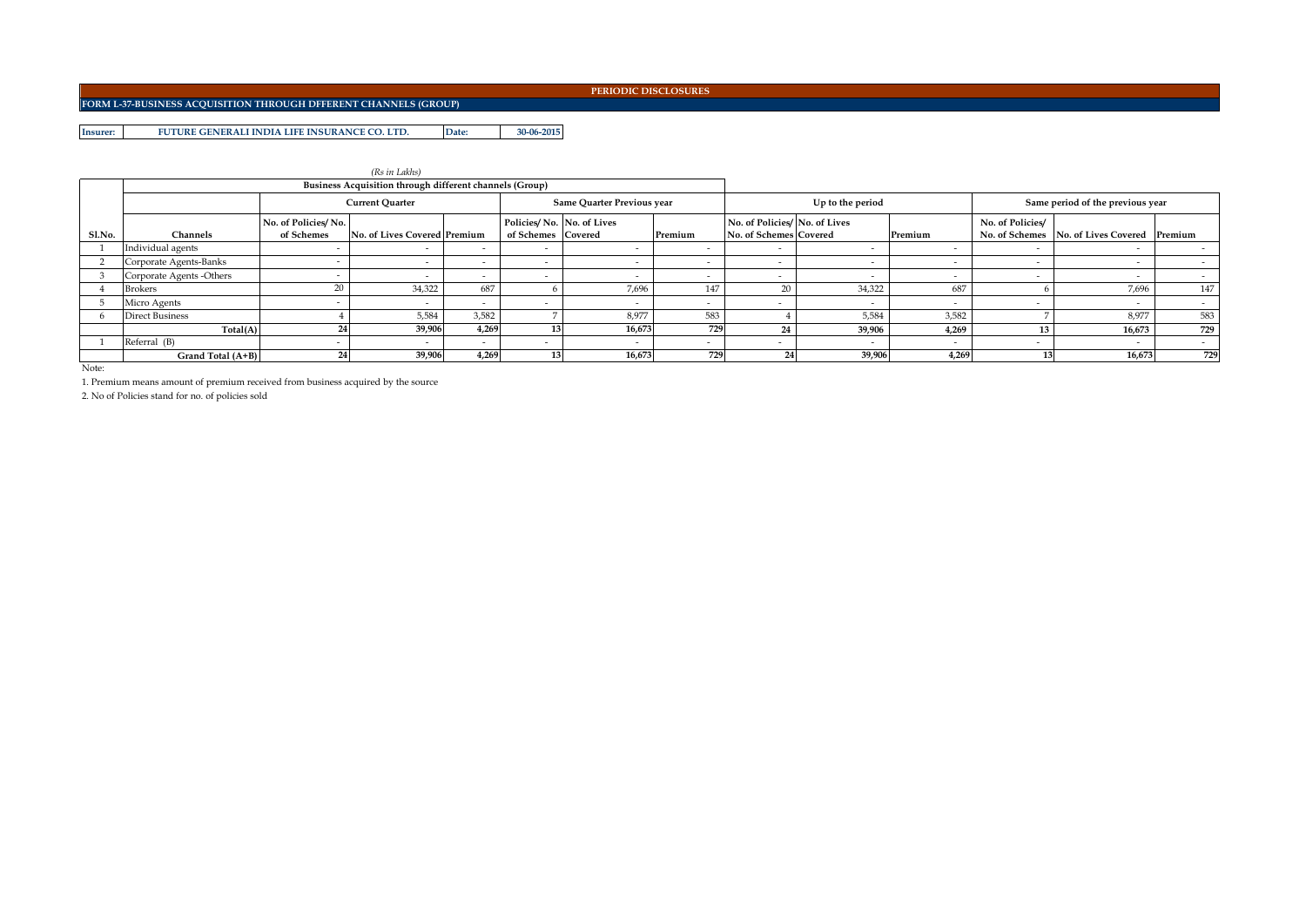**FORM L-37-BUSINESS ACQUISITION THROUGH DFFERENT CHANNELS (GROUP)**

**Insurer: Date: 30-06-2015 FUTURE GENERALI INDIA LIFE INSURANCE CO. LTD.**

|        |                          |                     | (Rs in Lakhs)                                           |                          |                                                            |                            |        |                          |                               |                          |                  |                                             |        |
|--------|--------------------------|---------------------|---------------------------------------------------------|--------------------------|------------------------------------------------------------|----------------------------|--------|--------------------------|-------------------------------|--------------------------|------------------|---------------------------------------------|--------|
|        |                          |                     | Business Acquisition through different channels (Group) |                          |                                                            |                            |        |                          |                               |                          |                  |                                             |        |
|        |                          |                     | <b>Current Ouarter</b>                                  |                          |                                                            | Same Ouarter Previous year |        |                          | Up to the period              |                          |                  | Same period of the previous year            |        |
|        |                          | No. of Policies/No. |                                                         |                          | Policies/No. No. of Lives<br>of Schemes Covered<br>Premium |                            |        |                          | No. of Policies/ No. of Lives |                          | No. of Policies/ |                                             |        |
| Sl.No. | Channels                 | of Schemes          | No. of Lives Covered Premium                            |                          |                                                            |                            |        | No. of Schemes Covered   |                               | Premium                  |                  | No. of Schemes No. of Lives Covered Premium |        |
|        | Individual agents        |                     |                                                         | $\overline{\phantom{0}}$ | $\sim$                                                     | $\sim$                     |        |                          |                               | $\overline{\phantom{0}}$ |                  |                                             |        |
|        | Corporate Agents-Banks   |                     |                                                         | $\overline{\phantom{0}}$ | $\sim$                                                     | $\sim$                     | $\sim$ | $\overline{\phantom{0}}$ | $\overline{\phantom{0}}$      | $\overline{\phantom{0}}$ |                  | $\sim$                                      | $\sim$ |
|        | Corporate Agents -Others |                     | $\overline{\phantom{0}}$                                | $\overline{\phantom{0}}$ | $\sim$                                                     | $\overline{\phantom{a}}$   | $\sim$ | $\overline{\phantom{0}}$ | $\overline{\phantom{0}}$      | $\overline{\phantom{0}}$ |                  | $\overline{\phantom{0}}$                    | $\sim$ |
|        | <b>Brokers</b>           | 20                  | 34,322                                                  | 687                      |                                                            | 7,696                      | 147    | 20                       | 34,322                        | 687                      |                  | 7,696                                       | 147    |
|        | Micro Agents             |                     |                                                         |                          |                                                            | $\overline{\phantom{a}}$   |        |                          |                               |                          |                  |                                             |        |
|        | <b>Direct Business</b>   |                     | 5,584                                                   | 3,582                    |                                                            | 8,977                      | 583    |                          | 5,584                         | 3,582                    |                  | 8,977                                       | 583    |
|        | Total(A)                 |                     | 39,906                                                  | 4,269                    |                                                            | 16,673                     | 729    | 24                       | 39,906                        | 4,269                    |                  | 16,673                                      | 729    |
|        | Referral (B)             |                     |                                                         | $\overline{\phantom{0}}$ |                                                            | $\sim$                     |        | $\overline{\phantom{0}}$ |                               |                          |                  | $\sim$                                      | $\sim$ |
|        | Grand Total (A+B)        | 24                  | 39,906                                                  | 4.269                    |                                                            | 16,673                     | 729    |                          | 39,906                        | 4.269                    |                  | 16,673                                      | 729    |

Note:

1. Premium means amount of premium received from business acquired by the source

2. No of Policies stand for no. of policies sold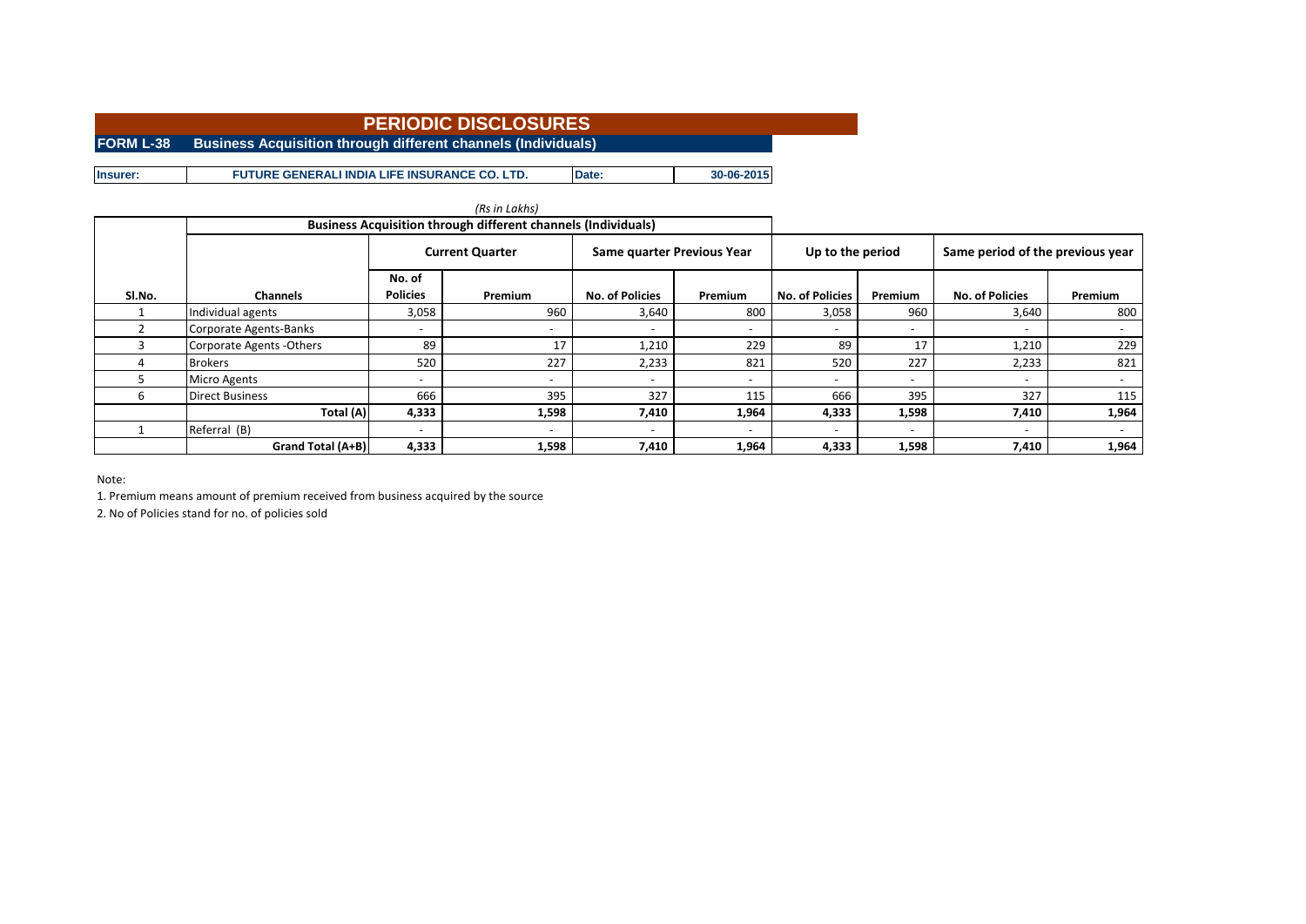**FORM L-38 Business Acquisition through different channels (Individuals)** 

**Insurer: Date: 30-06-2015 FUTURE GENERALI INDIA LIFE INSURANCE CO. LTD.**

|        |                           |                          | <b>Business Acquisition through different channels (Individuals)</b> |                            |                          |                        |                          |                                  |                          |
|--------|---------------------------|--------------------------|----------------------------------------------------------------------|----------------------------|--------------------------|------------------------|--------------------------|----------------------------------|--------------------------|
|        |                           |                          | <b>Current Quarter</b>                                               | Same quarter Previous Year |                          | Up to the period       |                          | Same period of the previous year |                          |
|        |                           | No. of                   |                                                                      |                            |                          |                        |                          |                                  |                          |
| SI.No. | <b>Channels</b>           | <b>Policies</b>          | Premium                                                              | <b>No. of Policies</b>     | Premium                  | <b>No. of Policies</b> | <b>Premium</b>           | <b>No. of Policies</b>           | Premium                  |
|        | Individual agents         | 3,058                    | 960                                                                  | 3,640                      | 800                      | 3,058                  | 960                      | 3,640                            | 800                      |
|        | Corporate Agents-Banks    |                          | $\overline{\phantom{a}}$                                             |                            |                          |                        | $\overline{\phantom{a}}$ | $\overline{\phantom{0}}$         | $\overline{\phantom{0}}$ |
|        | Corporate Agents - Others | 89                       | 17                                                                   | 1,210                      | 229                      | 89                     | 17                       | 1,210                            | 229                      |
| 4      | <b>Brokers</b>            | 520                      | 227                                                                  | 2,233                      | 821                      | 520                    | 227                      | 2,233                            | 821                      |
|        | <b>Micro Agents</b>       | $\overline{\phantom{a}}$ | $\overline{\phantom{a}}$                                             |                            | $\overline{\phantom{a}}$ |                        | $\overline{\phantom{a}}$ | $\overline{\phantom{0}}$         | $\overline{\phantom{0}}$ |
| b      | <b>Direct Business</b>    | 666                      | 395                                                                  | 327                        | 115                      | 666                    | 395                      | 327                              | 115                      |
|        | Total (A)                 | 4,333                    | 1,598                                                                | 7,410                      | 1,964                    | 4,333                  | 1,598                    | 7,410                            | 1,964                    |
|        | Referral (B)              | $\overline{\phantom{a}}$ | $\overline{\phantom{a}}$                                             |                            |                          |                        | $\overline{\phantom{a}}$ | $\overline{\phantom{a}}$         |                          |
|        | Grand Total (A+B)         | 4,333                    | 1,598                                                                | 7,410                      | 1,964                    | 4,333                  | 1,598                    | 7,410                            | 1,964                    |

Note:

1. Premium means amount of premium received from business acquired by the source

2. No of Policies stand for no. of policies sold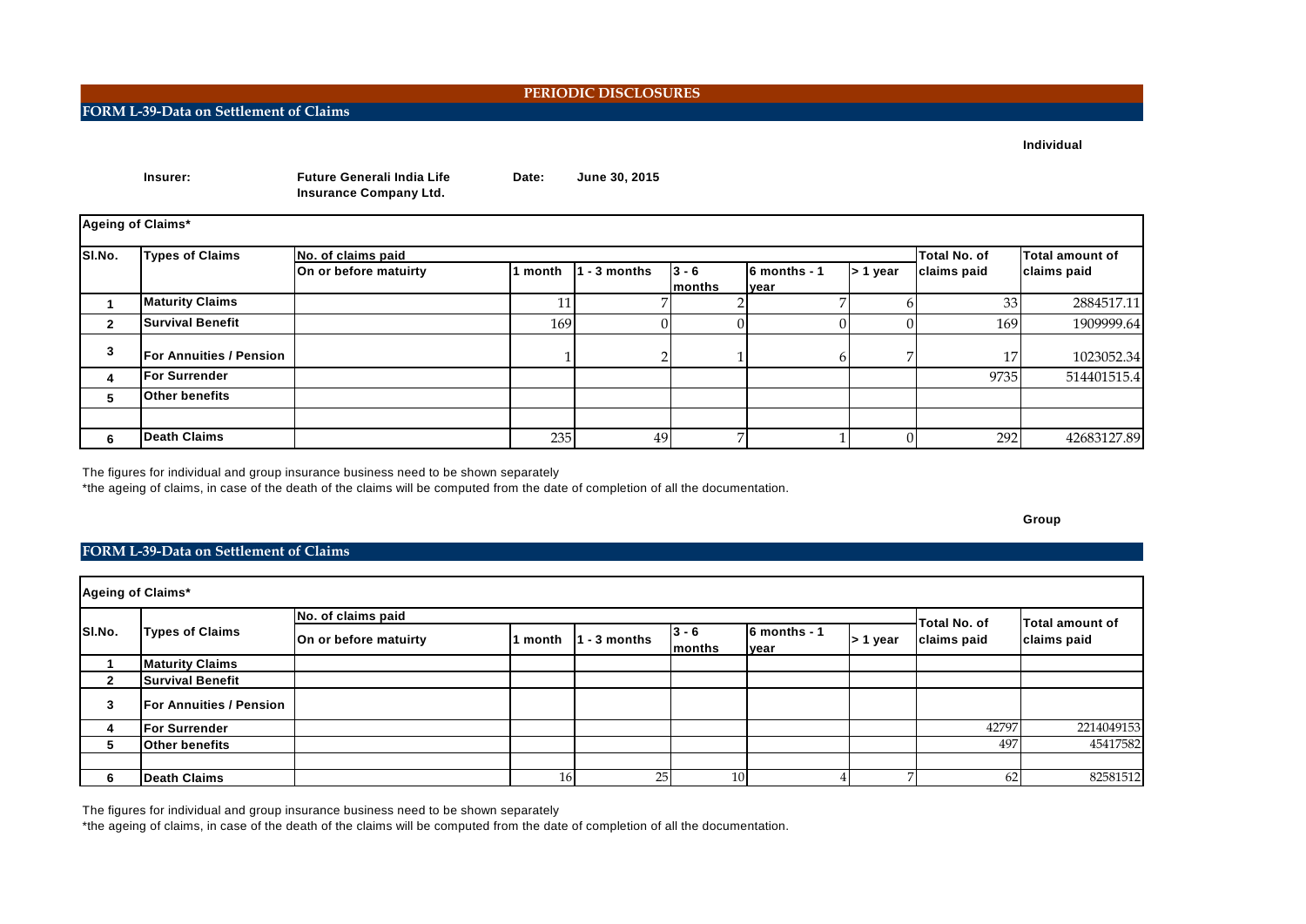**Individual**

|              | Insurer:                       | <b>Future Generali India Life</b><br><b>Insurance Company Ltd.</b> | Date:   | June 30, 2015 |         |              |            |                 |                 |
|--------------|--------------------------------|--------------------------------------------------------------------|---------|---------------|---------|--------------|------------|-----------------|-----------------|
|              | Ageing of Claims*              |                                                                    |         |               |         |              |            |                 |                 |
| SI.No.       | <b>Types of Claims</b>         | No. of claims paid                                                 |         |               |         |              |            | Total No. of    | Total amount of |
|              |                                | On or before matuirty                                              | 1 month | - 3 months    | $3 - 6$ | 6 months - 1 | $> 1$ year | claims paid     | claims paid     |
|              |                                |                                                                    |         |               | months  | <b>Ivear</b> |            |                 |                 |
|              | <b>Maturity Claims</b>         |                                                                    | 11      |               |         |              | h          | 33              | 2884517.11      |
| $\mathbf{2}$ | <b>Survival Benefit</b>        |                                                                    | 169     |               |         |              |            | 169             | 1909999.64      |
| 3            | <b>For Annuities / Pension</b> |                                                                    |         |               |         |              |            | 17 <sub>l</sub> | 1023052.34      |
| 4            | <b>For Surrender</b>           |                                                                    |         |               |         |              |            | 9735            | 514401515.4     |
| 5.           | <b>Other benefits</b>          |                                                                    |         |               |         |              |            |                 |                 |
|              |                                |                                                                    |         |               |         |              |            |                 |                 |
| 6            | <b>Death Claims</b>            |                                                                    | 235     | 49            | 7       |              | 0          | 292             | 42683127.89     |

The figures for individual and group insurance business need to be shown separately

\*the ageing of claims, in case of the death of the claims will be computed from the date of completion of all the documentation.

**Group**

# **FORM L-39-Data on Settlement of Claims**

|              | Ageing of Claims*              |                       |                 |                |                            |                       |            |                             |                 |  |
|--------------|--------------------------------|-----------------------|-----------------|----------------|----------------------------|-----------------------|------------|-----------------------------|-----------------|--|
|              |                                | No. of claims paid    |                 |                |                            |                       |            |                             | Total amount of |  |
| SI.No.       | <b>Types of Claims</b>         | On or before matuirty | 1 month         | $1 - 3$ months | $ 3 - 6 $<br><b>months</b> | 6 months - 1<br>lyear | $> 1$ year | Total No. of<br>claims paid | claims paid     |  |
|              | <b>Maturity Claims</b>         |                       |                 |                |                            |                       |            |                             |                 |  |
| $\mathbf{2}$ | <b>Survival Benefit</b>        |                       |                 |                |                            |                       |            |                             |                 |  |
| 3            | <b>For Annuities / Pension</b> |                       |                 |                |                            |                       |            |                             |                 |  |
| 4            | <b>For Surrender</b>           |                       |                 |                |                            |                       |            | 42797                       | 2214049153      |  |
| 5            | <b>Other benefits</b>          |                       |                 |                |                            |                       |            | 497                         | 45417582        |  |
|              |                                |                       |                 |                |                            |                       |            |                             |                 |  |
| 6            | <b>Death Claims</b>            |                       | 16 <sup>l</sup> | 25             | 10                         |                       |            | 62                          | 82581512        |  |

The figures for individual and group insurance business need to be shown separately

\*the ageing of claims, in case of the death of the claims will be computed from the date of completion of all the documentation.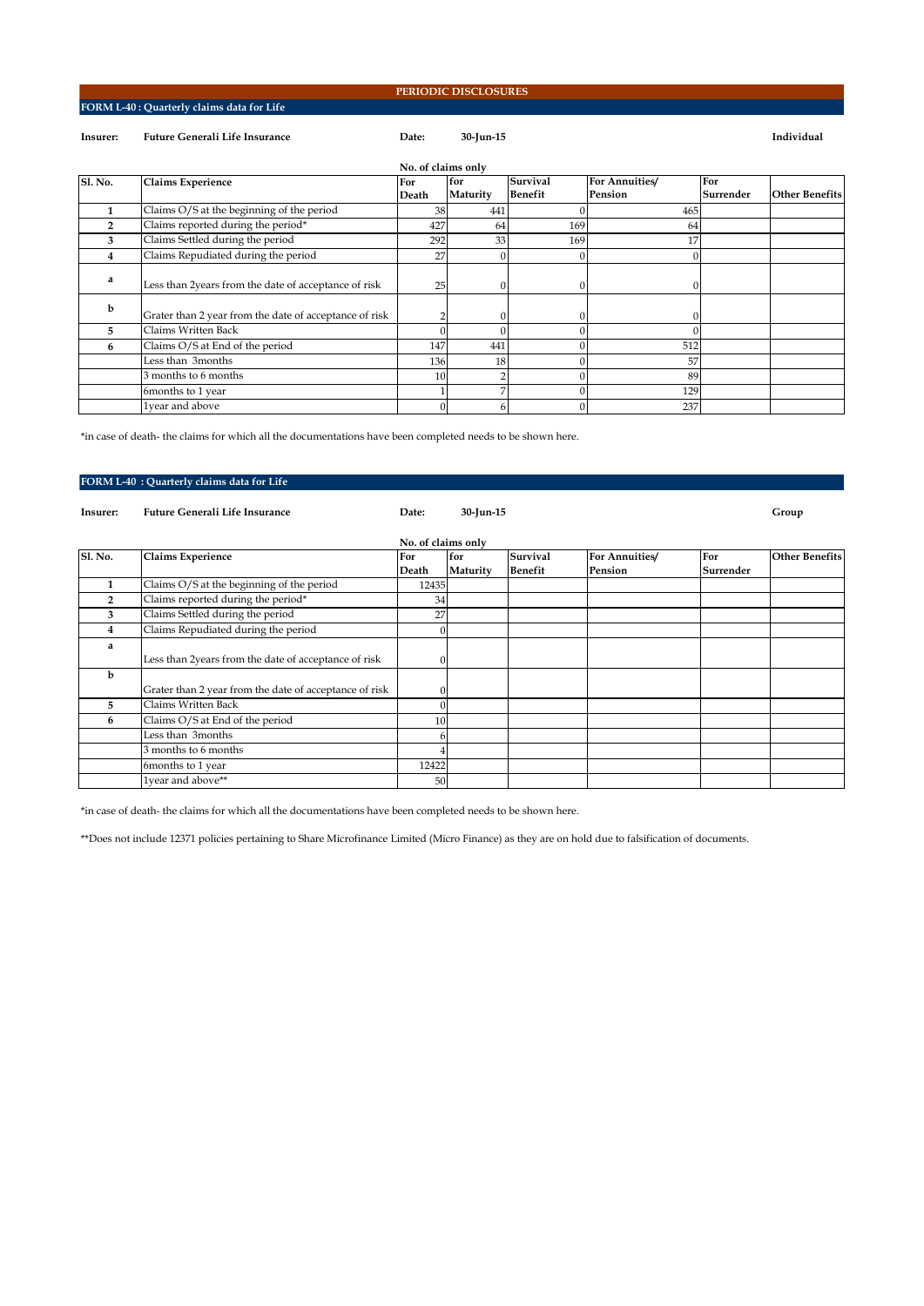# **FORM L-40 : Quarterly claims data for Life**

### **PERIODIC DISCLOSURES**

# **Insurer: Future Generali Life Insurance Date: 30-Jun-15 Individual**

|                |                                                        | No. of claims only |          |                 |                |           |                       |
|----------------|--------------------------------------------------------|--------------------|----------|-----------------|----------------|-----------|-----------------------|
| <b>Sl. No.</b> | <b>Claims Experience</b>                               | For                | for      | <b>Survival</b> | For Annuities/ | For       |                       |
|                |                                                        | Death              | Maturity | <b>Benefit</b>  | Pension        | Surrender | <b>Other Benefits</b> |
|                | Claims O/S at the beginning of the period              | 38                 | 441      |                 | 465            |           |                       |
| $\overline{2}$ | Claims reported during the period*                     | 427                | 64       | 169             | 64             |           |                       |
| 3              | Claims Settled during the period                       | 292                | 33       | 169             | 17             |           |                       |
| 4              | Claims Repudiated during the period                    | 27                 |          |                 | 0              |           |                       |
| a              | Less than 2years from the date of acceptance of risk   | 25                 |          |                 | $\Omega$       |           |                       |
| b              | Grater than 2 year from the date of acceptance of risk |                    |          |                 | 0              |           |                       |
| 5.             | Claims Written Back                                    |                    |          |                 |                |           |                       |
| 6              | Claims O/S at End of the period                        | 147                | 441      |                 | 512            |           |                       |
|                | Less than 3months                                      | 136                | 18       |                 | 57             |           |                       |
|                | 3 months to 6 months                                   | 10                 |          |                 | 89             |           |                       |
|                | 6months to 1 year                                      |                    |          |                 | 129            |           |                       |
|                | 1year and above                                        |                    | 6        |                 | 237            |           |                       |

\*in case of death- the claims for which all the documentations have been completed needs to be shown here.

# **FORM L-40 : Quarterly claims data for Life**

| Insurer:       | <b>Future Generali Life Insurance</b>                  | Date:              | 30-Jun-15 |                 |                |           | Group                 |
|----------------|--------------------------------------------------------|--------------------|-----------|-----------------|----------------|-----------|-----------------------|
|                |                                                        | No. of claims only |           |                 |                |           |                       |
| S1. No.        | <b>Claims Experience</b>                               | For                | for       | <b>Survival</b> | For Annuities/ | For       | <b>Other Benefits</b> |
|                |                                                        | Death              | Maturity  | <b>Benefit</b>  | Pension        | Surrender |                       |
| 1              | Claims O/S at the beginning of the period              | 12435              |           |                 |                |           |                       |
| $\overline{2}$ | Claims reported during the period*                     | 34                 |           |                 |                |           |                       |
| 3              | Claims Settled during the period                       | 27                 |           |                 |                |           |                       |
| 4              | Claims Repudiated during the period                    |                    |           |                 |                |           |                       |
| a              |                                                        |                    |           |                 |                |           |                       |
|                | Less than 2years from the date of acceptance of risk   |                    |           |                 |                |           |                       |
| b              |                                                        |                    |           |                 |                |           |                       |
|                | Grater than 2 year from the date of acceptance of risk |                    |           |                 |                |           |                       |
| 5              | Claims Written Back                                    |                    |           |                 |                |           |                       |
| 6              | Claims O/S at End of the period                        | 10                 |           |                 |                |           |                       |
|                | Less than 3months                                      |                    |           |                 |                |           |                       |
|                | 3 months to 6 months                                   |                    |           |                 |                |           |                       |
|                | 6months to 1 year                                      | 12422              |           |                 |                |           |                       |
|                | 1year and above**                                      | 50                 |           |                 |                |           |                       |

\*in case of death- the claims for which all the documentations have been completed needs to be shown here.

\*\*Does not include 12371 policies pertaining to Share Microfinance Limited (Micro Finance) as they are on hold due to falsification of documents.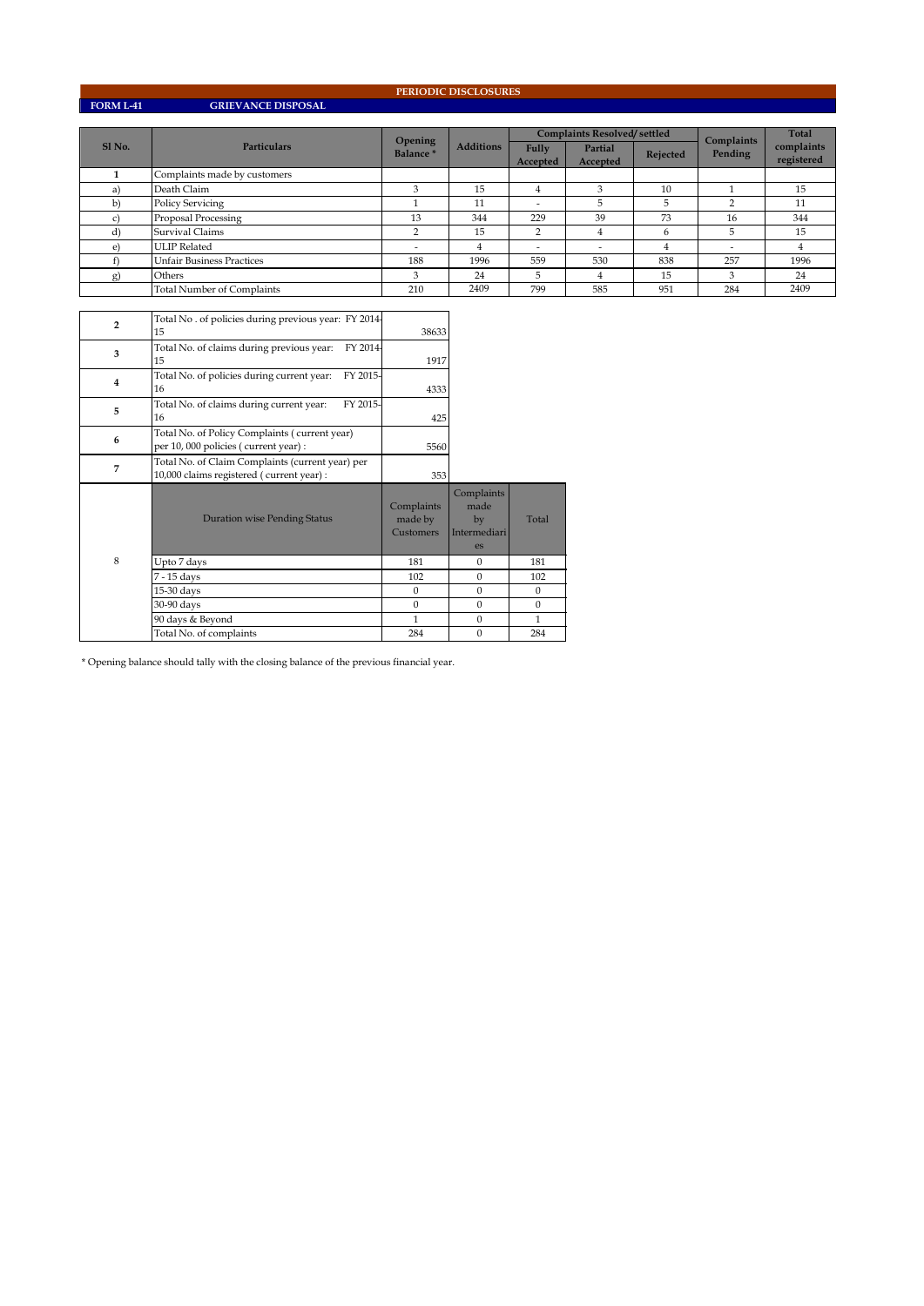**FORM L-41 GRIEVANCE DISPOSAL**

**PERIODIC DISCLOSURES**

|                   |                                   | Opening              | <b>Additions</b> | <b>Complaints Resolved/settled</b> |                     |          | Complaints | Total                    |
|-------------------|-----------------------------------|----------------------|------------------|------------------------------------|---------------------|----------|------------|--------------------------|
| Sl <sub>No.</sub> | <b>Particulars</b>                | Balance <sup>*</sup> |                  | Fully<br>Accepted                  | Partial<br>Accepted | Rejected | Pending    | complaints<br>registered |
|                   | Complaints made by customers      |                      |                  |                                    |                     |          |            |                          |
| a)                | Death Claim                       |                      | 15               | 4                                  |                     | 10       |            | 15                       |
| b)                | <b>Policy Servicing</b>           |                      | 11               | ۰                                  | b                   | ь        | n          | 11                       |
|                   | Proposal Processing               | 13                   | 344              | 229                                | 39                  | 73       | 16         | 344                      |
| d)                | Survival Claims                   | ◠                    | 15               | 2                                  | 4                   | 6        | 5          | 15                       |
| $\epsilon$        | <b>ULIP</b> Related               |                      | 4                |                                    | ۰                   | 4        | ۰          | 4                        |
|                   | <b>Unfair Business Practices</b>  | 188                  | 1996             | 559                                | 530                 | 838      | 257        | 1996                     |
| g)                | Others                            | з                    | 24               | 5                                  | 4                   | 15       | 3          | 24                       |
|                   | <b>Total Number of Complaints</b> | 210                  | 2409             | 799                                | 585                 | 951      | 284        | 2409                     |

| $\overline{2}$ | Total No. of policies during previous year: FY 2014-<br>15                                    | 38633                              |                                                |              |
|----------------|-----------------------------------------------------------------------------------------------|------------------------------------|------------------------------------------------|--------------|
| 3              | FY 2014-<br>Total No. of claims during previous year:<br>15                                   | 1917                               |                                                |              |
| $\overline{4}$ | FY 2015-<br>Total No. of policies during current year:<br>16                                  | 4333                               |                                                |              |
| 5              | FY 2015-<br>Total No. of claims during current year:<br>16                                    | 425                                |                                                |              |
| 6              | Total No. of Policy Complaints (current year)<br>per 10,000 policies (current year) :         | 5560                               |                                                |              |
| 7              | Total No. of Claim Complaints (current year) per<br>10,000 claims registered (current year) : | 353                                |                                                |              |
|                | <b>Duration wise Pending Status</b>                                                           | Complaints<br>made by<br>Customers | Complaints<br>made<br>by<br>Intermediari<br>es | Total        |
| 8              | Upto 7 days                                                                                   | 181                                | $\Omega$                                       | 181          |
|                | 7 - 15 days                                                                                   | 102                                | $\Omega$                                       | 102          |
|                | 15-30 days                                                                                    | $\mathbf{0}$                       | $\mathbf{0}$                                   | $\mathbf{0}$ |
|                | 30-90 days                                                                                    | $\mathbf{0}$                       | $\mathbf{0}$                                   | $\mathbf{0}$ |
|                | 90 days & Beyond                                                                              | 1                                  | $\Omega$                                       | 1            |
|                | Total No. of complaints                                                                       | 284                                | $\Omega$                                       | 284          |

 $^\star$  Opening balance should tally with the closing balance of the previous financial year.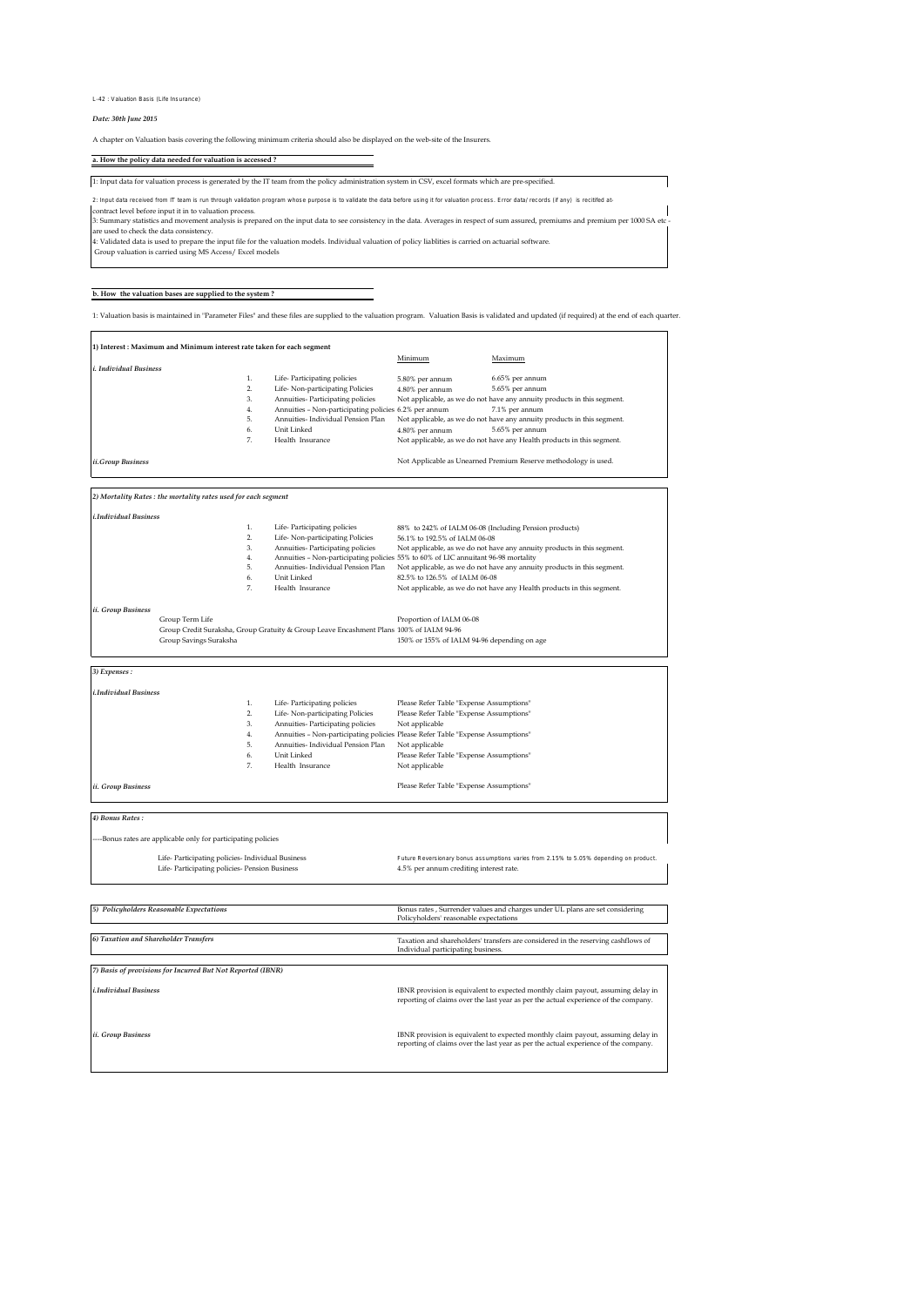#### L-42 : Valuation Basis (Life Insurance)

### *Date: 30th June 2015*

A chapter on Valuation basis covering the following minimum criteria should also be displayed on the web-site of the Insurers.

### **a. How the policy data needed for valuation is accessed ?**

1: Input data for valuation process is generated by the IT team from the policy administration system in CSV, excel formats which are pre-specified. contract level before input it in to valuation process. 2: Input data received from IT team is run through validation program whose purpose is to validate the data before using it for valuation process. Error data/ records (if any) is recitifed at-

3: Summary statistics and movement analysis is prepared on the input data to see consistency in the data. Averages in respect of sum assured, premiums and premium per 1000 SA etc.<br>4: Validated data is used to prepare the i

**b. How the valuation bases are supplied to the system ?**

1: Valuation basis is maintained in "Parameter Files" and these files are supplied to the valuation program. Valuation Basis is validated and updated (if required) at the end of each quarter.

|                               |                |                                                       | Minimum         | Maximum                                                                 |
|-------------------------------|----------------|-------------------------------------------------------|-----------------|-------------------------------------------------------------------------|
| <i>i. Individual Business</i> |                |                                                       |                 |                                                                         |
|                               | 1.             | Life-Participating policies                           | 5.80% per annum | 6.65% per annum                                                         |
|                               | $\overline{2}$ | Life-Non-participating Policies                       | 4.80% per annum | 5.65% per annum                                                         |
|                               | 3.             | Annuities- Participating policies                     |                 | Not applicable, as we do not have any annuity products in this segment. |
|                               | 4.             | Annuities - Non-participating policies 6.2% per annum |                 | 7.1% per annum                                                          |
|                               | 5.             | Annuities- Individual Pension Plan                    |                 | Not applicable, as we do not have any annuity products in this segment. |
|                               | 6.             | Unit Linked                                           | 4.80% per annum | 5.65% per annum                                                         |
|                               | 7.             | Health Insurance                                      |                 | Not applicable, as we do not have any Health products in this segment.  |
| ii.Group Business             |                |                                                       |                 | Not Applicable as Unearned Premium Reserve methodology is used.         |
|                               |                |                                                       |                 |                                                                         |

|          | Life-Participating policies        | 88% to 242% of IALM 06-08 (Including Pension products)                             |
|----------|------------------------------------|------------------------------------------------------------------------------------|
| <b>.</b> | Life-Non-participating Policies    | 56.1% to 192.5% of IALM 06-08                                                      |
| 3.       | Annuities-Participating policies   | Not applicable, as we do not have any annuity products in this segment.            |
| 4.       |                                    | Annuities - Non-participating policies 55% to 60% of LIC annuitant 96-98 mortality |
| 5.       | Annuities- Individual Pension Plan | Not applicable, as we do not have any annuity products in this segment.            |
| 6.       | Unit Linked                        | 82.5% to 126.5% of IALM 06-08                                                      |
|          | Health Insurance                   | Not applicable, as we do not have any Health products in this segment.             |

*ii. Group Bus* 

 Group Term Life Group Credit Suraksha, Group Gratuity & Group Leave Encashment Plans Group Savings Suraksha 100% of IALM 94-96 150% or 155% of IALM 94-96 depending on age Proportion of IALM 06-08

*3) Expenses :*

| <i>i.Individual Business</i> |                                    |                                                                                 |
|------------------------------|------------------------------------|---------------------------------------------------------------------------------|
|                              | Life-Participating policies        | Please Refer Table "Expense Assumptions"                                        |
| 2.                           | Life-Non-participating Policies    | Please Refer Table "Expense Assumptions"                                        |
| 3.                           | Annuities-Participating policies   | Not applicable                                                                  |
| 4.                           |                                    | Annuities - Non-participating policies Please Refer Table "Expense Assumptions" |
| 5.                           | Annuities- Individual Pension Plan | Not applicable                                                                  |
| 6.                           | Unit Linked                        | Please Refer Table "Expense Assumptions"                                        |
| 7.                           | Health Insurance                   | Not applicable                                                                  |
|                              |                                    |                                                                                 |
| <i>ii.</i> Group Business    |                                    | Please Refer Table "Expense Assumptions"                                        |

*4) Bonus Rates :*

--Bonus rates are applicable only for participating policies

 Life- Participating policies- Individual Business Life- Participating policies- Pension Business 4.5% per annum crediting interest rate. Future Reversionary bonus assumptions varies from 2.15% to 5.05% depending on product 4.5% per annum crediting interest rate.

Ξ 

| 5) Policyholders Reasonable Expectations                    | Bonus rates, Surrender values and charges under UL plans are set considering<br>Policyholders' reasonable expectations                                                  |
|-------------------------------------------------------------|-------------------------------------------------------------------------------------------------------------------------------------------------------------------------|
| 6) Taxation and Shareholder Transfers                       | Taxation and shareholders' transfers are considered in the reserving cashflows of<br>Individual participating business.                                                 |
| 7) Basis of provisions for Incurred But Not Reported (IBNR) |                                                                                                                                                                         |
| <i>i.Individual Business</i>                                | IBNR provision is equivalent to expected monthly claim payout, assuming delay in<br>reporting of claims over the last year as per the actual experience of the company. |
| <i>ii.</i> Group Business                                   | IBNR provision is equivalent to expected monthly claim payout, assuming delay in<br>reporting of claims over the last year as per the actual experience of the company. |
|                                                             |                                                                                                                                                                         |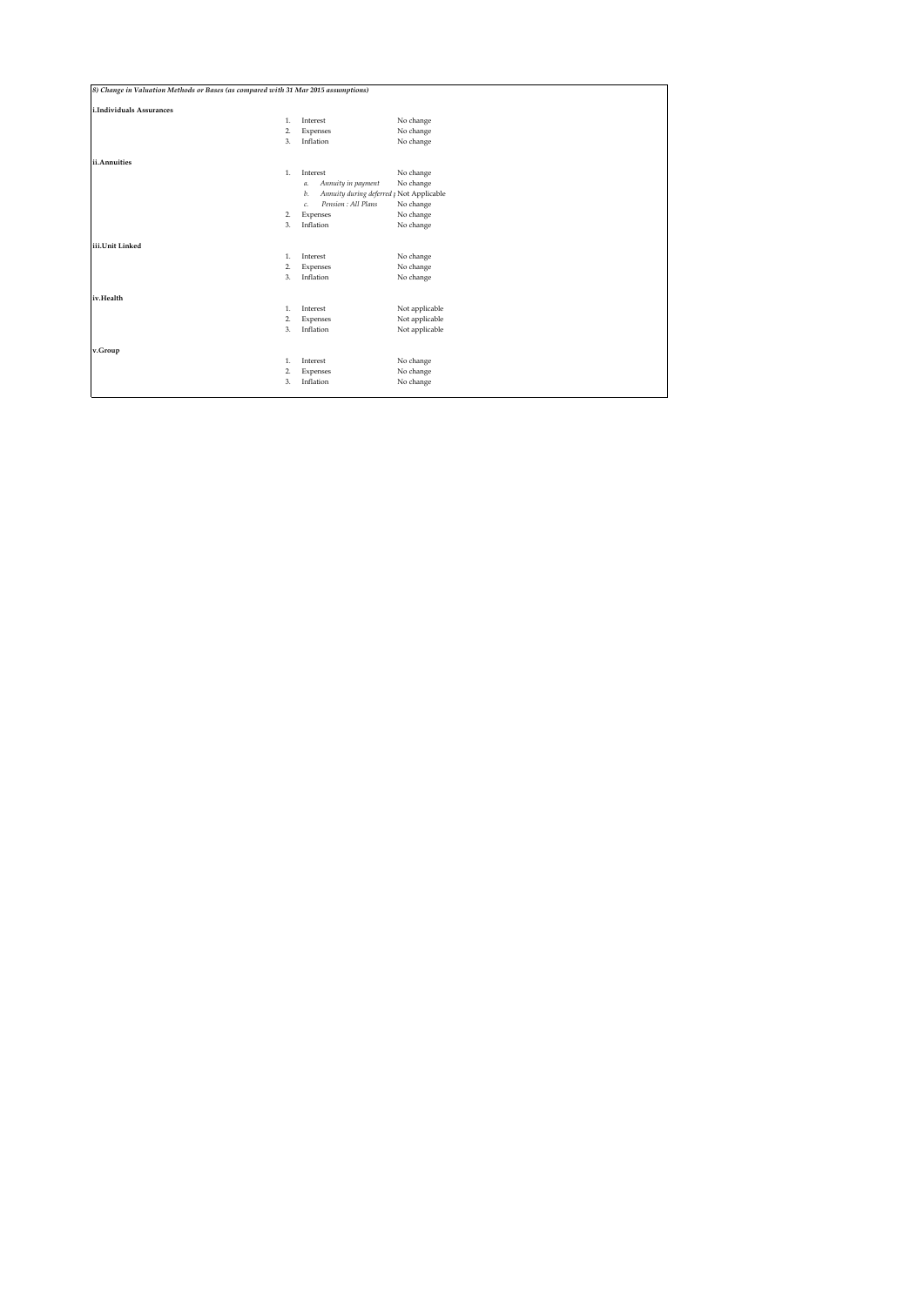| 8) Change in Valuation Methods or Bases (as compared with 31 Mar 2015 assumptions) |                                                           |                |  |  |  |
|------------------------------------------------------------------------------------|-----------------------------------------------------------|----------------|--|--|--|
| i.Individuals Assurances                                                           |                                                           |                |  |  |  |
| 1.                                                                                 | Interest                                                  | No change      |  |  |  |
| $\overline{2}$                                                                     | Expenses                                                  | No change      |  |  |  |
| 3.                                                                                 | Inflation                                                 | No change      |  |  |  |
| ii.Annuities                                                                       |                                                           |                |  |  |  |
| 1.                                                                                 | Interest                                                  | No change      |  |  |  |
|                                                                                    | Annuity in payment<br>а.                                  | No change      |  |  |  |
|                                                                                    | Annuity during deferred <sub>I</sub> Not Applicable<br>b. |                |  |  |  |
|                                                                                    | Pension : All Plans<br>c.                                 | No change      |  |  |  |
| $\overline{2}$                                                                     | Expenses                                                  | No change      |  |  |  |
| 3.                                                                                 | Inflation                                                 | No change      |  |  |  |
| iii.Unit Linked                                                                    |                                                           |                |  |  |  |
| 1.                                                                                 | Interest                                                  | No change      |  |  |  |
| $\overline{2}$                                                                     | Expenses                                                  | No change      |  |  |  |
| 3.                                                                                 | Inflation                                                 | No change      |  |  |  |
| iv.Health                                                                          |                                                           |                |  |  |  |
| 1.                                                                                 | Interest                                                  | Not applicable |  |  |  |
| $\overline{2}$                                                                     | Expenses                                                  | Not applicable |  |  |  |
| 3.                                                                                 | Inflation                                                 | Not applicable |  |  |  |
| v.Group                                                                            |                                                           |                |  |  |  |
| 1.                                                                                 | Interest                                                  | No change      |  |  |  |
| 2.                                                                                 | Expenses                                                  | No change      |  |  |  |
| 3.                                                                                 | Inflation                                                 | No change      |  |  |  |
|                                                                                    |                                                           |                |  |  |  |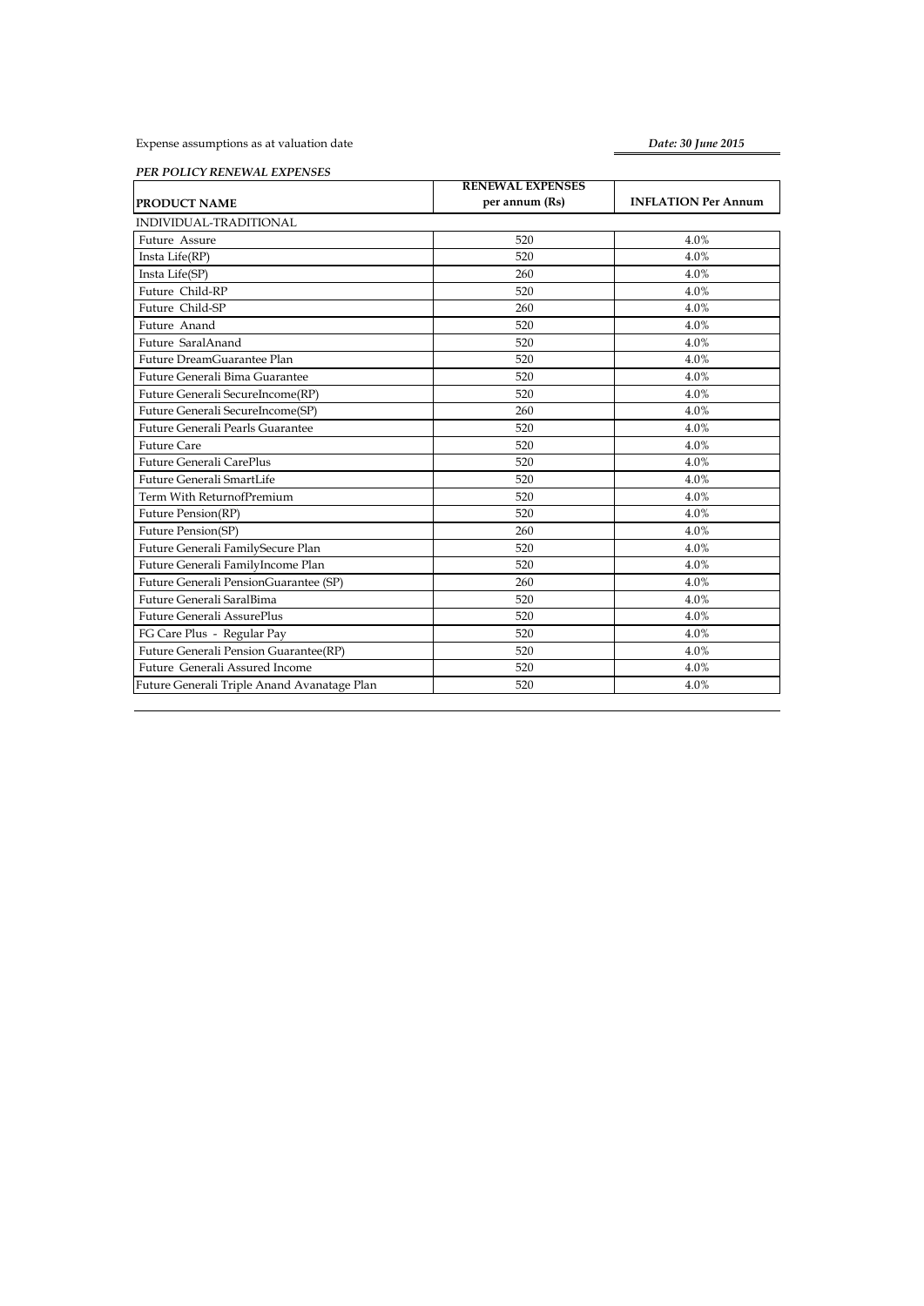Expense assumptions as at valuation date

*Date: 30 June 2015*

*PER POLICY RENEWAL EXPENSES*

|                                             | <b>RENEWAL EXPENSES</b> |                            |
|---------------------------------------------|-------------------------|----------------------------|
| PRODUCT NAME                                | per annum (Rs)          | <b>INFLATION Per Annum</b> |
| INDIVIDUAL-TRADITIONAL                      |                         |                            |
| Future Assure                               | 520                     | 4.0%                       |
| Insta Life(RP)                              | 520                     | 4.0%                       |
| Insta Life(SP)                              | 260                     | 4.0%                       |
| Future Child-RP                             | 520                     | 4.0%                       |
| Future Child-SP                             | 260                     | 4.0%                       |
| Future Anand                                | 520                     | 4.0%                       |
| Future SaralAnand                           | 520                     | 4.0%                       |
| Future DreamGuarantee Plan                  | 520                     | 4.0%                       |
| Future Generali Bima Guarantee              | 520                     | 4.0%                       |
| Future Generali SecureIncome(RP)            | 520                     | 4.0%                       |
| Future Generali SecureIncome(SP)            | 260                     | 4.0%                       |
| Future Generali Pearls Guarantee            | 520                     | 4.0%                       |
| <b>Future Care</b>                          | 520                     | 4.0%                       |
| Future Generali CarePlus                    | 520                     | 4.0%                       |
| Future Generali SmartLife                   | 520                     | 4.0%                       |
| Term With ReturnofPremium                   | 520                     | 4.0%                       |
| Future Pension(RP)                          | 520                     | 4.0%                       |
| Future Pension(SP)                          | 260                     | 4.0%                       |
| Future Generali FamilySecure Plan           | 520                     | 4.0%                       |
| Future Generali FamilyIncome Plan           | 520                     | 4.0%                       |
| Future Generali PensionGuarantee (SP)       | 260                     | 4.0%                       |
| Future Generali SaralBima                   | 520                     | 4.0%                       |
| <b>Future Generali AssurePlus</b>           | 520                     | 4.0%                       |
| FG Care Plus - Regular Pay                  | 520                     | 4.0%                       |
| Future Generali Pension Guarantee(RP)       | 520                     | 4.0%                       |
| Future Generali Assured Income              | 520                     | 4.0%                       |
| Future Generali Triple Anand Avanatage Plan | 520                     | 4.0%                       |